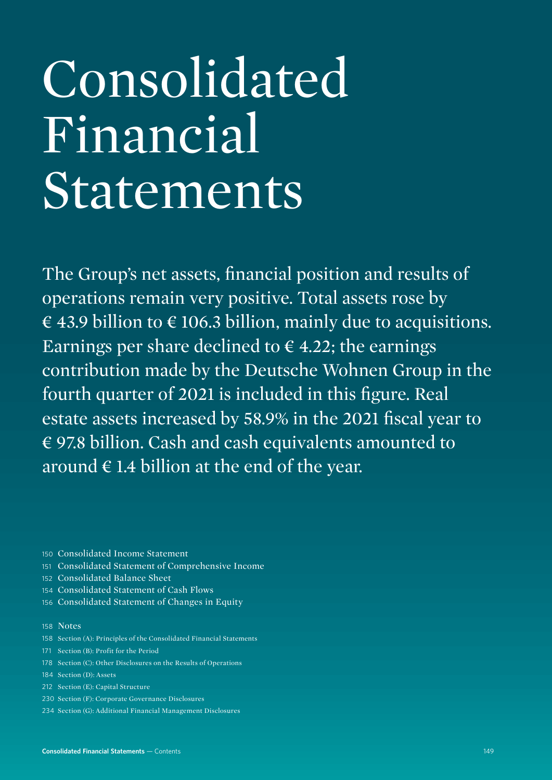# Consolidated Financial Statements

The Group's net assets, financial position and results of operations remain very positive. Total assets rose by € 43.9 billion to  $∈ 106.3$  billion, mainly due to acquisitions. Earnings per share declined to  $\epsilon$  4.22; the earnings contribution made by the Deutsche Wohnen Group in the fourth quarter of 2021 is included in this figure. Real estate assets increased by 58.9% in the 2021 fiscal year to € 97.8 billion. Cash and cash equivalents amounted to around  $\epsilon$  1.4 billion at the end of the year.

- 150 Consolidated Income Statement
- 151 Consolidated Statement of Comprehensive Income
- 152 Consolidated Balance Sheet
- 154 Consolidated Statement of Cash Flows
- 156 Consolidated Statement of Changes in Equity

#### 158 Notes

- 158 Section (A): Principles of the Consolidated Financial Statements
- 171 Section (B): Profit for the Period
- 178 Section (C): Other Disclosures on the Results of Operations
- 184 Section (D): Assets
- 212 Section (E): Capital Structure
- 230 Section (F): Corporate Governance Disclosures
- 234 Section (G): Additional Financial Management Disclosures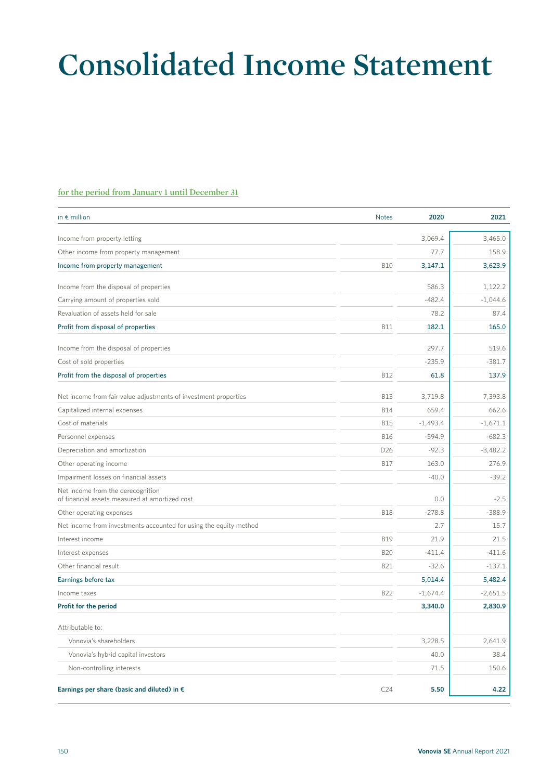# **Consolidated Income Statement**

#### **for the period from January 1 until December 31**

| in $\epsilon$ million                                                               | <b>Notes</b> | 2020       | 2021       |
|-------------------------------------------------------------------------------------|--------------|------------|------------|
| Income from property letting                                                        |              | 3,069.4    | 3,465.0    |
| Other income from property management                                               |              | 77.7       | 158.9      |
| Income from property management                                                     | <b>B10</b>   | 3,147.1    | 3,623.9    |
|                                                                                     |              |            |            |
| Income from the disposal of properties                                              |              | 586.3      | 1,122.2    |
| Carrying amount of properties sold                                                  |              | $-482.4$   | $-1,044.6$ |
| Revaluation of assets held for sale                                                 |              | 78.2       | 87.4       |
| Profit from disposal of properties                                                  | <b>B11</b>   | 182.1      | 165.0      |
| Income from the disposal of properties                                              |              | 297.7      | 519.6      |
| Cost of sold properties                                                             |              | $-235.9$   | $-381.7$   |
| Profit from the disposal of properties                                              | <b>B12</b>   | 61.8       | 137.9      |
| Net income from fair value adjustments of investment properties                     | <b>B13</b>   | 3,719.8    | 7,393.8    |
| Capitalized internal expenses                                                       | <b>B14</b>   | 659.4      | 662.6      |
| Cost of materials                                                                   | <b>B15</b>   | $-1,493.4$ | $-1,671.1$ |
| Personnel expenses                                                                  | <b>B16</b>   | $-594.9$   | $-682.3$   |
| Depreciation and amortization                                                       | D26          | $-92.3$    | $-3,482.2$ |
| Other operating income                                                              | <b>B17</b>   | 163.0      | 276.9      |
| Impairment losses on financial assets                                               |              | $-40.0$    | $-39.2$    |
| Net income from the derecognition<br>of financial assets measured at amortized cost |              | 0.0        | $-2.5$     |
| Other operating expenses                                                            | <b>B18</b>   | $-278.8$   | $-388.9$   |
| Net income from investments accounted for using the equity method                   |              | 2.7        | 15.7       |
| Interest income                                                                     | <b>B19</b>   | 21.9       | 21.5       |
| Interest expenses                                                                   | <b>B20</b>   | $-411.4$   | $-411.6$   |
| Other financial result                                                              | <b>B21</b>   | $-32.6$    | $-137.1$   |
| Earnings before tax                                                                 |              | 5,014.4    | 5,482.4    |
| Income taxes                                                                        | <b>B22</b>   | $-1,674.4$ | $-2,651.5$ |
| Profit for the period                                                               |              | 3,340.0    | 2,830.9    |
| Attributable to:                                                                    |              |            |            |
| Vonovia's shareholders                                                              |              | 3,228.5    | 2,641.9    |
| Vonovia's hybrid capital investors                                                  |              | 40.0       | 38.4       |
| Non-controlling interests                                                           |              | 71.5       | 150.6      |
|                                                                                     |              |            |            |
| Earnings per share (basic and diluted) in €                                         | C24          | 5.50       | 4.22       |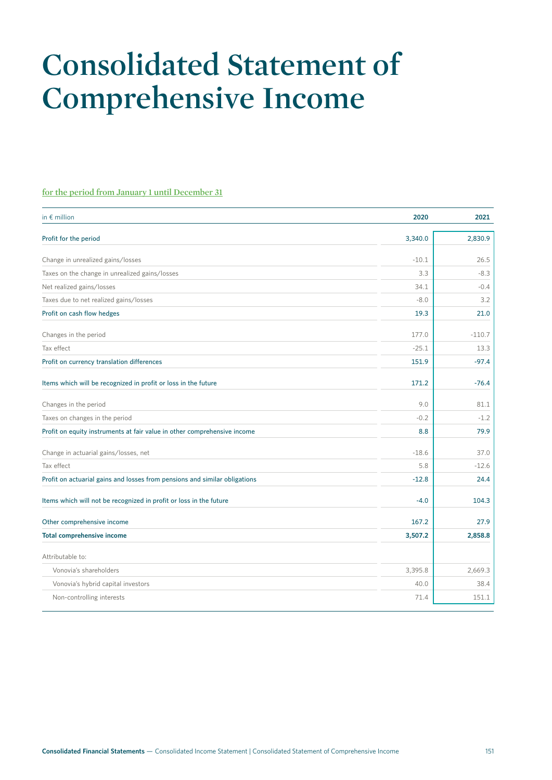# **Consolidated Statement of Comprehensive Income**

#### **for the period from January 1 until December 31**

| in $\epsilon$ million                                                      | 2020    | 2021     |
|----------------------------------------------------------------------------|---------|----------|
| Profit for the period                                                      | 3,340.0 | 2,830.9  |
| Change in unrealized gains/losses                                          | $-10.1$ | 26.5     |
| Taxes on the change in unrealized gains/losses                             | 3.3     | $-8.3$   |
| Net realized gains/losses                                                  | 34.1    | $-0.4$   |
| Taxes due to net realized gains/losses                                     | $-8.0$  | 3.2      |
| Profit on cash flow hedges                                                 | 19.3    | 21.0     |
| Changes in the period                                                      | 177.0   | $-110.7$ |
| Tax effect                                                                 | $-25.1$ | 13.3     |
| Profit on currency translation differences                                 | 151.9   | $-97.4$  |
| Items which will be recognized in profit or loss in the future             | 171.2   | $-76.4$  |
| Changes in the period                                                      | 9.0     | 81.1     |
| Taxes on changes in the period                                             | $-0.2$  | $-1.2$   |
| Profit on equity instruments at fair value in other comprehensive income   | 8.8     | 79.9     |
| Change in actuarial gains/losses, net                                      | $-18.6$ | 37.0     |
| Tax effect                                                                 | 5.8     | $-12.6$  |
| Profit on actuarial gains and losses from pensions and similar obligations | $-12.8$ | 24.4     |
| Items which will not be recognized in profit or loss in the future         | $-4.0$  | 104.3    |
| Other comprehensive income                                                 | 167.2   | 27.9     |
| <b>Total comprehensive income</b>                                          | 3,507.2 | 2,858.8  |
| Attributable to:                                                           |         |          |
| Vonovia's shareholders                                                     | 3,395.8 | 2,669.3  |
| Vonovia's hybrid capital investors                                         | 40.0    | 38.4     |
| Non-controlling interests                                                  | 71.4    | 151.1    |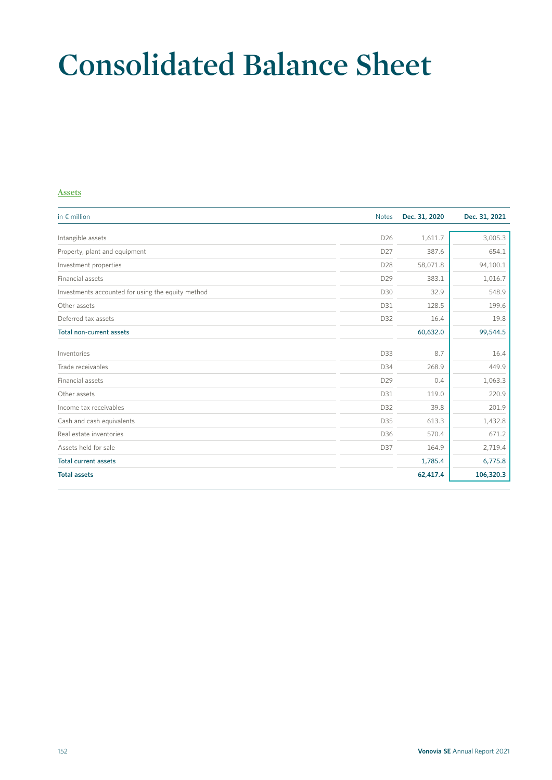# **Consolidated Balance Sheet**

#### **Assets**

| in $\epsilon$ million                             | <b>Notes</b>    | Dec. 31, 2020 | Dec. 31, 2021 |
|---------------------------------------------------|-----------------|---------------|---------------|
|                                                   |                 |               |               |
| Intangible assets                                 | D <sub>26</sub> | 1,611.7       | 3,005.3       |
| Property, plant and equipment                     | D27             | 387.6         | 654.1         |
| Investment properties                             | D28             | 58,071.8      | 94,100.1      |
| Financial assets                                  | D29             | 383.1         | 1,016.7       |
| Investments accounted for using the equity method | D30             | 32.9          | 548.9         |
| Other assets                                      | D31             | 128.5         | 199.6         |
| Deferred tax assets                               | D32             | 16.4          | 19.8          |
| Total non-current assets                          |                 | 60,632.0      | 99,544.5      |
| Inventories                                       | D33             | 8.7           | 16.4          |
| Trade receivables                                 | D34             | 268.9         | 449.9         |
| Financial assets                                  | D29             | 0.4           | 1,063.3       |
| Other assets                                      | D31             | 119.0         | 220.9         |
| Income tax receivables                            | D32             | 39.8          | 201.9         |
| Cash and cash equivalents                         | D35             | 613.3         | 1,432.8       |
| Real estate inventories                           | D36             | 570.4         | 671.2         |
| Assets held for sale                              | D37             | 164.9         | 2,719.4       |
| <b>Total current assets</b>                       |                 | 1,785.4       | 6,775.8       |
| <b>Total assets</b>                               |                 | 62,417.4      | 106,320.3     |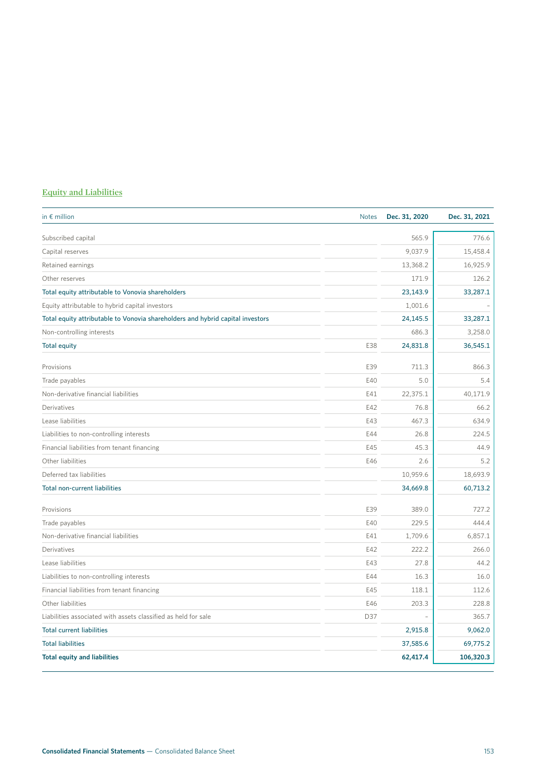### **Equity and Liabilities**

| in $\epsilon$ million                                                          | <b>Notes</b> | Dec. 31, 2020 | Dec. 31, 2021 |
|--------------------------------------------------------------------------------|--------------|---------------|---------------|
| Subscribed capital                                                             |              | 565.9         | 776.6         |
| Capital reserves                                                               |              | 9,037.9       | 15,458.4      |
| Retained earnings                                                              |              | 13,368.2      | 16,925.9      |
| Other reserves                                                                 |              | 171.9         | 126.2         |
| Total equity attributable to Vonovia shareholders                              |              | 23,143.9      | 33,287.1      |
| Equity attributable to hybrid capital investors                                |              | 1,001.6       |               |
| Total equity attributable to Vonovia shareholders and hybrid capital investors |              | 24,145.5      | 33,287.1      |
| Non-controlling interests                                                      |              | 686.3         | 3,258.0       |
| <b>Total equity</b>                                                            | E38          | 24,831.8      | 36,545.1      |
| Provisions                                                                     | E39          | 711.3         | 866.3         |
| Trade payables                                                                 | E40          | 5.0           | 5.4           |
| Non-derivative financial liabilities                                           | E41          | 22,375.1      | 40,171.9      |
| Derivatives                                                                    | E42          | 76.8          | 66.2          |
| Lease liabilities                                                              | E43          | 467.3         | 634.9         |
| Liabilities to non-controlling interests                                       | E44          | 26.8          | 224.5         |
| Financial liabilities from tenant financing                                    | E45          | 45.3          | 44.9          |
| Other liabilities                                                              | E46          | 2.6           | 5.2           |
| Deferred tax liabilities                                                       |              | 10,959.6      | 18,693.9      |
| <b>Total non-current liabilities</b>                                           |              | 34,669.8      | 60,713.2      |
| Provisions                                                                     | E39          | 389.0         | 727.2         |
| Trade payables                                                                 | E40          | 229.5         | 444.4         |
| Non-derivative financial liabilities                                           | E41          | 1,709.6       | 6,857.1       |
| Derivatives                                                                    | E42          | 222.2         | 266.0         |
| Lease liabilities                                                              | E43          | 27.8          | 44.2          |
| Liabilities to non-controlling interests                                       | E44          | 16.3          | 16.0          |
| Financial liabilities from tenant financing                                    | E45          | 118.1         | 112.6         |
| Other liabilities                                                              | E46          | 203.3         | 228.8         |
| Liabilities associated with assets classified as held for sale                 | D37          |               | 365.7         |
| <b>Total current liabilities</b>                                               |              | 2,915.8       | 9,062.0       |
| <b>Total liabilities</b>                                                       |              | 37,585.6      | 69,775.2      |
| <b>Total equity and liabilities</b>                                            |              | 62,417.4      | 106,320.3     |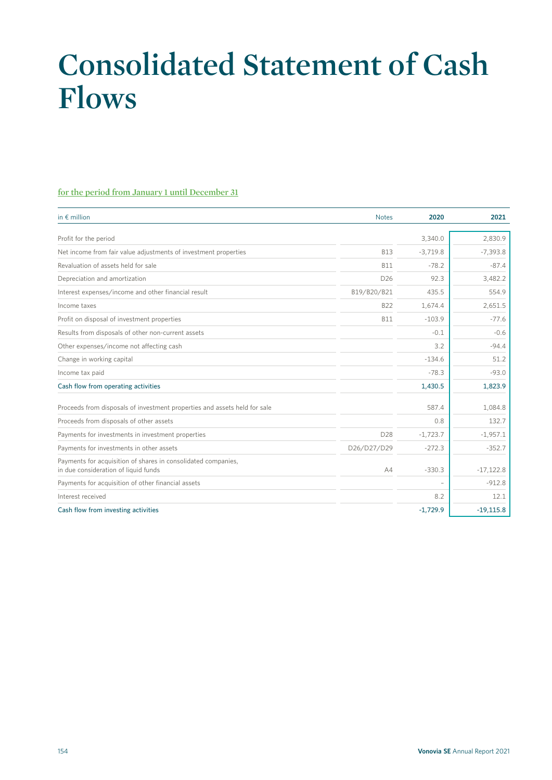# **Consolidated Statement of Cash Flows**

#### **for the period from January 1 until December 31**

| in $\notin$ million                                                                                   | <b>Notes</b>    | 2020       | 2021        |
|-------------------------------------------------------------------------------------------------------|-----------------|------------|-------------|
| Profit for the period                                                                                 |                 | 3,340.0    | 2,830.9     |
|                                                                                                       |                 |            |             |
| Net income from fair value adjustments of investment properties                                       | <b>B13</b>      | $-3,719.8$ | $-7,393.8$  |
| Revaluation of assets held for sale                                                                   | <b>B11</b>      | $-78.2$    | $-87.4$     |
| Depreciation and amortization                                                                         | D <sub>26</sub> | 92.3       | 3,482.2     |
| Interest expenses/income and other financial result                                                   | B19/B20/B21     | 435.5      | 554.9       |
| Income taxes                                                                                          | <b>B22</b>      | 1,674.4    | 2,651.5     |
| Profit on disposal of investment properties                                                           | <b>B11</b>      | $-103.9$   | $-77.6$     |
| Results from disposals of other non-current assets                                                    |                 | $-0.1$     | $-0.6$      |
| Other expenses/income not affecting cash                                                              |                 | 3.2        | $-94.4$     |
| Change in working capital                                                                             |                 | $-134.6$   | 51.2        |
| Income tax paid                                                                                       |                 | $-78.3$    | $-93.0$     |
| Cash flow from operating activities                                                                   |                 | 1,430.5    | 1,823.9     |
| Proceeds from disposals of investment properties and assets held for sale                             |                 | 587.4      | 1,084.8     |
| Proceeds from disposals of other assets                                                               |                 | 0.8        | 132.7       |
| Payments for investments in investment properties                                                     | D <sub>28</sub> | $-1,723.7$ | $-1,957.1$  |
| Payments for investments in other assets                                                              | D26/D27/D29     | $-272.3$   | $-352.7$    |
| Payments for acquisition of shares in consolidated companies,<br>in due consideration of liquid funds | AA              | $-330.3$   | $-17,122.8$ |
| Payments for acquisition of other financial assets                                                    |                 |            | $-912.8$    |
| Interest received                                                                                     |                 | 8.2        | 12.1        |
| Cash flow from investing activities                                                                   |                 | $-1,729.9$ | $-19,115.8$ |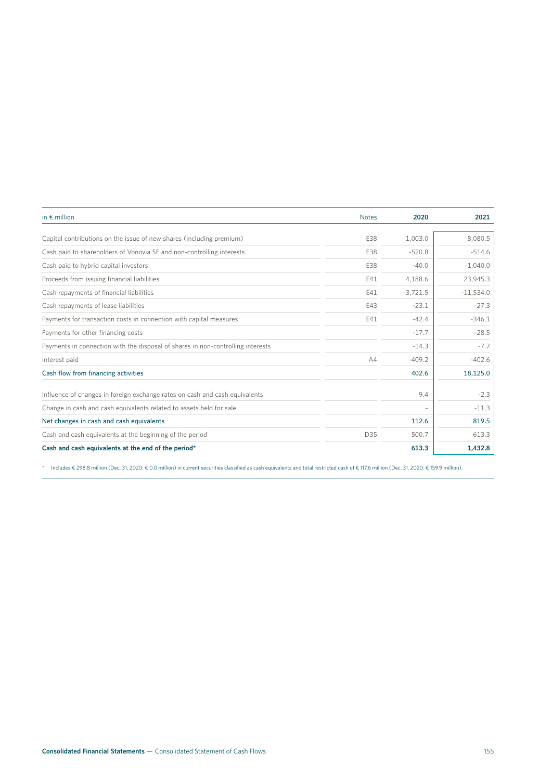| in $\epsilon$ million                                                           | <b>Notes</b> | 2020       | 2021        |
|---------------------------------------------------------------------------------|--------------|------------|-------------|
|                                                                                 |              |            |             |
| Capital contributions on the issue of new shares (including premium)            | E38          | 1,003.0    | 8,080.5     |
| Cash paid to shareholders of Vonovia SE and non-controlling interests           | E38          | $-520.8$   | $-514.6$    |
| Cash paid to hybrid capital investors                                           | E38          | $-40.0$    | $-1,040.0$  |
| Proceeds from issuing financial liabilities                                     | E41          | 4,188.6    | 23,945.3    |
| Cash repayments of financial liabilities                                        | E41          | $-3,721.5$ | $-11,534.0$ |
| Cash repayments of lease liabilities                                            | E43          | $-23.1$    | $-27.3$     |
| Payments for transaction costs in connection with capital measures              | E41          | $-42.4$    | $-346.1$    |
| Payments for other financing costs                                              |              | $-17.7$    | $-28.5$     |
| Payments in connection with the disposal of shares in non-controlling interests |              | $-14.3$    | $-7.7$      |
| Interest paid                                                                   | A4           | $-409.2$   | $-402.6$    |
| Cash flow from financing activities                                             |              | 402.6      | 18,125.0    |
| Influence of changes in foreign exchange rates on cash and cash equivalents     |              | 9.4        | $-2.3$      |
| Change in cash and cash equivalents related to assets held for sale             |              |            | $-11.3$     |
| Net changes in cash and cash equivalents                                        |              | 112.6      | 819.5       |
| Cash and cash equivalents at the beginning of the period                        | D35          | 500.7      | 613.3       |
| Cash and cash equivalents at the end of the period*                             |              | 613.3      | 1,432.8     |

\* Includes € 298.8 million (Dec. 31, 2020: € 0.0 million) in current securities classified as cash equivalents and total restricted cash of € 117.6 million (Dec. 31, 2020: € 159.9 million).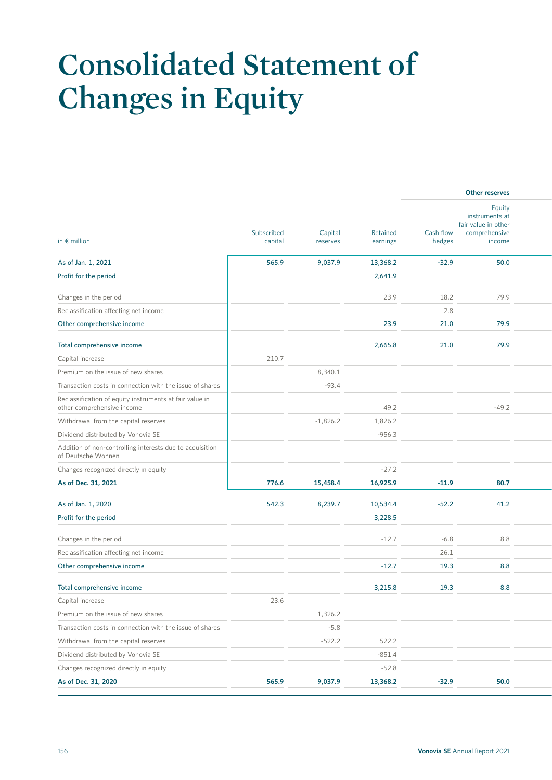# **Consolidated Statement of Changes in Equity**

|                                                                                |            |            |          |                     | Other reserves                                                             |  |
|--------------------------------------------------------------------------------|------------|------------|----------|---------------------|----------------------------------------------------------------------------|--|
| in $\epsilon$ million                                                          | Subscribed | Capital    | Retained | Cash flow<br>hedges | Equity<br>instruments at<br>fair value in other<br>comprehensive<br>income |  |
|                                                                                | capital    | reserves   | earnings |                     |                                                                            |  |
| As of Jan. 1, 2021                                                             | 565.9      | 9,037.9    | 13,368.2 | $-32.9$             | 50.0                                                                       |  |
| Profit for the period                                                          |            |            | 2,641.9  |                     |                                                                            |  |
| Changes in the period                                                          |            |            | 23.9     | 18.2                | 79.9                                                                       |  |
| Reclassification affecting net income                                          |            |            |          | 2.8                 |                                                                            |  |
| Other comprehensive income                                                     |            |            | 23.9     | 21.0                | 79.9                                                                       |  |
| Total comprehensive income                                                     |            |            | 2,665.8  | 21.0                | 79.9                                                                       |  |
| Capital increase                                                               | 210.7      |            |          |                     |                                                                            |  |
| Premium on the issue of new shares                                             |            | 8,340.1    |          |                     |                                                                            |  |
| Transaction costs in connection with the issue of shares                       |            | $-93.4$    |          |                     |                                                                            |  |
| Reclassification of equity instruments at fair value in                        |            |            |          |                     |                                                                            |  |
| other comprehensive income                                                     |            |            | 49.2     |                     | $-49.2$                                                                    |  |
| Withdrawal from the capital reserves                                           |            | $-1,826.2$ | 1,826.2  |                     |                                                                            |  |
| Dividend distributed by Vonovia SE                                             |            |            | $-956.3$ |                     |                                                                            |  |
| Addition of non-controlling interests due to acquisition<br>of Deutsche Wohnen |            |            |          |                     |                                                                            |  |
| Changes recognized directly in equity                                          |            |            | $-27.2$  |                     |                                                                            |  |
| As of Dec. 31, 2021                                                            | 776.6      | 15,458.4   | 16,925.9 | $-11.9$             | 80.7                                                                       |  |
|                                                                                |            |            |          |                     |                                                                            |  |
| As of Jan. 1, 2020                                                             | 542.3      | 8,239.7    | 10,534.4 | $-52.2$             | 41.2                                                                       |  |
| Profit for the period                                                          |            |            | 3,228.5  |                     |                                                                            |  |
| Changes in the period                                                          |            |            | $-12.7$  | $-6.8$              | 8.8                                                                        |  |
| Reclassification affecting net income                                          |            |            |          | 26.1                |                                                                            |  |
| Other comprehensive income                                                     |            |            | $-12.7$  | 19.3                | 8.8                                                                        |  |
| Total comprehensive income                                                     |            |            | 3,215.8  | 19.3                | 8.8                                                                        |  |
| Capital increase                                                               | 23.6       |            |          |                     |                                                                            |  |
| Premium on the issue of new shares                                             |            | 1,326.2    |          |                     |                                                                            |  |
| Transaction costs in connection with the issue of shares                       |            | $-5.8$     |          |                     |                                                                            |  |
| Withdrawal from the capital reserves                                           |            | $-522.2$   | 522.2    |                     |                                                                            |  |
| Dividend distributed by Vonovia SE                                             |            |            | $-851.4$ |                     |                                                                            |  |
| Changes recognized directly in equity                                          |            |            | $-52.8$  |                     |                                                                            |  |
| As of Dec. 31, 2020                                                            | 565.9      | 9,037.9    | 13,368.2 | $-32.9$             | $50.0$                                                                     |  |
|                                                                                |            |            |          |                     |                                                                            |  |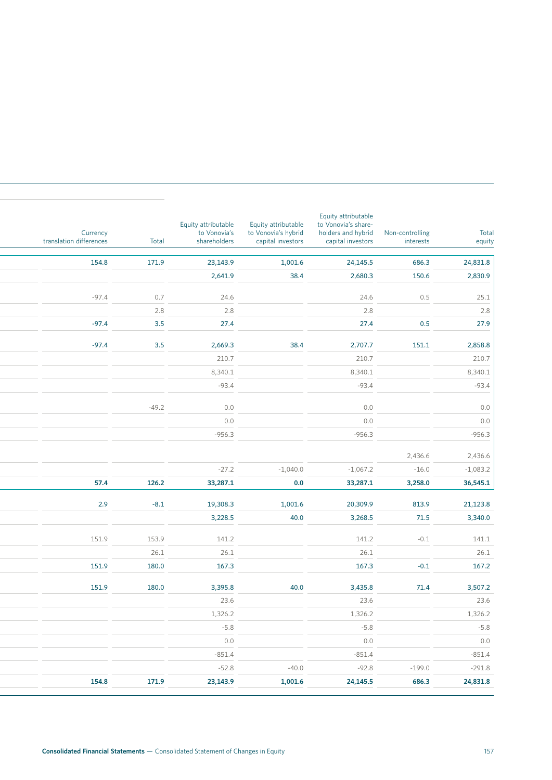| Total<br>equity           | Non-controlling<br>interests | Equity attributable<br>to Vonovia's share-<br>holders and hybrid<br>capital investors | Equity attributable<br>to Vonovia's hybrid<br>capital investors | Equity attributable<br>to Vonovia's<br>shareholders | Total      | Currency<br>translation differences |
|---------------------------|------------------------------|---------------------------------------------------------------------------------------|-----------------------------------------------------------------|-----------------------------------------------------|------------|-------------------------------------|
| 24,831.8                  | 686.3                        | 24,145.5                                                                              | 1,001.6                                                         | 23,143.9                                            | 171.9      | 154.8                               |
| 2,830.9                   | 150.6                        | 2,680.3                                                                               | 38.4                                                            | 2,641.9                                             |            |                                     |
|                           |                              |                                                                                       |                                                                 |                                                     |            |                                     |
| 25.1                      | 0.5                          | 24.6                                                                                  |                                                                 | 24.6                                                | 0.7        | $-97.4$                             |
| 2.8<br>27.9               | 0.5                          | 2.8<br>27.4                                                                           |                                                                 | 2.8<br>27.4                                         | 2.8<br>3.5 | $-97.4$                             |
|                           |                              |                                                                                       |                                                                 |                                                     |            |                                     |
| 2,858.8                   | 151.1                        | 2,707.7                                                                               | 38.4                                                            | 2,669.3                                             | 3.5        | $-97.4$                             |
| 210.7                     |                              | 210.7                                                                                 |                                                                 | 210.7                                               |            |                                     |
| 8,340.1                   |                              | 8,340.1                                                                               |                                                                 | 8,340.1                                             |            |                                     |
| $-93.4$                   |                              | $-93.4$                                                                               |                                                                 | $-93.4$                                             |            |                                     |
|                           |                              |                                                                                       |                                                                 |                                                     |            |                                     |
| 0.0                       |                              | 0.0                                                                                   |                                                                 | 0.0                                                 | $-49.2$    |                                     |
| 0.0                       |                              | 0.0                                                                                   |                                                                 | 0.0                                                 |            |                                     |
| $-956.3$                  |                              | $-956.3$                                                                              |                                                                 | $-956.3$                                            |            |                                     |
| 2,436.6                   | 2,436.6                      |                                                                                       |                                                                 |                                                     |            |                                     |
| $-1,083.2$                | $-16.0$                      | $-1,067.2$                                                                            | $-1,040.0$                                                      | $-27.2$                                             |            |                                     |
| 36,545.1                  | 3,258.0                      | 33,287.1                                                                              | 0.0                                                             | 33,287.1                                            | 126.2      | 57.4                                |
|                           |                              |                                                                                       |                                                                 |                                                     |            |                                     |
| 21,123.8                  | 813.9                        | 20,309.9                                                                              | 1,001.6                                                         | 19,308.3                                            | $-8.1$     | 2.9                                 |
| 3,340.0                   | 71.5                         | 3,268.5                                                                               | 40.0                                                            | 3,228.5                                             |            |                                     |
| 141.1                     | $-0.1$                       | 141.2                                                                                 |                                                                 | 141.2                                               | 153.9      | 151.9                               |
| 26.1                      |                              | 26.1                                                                                  |                                                                 | 26.1                                                | 26.1       |                                     |
| 167.2                     | $-0.1$                       | 167.3                                                                                 |                                                                 | 167.3                                               | 180.0      | 151.9                               |
| 3,507.2                   | 71.4                         | 3,435.8                                                                               | 40.0                                                            | 3,395.8                                             | 180.0      | 151.9                               |
|                           |                              |                                                                                       |                                                                 |                                                     |            |                                     |
|                           |                              |                                                                                       |                                                                 |                                                     |            |                                     |
|                           |                              | 23.6                                                                                  |                                                                 | 23.6                                                |            |                                     |
|                           |                              | 1,326.2                                                                               |                                                                 | 1,326.2                                             |            |                                     |
| 23.6<br>1,326.2<br>$-5.8$ |                              | $-5.8$                                                                                |                                                                 | $-5.8$                                              |            |                                     |
| $0.0\,$                   |                              | 0.0                                                                                   |                                                                 | 0.0                                                 |            |                                     |
| $-851.4$<br>$-291.8$      | $-199.0$                     | $-851.4$<br>$-92.8$                                                                   | $-40.0$                                                         | $-851.4$<br>$-52.8$                                 |            |                                     |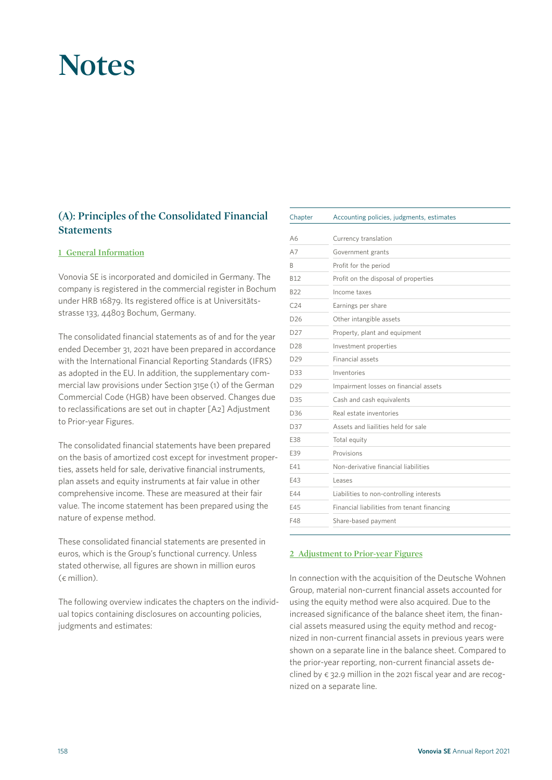# **Notes**

### **(A): Principles of the Consolidated Financial Statements**

#### **1 General Information**

Vonovia SE is incorporated and domiciled in Germany. The company is registered in the commercial register in Bochum under HRB 16879. Its registered office is at Universitätsstrasse 133, 44803 Bochum, Germany.

The consolidated financial statements as of and for the year ended December 31, 2021 have been prepared in accordance with the International Financial Reporting Standards (IFRS) as adopted in the EU. In addition, the supplementary commercial law provisions under Section 315e (1) of the German Commercial Code (HGB) have been observed. Changes due to reclassifications are set out in chapter [A2] Adjustment to Prior-year Figures.

The consolidated financial statements have been prepared on the basis of amortized cost except for investment properties, assets held for sale, derivative financial instruments, plan assets and equity instruments at fair value in other comprehensive income. These are measured at their fair value. The income statement has been prepared using the nature of expense method.

These consolidated financial statements are presented in euros, which is the Group's functional currency. Unless stated otherwise, all figures are shown in million euros  $(\epsilon \text{ million})$ .

The following overview indicates the chapters on the individual topics containing disclosures on accounting policies, judgments and estimates:

| Chapter         | Accounting policies, judgments, estimates   |
|-----------------|---------------------------------------------|
| A6              | Currency translation                        |
| A7              | Government grants                           |
| B               | Profit for the period                       |
| <b>B12</b>      | Profit on the disposal of properties        |
| <b>B22</b>      | Income taxes                                |
| C <sub>24</sub> | Earnings per share                          |
| D <sub>26</sub> | Other intangible assets                     |
| D <sub>27</sub> | Property, plant and equipment               |
| D <sub>28</sub> | Investment properties                       |
| D <sub>29</sub> | Financial assets                            |
| D33             | Inventories                                 |
| D <sub>29</sub> | Impairment losses on financial assets       |
| D35             | Cash and cash equivalents                   |
| D36             | Real estate inventories                     |
| D37             | Assets and liailities held for sale         |
| E38             | Total equity                                |
| E39             | Provisions                                  |
| F41             | Non-derivative financial liabilities        |
| F43             | Leases                                      |
| E44             | Liabilities to non-controlling interests    |
| E45             | Financial liabilities from tenant financing |
| F48             | Share-based payment                         |

#### **2 Adjustment to Prior-year Figures**

In connection with the acquisition of the Deutsche Wohnen Group, material non-current financial assets accounted for using the equity method were also acquired. Due to the increased significance of the balance sheet item, the financial assets measured using the equity method and recognized in non-current financial assets in previous years were shown on a separate line in the balance sheet. Compared to the prior-year reporting, non-current financial assets declined by  $\epsilon$  32.9 million in the 2021 fiscal year and are recognized on a separate line.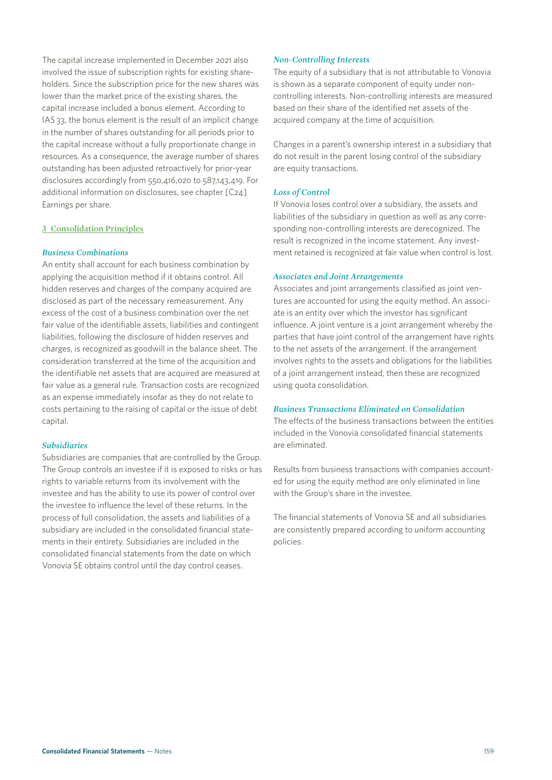The capital increase implemented in December 2021 also involved the issue of subscription rights for existing shareholders. Since the subscription price for the new shares was lower than the market price of the existing shares, the capital increase included a bonus element. According to IAS 33, the bonus element is the result of an implicit change in the number of shares outstanding for all periods prior to the capital increase without a fully proportionate change in resources. As a consequence, the average number of shares outstanding has been adjusted retroactively for prior-year disclosures accordingly from 550,416,020 to 587,143,419. For additional information on disclosures, see chapter [C24] Earnings per share.

#### **3 Consolidation Principles**

#### *Business Combinations*

An entity shall account for each business combination by applying the acquisition method if it obtains control. All hidden reserves and charges of the company acquired are disclosed as part of the necessary remeasurement. Any excess of the cost of a business combination over the net fair value of the identifiable assets, liabilities and contingent liabilities, following the disclosure of hidden reserves and charges, is recognized as goodwill in the balance sheet. The consideration transferred at the time of the acquisition and the identifiable net assets that are acquired are measured at fair value as a general rule. Transaction costs are recognized as an expense immediately insofar as they do not relate to costs pertaining to the raising of capital or the issue of debt capital.

#### *Subsidiaries*

Subsidiaries are companies that are controlled by the Group. The Group controls an investee if it is exposed to risks or has rights to variable returns from its involvement with the investee and has the ability to use its power of control over the investee to influence the level of these returns. In the process of full consolidation, the assets and liabilities of a subsidiary are included in the consolidated financial statements in their entirety. Subsidiaries are included in the consolidated financial statements from the date on which Vonovia SE obtains control until the day control ceases.

#### *Non-Controlling Interests*

The equity of a subsidiary that is not attributable to Vonovia is shown as a separate component of equity under noncontrolling interests. Non-controlling interests are measured based on their share of the identified net assets of the acquired company at the time of acquisition.

Changes in a parent's ownership interest in a subsidiary that do not result in the parent losing control of the subsidiary are equity transactions.

#### *Loss of Control*

If Vonovia loses control over a subsidiary, the assets and liabilities of the subsidiary in question as well as any corresponding non-controlling interests are derecognized. The result is recognized in the income statement. Any investment retained is recognized at fair value when control is lost.

#### *Associates and Joint Arrangements*

Associates and joint arrangements classified as joint ventures are accounted for using the equity method. An associate is an entity over which the investor has significant influence. A joint venture is a joint arrangement whereby the parties that have joint control of the arrangement have rights to the net assets of the arrangement. If the arrangement involves rights to the assets and obligations for the liabilities of a joint arrangement instead, then these are recognized using quota consolidation.

#### *Business Transactions Eliminated on Consolidation*

The effects of the business transactions between the entities included in the Vonovia consolidated financial statements are eliminated.

Results from business transactions with companies accounted for using the equity method are only eliminated in line with the Group's share in the investee.

The financial statements of Vonovia SE and all subsidiaries are consistently prepared according to uniform accounting policies.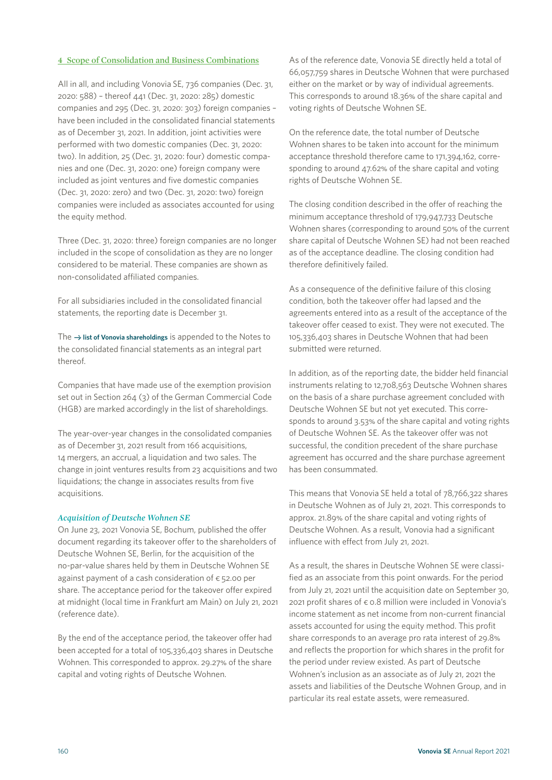#### **4 Scope of Consolidation and Business Combinations**

All in all, and including Vonovia SE, 736 companies (Dec. 31, 2020: 588) – thereof 441 (Dec. 31, 2020: 285) domestic companies and 295 (Dec. 31, 2020: 303) foreign companies – have been included in the consolidated financial statements as of December 31, 2021. In addition, joint activities were performed with two domestic companies (Dec. 31, 2020: two). In addition, 25 (Dec. 31, 2020: four) domestic companies and one (Dec. 31, 2020: one) foreign company were included as joint ventures and five domestic companies (Dec. 31, 2020: zero) and two (Dec. 31, 2020: two) foreign companies were included as associates accounted for using the equity method.

Three (Dec. 31, 2020: three) foreign companies are no longer included in the scope of consolidation as they are no longer considered to be material. These companies are shown as non-consolidated affiliated companies.

For all subsidiaries included in the consolidated financial statements, the reporting date is December 31.

The  $\rightarrow$  list of Vonovia shareholdings is appended to the Notes to the consolidated financial statements as an integral part thereof.

Companies that have made use of the exemption provision set out in Section 264 (3) of the German Commercial Code (HGB) are marked accordingly in the list of shareholdings.

The year-over-year changes in the consolidated companies as of December 31, 2021 result from 166 acquisitions, 14 mergers, an accrual, a liquidation and two sales. The change in joint ventures results from 23 acquisitions and two liquidations; the change in associates results from five acquisitions.

#### *Acquisition of Deutsche Wohnen SE*

On June 23, 2021 Vonovia SE, Bochum, published the offer document regarding its takeover offer to the shareholders of Deutsche Wohnen SE, Berlin, for the acquisition of the no-par-value shares held by them in Deutsche Wohnen SE against payment of a cash consideration of  $\epsilon$  52.00 per share. The acceptance period for the takeover offer expired at midnight (local time in Frankfurt am Main) on July 21, 2021 (reference date).

By the end of the acceptance period, the takeover offer had been accepted for a total of 105,336,403 shares in Deutsche Wohnen. This corresponded to approx. 29.27% of the share capital and voting rights of Deutsche Wohnen.

As of the reference date, Vonovia SE directly held a total of 66,057,759 shares in Deutsche Wohnen that were purchased either on the market or by way of individual agreements. This corresponds to around 18.36% of the share capital and voting rights of Deutsche Wohnen SE.

On the reference date, the total number of Deutsche Wohnen shares to be taken into account for the minimum acceptance threshold therefore came to 171,394,162, corresponding to around 47.62% of the share capital and voting rights of Deutsche Wohnen SE.

The closing condition described in the offer of reaching the minimum acceptance threshold of 179,947,733 Deutsche Wohnen shares (corresponding to around 50% of the current share capital of Deutsche Wohnen SE) had not been reached as of the acceptance deadline. The closing condition had therefore definitively failed.

As a consequence of the definitive failure of this closing condition, both the takeover offer had lapsed and the agreements entered into as a result of the acceptance of the takeover offer ceased to exist. They were not executed. The 105,336,403 shares in Deutsche Wohnen that had been submitted were returned.

In addition, as of the reporting date, the bidder held financial instruments relating to 12,708,563 Deutsche Wohnen shares on the basis of a share purchase agreement concluded with Deutsche Wohnen SE but not yet executed. This corresponds to around 3.53% of the share capital and voting rights of Deutsche Wohnen SE. As the takeover offer was not successful, the condition precedent of the share purchase agreement has occurred and the share purchase agreement has been consummated.

This means that Vonovia SE held a total of 78,766,322 shares in Deutsche Wohnen as of July 21, 2021. This corresponds to approx. 21.89% of the share capital and voting rights of Deutsche Wohnen. As a result, Vonovia had a significant influence with effect from July 21, 2021.

As a result, the shares in Deutsche Wohnen SE were classified as an associate from this point onwards. For the period from July 21, 2021 until the acquisition date on September 30, 2021 profit shares of  $\epsilon$  0.8 million were included in Vonovia's income statement as net income from non-current financial assets accounted for using the equity method. This profit share corresponds to an average pro rata interest of 29.8% and reflects the proportion for which shares in the profit for the period under review existed. As part of Deutsche Wohnen's inclusion as an associate as of July 21, 2021 the assets and liabilities of the Deutsche Wohnen Group, and in particular its real estate assets, were remeasured.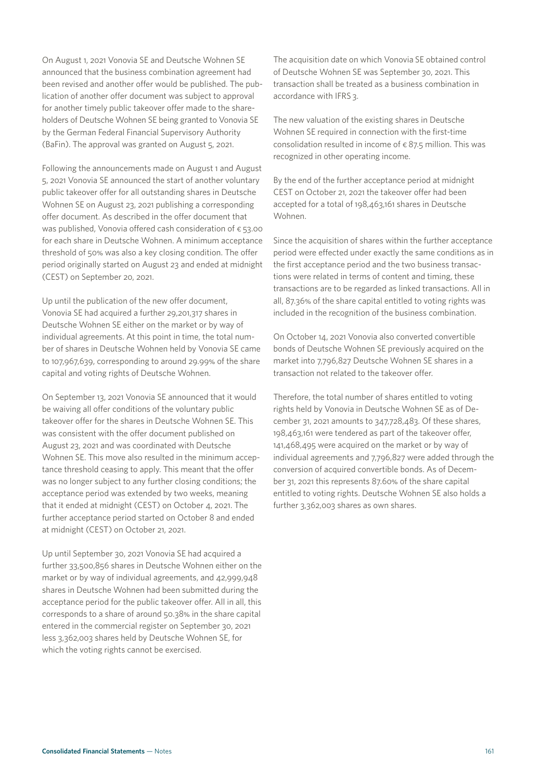On August 1, 2021 Vonovia SE and Deutsche Wohnen SE announced that the business combination agreement had been revised and another offer would be published. The publication of another offer document was subject to approval for another timely public takeover offer made to the shareholders of Deutsche Wohnen SE being granted to Vonovia SE by the German Federal Financial Supervisory Authority (BaFin). The approval was granted on August 5, 2021.

Following the announcements made on August 1 and August 5, 2021 Vonovia SE announced the start of another voluntary public takeover offer for all outstanding shares in Deutsche Wohnen SE on August 23, 2021 publishing a corresponding offer document. As described in the offer document that was published, Vonovia offered cash consideration of  $\epsilon$  53.00 for each share in Deutsche Wohnen. A minimum acceptance threshold of 50% was also a key closing condition. The offer period originally started on August 23 and ended at midnight (CEST) on September 20, 2021.

Up until the publication of the new offer document, Vonovia SE had acquired a further 29,201,317 shares in Deutsche Wohnen SE either on the market or by way of individual agreements. At this point in time, the total number of shares in Deutsche Wohnen held by Vonovia SE came to 107,967,639, corresponding to around 29.99% of the share capital and voting rights of Deutsche Wohnen.

On September 13, 2021 Vonovia SE announced that it would be waiving all offer conditions of the voluntary public takeover offer for the shares in Deutsche Wohnen SE. This was consistent with the offer document published on August 23, 2021 and was coordinated with Deutsche Wohnen SE. This move also resulted in the minimum acceptance threshold ceasing to apply. This meant that the offer was no longer subject to any further closing conditions; the acceptance period was extended by two weeks, meaning that it ended at midnight (CEST) on October 4, 2021. The further acceptance period started on October 8 and ended at midnight (CEST) on October 21, 2021.

Up until September 30, 2021 Vonovia SE had acquired a further 33,500,856 shares in Deutsche Wohnen either on the market or by way of individual agreements, and 42,999,948 shares in Deutsche Wohnen had been submitted during the acceptance period for the public takeover offer. All in all, this corresponds to a share of around 50.38% in the share capital entered in the commercial register on September 30, 2021 less 3,362,003 shares held by Deutsche Wohnen SE, for which the voting rights cannot be exercised.

The acquisition date on which Vonovia SE obtained control of Deutsche Wohnen SE was September 30, 2021. This transaction shall be treated as a business combination in accordance with IFRS 3.

The new valuation of the existing shares in Deutsche Wohnen SE required in connection with the first-time consolidation resulted in income of  $\epsilon$  87.5 million. This was recognized in other operating income.

By the end of the further acceptance period at midnight CEST on October 21, 2021 the takeover offer had been accepted for a total of 198,463,161 shares in Deutsche Wohnen.

Since the acquisition of shares within the further acceptance period were effected under exactly the same conditions as in the first acceptance period and the two business transactions were related in terms of content and timing, these transactions are to be regarded as linked transactions. All in all, 87.36% of the share capital entitled to voting rights was included in the recognition of the business combination.

On October 14, 2021 Vonovia also converted convertible bonds of Deutsche Wohnen SE previously acquired on the market into 7,796,827 Deutsche Wohnen SE shares in a transaction not related to the takeover offer.

Therefore, the total number of shares entitled to voting rights held by Vonovia in Deutsche Wohnen SE as of December 31, 2021 amounts to 347,728,483. Of these shares, 198,463,161 were tendered as part of the takeover offer, 141,468,495 were acquired on the market or by way of individual agreements and 7,796,827 were added through the conversion of acquired convertible bonds. As of December 31, 2021 this represents 87.60% of the share capital entitled to voting rights. Deutsche Wohnen SE also holds a further 3,362,003 shares as own shares.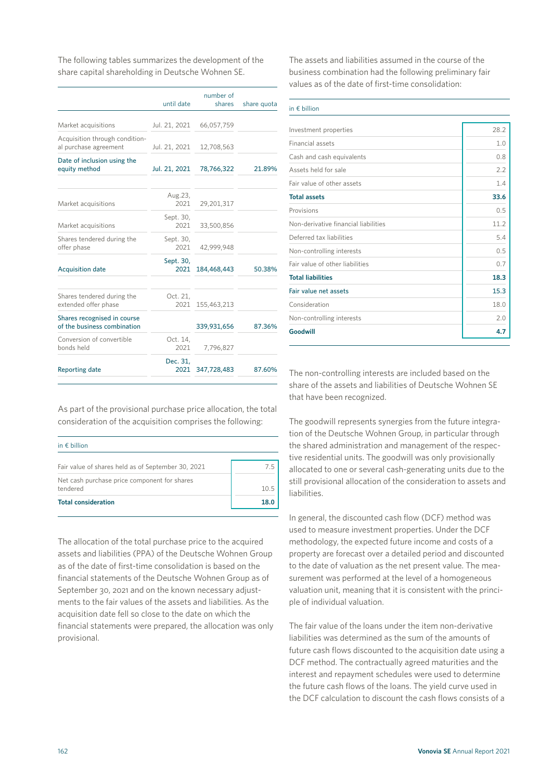The following tables summarizes the development of the share capital shareholding in Deutsche Wohnen SE.

|                                                            | until date        | number of<br>shares | share quota |
|------------------------------------------------------------|-------------------|---------------------|-------------|
| Market acquisitions                                        | Jul. 21, 2021     | 66,057,759          |             |
| Acquisition through condition-<br>al purchase agreement    | Jul. 21, 2021     | 12,708,563          |             |
| Date of inclusion using the<br>equity method               | Jul. 21, 2021     | 78,766,322          | 21.89%      |
| Market acquisitions                                        | Aug.23,<br>2021   | 29,201,317          |             |
| Market acquisitions                                        | Sept. 30,<br>2021 | 33,500,856          |             |
| Shares tendered during the<br>offer phase                  | Sept. 30,<br>2021 | 42.999.948          |             |
| <b>Acquisition date</b>                                    | Sept. 30,<br>2021 | 184,468,443         | 50.38%      |
| Shares tendered during the<br>extended offer phase         | Oct. 21,<br>2021  | 155,463,213         |             |
| Shares recognised in course<br>of the business combination |                   | 339,931,656         | 87.36%      |
| Conversion of convertible<br>bonds held                    | Oct. 14,<br>2021  | 7,796,827           |             |
| <b>Reporting date</b>                                      | Dec. 31,<br>2021  | 347,728,483         | 87.60%      |
|                                                            |                   |                     |             |

As part of the provisional purchase price allocation, the total consideration of the acquisition comprises the following:

| in $\epsilon$ billion                                    |      |
|----------------------------------------------------------|------|
| Fair value of shares held as of September 30, 2021       | /5   |
| Net cash purchase price component for shares<br>tendered | 105  |
| <b>Total consideration</b>                               | 18.0 |

The allocation of the total purchase price to the acquired assets and liabilities (PPA) of the Deutsche Wohnen Group as of the date of first-time consolidation is based on the financial statements of the Deutsche Wohnen Group as of September 30, 2021 and on the known necessary adjustments to the fair values of the assets and liabilities. As the acquisition date fell so close to the date on which the financial statements were prepared, the allocation was only provisional.

The assets and liabilities assumed in the course of the business combination had the following preliminary fair values as of the date of first-time consolidation:

| in $\epsilon$ billion                |      |
|--------------------------------------|------|
| Investment properties                | 28.2 |
| <b>Financial assets</b>              | 1.0  |
| Cash and cash equivalents            | 0.8  |
| Assets held for sale                 | 2.2  |
| Fair value of other assets           | 1.4  |
| <b>Total assets</b>                  | 33.6 |
| Provisions                           | 0.5  |
| Non-derivative financial liabilities | 11.2 |
| Deferred tax liabilities             | 5.4  |
| Non-controlling interests            | 0.5  |
| Fair value of other liabilities      | 0.7  |
| <b>Total liabilities</b>             | 18.3 |
| Fair value net assets                | 15.3 |
| Consideration                        | 18.0 |
| Non-controlling interests            | 2.0  |
| Goodwill                             | 4.7  |

The non-controlling interests are included based on the share of the assets and liabilities of Deutsche Wohnen SE that have been recognized.

The goodwill represents synergies from the future integration of the Deutsche Wohnen Group, in particular through the shared administration and management of the respective residential units. The goodwill was only provisionally allocated to one or several cash-generating units due to the still provisional allocation of the consideration to assets and liabilities.

In general, the discounted cash flow (DCF) method was used to measure investment properties. Under the DCF methodology, the expected future income and costs of a property are forecast over a detailed period and discounted to the date of valuation as the net present value. The measurement was performed at the level of a homogeneous valuation unit, meaning that it is consistent with the principle of individual valuation.

The fair value of the loans under the item non-derivative liabilities was determined as the sum of the amounts of future cash flows discounted to the acquisition date using a DCF method. The contractually agreed maturities and the interest and repayment schedules were used to determine the future cash flows of the loans. The yield curve used in the DCF calculation to discount the cash flows consists of a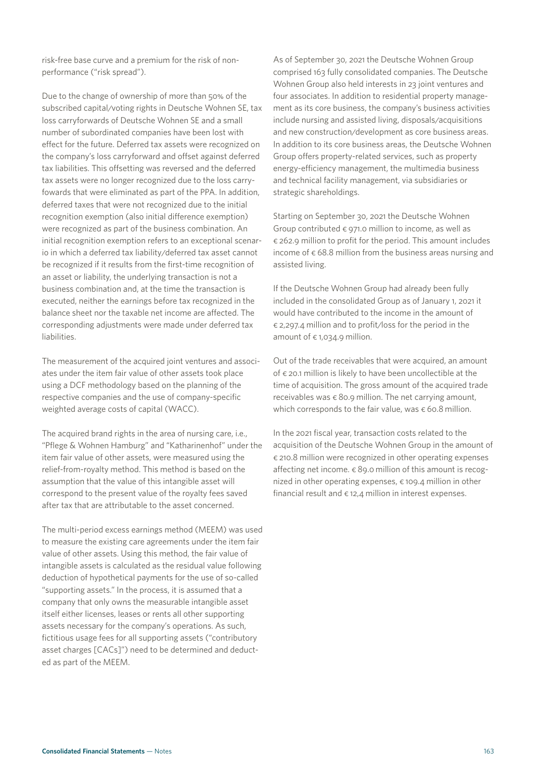risk-free base curve and a premium for the risk of nonperformance ("risk spread").

Due to the change of ownership of more than 50% of the subscribed capital/voting rights in Deutsche Wohnen SE, tax loss carryforwards of Deutsche Wohnen SE and a small number of subordinated companies have been lost with effect for the future. Deferred tax assets were recognized on the company's loss carryforward and offset against deferred tax liabilities. This offsetting was reversed and the deferred tax assets were no longer recognized due to the loss carryfowards that were eliminated as part of the PPA. In addition, deferred taxes that were not recognized due to the initial recognition exemption (also initial difference exemption) were recognized as part of the business combination. An initial recognition exemption refers to an exceptional scenario in which a deferred tax liability/deferred tax asset cannot be recognized if it results from the first-time recognition of an asset or liability, the underlying transaction is not a business combination and, at the time the transaction is executed, neither the earnings before tax recognized in the balance sheet nor the taxable net income are affected. The corresponding adjustments were made under deferred tax liabilities.

The measurement of the acquired joint ventures and associates under the item fair value of other assets took place using a DCF methodology based on the planning of the respective companies and the use of company-specific weighted average costs of capital (WACC).

The acquired brand rights in the area of nursing care, i.e., "Pflege & Wohnen Hamburg" and "Katharinenhof" under the item fair value of other assets, were measured using the relief-from-royalty method. This method is based on the assumption that the value of this intangible asset will correspond to the present value of the royalty fees saved after tax that are attributable to the asset concerned.

The multi-period excess earnings method (MEEM) was used to measure the existing care agreements under the item fair value of other assets. Using this method, the fair value of intangible assets is calculated as the residual value following deduction of hypothetical payments for the use of so-called "supporting assets." In the process, it is assumed that a company that only owns the measurable intangible asset itself either licenses, leases or rents all other supporting assets necessary for the company's operations. As such, fictitious usage fees for all supporting assets ("contributory asset charges [CACs]") need to be determined and deducted as part of the MEEM.

As of September 30, 2021 the Deutsche Wohnen Group comprised 163 fully consolidated companies. The Deutsche Wohnen Group also held interests in 23 joint ventures and four associates. In addition to residential property management as its core business, the company's business activities include nursing and assisted living, disposals/acquisitions and new construction/development as core business areas. In addition to its core business areas, the Deutsche Wohnen Group offers property-related services, such as property energy-efficiency management, the multimedia business and technical facility management, via subsidiaries or strategic shareholdings.

Starting on September 30, 2021 the Deutsche Wohnen Group contributed  $\epsilon$  971.0 million to income, as well as € 262.9 million to profit for the period. This amount includes income of  $\epsilon$  68.8 million from the business areas nursing and assisted living.

If the Deutsche Wohnen Group had already been fully included in the consolidated Group as of January 1, 2021 it would have contributed to the income in the amount of € 2,297.4 million and to profit/loss for the period in the amount of  $\epsilon$  1,034.9 million.

Out of the trade receivables that were acquired, an amount of € 20.1 million is likely to have been uncollectible at the time of acquisition. The gross amount of the acquired trade receivables was  $\epsilon$  80.9 million. The net carrying amount, which corresponds to the fair value, was  $\epsilon$  60.8 million.

In the 2021 fiscal year, transaction costs related to the acquisition of the Deutsche Wohnen Group in the amount of € 210.8 million were recognized in other operating expenses affecting net income.  $\epsilon$  89.0 million of this amount is recognized in other operating expenses,  $\epsilon$  109.4 million in other financial result and  $\epsilon$  12,4 million in interest expenses.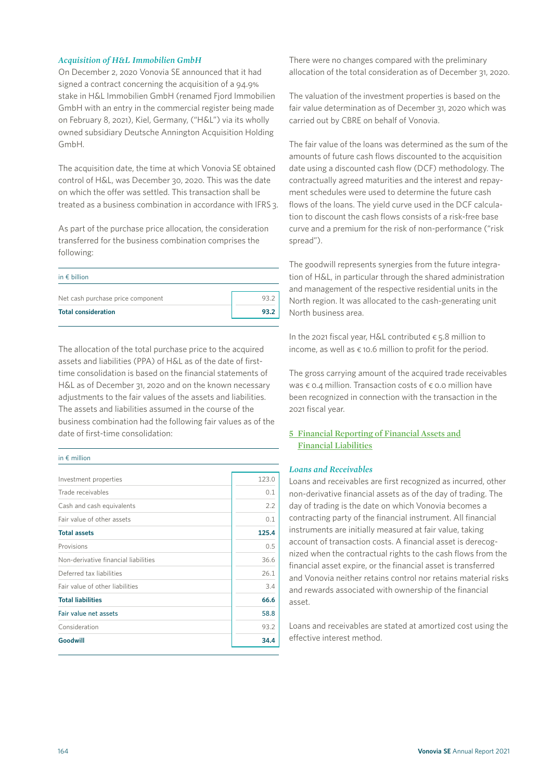#### *Acquisition of H&L Immobilien GmbH*

On December 2, 2020 Vonovia SE announced that it had signed a contract concerning the acquisition of a 94.9% stake in H&L Immobilien GmbH (renamed Fjord Immobilien GmbH with an entry in the commercial register being made on February 8, 2021), Kiel, Germany, ("H&L") via its wholly owned subsidiary Deutsche Annington Acquisition Holding GmbH.

The acquisition date, the time at which Vonovia SE obtained control of H&L, was December 30, 2020. This was the date on which the offer was settled. This transaction shall be treated as a business combination in accordance with IFRS 3.

As part of the purchase price allocation, the consideration transferred for the business combination comprises the following:

| in $\epsilon$ billion             |        |
|-----------------------------------|--------|
| Net cash purchase price component | - 93 - |
| <b>Total consideration</b>        | 93.2   |

The allocation of the total purchase price to the acquired assets and liabilities (PPA) of H&L as of the date of firsttime consolidation is based on the financial statements of H&L as of December 31, 2020 and on the known necessary adjustments to the fair values of the assets and liabilities. The assets and liabilities assumed in the course of the business combination had the following fair values as of the date of first-time consolidation:

#### in € million

| Investment properties                | 123.0 |
|--------------------------------------|-------|
| Trade receivables                    | 0.1   |
| Cash and cash equivalents            | 2.2   |
| Fair value of other assets           | 0.1   |
| <b>Total assets</b>                  | 125.4 |
| Provisions                           | 0.5   |
| Non-derivative financial liabilities | 36.6  |
| Deferred tax liabilities             | 26.1  |
| Fair value of other liabilities      | 3.4   |
| <b>Total liabilities</b>             | 66.6  |
| Fair value net assets                | 58.8  |
| Consideration                        | 93.2  |
| Goodwill                             | 34.4  |

There were no changes compared with the preliminary allocation of the total consideration as of December 31, 2020.

The valuation of the investment properties is based on the fair value determination as of December 31, 2020 which was carried out by CBRE on behalf of Vonovia.

The fair value of the loans was determined as the sum of the amounts of future cash flows discounted to the acquisition date using a discounted cash flow (DCF) methodology. The contractually agreed maturities and the interest and repayment schedules were used to determine the future cash flows of the loans. The yield curve used in the DCF calculation to discount the cash flows consists of a risk-free base curve and a premium for the risk of non-performance ("risk spread").

The goodwill represents synergies from the future integration of H&L, in particular through the shared administration and management of the respective residential units in the North region. It was allocated to the cash-generating unit North business area.

In the 2021 fiscal year, H&L contributed  $\epsilon$  5.8 million to income, as well as  $\epsilon$  10.6 million to profit for the period.

The gross carrying amount of the acquired trade receivables was € 0.4 million. Transaction costs of € 0.0 million have been recognized in connection with the transaction in the 2021 fiscal year.

#### **5 Financial Reporting of Financial Assets and Financial Liabilities**

#### *Loans and Receivables*

Loans and receivables are first recognized as incurred, other non-derivative financial assets as of the day of trading. The day of trading is the date on which Vonovia becomes a contracting party of the financial instrument. All financial instruments are initially measured at fair value, taking account of transaction costs. A financial asset is derecognized when the contractual rights to the cash flows from the financial asset expire, or the financial asset is transferred and Vonovia neither retains control nor retains material risks and rewards associated with ownership of the financial asset.

Loans and receivables are stated at amortized cost using the effective interest method.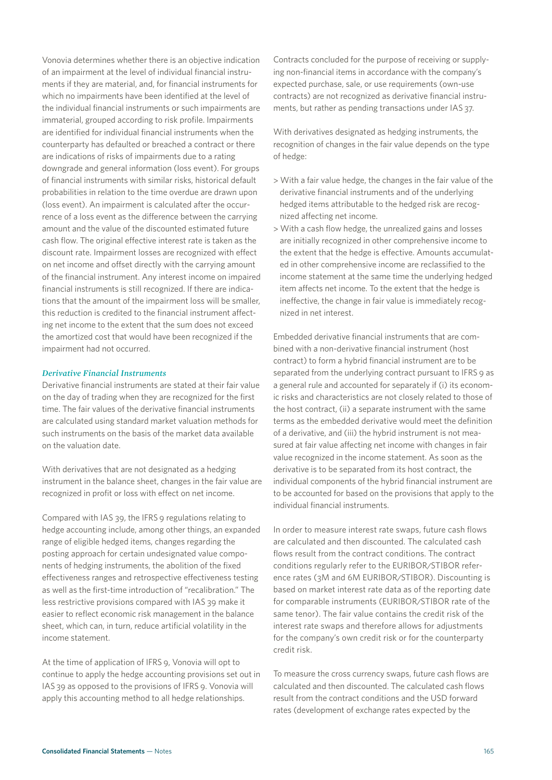Vonovia determines whether there is an objective indication of an impairment at the level of individual financial instruments if they are material, and, for financial instruments for which no impairments have been identified at the level of the individual financial instruments or such impairments are immaterial, grouped according to risk profile. Impairments are identified for individual financial instruments when the counterparty has defaulted or breached a contract or there are indications of risks of impairments due to a rating downgrade and general information (loss event). For groups of financial instruments with similar risks, historical default probabilities in relation to the time overdue are drawn upon (loss event). An impairment is calculated after the occurrence of a loss event as the difference between the carrying amount and the value of the discounted estimated future cash flow. The original effective interest rate is taken as the discount rate. Impairment losses are recognized with effect on net income and offset directly with the carrying amount of the financial instrument. Any interest income on impaired financial instruments is still recognized. If there are indications that the amount of the impairment loss will be smaller, this reduction is credited to the financial instrument affecting net income to the extent that the sum does not exceed the amortized cost that would have been recognized if the impairment had not occurred.

#### *Derivative Financial Instruments*

Derivative financial instruments are stated at their fair value on the day of trading when they are recognized for the first time. The fair values of the derivative financial instruments are calculated using standard market valuation methods for such instruments on the basis of the market data available on the valuation date.

With derivatives that are not designated as a hedging instrument in the balance sheet, changes in the fair value are recognized in profit or loss with effect on net income.

Compared with IAS 39, the IFRS 9 regulations relating to hedge accounting include, among other things, an expanded range of eligible hedged items, changes regarding the posting approach for certain undesignated value components of hedging instruments, the abolition of the fixed effectiveness ranges and retrospective effectiveness testing as well as the first-time introduction of "recalibration." The less restrictive provisions compared with IAS 39 make it easier to reflect economic risk management in the balance sheet, which can, in turn, reduce artificial volatility in the income statement.

At the time of application of IFRS 9, Vonovia will opt to continue to apply the hedge accounting provisions set out in IAS 39 as opposed to the provisions of IFRS 9. Vonovia will apply this accounting method to all hedge relationships.

Contracts concluded for the purpose of receiving or supplying non-financial items in accordance with the company's expected purchase, sale, or use requirements (own-use contracts) are not recognized as derivative financial instruments, but rather as pending transactions under IAS 37.

With derivatives designated as hedging instruments, the recognition of changes in the fair value depends on the type of hedge:

- > With a fair value hedge, the changes in the fair value of the derivative financial instruments and of the underlying hedged items attributable to the hedged risk are recognized affecting net income.
- > With a cash flow hedge, the unrealized gains and losses are initially recognized in other comprehensive income to the extent that the hedge is effective. Amounts accumulated in other comprehensive income are reclassified to the income statement at the same time the underlying hedged item affects net income. To the extent that the hedge is ineffective, the change in fair value is immediately recognized in net interest.

Embedded derivative financial instruments that are combined with a non-derivative financial instrument (host contract) to form a hybrid financial instrument are to be separated from the underlying contract pursuant to IFRS 9 as a general rule and accounted for separately if (i) its economic risks and characteristics are not closely related to those of the host contract, (ii) a separate instrument with the same terms as the embedded derivative would meet the definition of a derivative, and (iii) the hybrid instrument is not measured at fair value affecting net income with changes in fair value recognized in the income statement. As soon as the derivative is to be separated from its host contract, the individual components of the hybrid financial instrument are to be accounted for based on the provisions that apply to the individual financial instruments.

In order to measure interest rate swaps, future cash flows are calculated and then discounted. The calculated cash flows result from the contract conditions. The contract conditions regularly refer to the EURIBOR/STIBOR reference rates (3M and 6M EURIBOR/STIBOR). Discounting is based on market interest rate data as of the reporting date for comparable instruments (EURIBOR/STIBOR rate of the same tenor). The fair value contains the credit risk of the interest rate swaps and therefore allows for adjustments for the company's own credit risk or for the counterparty credit risk.

To measure the cross currency swaps, future cash flows are calculated and then discounted. The calculated cash flows result from the contract conditions and the USD forward rates (development of exchange rates expected by the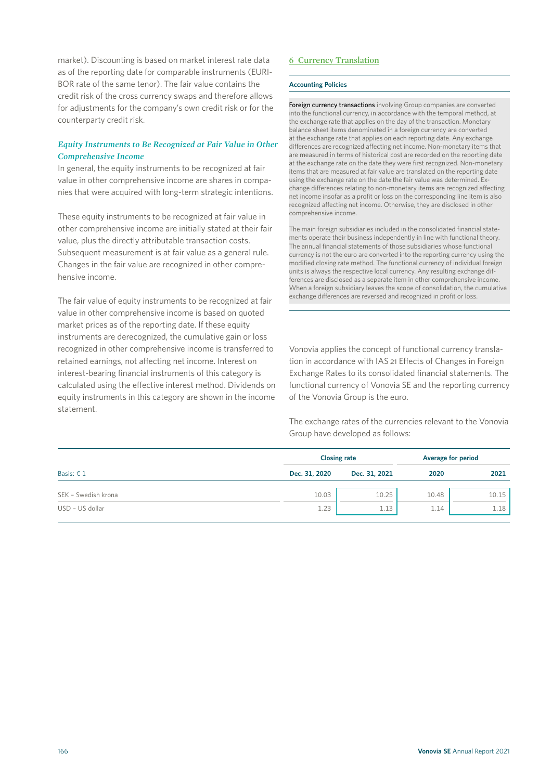market). Discounting is based on market interest rate data as of the reporting date for comparable instruments (EURI-BOR rate of the same tenor). The fair value contains the credit risk of the cross currency swaps and therefore allows for adjustments for the company's own credit risk or for the counterparty credit risk.

#### *Equity Instruments to Be Recognized at Fair Value in Other Comprehensive Income*

In general, the equity instruments to be recognized at fair value in other comprehensive income are shares in companies that were acquired with long-term strategic intentions.

These equity instruments to be recognized at fair value in other comprehensive income are initially stated at their fair value, plus the directly attributable transaction costs. Subsequent measurement is at fair value as a general rule. Changes in the fair value are recognized in other comprehensive income.

The fair value of equity instruments to be recognized at fair value in other comprehensive income is based on quoted market prices as of the reporting date. If these equity instruments are derecognized, the cumulative gain or loss recognized in other comprehensive income is transferred to retained earnings, not affecting net income. Interest on interest-bearing financial instruments of this category is calculated using the effective interest method. Dividends on equity instruments in this category are shown in the income statement.

#### **6 Currency Translation**

#### **Accounting Policies**

Foreign currency transactions involving Group companies are converted into the functional currency, in accordance with the temporal method, at the exchange rate that applies on the day of the transaction. Monetary balance sheet items denominated in a foreign currency are converted at the exchange rate that applies on each reporting date. Any exchange differences are recognized affecting net income. Non-monetary items that are measured in terms of historical cost are recorded on the reporting date at the exchange rate on the date they were first recognized. Non-monetary items that are measured at fair value are translated on the reporting date using the exchange rate on the date the fair value was determined. Exchange differences relating to non-monetary items are recognized affecting net income insofar as a profit or loss on the corresponding line item is also recognized affecting net income. Otherwise, they are disclosed in other comprehensive income.

The main foreign subsidiaries included in the consolidated financial statements operate their business independently in line with functional theory. The annual financial statements of those subsidiaries whose functional currency is not the euro are converted into the reporting currency using the modified closing rate method. The functional currency of individual foreign units is always the respective local currency. Any resulting exchange differences are disclosed as a separate item in other comprehensive income. When a foreign subsidiary leaves the scope of consolidation, the cumulative exchange differences are reversed and recognized in profit or loss.

Vonovia applies the concept of functional currency translation in accordance with IAS 21 Effects of Changes in Foreign Exchange Rates to its consolidated financial statements. The functional currency of Vonovia SE and the reporting currency of the Vonovia Group is the euro.

The exchange rates of the currencies relevant to the Vonovia Group have developed as follows:

|                     | <b>Closing rate</b> |               |       | Average for period |
|---------------------|---------------------|---------------|-------|--------------------|
| Basis: $61$         | Dec. 31, 2020       | Dec. 31, 2021 | 2020  | 2021               |
| SEK - Swedish krona | 10.03               | 10.25         | 10.48 | 10.15              |
| USD - US dollar     | 1.23                | 1.13          | 1.14  | 1.18               |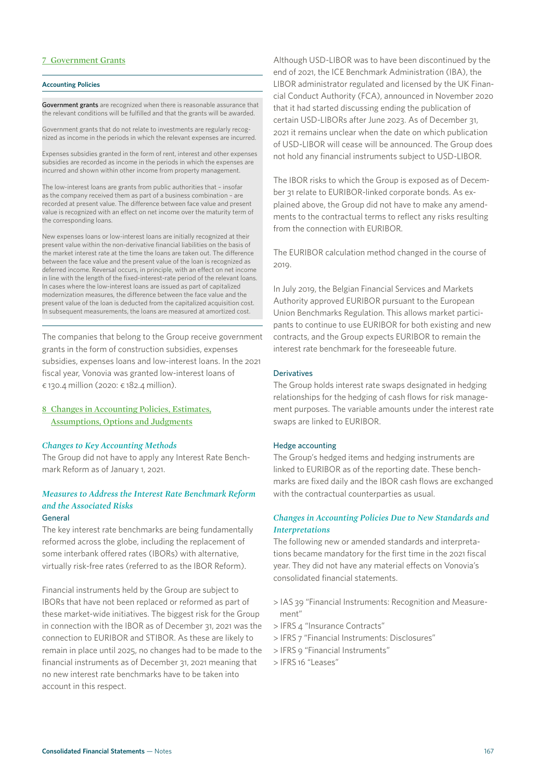#### **7 Government Grants**

#### **Accounting Policies**

Government grants are recognized when there is reasonable assurance that the relevant conditions will be fulfilled and that the grants will be awarded.

Government grants that do not relate to investments are regularly recognized as income in the periods in which the relevant expenses are incurred.

Expenses subsidies granted in the form of rent, interest and other expenses subsidies are recorded as income in the periods in which the expenses are incurred and shown within other income from property management.

The low-interest loans are grants from public authorities that – insofar as the company received them as part of a business combination – are recorded at present value. The difference between face value and present value is recognized with an effect on net income over the maturity term of the corresponding loans.

New expenses loans or low-interest loans are initially recognized at their present value within the non-derivative financial liabilities on the basis of the market interest rate at the time the loans are taken out. The difference between the face value and the present value of the loan is recognized as deferred income. Reversal occurs, in principle, with an effect on net income in line with the length of the fixed-interest-rate period of the relevant loans. In cases where the low-interest loans are issued as part of capitalized modernization measures, the difference between the face value and the present value of the loan is deducted from the capitalized acquisition cost. In subsequent measurements, the loans are measured at amortized cost.

The companies that belong to the Group receive government grants in the form of construction subsidies, expenses subsidies, expenses loans and low-interest loans. In the 2021 fiscal year, Vonovia was granted low-interest loans of € 130.4 million (2020: € 182.4 million).

#### **8 Changes in Accounting Policies, Estimates, Assumptions, Options and Judgments**

#### *Changes to Key Accounting Methods*

The Group did not have to apply any Interest Rate Benchmark Reform as of January 1, 2021.

### *Measures to Address the Interest Rate Benchmark Reform and the Associated Risks*

#### General

The key interest rate benchmarks are being fundamentally reformed across the globe, including the replacement of some interbank offered rates (IBORs) with alternative, virtually risk-free rates (referred to as the IBOR Reform).

Financial instruments held by the Group are subject to IBORs that have not been replaced or reformed as part of these market-wide initiatives. The biggest risk for the Group in connection with the IBOR as of December 31, 2021 was the connection to EURIBOR and STIBOR. As these are likely to remain in place until 2025, no changes had to be made to the financial instruments as of December 31, 2021 meaning that no new interest rate benchmarks have to be taken into account in this respect.

Although USD-LIBOR was to have been discontinued by the end of 2021, the ICE Benchmark Administration (IBA), the LIBOR administrator regulated and licensed by the UK Financial Conduct Authority (FCA), announced in November 2020 that it had started discussing ending the publication of certain USD-LIBORs after June 2023. As of December 31, 2021 it remains unclear when the date on which publication of USD-LIBOR will cease will be announced. The Group does not hold any financial instruments subject to USD-LIBOR.

The IBOR risks to which the Group is exposed as of December 31 relate to EURIBOR-linked corporate bonds. As explained above, the Group did not have to make any amendments to the contractual terms to reflect any risks resulting from the connection with EURIBOR.

The EURIBOR calculation method changed in the course of 2019.

In July 2019, the Belgian Financial Services and Markets Authority approved EURIBOR pursuant to the European Union Benchmarks Regulation. This allows market participants to continue to use EURIBOR for both existing and new contracts, and the Group expects EURIBOR to remain the interest rate benchmark for the foreseeable future.

#### **Derivatives**

The Group holds interest rate swaps designated in hedging relationships for the hedging of cash flows for risk management purposes. The variable amounts under the interest rate swaps are linked to EURIBOR.

#### Hedge accounting

The Group's hedged items and hedging instruments are linked to EURIBOR as of the reporting date. These benchmarks are fixed daily and the IBOR cash flows are exchanged with the contractual counterparties as usual.

#### *Changes in Accounting Policies Due to New Standards and Interpretations*

The following new or amended standards and interpretations became mandatory for the first time in the 2021 fiscal year. They did not have any material effects on Vonovia's consolidated financial statements.

- > IAS 39 "Financial Instruments: Recognition and Measurement"
- > IFRS 4 "Insurance Contracts"
- > IFRS 7 "Financial Instruments: Disclosures"
- > IFRS 9 "Financial Instruments"
- > IFRS 16 "Leases"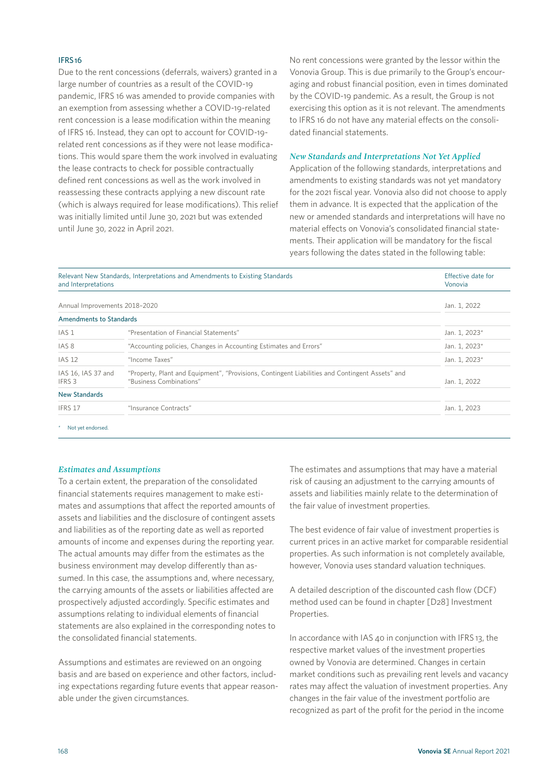#### IFRS 16

Due to the rent concessions (deferrals, waivers) granted in a large number of countries as a result of the COVID-19 pandemic, IFRS 16 was amended to provide companies with an exemption from assessing whether a COVID-19-related rent concession is a lease modification within the meaning of IFRS 16. Instead, they can opt to account for COVID-19 related rent concessions as if they were not lease modifications. This would spare them the work involved in evaluating the lease contracts to check for possible contractually defined rent concessions as well as the work involved in reassessing these contracts applying a new discount rate (which is always required for lease modifications). This relief was initially limited until June 30, 2021 but was extended until June 30, 2022 in April 2021.

No rent concessions were granted by the lessor within the Vonovia Group. This is due primarily to the Group's encouraging and robust financial position, even in times dominated by the COVID-19 pandemic. As a result, the Group is not exercising this option as it is not relevant. The amendments to IFRS 16 do not have any material effects on the consolidated financial statements.

#### *New Standards and Interpretations Not Yet Applied*

Application of the following standards, interpretations and amendments to existing standards was not yet mandatory for the 2021 fiscal year. Vonovia also did not choose to apply them in advance. It is expected that the application of the new or amended standards and interpretations will have no material effects on Vonovia's consolidated financial statements. Their application will be mandatory for the fiscal years following the dates stated in the following table:

| Relevant New Standards, Interpretations and Amendments to Existing Standards<br>and Interpretations |                                                                                                                            | Effective date for<br>Vonovia |  |
|-----------------------------------------------------------------------------------------------------|----------------------------------------------------------------------------------------------------------------------------|-------------------------------|--|
| Annual Improvements 2018-2020                                                                       |                                                                                                                            | Jan. 1, 2022                  |  |
| Amendments to Standards                                                                             |                                                                                                                            |                               |  |
| IAS 1                                                                                               | "Presentation of Financial Statements"                                                                                     | Jan. 1, 2023*                 |  |
| IAS <sub>8</sub>                                                                                    | "Accounting policies, Changes in Accounting Estimates and Errors"                                                          | Jan. 1, 2023*                 |  |
| <b>IAS 12</b>                                                                                       | "Income Taxes"                                                                                                             | Jan. 1, 2023*                 |  |
| IAS 16, IAS 37 and<br>IFRS 3                                                                        | "Property, Plant and Equipment", "Provisions, Contingent Liabilities and Contingent Assets" and<br>"Business Combinations" | Jan. 1, 2022                  |  |
| <b>New Standards</b>                                                                                |                                                                                                                            |                               |  |
| IFRS 17                                                                                             | "Insurance Contracts"                                                                                                      | Jan. 1, 2023                  |  |

\* Not yet endorsed.

#### *Estimates and Assumptions*

To a certain extent, the preparation of the consolidated financial statements requires management to make estimates and assumptions that affect the reported amounts of assets and liabilities and the disclosure of contingent assets and liabilities as of the reporting date as well as reported amounts of income and expenses during the reporting year. The actual amounts may differ from the estimates as the business environment may develop differently than assumed. In this case, the assumptions and, where necessary, the carrying amounts of the assets or liabilities affected are prospectively adjusted accordingly. Specific estimates and assumptions relating to individual elements of financial statements are also explained in the corresponding notes to the consolidated financial statements.

Assumptions and estimates are reviewed on an ongoing basis and are based on experience and other factors, including expectations regarding future events that appear reasonable under the given circumstances.

The estimates and assumptions that may have a material risk of causing an adjustment to the carrying amounts of assets and liabilities mainly relate to the determination of the fair value of investment properties.

The best evidence of fair value of investment properties is current prices in an active market for comparable residential properties. As such information is not completely available, however, Vonovia uses standard valuation techniques.

A detailed description of the discounted cash flow (DCF) method used can be found in chapter [D28] Investment Properties.

In accordance with IAS 40 in conjunction with IFRS 13, the respective market values of the investment properties owned by Vonovia are determined. Changes in certain market conditions such as prevailing rent levels and vacancy rates may affect the valuation of investment properties. Any changes in the fair value of the investment portfolio are recognized as part of the profit for the period in the income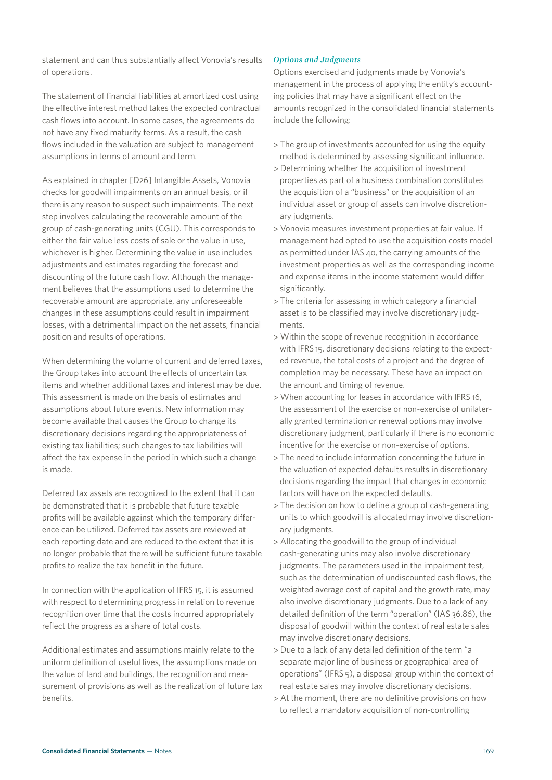statement and can thus substantially affect Vonovia's results of operations.

The statement of financial liabilities at amortized cost using the effective interest method takes the expected contractual cash flows into account. In some cases, the agreements do not have any fixed maturity terms. As a result, the cash flows included in the valuation are subject to management assumptions in terms of amount and term.

As explained in chapter [D26] Intangible Assets, Vonovia checks for goodwill impairments on an annual basis, or if there is any reason to suspect such impairments. The next step involves calculating the recoverable amount of the group of cash-generating units (CGU). This corresponds to either the fair value less costs of sale or the value in use, whichever is higher. Determining the value in use includes adjustments and estimates regarding the forecast and discounting of the future cash flow. Although the management believes that the assumptions used to determine the recoverable amount are appropriate, any unforeseeable changes in these assumptions could result in impairment losses, with a detrimental impact on the net assets, financial position and results of operations.

When determining the volume of current and deferred taxes, the Group takes into account the effects of uncertain tax items and whether additional taxes and interest may be due. This assessment is made on the basis of estimates and assumptions about future events. New information may become available that causes the Group to change its discretionary decisions regarding the appropriateness of existing tax liabilities; such changes to tax liabilities will affect the tax expense in the period in which such a change is made.

Deferred tax assets are recognized to the extent that it can be demonstrated that it is probable that future taxable profits will be available against which the temporary difference can be utilized. Deferred tax assets are reviewed at each reporting date and are reduced to the extent that it is no longer probable that there will be sufficient future taxable profits to realize the tax benefit in the future.

In connection with the application of IFRS 15, it is assumed with respect to determining progress in relation to revenue recognition over time that the costs incurred appropriately reflect the progress as a share of total costs.

Additional estimates and assumptions mainly relate to the uniform definition of useful lives, the assumptions made on the value of land and buildings, the recognition and measurement of provisions as well as the realization of future tax benefits.

#### *Options and Judgments*

Options exercised and judgments made by Vonovia's management in the process of applying the entity's accounting policies that may have a significant effect on the amounts recognized in the consolidated financial statements include the following:

- > The group of investments accounted for using the equity method is determined by assessing significant influence.
- > Determining whether the acquisition of investment properties as part of a business combination constitutes the acquisition of a "business" or the acquisition of an individual asset or group of assets can involve discretionary judgments.
- > Vonovia measures investment properties at fair value. If management had opted to use the acquisition costs model as permitted under IAS 40, the carrying amounts of the investment properties as well as the corresponding income and expense items in the income statement would differ significantly.
- > The criteria for assessing in which category a financial asset is to be classified may involve discretionary judgments.
- > Within the scope of revenue recognition in accordance with IFRS 15, discretionary decisions relating to the expected revenue, the total costs of a project and the degree of completion may be necessary. These have an impact on the amount and timing of revenue.
- > When accounting for leases in accordance with IFRS 16, the assessment of the exercise or non-exercise of unilaterally granted termination or renewal options may involve discretionary judgment, particularly if there is no economic incentive for the exercise or non-exercise of options.
- > The need to include information concerning the future in the valuation of expected defaults results in discretionary decisions regarding the impact that changes in economic factors will have on the expected defaults.
- > The decision on how to define a group of cash-generating units to which goodwill is allocated may involve discretionary judgments.
- > Allocating the goodwill to the group of individual cash-generating units may also involve discretionary judgments. The parameters used in the impairment test, such as the determination of undiscounted cash flows, the weighted average cost of capital and the growth rate, may also involve discretionary judgments. Due to a lack of any detailed definition of the term "operation" (IAS 36.86), the disposal of goodwill within the context of real estate sales may involve discretionary decisions.
- > Due to a lack of any detailed definition of the term "a separate major line of business or geographical area of operations" (IFRS 5), a disposal group within the context of real estate sales may involve discretionary decisions.
- > At the moment, there are no definitive provisions on how to reflect a mandatory acquisition of non-controlling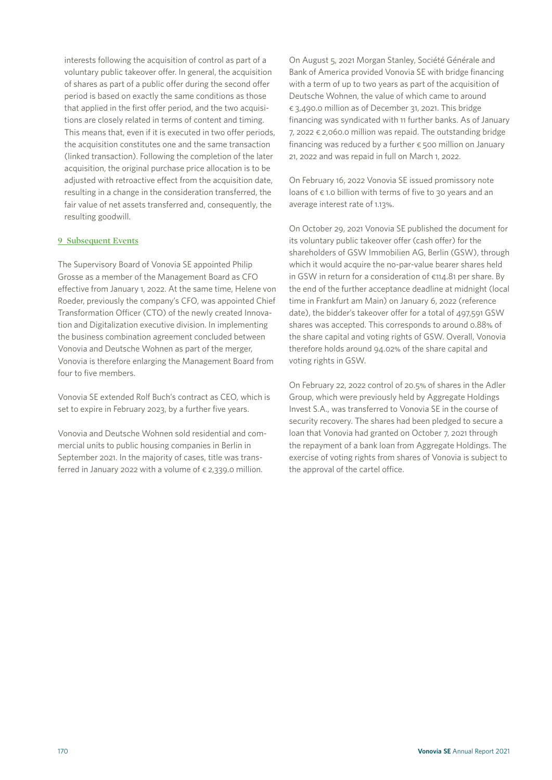interests following the acquisition of control as part of a voluntary public takeover offer. In general, the acquisition of shares as part of a public offer during the second offer period is based on exactly the same conditions as those that applied in the first offer period, and the two acquisitions are closely related in terms of content and timing. This means that, even if it is executed in two offer periods, the acquisition constitutes one and the same transaction (linked transaction). Following the completion of the later acquisition, the original purchase price allocation is to be adjusted with retroactive effect from the acquisition date, resulting in a change in the consideration transferred, the fair value of net assets transferred and, consequently, the resulting goodwill.

#### **9 Subsequent Events**

The Supervisory Board of Vonovia SE appointed Philip Grosse as a member of the Management Board as CFO effective from January 1, 2022. At the same time, Helene von Roeder, previously the company's CFO, was appointed Chief Transformation Officer (CTO) of the newly created Innovation and Digitalization executive division. In implementing the business combination agreement concluded between Vonovia and Deutsche Wohnen as part of the merger, Vonovia is therefore enlarging the Management Board from four to five members.

Vonovia SE extended Rolf Buch's contract as CEO, which is set to expire in February 2023, by a further five years.

Vonovia and Deutsche Wohnen sold residential and commercial units to public housing companies in Berlin in September 2021. In the majority of cases, title was transferred in January 2022 with a volume of  $\epsilon$  2,339.0 million.

On August 5, 2021 Morgan Stanley, Société Générale and Bank of America provided Vonovia SE with bridge financing with a term of up to two years as part of the acquisition of Deutsche Wohnen, the value of which came to around € 3,490.0 million as of December 31, 2021. This bridge financing was syndicated with 11 further banks. As of January 7, 2022  $\epsilon$  2,060.0 million was repaid. The outstanding bridge financing was reduced by a further  $\epsilon$  500 million on January 21, 2022 and was repaid in full on March 1, 2022.

On February 16, 2022 Vonovia SE issued promissory note loans of € 1.0 billion with terms of five to 30 years and an average interest rate of 1.13%.

On October 29, 2021 Vonovia SE published the document for its voluntary public takeover offer (cash offer) for the shareholders of GSW Immobilien AG, Berlin (GSW), through which it would acquire the no-par-value bearer shares held in GSW in return for a consideration of €114.81 per share. By the end of the further acceptance deadline at midnight (local time in Frankfurt am Main) on January 6, 2022 (reference date), the bidder's takeover offer for a total of 497,591 GSW shares was accepted. This corresponds to around 0.88% of the share capital and voting rights of GSW. Overall, Vonovia therefore holds around 94.02% of the share capital and voting rights in GSW.

On February 22, 2022 control of 20.5% of shares in the Adler Group, which were previously held by Aggregate Holdings Invest S.A., was transferred to Vonovia SE in the course of security recovery. The shares had been pledged to secure a loan that Vonovia had granted on October 7, 2021 through the repayment of a bank loan from Aggregate Holdings. The exercise of voting rights from shares of Vonovia is subject to the approval of the cartel office.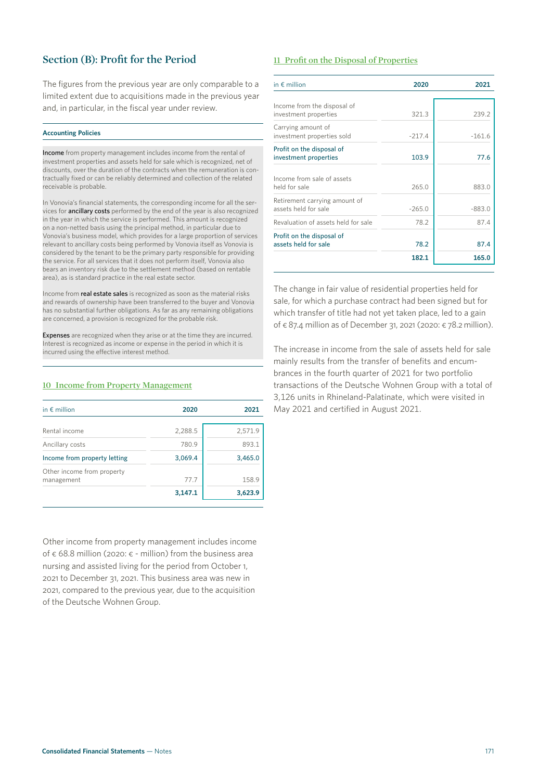### **Section (B): Profit for the Period**

The figures from the previous year are only comparable to a limited extent due to acquisitions made in the previous year and, in particular, in the fiscal year under review.

#### **Accounting Policies**

Income from property management includes income from the rental of investment properties and assets held for sale which is recognized, net of discounts, over the duration of the contracts when the remuneration is contractually fixed or can be reliably determined and collection of the related receivable is probable.

In Vonovia's financial statements, the corresponding income for all the services for ancillary costs performed by the end of the year is also recognized in the year in which the service is performed. This amount is recognized on a non-netted basis using the principal method, in particular due to Vonovia's business model, which provides for a large proportion of services relevant to ancillary costs being performed by Vonovia itself as Vonovia is considered by the tenant to be the primary party responsible for providing the service. For all services that it does not perform itself, Vonovia also bears an inventory risk due to the settlement method (based on rentable area), as is standard practice in the real estate sector.

Income from real estate sales is recognized as soon as the material risks and rewards of ownership have been transferred to the buyer and Vonovia has no substantial further obligations. As far as any remaining obligations are concerned, a provision is recognized for the probable risk.

Expenses are recognized when they arise or at the time they are incurred. Interest is recognized as income or expense in the period in which it is incurred using the effective interest method.

#### **10 Income from Property Management**

| in $\epsilon$ million                    | 2020    | 2021    |
|------------------------------------------|---------|---------|
| Rental income                            | 2,288.5 | 2,571.9 |
| Ancillary costs                          | 780.9   | 893.1   |
| Income from property letting             | 3,069.4 | 3,465.0 |
| Other income from property<br>management | 77.7    | 158.9   |
|                                          | 3,147.1 | 3,623.9 |

Other income from property management includes income of  $\epsilon$  68.8 million (2020:  $\epsilon$  - million) from the business area nursing and assisted living for the period from October 1, 2021 to December 31, 2021. This business area was new in 2021, compared to the previous year, due to the acquisition of the Deutsche Wohnen Group.

#### **11 Profit on the Disposal of Properties**

| in $\epsilon$ million                                 | 2020     | 2021     |
|-------------------------------------------------------|----------|----------|
|                                                       |          |          |
| Income from the disposal of<br>investment properties  | 321.3    | 239.2    |
| Carrying amount of<br>investment properties sold      | $-217.4$ | $-161.6$ |
| Profit on the disposal of<br>investment properties    | 103.9    | 77.6     |
| Income from sale of assets<br>held for sale           | 265.0    | 883.0    |
| Retirement carrying amount of<br>assets held for sale | $-265.0$ | $-883.0$ |
| Revaluation of assets held for sale                   | 78.2     | 87.4     |
| Profit on the disposal of<br>assets held for sale     | 78.2     | 87.4     |
|                                                       | 182.1    | 165.0    |

The change in fair value of residential properties held for sale, for which a purchase contract had been signed but for which transfer of title had not yet taken place, led to a gain of € 87.4 million as of December 31, 2021 (2020: € 78.2 million).

The increase in income from the sale of assets held for sale mainly results from the transfer of benefits and encumbrances in the fourth quarter of 2021 for two portfolio transactions of the Deutsche Wohnen Group with a total of 3,126 units in Rhineland-Palatinate, which were visited in May 2021 and certified in August 2021.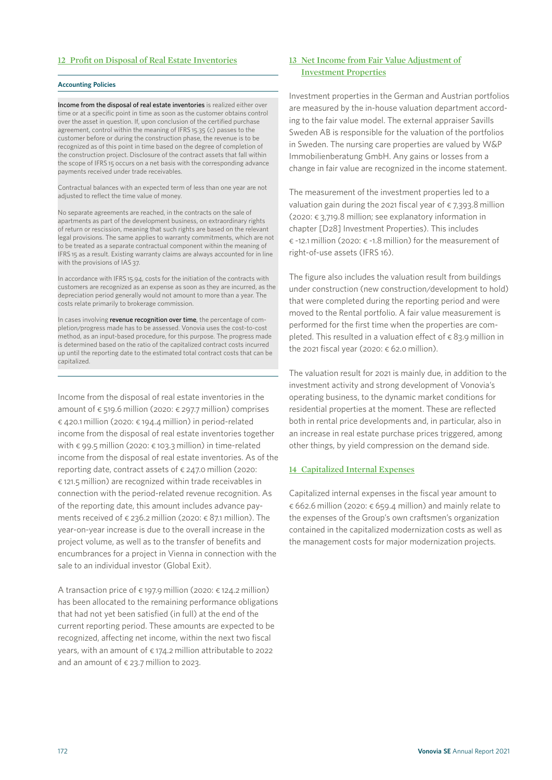#### **12 Profit on Disposal of Real Estate Inventories**

#### **Accounting Policies**

Income from the disposal of real estate inventories is realized either over time or at a specific point in time as soon as the customer obtains control over the asset in question. If, upon conclusion of the certified purchase agreement, control within the meaning of IFRS 15.35 (c) passes to the customer before or during the construction phase, the revenue is to be recognized as of this point in time based on the degree of completion of the construction project. Disclosure of the contract assets that fall within the scope of IFRS 15 occurs on a net basis with the corresponding advance payments received under trade receivables.

Contractual balances with an expected term of less than one year are not adjusted to reflect the time value of money.

No separate agreements are reached, in the contracts on the sale of apartments as part of the development business, on extraordinary rights of return or rescission, meaning that such rights are based on the relevant legal provisions. The same applies to warranty commitments, which are not to be treated as a separate contractual component within the meaning of IFRS 15 as a result. Existing warranty claims are always accounted for in line with the provisions of IAS 37.

In accordance with IFRS 15.94, costs for the initiation of the contracts with customers are recognized as an expense as soon as they are incurred, as the depreciation period generally would not amount to more than a year. The costs relate primarily to brokerage commission.

In cases involving revenue recognition over time, the percentage of completion/progress made has to be assessed. Vonovia uses the cost-to-cost method, as an input-based procedure, for this purpose. The progress made is determined based on the ratio of the capitalized contract costs incurred up until the reporting date to the estimated total contract costs that can be capitalized.

Income from the disposal of real estate inventories in the amount of  $\epsilon$  519.6 million (2020:  $\epsilon$  297.7 million) comprises € 420.1 million (2020: € 194.4 million) in period-related income from the disposal of real estate inventories together with € 99.5 million (2020: € 103.3 million) in time-related income from the disposal of real estate inventories. As of the reporting date, contract assets of  $\epsilon$  247.0 million (2020: € 121.5 million) are recognized within trade receivables in connection with the period-related revenue recognition. As of the reporting date, this amount includes advance payments received of  $\epsilon$  236.2 million (2020:  $\epsilon$  87.1 million). The year-on-year increase is due to the overall increase in the project volume, as well as to the transfer of benefits and encumbrances for a project in Vienna in connection with the sale to an individual investor (Global Exit).

A transaction price of  $\epsilon$  197.9 million (2020:  $\epsilon$  124.2 million) has been allocated to the remaining performance obligations that had not yet been satisfied (in full) at the end of the current reporting period. These amounts are expected to be recognized, affecting net income, within the next two fiscal years, with an amount of  $\epsilon$  174.2 million attributable to 2022 and an amount of  $\epsilon$  23.7 million to 2023.

#### **13 Net Income from Fair Value Adjustment of Investment Properties**

Investment properties in the German and Austrian portfolios are measured by the in-house valuation department according to the fair value model. The external appraiser Savills Sweden AB is responsible for the valuation of the portfolios in Sweden. The nursing care properties are valued by W&P Immobilienberatung GmbH. Any gains or losses from a change in fair value are recognized in the income statement.

The measurement of the investment properties led to a valuation gain during the 2021 fiscal year of  $\epsilon$  7,393.8 million (2020: € 3,719.8 million; see explanatory information in chapter [D28] Investment Properties). This includes € -12.1 million (2020: € -1.8 million) for the measurement of right-of-use assets (IFRS 16).

The figure also includes the valuation result from buildings under construction (new construction/development to hold) that were completed during the reporting period and were moved to the Rental portfolio. A fair value measurement is performed for the first time when the properties are completed. This resulted in a valuation effect of  $\epsilon$  83.9 million in the 2021 fiscal year (2020:  $\epsilon$  62.0 million).

The valuation result for 2021 is mainly due, in addition to the investment activity and strong development of Vonovia's operating business, to the dynamic market conditions for residential properties at the moment. These are reflected both in rental price developments and, in particular, also in an increase in real estate purchase prices triggered, among other things, by yield compression on the demand side.

#### **14 Capitalized Internal Expenses**

Capitalized internal expenses in the fiscal year amount to  $\epsilon$  662.6 million (2020:  $\epsilon$  659.4 million) and mainly relate to the expenses of the Group's own craftsmen's organization contained in the capitalized modernization costs as well as the management costs for major modernization projects.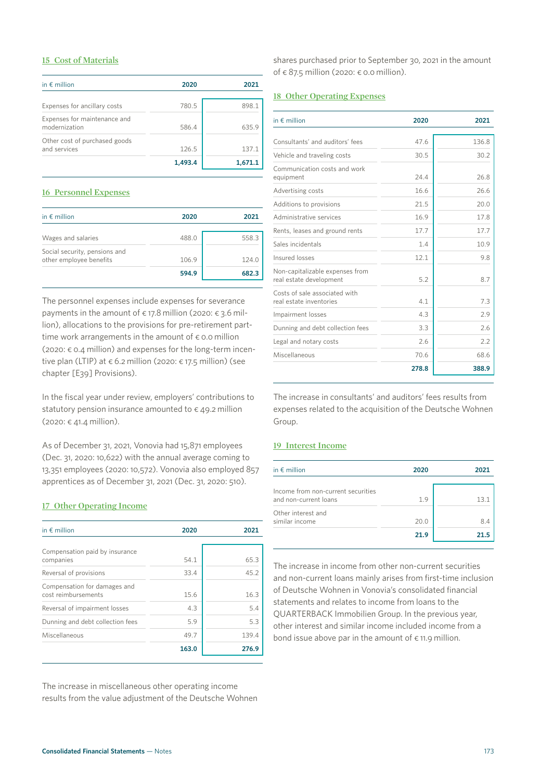#### **15 Cost of Materials**

| in $\epsilon$ million                         | 2020    | 2021    |
|-----------------------------------------------|---------|---------|
|                                               |         |         |
| Expenses for ancillary costs                  | 780.5   | 898.1   |
| Expenses for maintenance and<br>modernization | 586.4   | 635.9   |
| Other cost of purchased goods<br>and services | 126.5   | 137.1   |
|                                               | 1,493.4 | 1.671.1 |

#### **16 Personnel Expenses**

| in $\notin$ million           | 2020  | 2021  |
|-------------------------------|-------|-------|
|                               |       |       |
| Wages and salaries            | 488.0 | 558.3 |
| Social security, pensions and |       |       |
| other employee benefits       | 106.9 | 124.0 |
|                               | 594.9 | 682.3 |

The personnel expenses include expenses for severance payments in the amount of  $\epsilon$  17.8 million (2020:  $\epsilon$  3.6 million), allocations to the provisions for pre-retirement parttime work arrangements in the amount of  $\epsilon$  0.0 million (2020:  $\epsilon$  0.4 million) and expenses for the long-term incentive plan (LTIP) at  $\epsilon$  6.2 million (2020:  $\epsilon$  17.5 million) (see chapter [E39] Provisions).

In the fiscal year under review, employers' contributions to statutory pension insurance amounted to  $\epsilon$  49.2 million  $(2020: € 41.4 million).$ 

As of December 31, 2021, Vonovia had 15,871 employees (Dec. 31, 2020: 10,622) with the annual average coming to 13,351 employees (2020: 10,572). Vonovia also employed 857 apprentices as of December 31, 2021 (Dec. 31, 2020: 510).

#### **17 Other Operating Income**

| in $\notin$ million                                 | 2020  | 2021  |
|-----------------------------------------------------|-------|-------|
| Compensation paid by insurance                      |       |       |
| companies                                           | 54.1  | 65.3  |
| Reversal of provisions                              | 33.4  | 45.2  |
| Compensation for damages and<br>cost reimbursements | 15.6  | 16.3  |
| Reversal of impairment losses                       | 4.3   | 5.4   |
| Dunning and debt collection fees                    | 5.9   | 5.3   |
| Miscellaneous                                       | 49.7  | 139.4 |
|                                                     | 163.0 | 276.9 |

The increase in miscellaneous other operating income results from the value adjustment of the Deutsche Wohnen shares purchased prior to September 30, 2021 in the amount of  $\epsilon$  87.5 million (2020:  $\epsilon$  0.0 million).

#### **18 Other Operating Expenses**

| in $\notin$ million                                        | 2020  | 2021  |
|------------------------------------------------------------|-------|-------|
|                                                            |       |       |
| Consultants' and auditors' fees                            | 476   | 136.8 |
| Vehicle and traveling costs                                | 30.5  | 30.2  |
| Communication costs and work<br>equipment                  | 24.4  | 26.8  |
| Advertising costs                                          | 166   | 26.6  |
| Additions to provisions                                    | 21.5  | 20.0  |
| Administrative services                                    | 16.9  | 17.8  |
| Rents, leases and ground rents                             | 17.7  | 17.7  |
| Sales incidentals                                          | 1.4   | 10.9  |
| Insured losses                                             | 12.1  | 9.8   |
| Non-capitalizable expenses from<br>real estate development | 5.2   | 8.7   |
| Costs of sale associated with<br>real estate inventories   | 41    | 7.3   |
| Impairment losses                                          | 4.3   | 2.9   |
| Dunning and debt collection fees                           | 3.3   | 2.6   |
| Legal and notary costs                                     | 2.6   | 2.2   |
| Miscellaneous                                              | 70.6  | 68.6  |
|                                                            | 278.8 | 388.9 |

The increase in consultants' and auditors' fees results from expenses related to the acquisition of the Deutsche Wohnen Group.

#### **19 Interest Income**

| in $\epsilon$ million              | 2020 | 2021 |
|------------------------------------|------|------|
|                                    |      |      |
| Income from non-current securities |      |      |
| and non-current loans              | 1.9  | 131  |
| Other interest and                 |      |      |
| similar income                     | 20.0 | 84   |
|                                    | 21.9 |      |

The increase in income from other non-current securities and non-current loans mainly arises from first-time inclusion of Deutsche Wohnen in Vonovia's consolidated financial statements and relates to income from loans to the QUARTERBACK Immobilien Group. In the previous year, other interest and similar income included income from a bond issue above par in the amount of  $\epsilon$  11.9 million.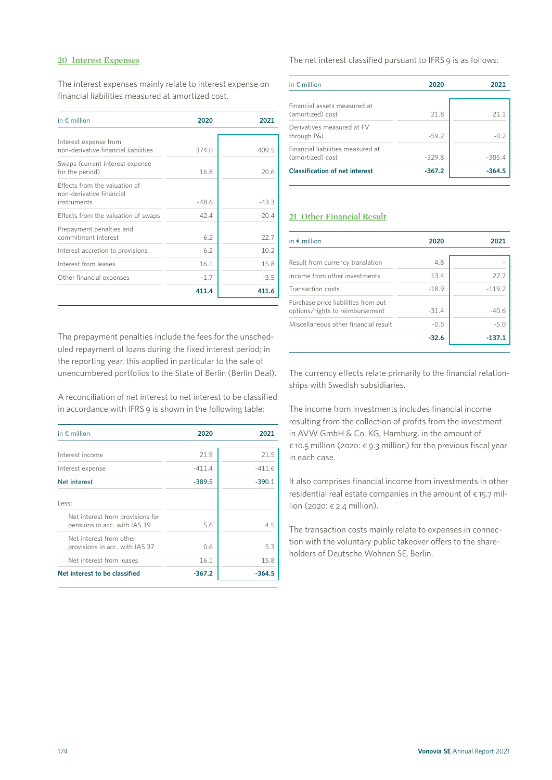#### **20 Interest Expenses**

The interest expenses mainly relate to interest expense on financial liabilities measured at amortized cost.

| in $\epsilon$ million                                         | 2020    | 2021    |
|---------------------------------------------------------------|---------|---------|
|                                                               |         |         |
| Interest expense from<br>non-derivative financial liabilities | 374.0   | 409.5   |
| Swaps (current interest expense<br>for the period)            | 16.8    | 20.6    |
| Effects from the valuation of<br>non-derivative financial     |         |         |
| instruments                                                   | $-48.6$ | $-43.3$ |
| Effects from the valuation of swaps                           | 42.4    | $-20.4$ |
| Prepayment penalties and<br>commitment interest               | 6.2     | 22.7    |
| Interest accretion to provisions                              | 6.2     | 10.2    |
| Interest from leases                                          | 16.1    | 15.8    |
| Other financial expenses                                      | $-1.7$  | $-3.5$  |
|                                                               | 411.4   | 411.6   |

The prepayment penalties include the fees for the unscheduled repayment of loans during the fixed interest period; in the reporting year, this applied in particular to the sale of unencumbered portfolios to the State of Berlin (Berlin Deal).

A reconciliation of net interest to net interest to be classified in accordance with IFRS 9 is shown in the following table:

| in $\notin$ million                                              | 2020     | 2021     |
|------------------------------------------------------------------|----------|----------|
| Interest income                                                  | 21.9     | 21.5     |
| Interest expense                                                 | $-411.4$ | $-411.6$ |
| Net interest                                                     | $-389.5$ | $-390.1$ |
| Less:                                                            |          |          |
| Net interest from provisions for<br>pensions in acc. with IAS 19 | 5.6      | 45       |
| Net interest from other<br>provisions in acc. with IAS 37        | 06       | 5.3      |
| Net interest from leases                                         | 16.1     | 15.8     |
| Net interest to be classified                                    | $-367.2$ | $-364.5$ |

The net interest classified pursuant to IFRS 9 is as follows:

| in $\notin$ million                                   | 2020     | 2021     |
|-------------------------------------------------------|----------|----------|
| Financial assets measured at<br>(amortized) cost      | 218      | 21 1     |
| Derivatives measured at FV<br>through P&L             | $-59.2$  | $-0.2$   |
| Financial liabilities measured at<br>(amortized) cost | $-329.8$ | $-385.4$ |
| <b>Classification of net interest</b>                 | $-367.2$ | $-364.5$ |

#### **21 Other Financial Result**

| in $\notin$ million                                                    | 2020    | 2021     |  |
|------------------------------------------------------------------------|---------|----------|--|
| Result from currency translation                                       | 4.8     |          |  |
| Income from other investments                                          | 13.4    | 27.7     |  |
| Transaction costs                                                      | $-18.9$ | $-119.2$ |  |
| Purchase price liabilities from put<br>options/rights to reimbursement | $-31.4$ | $-40.6$  |  |
| Miscellaneous other financial result                                   | $-0.5$  | $-5.0$   |  |
|                                                                        | $-32.6$ | $-137.$  |  |

The currency effects relate primarily to the financial relationships with Swedish subsidiaries.

The income from investments includes financial income resulting from the collection of profits from the investment in AVW GmbH & Co. KG, Hamburg, in the amount of € 10.5 million (2020: € 9.3 million) for the previous fiscal year in each case.

It also comprises financial income from investments in other residential real estate companies in the amount of  $\epsilon$  15.7 million (2020: € 2.4 million).

The transaction costs mainly relate to expenses in connection with the voluntary public takeover offers to the shareholders of Deutsche Wohnen SE, Berlin.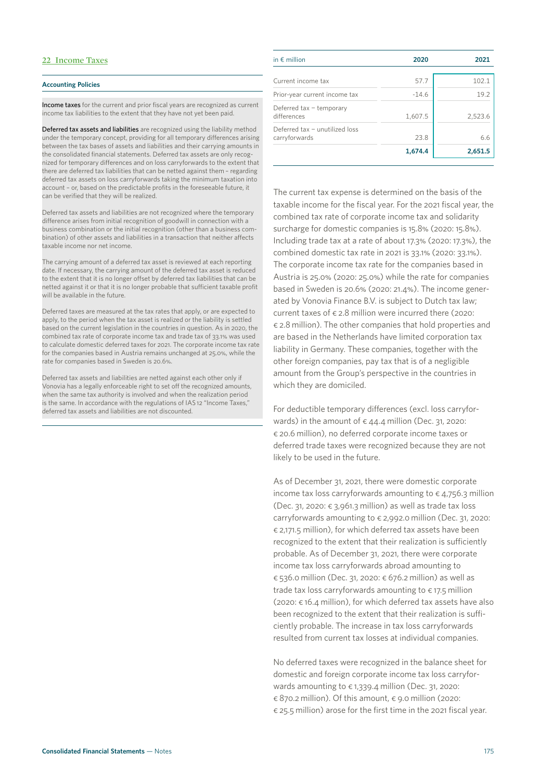#### **22 Income Taxes**

#### **Accounting Policies**

Income taxes for the current and prior fiscal years are recognized as current income tax liabilities to the extent that they have not yet been paid.

Deferred tax assets and liabilities are recognized using the liability method under the temporary concept, providing for all temporary differences arising between the tax bases of assets and liabilities and their carrying amounts in the consolidated financial statements. Deferred tax assets are only recognized for temporary differences and on loss carryforwards to the extent that there are deferred tax liabilities that can be netted against them – regarding deferred tax assets on loss carryforwards taking the minimum taxation into account – or, based on the predictable profits in the foreseeable future, it can be verified that they will be realized.

Deferred tax assets and liabilities are not recognized where the temporary difference arises from initial recognition of goodwill in connection with a business combination or the initial recognition (other than a business combination) of other assets and liabilities in a transaction that neither affects taxable income nor net income.

The carrying amount of a deferred tax asset is reviewed at each reporting date. If necessary, the carrying amount of the deferred tax asset is reduced to the extent that it is no longer offset by deferred tax liabilities that can be netted against it or that it is no longer probable that sufficient taxable profit will be available in the future.

Deferred taxes are measured at the tax rates that apply, or are expected to apply, to the period when the tax asset is realized or the liability is settled based on the current legislation in the countries in question. As in 2020, the combined tax rate of corporate income tax and trade tax of 33.1% was used to calculate domestic deferred taxes for 2021. The corporate income tax rate for the companies based in Austria remains unchanged at 25.0%, while the rate for companies based in Sweden is 20.6%.

Deferred tax assets and liabilities are netted against each other only if Vonovia has a legally enforceable right to set off the recognized amounts, when the same tax authority is involved and when the realization period is the same. In accordance with the regulations of IAS 12 "Income Taxes," deferred tax assets and liabilities are not discounted.

| in $\epsilon$ million                           | 2020    | 2021    |
|-------------------------------------------------|---------|---------|
| Current income tax                              | 57.7    | 102.1   |
| Prior-year current income tax                   | $-14.6$ | 19.2    |
| Deferred tax - temporary<br>differences         | 1,607.5 | 2,523.6 |
| Deferred tax - unutilized loss<br>carryforwards | 23.8    | 6.6     |
|                                                 | 1,674.4 | 2,651.5 |

The current tax expense is determined on the basis of the taxable income for the fiscal year. For the 2021 fiscal year, the combined tax rate of corporate income tax and solidarity surcharge for domestic companies is 15.8% (2020: 15.8%). Including trade tax at a rate of about 17.3% (2020: 17.3%), the combined domestic tax rate in 2021 is 33.1% (2020: 33.1%). The corporate income tax rate for the companies based in Austria is 25.0% (2020: 25.0%) while the rate for companies based in Sweden is 20.6% (2020: 21.4%). The income generated by Vonovia Finance B.V. is subject to Dutch tax law; current taxes of  $\epsilon$  2.8 million were incurred there (2020: € 2.8 million). The other companies that hold properties and are based in the Netherlands have limited corporation tax liability in Germany. These companies, together with the other foreign companies, pay tax that is of a negligible amount from the Group's perspective in the countries in which they are domiciled.

For deductible temporary differences (excl. loss carryforwards) in the amount of  $\epsilon$  44.4 million (Dec. 31, 2020: € 20.6 million), no deferred corporate income taxes or deferred trade taxes were recognized because they are not likely to be used in the future.

As of December 31, 2021, there were domestic corporate income tax loss carryforwards amounting to  $\epsilon$  4,756.3 million (Dec. 31, 2020:  $\epsilon$  3,961.3 million) as well as trade tax loss carryforwards amounting to € 2,992.0 million (Dec. 31, 2020: € 2,171.5 million), for which deferred tax assets have been recognized to the extent that their realization is sufficiently probable. As of December 31, 2021, there were corporate income tax loss carryforwards abroad amounting to € 536.0 million (Dec. 31, 2020: € 676.2 million) as well as trade tax loss carryforwards amounting to  $\epsilon$  17.5 million (2020: € 16.4 million), for which deferred tax assets have also been recognized to the extent that their realization is sufficiently probable. The increase in tax loss carryforwards resulted from current tax losses at individual companies.

No deferred taxes were recognized in the balance sheet for domestic and foreign corporate income tax loss carryforwards amounting to  $\epsilon$  1,339.4 million (Dec. 31, 2020:  $\epsilon$  870.2 million). Of this amount,  $\epsilon$  9.0 million (2020: € 25.5 million) arose for the first time in the 2021 fiscal year.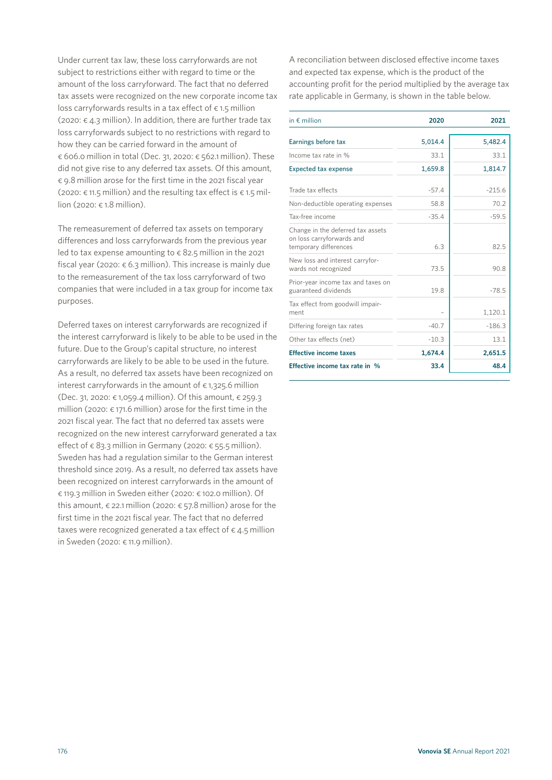Under current tax law, these loss carryforwards are not subject to restrictions either with regard to time or the amount of the loss carryforward. The fact that no deferred tax assets were recognized on the new corporate income tax loss carryforwards results in a tax effect of  $\epsilon$  1.5 million (2020:  $\epsilon$  4.3 million). In addition, there are further trade tax loss carryforwards subject to no restrictions with regard to how they can be carried forward in the amount of € 606.0 million in total (Dec. 31, 2020: € 562.1 million). These did not give rise to any deferred tax assets. Of this amount, € 9.8 million arose for the first time in the 2021 fiscal year (2020:  $\epsilon$  11.5 million) and the resulting tax effect is  $\epsilon$  1.5 million (2020: € 1.8 million).

The remeasurement of deferred tax assets on temporary differences and loss carryforwards from the previous year led to tax expense amounting to  $\epsilon$  82.5 million in the 2021 fiscal year (2020:  $\epsilon$  6.3 million). This increase is mainly due to the remeasurement of the tax loss carryforward of two companies that were included in a tax group for income tax purposes.

Deferred taxes on interest carryforwards are recognized if the interest carryforward is likely to be able to be used in the future. Due to the Group's capital structure, no interest carryforwards are likely to be able to be used in the future. As a result, no deferred tax assets have been recognized on interest carryforwards in the amount of  $\epsilon$  1,325.6 million (Dec. 31, 2020: € 1,059.4 million). Of this amount, € 259.3 million (2020:  $\epsilon$  171.6 million) arose for the first time in the 2021 fiscal year. The fact that no deferred tax assets were recognized on the new interest carryforward generated a tax effect of  $\epsilon$  83.3 million in Germany (2020:  $\epsilon$  55.5 million). Sweden has had a regulation similar to the German interest threshold since 2019. As a result, no deferred tax assets have been recognized on interest carryforwards in the amount of € 119.3 million in Sweden either (2020: € 102.0 million). Of this amount,  $\epsilon$  22.1 million (2020:  $\epsilon$  57.8 million) arose for the first time in the 2021 fiscal year. The fact that no deferred taxes were recognized generated a tax effect of  $\epsilon$  4.5 million in Sweden (2020:  $\epsilon$  11.9 million).

A reconciliation between disclosed effective income taxes and expected tax expense, which is the product of the accounting profit for the period multiplied by the average tax rate applicable in Germany, is shown in the table below.

| in $\notin$ million                                                                     | 2020    | 2021     |
|-----------------------------------------------------------------------------------------|---------|----------|
| Earnings before tax                                                                     | 5,014.4 | 5,482.4  |
| Income tax rate in %                                                                    | 33.1    | 33.1     |
| <b>Expected tax expense</b>                                                             | 1,659.8 | 1,814.7  |
| Trade tax effects                                                                       | $-57.4$ | $-215.6$ |
| Non-deductible operating expenses                                                       | 58.8    | 70.2     |
| Tax-free income                                                                         | $-35.4$ | $-59.5$  |
| Change in the deferred tax assets<br>on loss carryforwards and<br>temporary differences | 6.3     | 82.5     |
| New loss and interest carryfor-<br>wards not recognized                                 | 73.5    | 90.8     |
| Prior-year income tax and taxes on<br>guaranteed dividends                              | 19.8    | $-78.5$  |
| Tax effect from goodwill impair-<br>ment                                                |         | 1,120.1  |
| Differing foreign tax rates                                                             | $-40.7$ | $-186.3$ |
| Other tax effects (net)                                                                 | $-10.3$ | 13.1     |
| <b>Effective income taxes</b>                                                           | 1,674.4 | 2,651.5  |
| Effective income tax rate in %                                                          | 33.4    | 48.4     |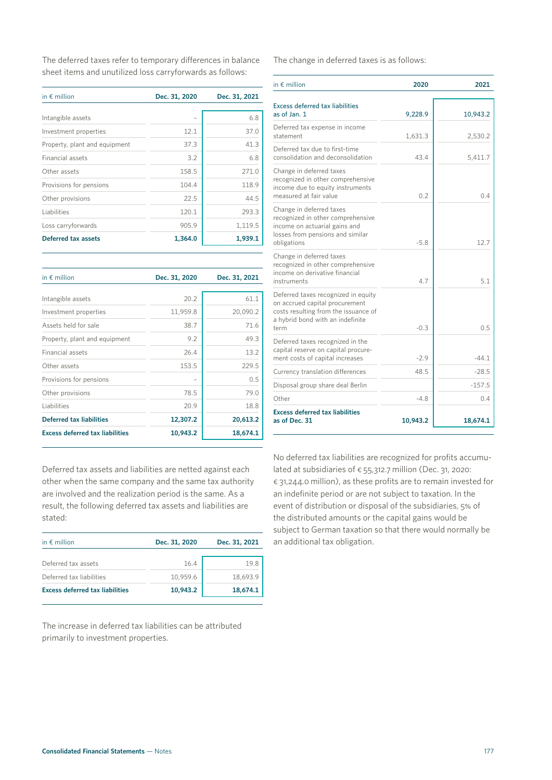The deferred taxes refer to temporary differences in balance sheet items and unutilized loss carryforwards as follows:

| in $\notin$ million           | Dec. 31, 2020 | Dec. 31, 2021 |  |  |
|-------------------------------|---------------|---------------|--|--|
|                               |               |               |  |  |
| Intangible assets             |               | 6.8           |  |  |
| Investment properties         | 12.1          | 37.0          |  |  |
| Property, plant and equipment | 37.3          | 41.3          |  |  |
| Financial assets              | 3.2           | 6.8           |  |  |
| Other assets                  | 158.5         | 271.0         |  |  |
| Provisions for pensions       | 104.4         | 118.9         |  |  |
| Other provisions              | 22.5          | 44.5          |  |  |
| Liabilities                   | 120.1         | 293.3         |  |  |
| Loss carryforwards            | 905.9         | 1,119.5       |  |  |
| Deferred tax assets           | 1,364.0       | 1,939.1       |  |  |

| in $\notin$ million                    | Dec. 31, 2020            | Dec. 31, 2021 |  |  |
|----------------------------------------|--------------------------|---------------|--|--|
| Intangible assets                      | 20.2                     | 61.1          |  |  |
| Investment properties                  | 11,959.8                 | 20,090.2      |  |  |
| Assets held for sale                   | 38.7                     | 71.6          |  |  |
| Property, plant and equipment          | 9.2                      | 49.3          |  |  |
| Financial assets                       | 26.4                     | 13.2          |  |  |
| Other assets                           | 153.5                    | 229.5         |  |  |
| Provisions for pensions                | $\overline{\phantom{0}}$ | 0.5           |  |  |
| Other provisions                       | 78.5                     | 79.0          |  |  |
| Liabilities                            | 20.9                     | 18.8          |  |  |
| <b>Deferred tax liabilities</b>        | 12,307.2                 | 20,613.2      |  |  |
| <b>Excess deferred tax liabilities</b> | 10,943.2                 | 18,674.1      |  |  |

as of Jan. 1 9,228.9 10,943.2 Deferred tax expense in income statement 1,631.3 2,530.2 Deferred tax due to first-time consolidation and deconsolidation 43.4 5,411.7 Change in deferred taxes recognized in other comprehensive income due to equity instruments measured at fair value 0.2 0.4 Change in deferred taxes recognized in other comprehensive income on actuarial gains and losses from pensions and similar obligations 12.7 Change in deferred taxes recognized in other comprehensive income on derivative financial  $\left| \right|$  instruments  $\left| \right|$  5.1 Deferred taxes recognized in equity on accrued capital procurement costs resulting from the issuance of a hybrid bond with an indefinite term 0.5 Deferred taxes recognized in the capital reserve on capital procurement costs of capital increases  $-2.9$   $-44.1$ Currency translation differences 48.5 48.5 Disposal group share deal Berlin **Fig. 1988** -157.5 Other -4.8 0.4 **Excess deferred tax liabilities** 

Deferred tax assets and liabilities are netted against each other when the same company and the same tax authori are involved and the realization period is the same. As a result, the following deferred tax assets and liabilities are stated:

| in $\epsilon$ million                  | Dec. 31, 2020 | Dec. 31, 2021 |  |  |
|----------------------------------------|---------------|---------------|--|--|
| Deferred tax assets                    | 16.4          | 198           |  |  |
| Deferred tax liabilities               | 10,959.6      | 18,693.9      |  |  |
| <b>Excess deferred tax liabilities</b> | 10,943.2      | 18,674.1      |  |  |

The increase in deferred tax liabilities can be attributed primarily to investment properties.

No deferred tax liabilities are recognized for profits accumulated at subsidiaries of  $\epsilon$  55,312.7 million (Dec. 31, 2020:  $\epsilon$  31,244.0 million), as these profits are to remain invested for an indefinite period or are not subject to taxation. In the event of distribution or disposal of the subsidiaries, 5% of the distributed amounts or the capital gains would be subject to German taxation so that there would normally be an additional tax obligation.

## in € million **2020 2021**

Excess deferred tax liabilities

The change in deferred taxes is as follows:

| h<br>ity             | No deferred tax liabilities are recognized for profits accumu-<br>lated at subsidiaries of $\epsilon$ 55,312.7 million (Dec. 31, 2020:<br>$\epsilon$ 31,244.0 million), as these profits are to remain invested fo |          |          |  |
|----------------------|--------------------------------------------------------------------------------------------------------------------------------------------------------------------------------------------------------------------|----------|----------|--|
| 13.2<br>74.1         | <b>Excess deferred tax liabilities</b><br>as of Dec. 31                                                                                                                                                            | 10,943.2 | 18,674.1 |  |
| 18.8                 | Other                                                                                                                                                                                                              | $-4.8$   | 0.4      |  |
| 79.0                 | Disposal group share deal Berlin                                                                                                                                                                                   |          | $-157.5$ |  |
| 29.5<br>0.5          | Currency translation differences                                                                                                                                                                                   | 48.5     | $-28.5$  |  |
| 49.3<br>13.2         | Deferred taxes recognized in the<br>capital reserve on capital procure-<br>ment costs of capital increases                                                                                                         | $-2.9$   | $-44.1$  |  |
| 61.1<br>90.2<br>71.6 | Deferred taxes recognized in equity<br>on accrued capital procurement<br>costs resulting from the issuance of<br>a hybrid bond with an indefinite<br>term                                                          | $-0.3$   | 0.5      |  |
| 2021                 | Change in deferred taxes<br>recognized in other comprehensive<br>income on derivative financial<br>instruments                                                                                                     | 4.7      | 5.1      |  |
| 19.5<br>39.1         | income on actuarial gains and<br>losses from pensions and similar<br>obligations                                                                                                                                   | $-5.8$   | 12.7     |  |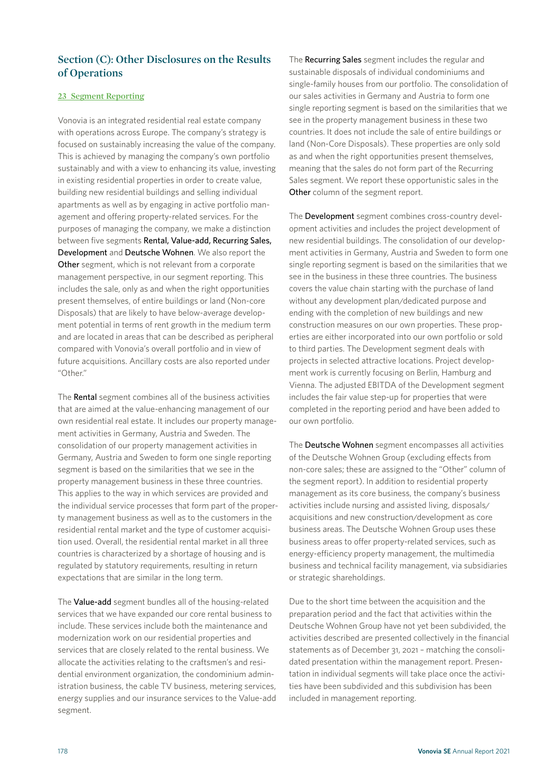### **Section (C): Other Disclosures on the Results of Operations**

#### **23 Segment Reporting**

Vonovia is an integrated residential real estate company with operations across Europe. The company's strategy is focused on sustainably increasing the value of the company. This is achieved by managing the company's own portfolio sustainably and with a view to enhancing its value, investing in existing residential properties in order to create value, building new residential buildings and selling individual apartments as well as by engaging in active portfolio management and offering property-related services. For the purposes of managing the company, we make a distinction between five segments Rental, Value-add, Recurring Sales, Development and Deutsche Wohnen. We also report the Other segment, which is not relevant from a corporate management perspective, in our segment reporting. This includes the sale, only as and when the right opportunities present themselves, of entire buildings or land (Non-core Disposals) that are likely to have below-average development potential in terms of rent growth in the medium term and are located in areas that can be described as peripheral compared with Vonovia's overall portfolio and in view of future acquisitions. Ancillary costs are also reported under "Other"

The Rental segment combines all of the business activities that are aimed at the value-enhancing management of our own residential real estate. It includes our property management activities in Germany, Austria and Sweden. The consolidation of our property management activities in Germany, Austria and Sweden to form one single reporting segment is based on the similarities that we see in the property management business in these three countries. This applies to the way in which services are provided and the individual service processes that form part of the property management business as well as to the customers in the residential rental market and the type of customer acquisition used. Overall, the residential rental market in all three countries is characterized by a shortage of housing and is regulated by statutory requirements, resulting in return expectations that are similar in the long term.

The Value-add segment bundles all of the housing-related services that we have expanded our core rental business to include. These services include both the maintenance and modernization work on our residential properties and services that are closely related to the rental business. We allocate the activities relating to the craftsmen's and residential environment organization, the condominium administration business, the cable TV business, metering services, energy supplies and our insurance services to the Value-add segment.

The Recurring Sales segment includes the regular and sustainable disposals of individual condominiums and single-family houses from our portfolio. The consolidation of our sales activities in Germany and Austria to form one single reporting segment is based on the similarities that we see in the property management business in these two countries. It does not include the sale of entire buildings or land (Non-Core Disposals). These properties are only sold as and when the right opportunities present themselves, meaning that the sales do not form part of the Recurring Sales segment. We report these opportunistic sales in the Other column of the segment report.

The Development segment combines cross-country development activities and includes the project development of new residential buildings. The consolidation of our development activities in Germany, Austria and Sweden to form one single reporting segment is based on the similarities that we see in the business in these three countries. The business covers the value chain starting with the purchase of land without any development plan/dedicated purpose and ending with the completion of new buildings and new construction measures on our own properties. These properties are either incorporated into our own portfolio or sold to third parties. The Development segment deals with projects in selected attractive locations. Project development work is currently focusing on Berlin, Hamburg and Vienna. The adjusted EBITDA of the Development segment includes the fair value step-up for properties that were completed in the reporting period and have been added to our own portfolio.

The Deutsche Wohnen segment encompasses all activities of the Deutsche Wohnen Group (excluding effects from non-core sales; these are assigned to the "Other" column of the segment report). In addition to residential property management as its core business, the company's business activities include nursing and assisted living, disposals/ acquisitions and new construction/development as core business areas. The Deutsche Wohnen Group uses these business areas to offer property-related services, such as energy-efficiency property management, the multimedia business and technical facility management, via subsidiaries or strategic shareholdings.

Due to the short time between the acquisition and the preparation period and the fact that activities within the Deutsche Wohnen Group have not yet been subdivided, the activities described are presented collectively in the financial statements as of December 31, 2021 – matching the consolidated presentation within the management report. Presentation in individual segments will take place once the activities have been subdivided and this subdivision has been included in management reporting.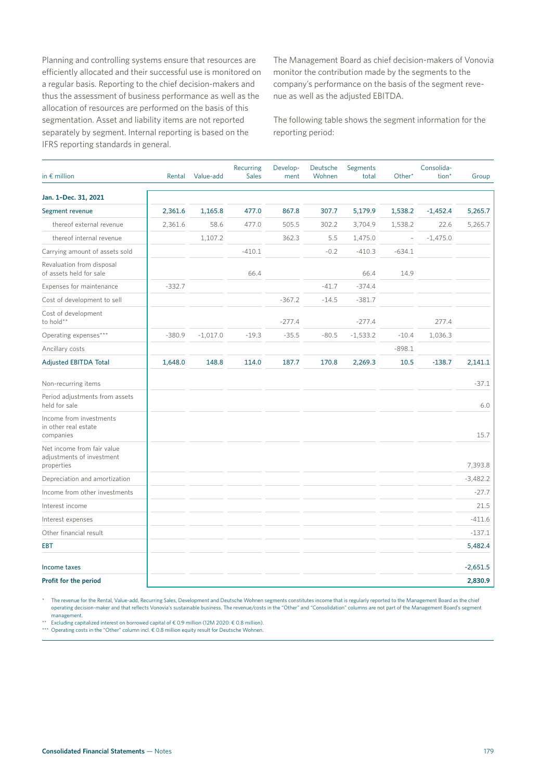Planning and controlling systems ensure that resources are efficiently allocated and their successful use is monitored on a regular basis. Reporting to the chief decision-makers and thus the assessment of business performance as well as the allocation of resources are performed on the basis of this segmentation. Asset and liability items are not reported separately by segment. Internal reporting is based on the IFRS reporting standards in general.

The Management Board as chief decision-makers of Vonovia monitor the contribution made by the segments to the company's performance on the basis of the segment revenue as well as the adjusted EBITDA.

The following table shows the segment information for the reporting period:

| in $\epsilon$ million                                                 | Rental   | Value-add  | Recurring<br><b>Sales</b> | Develop-<br>ment | Deutsche<br>Wohnen | Segments<br>total | Other*                   | Consolida-<br>tion <sup>*</sup> | Group      |
|-----------------------------------------------------------------------|----------|------------|---------------------------|------------------|--------------------|-------------------|--------------------------|---------------------------------|------------|
| Jan. 1-Dec. 31, 2021                                                  |          |            |                           |                  |                    |                   |                          |                                 |            |
| Segment revenue                                                       | 2,361.6  | 1,165.8    | 477.0                     | 867.8            | 307.7              | 5,179.9           | 1,538.2                  | $-1,452.4$                      | 5,265.7    |
| thereof external revenue                                              | 2,361.6  | 58.6       | 477.0                     | 505.5            | 302.2              | 3,704.9           | 1,538.2                  | 22.6                            | 5,265.7    |
| thereof internal revenue                                              |          | 1,107.2    |                           | 362.3            | 5.5                | 1,475.0           | $\overline{\phantom{a}}$ | $-1,475.0$                      |            |
| Carrying amount of assets sold                                        |          |            | $-410.1$                  |                  | $-0.2$             | $-410.3$          | $-634.1$                 |                                 |            |
| Revaluation from disposal<br>of assets held for sale                  |          |            | 66.4                      |                  |                    | 66.4              | 14.9                     |                                 |            |
| Expenses for maintenance                                              | $-332.7$ |            |                           |                  | $-41.7$            | $-374.4$          |                          |                                 |            |
| Cost of development to sell                                           |          |            |                           | $-367.2$         | $-14.5$            | $-381.7$          |                          |                                 |            |
| Cost of development<br>to hold**                                      |          |            |                           | $-277.4$         |                    | $-277.4$          |                          | 277.4                           |            |
| Operating expenses***                                                 | $-380.9$ | $-1,017.0$ | $-19.3$                   | $-35.5$          | $-80.5$            | $-1,533.2$        | $-10.4$                  | 1,036.3                         |            |
| Ancillary costs                                                       |          |            |                           |                  |                    |                   | $-898.1$                 |                                 |            |
| <b>Adjusted EBITDA Total</b>                                          | 1,648.0  | 148.8      | 114.0                     | 187.7            | 170.8              | 2,269.3           | 10.5                     | $-138.7$                        | 2,141.1    |
| Non-recurring items                                                   |          |            |                           |                  |                    |                   |                          |                                 | $-37.1$    |
| Period adjustments from assets<br>held for sale                       |          |            |                           |                  |                    |                   |                          |                                 | 6.0        |
| Income from investments<br>in other real estate<br>companies          |          |            |                           |                  |                    |                   |                          |                                 | 15.7       |
| Net income from fair value<br>adjustments of investment<br>properties |          |            |                           |                  |                    |                   |                          |                                 | 7,393.8    |
| Depreciation and amortization                                         |          |            |                           |                  |                    |                   |                          |                                 | $-3,482.2$ |
| Income from other investments                                         |          |            |                           |                  |                    |                   |                          |                                 | $-27.7$    |
| Interest income                                                       |          |            |                           |                  |                    |                   |                          |                                 | 21.5       |
| Interest expenses                                                     |          |            |                           |                  |                    |                   |                          |                                 | $-411.6$   |
| Other financial result                                                |          |            |                           |                  |                    |                   |                          |                                 | $-137.1$   |
| <b>EBT</b>                                                            |          |            |                           |                  |                    |                   |                          |                                 | 5,482.4    |
| Income taxes                                                          |          |            |                           |                  |                    |                   |                          |                                 | $-2,651.5$ |
| Profit for the period                                                 |          |            |                           |                  |                    |                   |                          |                                 | 2,830.9    |

The revenue for the Rental, Value-add, Recurring Sales, Development and Deutsche Wohnen segments constitutes income that is regularly reported to the Management Board as the chief operating decision-maker and that reflects Vonovia's sustainable business. The revenue/costs in the "Other" and "Consolidation" columns are not part of the Management Board's segment management.

\*\* Excluding capitalized interest on borrowed capital of € 0.9 million (12M 2020: € 0.8 million).

\*\*\* Operating costs in the "Other" column incl. € 0.8 million equity result for Deutsche Wohnen.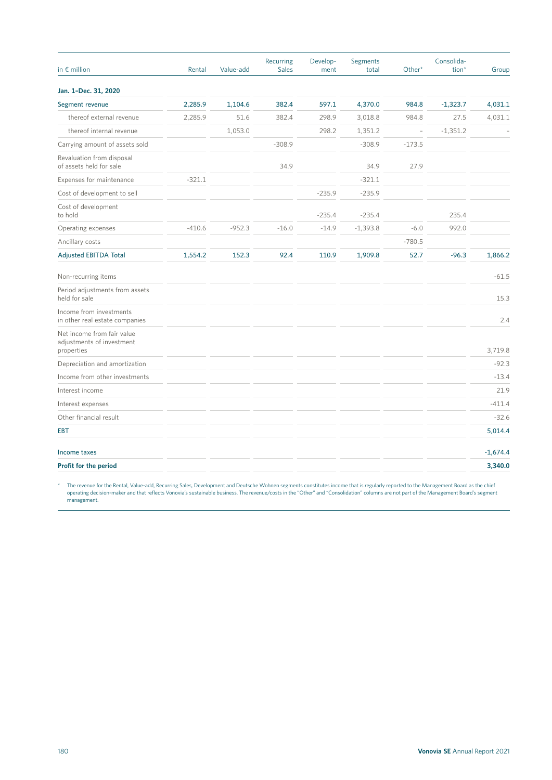| in $\epsilon$ million                                                 | Rental   | Value-add | Recurring<br><b>Sales</b> | Develop-<br>ment | Segments<br>total | Other*                   | Consolida-<br>tion* | Group      |
|-----------------------------------------------------------------------|----------|-----------|---------------------------|------------------|-------------------|--------------------------|---------------------|------------|
| Jan. 1-Dec. 31, 2020                                                  |          |           |                           |                  |                   |                          |                     |            |
| Segment revenue                                                       | 2,285.9  | 1,104.6   | 382.4                     | 597.1            | 4,370.0           | 984.8                    | $-1,323.7$          | 4,031.1    |
| thereof external revenue                                              | 2,285.9  | 51.6      | 382.4                     | 298.9            | 3,018.8           | 984.8                    | 27.5                | 4,031.1    |
| thereof internal revenue                                              |          | 1,053.0   |                           | 298.2            | 1,351.2           | $\overline{\phantom{0}}$ | $-1,351.2$          |            |
| Carrying amount of assets sold                                        |          |           | $-308.9$                  |                  | $-308.9$          | $-173.5$                 |                     |            |
| Revaluation from disposal<br>of assets held for sale                  |          |           | 34.9                      |                  | 34.9              | 27.9                     |                     |            |
| Expenses for maintenance                                              | $-321.1$ |           |                           |                  | $-321.1$          |                          |                     |            |
| Cost of development to sell                                           |          |           |                           | $-235.9$         | $-235.9$          |                          |                     |            |
| Cost of development<br>to hold                                        |          |           |                           | $-235.4$         | $-235.4$          |                          | 235.4               |            |
| Operating expenses                                                    | $-410.6$ | $-952.3$  | $-16.0$                   | $-14.9$          | $-1,393.8$        | $-6.0$                   | 992.0               |            |
| Ancillary costs                                                       |          |           |                           |                  |                   | $-780.5$                 |                     |            |
| <b>Adjusted EBITDA Total</b>                                          | 1,554.2  | 152.3     | 92.4                      | 110.9            | 1,909.8           | 52.7                     | $-96.3$             | 1,866.2    |
| Non-recurring items                                                   |          |           |                           |                  |                   |                          |                     | $-61.5$    |
| Period adjustments from assets<br>held for sale                       |          |           |                           |                  |                   |                          |                     | 15.3       |
| Income from investments<br>in other real estate companies             |          |           |                           |                  |                   |                          |                     | 2.4        |
| Net income from fair value<br>adjustments of investment<br>properties |          |           |                           |                  |                   |                          |                     | 3,719.8    |
| Depreciation and amortization                                         |          |           |                           |                  |                   |                          |                     | $-92.3$    |
| Income from other investments                                         |          |           |                           |                  |                   |                          |                     | $-13.4$    |
| Interest income                                                       |          |           |                           |                  |                   |                          |                     | 21.9       |
| Interest expenses                                                     |          |           |                           |                  |                   |                          |                     | $-411.4$   |
| Other financial result                                                |          |           |                           |                  |                   |                          |                     | $-32.6$    |
| <b>EBT</b>                                                            |          |           |                           |                  |                   |                          |                     | 5,014.4    |
| Income taxes                                                          |          |           |                           |                  |                   |                          |                     | $-1,674.4$ |
| Profit for the period                                                 |          |           |                           |                  |                   |                          |                     | 3,340.0    |

The revenue for the Rental, Value-add, Recurring Sales, Development and Deutsche Wohnen segments constitutes income that is regularly reported to the Management Board as the chief ثمر The revenue operating decision-maker a management.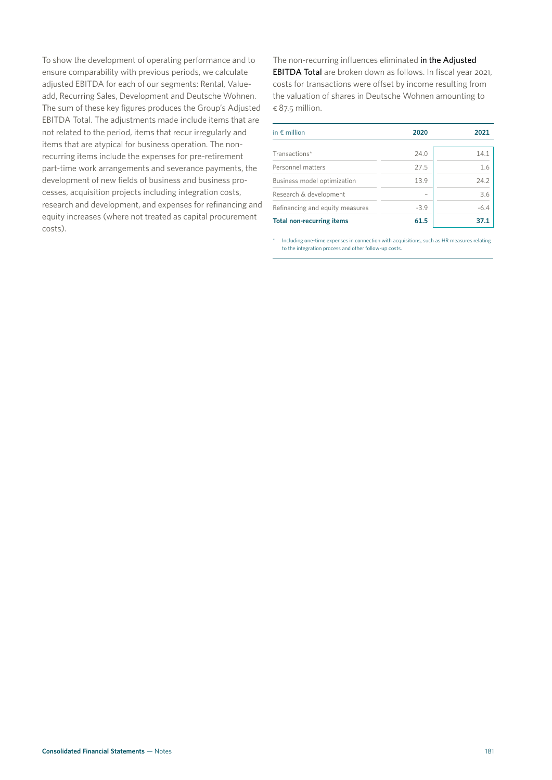To show the development of operating performance and to ensure comparability with previous periods, we calculate adjusted EBITDA for each of our segments: Rental, Valueadd, Recurring Sales, Development and Deutsche Wohnen. The sum of these key figures produces the Group's Adjusted EBITDA Total. The adjustments made include items that are not related to the period, items that recur irregularly and items that are atypical for business operation. The nonrecurring items include the expenses for pre-retirement part-time work arrangements and severance payments, the development of new fields of business and business processes, acquisition projects including integration costs, research and development, and expenses for refinancing and equity increases (where not treated as capital procurement costs).

The non-recurring influences eliminated in the Adjusted EBITDA Total are broken down as follows. In fiscal year 2021, costs for transactions were offset by income resulting from the valuation of shares in Deutsche Wohnen amounting to  $\epsilon$  87.5 million.

| in $\epsilon$ million            | 2020   | 2021   |
|----------------------------------|--------|--------|
| Transactions*                    | 24.0   | 14.1   |
| Personnel matters                | 27.5   | 1.6    |
| Business model optimization      | 13.9   | 24.2   |
| Research & development           |        | 3.6    |
| Refinancing and equity measures  | $-3.9$ | $-6.4$ |
| <b>Total non-recurring items</b> | 61.5   | 37.1   |

Including one-time expenses in connection with acquisitions, such as HR measures relating to the integration process and other follow-up costs.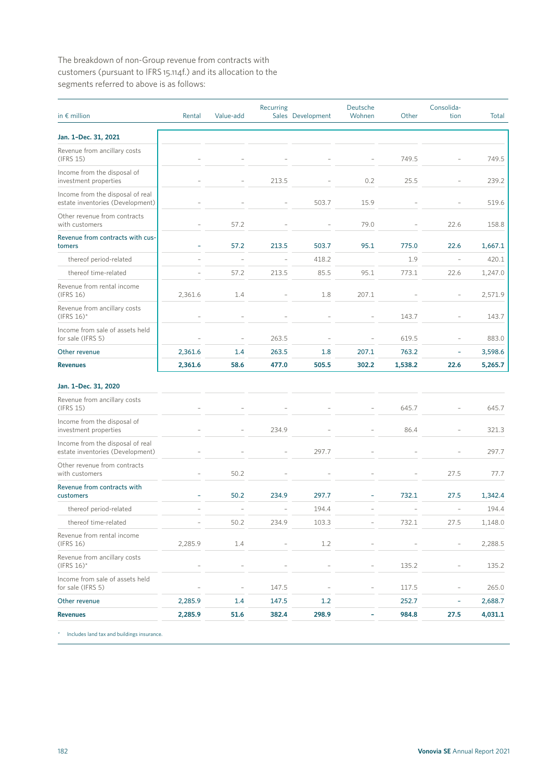The breakdown of non-Group revenue from contracts with customers (pursuant to IFRS 15.114f.) and its allocation to the segments referred to above is as follows:

| in $\epsilon$ million                                                | Rental         | Value-add                | Recurring                | Sales Development        | Deutsche<br>Wohnen       | Other                    | Consolida-<br>tion       | Total   |
|----------------------------------------------------------------------|----------------|--------------------------|--------------------------|--------------------------|--------------------------|--------------------------|--------------------------|---------|
| Jan. 1-Dec. 31, 2021                                                 |                |                          |                          |                          |                          |                          |                          |         |
| Revenue from ancillary costs<br>(IFRS 15)                            |                |                          |                          |                          |                          | 749.5                    | $\overline{a}$           | 749.5   |
| Income from the disposal of<br>investment properties                 |                |                          | 213.5                    |                          | 0.2                      | 25.5                     |                          | 239.2   |
| Income from the disposal of real<br>estate inventories (Development) |                |                          |                          | 503.7                    | 15.9                     |                          |                          | 519.6   |
| Other revenue from contracts<br>with customers                       |                | 57.2                     |                          |                          | 79.0                     |                          | 22.6                     | 158.8   |
| Revenue from contracts with cus-<br>tomers                           |                | 57.2                     | 213.5                    | 503.7                    | 95.1                     | 775.0                    | 22.6                     | 1,667.1 |
| thereof period-related                                               |                | $\overline{\phantom{a}}$ |                          | 418.2                    |                          | 1.9                      | $\overline{\phantom{a}}$ | 420.1   |
| thereof time-related                                                 |                | 57.2                     | 213.5                    | 85.5                     | 95.1                     | 773.1                    | 22.6                     | 1,247.0 |
| Revenue from rental income<br>(IFRS 16)                              | 2,361.6        | 1.4                      |                          | 1.8                      | 207.1                    |                          |                          | 2,571.9 |
| Revenue from ancillary costs<br>$(IFRS 16)$ *                        |                |                          |                          |                          |                          | 143.7                    |                          | 143.7   |
| Income from sale of assets held<br>for sale (IFRS 5)                 |                |                          | 263.5                    | $\overline{\phantom{a}}$ | $\overline{a}$           | 619.5                    | $\overline{a}$           | 883.0   |
| Other revenue                                                        | 2,361.6        | 1.4                      | 263.5                    | 1.8                      | 207.1                    | 763.2                    | ÷                        | 3,598.6 |
| <b>Revenues</b>                                                      | 2,361.6        | 58.6                     | 477.0                    | 505.5                    | 302.2                    | 1,538.2                  | 22.6                     | 5,265.7 |
| Jan. 1-Dec. 31, 2020                                                 |                |                          |                          |                          |                          |                          |                          |         |
| Revenue from ancillary costs<br>(IFRS 15)                            |                |                          |                          |                          |                          | 645.7                    |                          | 645.7   |
| Income from the disposal of<br>investment properties                 |                |                          | 234.9                    |                          |                          | 86.4                     |                          | 321.3   |
| Income from the disposal of real<br>estate inventories (Development) |                |                          |                          | 297.7                    |                          |                          |                          | 297.7   |
| Other revenue from contracts<br>with customers                       |                | 50.2                     |                          |                          |                          |                          | 27.5                     | 77.7    |
| Revenue from contracts with<br>customers                             |                | 50.2                     | 234.9                    | 297.7                    |                          | 732.1                    | 27.5                     | 1,342.4 |
| thereof period-related                                               |                | $\overline{\phantom{a}}$ | $\overline{\phantom{a}}$ | 194.4                    | $\overline{a}$           | $\overline{\phantom{a}}$ | $\overline{a}$           | 194.4   |
| thereof time-related                                                 |                | 50.2                     | 234.9                    | 103.3                    |                          | 732.1                    | 27.5                     | 1,148.0 |
| Revenue from rental income<br>(IFRS 16)                              | 2,285.9        | 1.4                      |                          | 1.2                      |                          |                          | $\overline{\phantom{m}}$ | 2,288.5 |
| Revenue from ancillary costs<br>$(IFRS 16)^*$                        |                | $\overline{a}$           |                          | $\overline{a}$           | $\overline{\phantom{a}}$ | 135.2                    | $\overline{\phantom{m}}$ | 135.2   |
| Income from sale of assets held<br>for sale (IFRS 5)                 | $\overline{a}$ |                          | 147.5                    |                          | $\overline{\phantom{a}}$ | 117.5                    | $\overline{a}$           | 265.0   |
| Other revenue                                                        | 2,285.9        | 1.4                      | 147.5                    | 1.2                      |                          | 252.7                    | ÷                        | 2,688.7 |
| <b>Revenues</b>                                                      | 2,285.9        | 51.6                     | 382.4                    | 298.9                    | ۰                        | 984.8                    | 27.5                     | 4,031.1 |

\* Includes land tax and buildings insurance.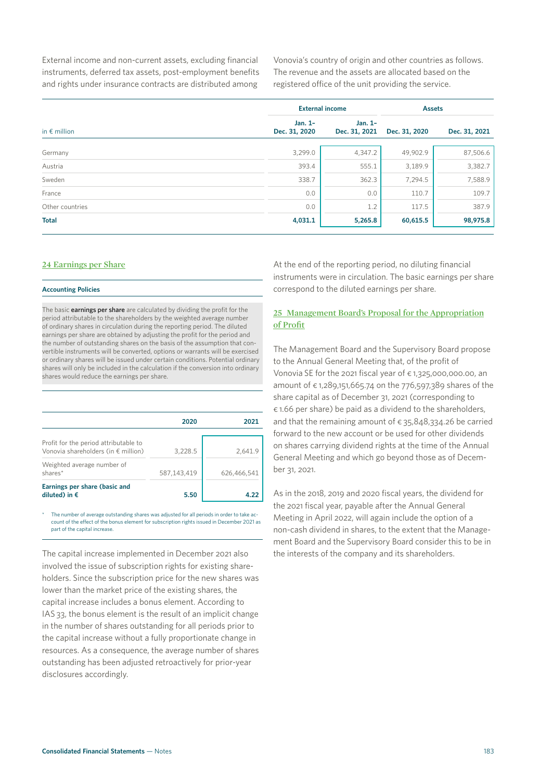External income and non-current assets, excluding financial instruments, deferred tax assets, post-employment benefits and rights under insurance contracts are distributed among

Vonovia's country of origin and other countries as follows. The revenue and the assets are allocated based on the registered office of the unit providing the service.

|                       | <b>External income</b>     | <b>Assets</b>            |               |               |
|-----------------------|----------------------------|--------------------------|---------------|---------------|
| in $\epsilon$ million | Jan. $1-$<br>Dec. 31, 2020 | Jan. 1-<br>Dec. 31, 2021 | Dec. 31, 2020 | Dec. 31, 2021 |
| Germany               | 3,299.0                    | 4,347.2                  | 49,902.9      | 87,506.6      |
| Austria               | 393.4                      | 555.1                    | 3,189.9       | 3,382.7       |
| Sweden                | 338.7                      | 362.3                    | 7,294.5       | 7,588.9       |
| France                | 0.0                        | 0.0                      | 110.7         | 109.7         |
| Other countries       | 0.0                        | 1.2                      | 117.5         | 387.9         |
| <b>Total</b>          | 4,031.1                    | 5,265.8                  | 60,615.5      | 98,975.8      |
|                       |                            |                          |               |               |

#### **24 Earnings per Share**

#### **Accounting Policies**

The basic earnings per share are calculated by dividing the profit for the period attributable to the shareholders by the weighted average number of ordinary shares in circulation during the reporting period. The diluted earnings per share are obtained by adjusting the profit for the period and the number of outstanding shares on the basis of the assumption that convertible instruments will be converted, options or warrants will be exercised or ordinary shares will be issued under certain conditions. Potential ordinary shares will only be included in the calculation if the conversion into ordinary shares would reduce the earnings per share.

|                                                                                       | 2020        | 2021        |
|---------------------------------------------------------------------------------------|-------------|-------------|
| Profit for the period attributable to<br>Vonovia shareholders (in $\epsilon$ million) | 3,228.5     | 2.641.9     |
| Weighted average number of<br>shares*                                                 | 587,143,419 | 626,466,541 |
| Earnings per share (basic and<br>diluted) in $\epsilon$                               | 5.50        |             |

The number of average outstanding shares was adjusted for all periods in order to take account of the effect of the bonus element for subscription rights issued in December 2021 as part of the capital increase.

The capital increase implemented in December 2021 also involved the issue of subscription rights for existing shareholders. Since the subscription price for the new shares was lower than the market price of the existing shares, the capital increase includes a bonus element. According to IAS 33, the bonus element is the result of an implicit change in the number of shares outstanding for all periods prior to the capital increase without a fully proportionate change in resources. As a consequence, the average number of shares outstanding has been adjusted retroactively for prior-year disclosures accordingly.

At the end of the reporting period, no diluting financial instruments were in circulation. The basic earnings per share correspond to the diluted earnings per share.

#### **25 Management Board's Proposal for the Appropriation of Profit**

The Management Board and the Supervisory Board propose to the Annual General Meeting that, of the profit of Vonovia SE for the 2021 fiscal year of  $\epsilon$  1,325,000,000.00, an amount of € 1,289,151,665.74 on the 776,597,389 shares of the share capital as of December 31, 2021 (corresponding to € 1.66 per share) be paid as a dividend to the shareholders, and that the remaining amount of  $\epsilon$  35,848,334.26 be carried forward to the new account or be used for other dividends on shares carrying dividend rights at the time of the Annual General Meeting and which go beyond those as of December 31, 2021.

As in the 2018, 2019 and 2020 fiscal years, the dividend for the 2021 fiscal year, payable after the Annual General Meeting in April 2022, will again include the option of a non-cash dividend in shares, to the extent that the Management Board and the Supervisory Board consider this to be in the interests of the company and its shareholders.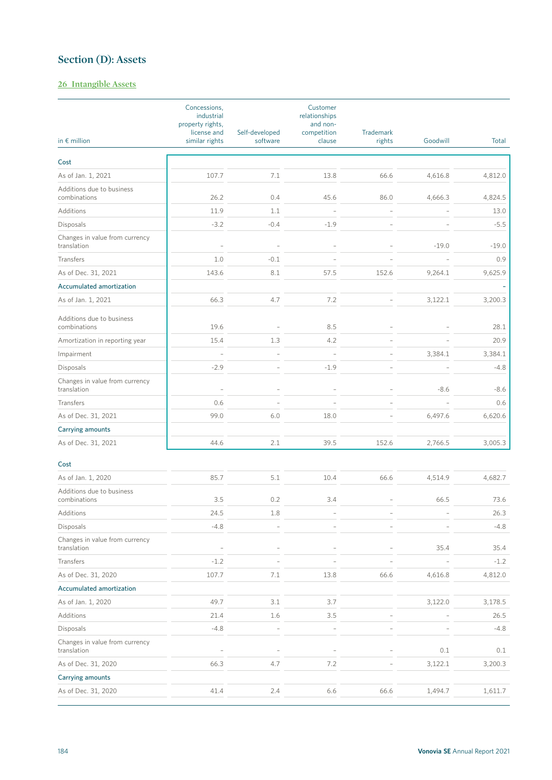### **Section (D): Assets**

#### **26 Intangible Assets**

|                                               | Concessions,<br>industrial<br>property rights,<br>license and | Self-developed           | Customer<br>relationships<br>and non-<br>competition | <b>Trademark</b> |          |         |
|-----------------------------------------------|---------------------------------------------------------------|--------------------------|------------------------------------------------------|------------------|----------|---------|
| in $\epsilon$ million                         | similar rights                                                | software                 | clause                                               | rights           | Goodwill | Total   |
| Cost                                          |                                                               |                          |                                                      |                  |          |         |
| As of Jan. 1, 2021                            | 107.7                                                         | 7.1                      | 13.8                                                 | 66.6             | 4,616.8  | 4,812.0 |
| Additions due to business<br>combinations     | 26.2                                                          | 0.4                      | 45.6                                                 | 86.0             | 4,666.3  | 4,824.5 |
| Additions                                     | 11.9                                                          | 1.1                      | $\overline{a}$                                       | L,               |          | 13.0    |
| Disposals                                     | $-3.2$                                                        | $-0.4$                   | $-1.9$                                               |                  |          | $-5.5$  |
| Changes in value from currency<br>translation |                                                               |                          |                                                      |                  | $-19.0$  | $-19.0$ |
| Transfers                                     | 1.0                                                           | $-0.1$                   |                                                      |                  |          | 0.9     |
| As of Dec. 31, 2021                           | 143.6                                                         | 8.1                      | 57.5                                                 | 152.6            | 9,264.1  | 9,625.9 |
| Accumulated amortization                      |                                                               |                          |                                                      |                  |          |         |
| As of Jan. 1, 2021                            | 66.3                                                          | 4.7                      | 7.2                                                  |                  | 3,122.1  | 3,200.3 |
| Additions due to business<br>combinations     | 19.6                                                          |                          | 8.5                                                  |                  |          | 28.1    |
| Amortization in reporting year                | 15.4                                                          | 1.3                      | 4.2                                                  |                  |          | 20.9    |
| Impairment                                    | $\overline{\phantom{a}}$                                      |                          |                                                      |                  | 3,384.1  | 3,384.1 |
| Disposals                                     | $-2.9$                                                        | $\overline{a}$           | $-1.9$                                               |                  |          | $-4.8$  |
| Changes in value from currency<br>translation |                                                               | $\overline{a}$           |                                                      |                  | $-8.6$   | $-8.6$  |
| Transfers                                     | 0.6                                                           |                          |                                                      |                  |          | 0.6     |
| As of Dec. 31, 2021                           | 99.0                                                          | 6.0                      | 18.0                                                 |                  | 6,497.6  | 6,620.6 |
| Carrying amounts                              |                                                               |                          |                                                      |                  |          |         |
| As of Dec. 31, 2021                           | 44.6                                                          | 2.1                      | 39.5                                                 | 152.6            | 2,766.5  | 3,005.3 |
| Cost                                          |                                                               |                          |                                                      |                  |          |         |
| As of Jan. 1, 2020                            | 85.7                                                          | 5.1                      | 10.4                                                 | 66.6             | 4,514.9  | 4,682.7 |
| Additions due to business<br>combinations     | 3.5                                                           | 0.2                      | 3.4                                                  |                  | 66.5     | 73.6    |
| Additions                                     | 24.5                                                          | 1.8                      |                                                      |                  |          | 26.3    |
| Disposals                                     | $-4.8$                                                        |                          |                                                      |                  |          | $-4.8$  |
| Changes in value from currency<br>translation |                                                               |                          |                                                      |                  | 35.4     | 35.4    |
| Transfers                                     | $-1.2$                                                        |                          |                                                      |                  |          | $-1.2$  |
| As of Dec. 31, 2020                           | 107.7                                                         | 7.1                      | 13.8                                                 | 66.6             | 4,616.8  | 4,812.0 |
| Accumulated amortization                      |                                                               |                          |                                                      |                  |          |         |
| As of Jan. 1, 2020                            | 49.7                                                          | 3.1                      | 3.7                                                  |                  | 3,122.0  | 3,178.5 |
| Additions                                     | 21.4                                                          | 1.6                      | 3.5                                                  |                  |          | 26.5    |
| Disposals                                     | $-4.8$                                                        | $\overline{\phantom{m}}$ | $\overline{\phantom{m}}$                             |                  |          | $-4.8$  |
| Changes in value from currency<br>translation |                                                               |                          |                                                      |                  | 0.1      | 0.1     |
| As of Dec. 31, 2020                           | 66.3                                                          | 4.7                      | 7.2                                                  |                  | 3,122.1  | 3,200.3 |
| Carrying amounts                              |                                                               |                          |                                                      |                  |          |         |
| As of Dec. 31, 2020                           | 41.4                                                          | 2.4                      | 6.6                                                  | 66.6             | 1,494.7  | 1,611.7 |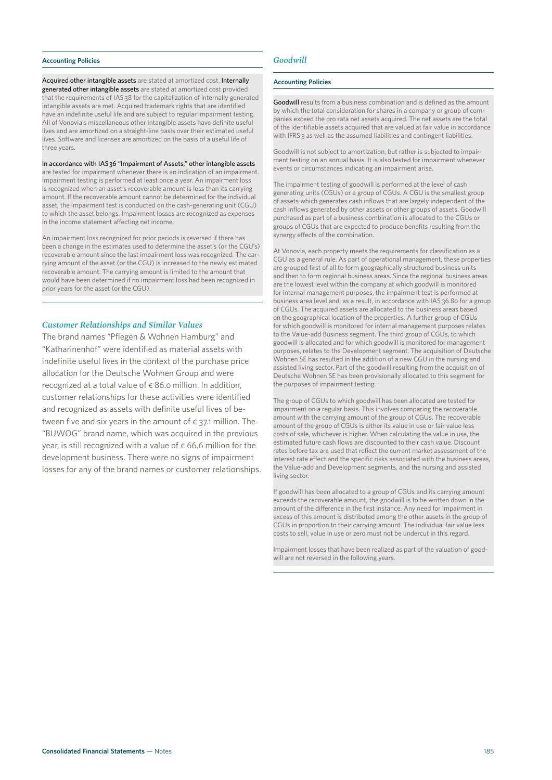#### **Accounting Policies**

Acquired other intangible assets are stated at amortized cost. Internally generated other intangible assets are stated at amortized cost provided that the requirements of IAS 38 for the capitalization of internally generated intangible assets are met. Acquired trademark rights that are identified have an indefinite useful life and are subject to regular impairment testing. All of Vonovia's miscellaneous other intangible assets have definite useful lives and are amortized on a straight-line basis over their estimated useful lives. Software and licenses are amortized on the basis of a useful life of three years.

In accordance with IAS 36 "Impairment of Assets," other intangible assets are tested for impairment whenever there is an indication of an impairment. Impairment testing is performed at least once a year. An impairment loss is recognized when an asset's recoverable amount is less than its carrying amount. If the recoverable amount cannot be determined for the individual asset, the impairment test is conducted on the cash-generating unit (CGU) to which the asset belongs. Impairment losses are recognized as expenses in the income statement affecting net income.

An impairment loss recognized for prior periods is reversed if there has been a change in the estimates used to determine the asset's (or the CGU's) recoverable amount since the last impairment loss was recognized. The carrying amount of the asset (or the CGU) is increased to the newly estimated recoverable amount. The carrying amount is limited to the amount that would have been determined if no impairment loss had been recognized in prior years for the asset (or the CGU).

### *Customer Relationships and Similar Values*

The brand names "Pflegen & Wohnen Hamburg" and "Katharinenhof" were identified as material assets with indefinite useful lives in the context of the purchase price allocation for the Deutsche Wohnen Group and were recognized at a total value of  $\epsilon$  86.0 million. In addition, customer relationships for these activities were identified and recognized as assets with definite useful lives of between five and six years in the amount of  $\epsilon$  37.1 million. The "BUWOG" brand name, which was acquired in the previous year, is still recognized with a value of  $\epsilon$  66.6 million for the development business. There were no signs of impairment losses for any of the brand names or customer relationships.

## *Goodwill*

#### **Accounting Policies**

Goodwill results from a business combination and is defined as the amount by which the total consideration for shares in a company or group of companies exceed the pro rata net assets acquired. The net assets are the total of the identifiable assets acquired that are valued at fair value in accordance with IFRS 3 as well as the assumed liabilities and contingent liabilities.

Goodwill is not subject to amortization, but rather is subjected to impairment testing on an annual basis. It is also tested for impairment whenever events or circumstances indicating an impairment arise.

The impairment testing of goodwill is performed at the level of cash generating units (CGUs) or a group of CGUs. A CGU is the smallest group of assets which generates cash inflows that are largely independent of the cash inflows generated by other assets or other groups of assets. Goodwill purchased as part of a business combination is allocated to the CGUs or groups of CGUs that are expected to produce benefits resulting from the synergy effects of the combination.

At Vonovia, each property meets the requirements for classification as a CGU as a general rule. As part of operational management, these properties are grouped first of all to form geographically structured business units and then to form regional business areas. Since the regional business areas are the lowest level within the company at which goodwill is monitored for internal management purposes, the impairment test is performed at business area level and, as a result, in accordance with IAS 36.80 for a group of CGUs. The acquired assets are allocated to the business areas based on the geographical location of the properties. A further group of CGUs for which goodwill is monitored for internal management purposes relates to the Value-add Business segment. The third group of CGUs, to which goodwill is allocated and for which goodwill is monitored for management purposes, relates to the Development segment. The acquisition of Deutsche Wohnen SE has resulted in the addition of a new CGU in the nursing and assisted living sector. Part of the goodwill resulting from the acquisition of Deutsche Wohnen SE has been provisionally allocated to this segment for the purposes of impairment testing.

The group of CGUs to which goodwill has been allocated are tested for impairment on a regular basis. This involves comparing the recoverable amount with the carrying amount of the group of CGUs. The recoverable amount of the group of CGUs is either its value in use or fair value less costs of sale, whichever is higher. When calculating the value in use, the estimated future cash flows are discounted to their cash value. Discount rates before tax are used that reflect the current market assessment of the interest rate effect and the specific risks associated with the business areas, the Value-add and Development segments, and the nursing and assisted living sector.

If goodwill has been allocated to a group of CGUs and its carrying amount exceeds the recoverable amount, the goodwill is to be written down in the amount of the difference in the first instance. Any need for impairment in excess of this amount is distributed among the other assets in the group of CGUs in proportion to their carrying amount. The individual fair value less costs to sell, value in use or zero must not be undercut in this regard.

Impairment losses that have been realized as part of the valuation of goodwill are not reversed in the following years.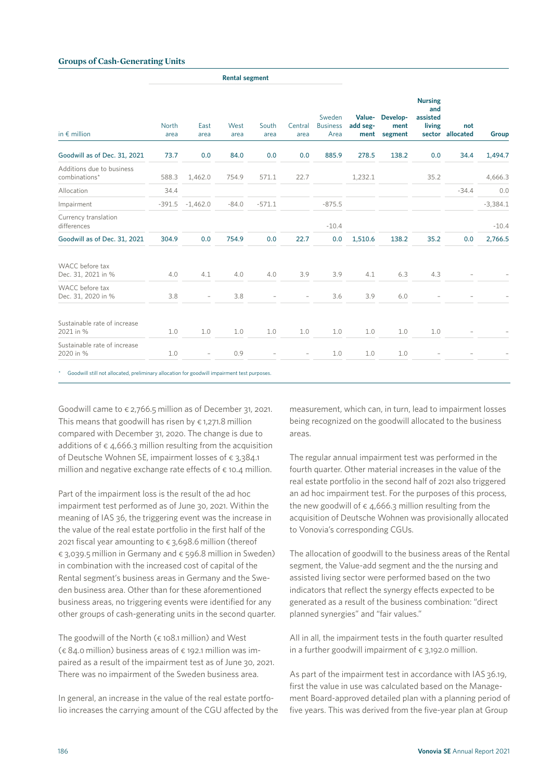### **Groups of Cash-Generating Units**

**Rental segment**

| in $\epsilon$ million                      | <b>North</b><br>area | East<br>area             | West<br>area | South<br>area | Central<br>area | Sweden<br><b>Business</b><br>Area | Value-<br>add seg-<br>ment | Develop-<br>ment<br>segment | <b>Nursing</b><br>and<br>assisted<br>living<br>sector | not<br>allocated | Group      |
|--------------------------------------------|----------------------|--------------------------|--------------|---------------|-----------------|-----------------------------------|----------------------------|-----------------------------|-------------------------------------------------------|------------------|------------|
| Goodwill as of Dec. 31, 2021               | 73.7                 | 0.0                      | 84.0         | 0.0           | 0.0             | 885.9                             | 278.5                      | 138.2                       | 0.0                                                   | 34.4             | 1,494.7    |
| Additions due to business<br>combinations* | 588.3                | 1,462.0                  | 754.9        | 571.1         | 22.7            |                                   | 1,232.1                    |                             | 35.2                                                  |                  | 4,666.3    |
| Allocation                                 | 34.4                 |                          |              |               |                 |                                   |                            |                             |                                                       | $-34.4$          | 0.0        |
| Impairment                                 | $-391.5$             | $-1,462.0$               | $-84.0$      | $-571.1$      |                 | $-875.5$                          |                            |                             |                                                       |                  | $-3,384.1$ |
| Currency translation<br>differences        |                      |                          |              |               |                 | $-10.4$                           |                            |                             |                                                       |                  | $-10.4$    |
| Goodwill as of Dec. 31, 2021               | 304.9                | 0.0                      | 754.9        | 0.0           | 22.7            | 0.0                               | 1,510.6                    | 138.2                       | 35.2                                                  | 0.0              | 2,766.5    |
| WACC before tax<br>Dec. 31, 2021 in %      | 4.0                  | 4.1                      | 4.0          | 4.0           | 3.9             | 3.9                               | 4.1                        | 6.3                         | 4.3                                                   |                  |            |
| WACC before tax<br>Dec. 31, 2020 in %      | 3.8                  | $\overline{\phantom{a}}$ | 3.8          |               |                 | 3.6                               | 3.9                        | 6.0                         |                                                       |                  |            |
| Sustainable rate of increase<br>2021 in %  | 1.0                  | 1.0                      | 1.0          | 1.0           | 1.0             | 1.0                               | 1.0                        | 1.0                         | 1.0                                                   |                  |            |
| Sustainable rate of increase<br>2020 in %  | 1.0                  | $\overline{\phantom{a}}$ | 0.9          |               |                 | 1.0                               | 1.0                        | 1.0                         |                                                       |                  |            |

hary allocation for go

Goodwill came to  $\epsilon$  2,766.5 million as of December 31, 2021. This means that goodwill has risen by  $\epsilon$  1,271.8 million compared with December 31, 2020. The change is due to additions of  $\epsilon$  4,666.3 million resulting from the acquisition of Deutsche Wohnen SE, impairment losses of € 3,384.1 million and negative exchange rate effects of  $\epsilon$  10.4 million.

Part of the impairment loss is the result of the ad hoc impairment test performed as of June 30, 2021. Within the meaning of IAS 36, the triggering event was the increase in the value of the real estate portfolio in the first half of the 2021 fiscal year amounting to  $\epsilon$  3,698.6 million (thereof € 3,039.5 million in Germany and € 596.8 million in Sweden) in combination with the increased cost of capital of the Rental segment's business areas in Germany and the Sweden business area. Other than for these aforementioned business areas, no triggering events were identified for any other groups of cash-generating units in the second quarter.

The goodwill of the North ( $\epsilon$  108.1 million) and West  $(6.84.0 \text{ million})$  business areas of  $6.192.1 \text{ million}$  was impaired as a result of the impairment test as of June 30, 2021. There was no impairment of the Sweden business area.

In general, an increase in the value of the real estate portfolio increases the carrying amount of the CGU affected by the measurement, which can, in turn, lead to impairment losses being recognized on the goodwill allocated to the business areas.

The regular annual impairment test was performed in the fourth quarter. Other material increases in the value of the real estate portfolio in the second half of 2021 also triggered an ad hoc impairment test. For the purposes of this process, the new goodwill of  $\epsilon$  4,666.3 million resulting from the acquisition of Deutsche Wohnen was provisionally allocated to Vonovia's corresponding CGUs.

The allocation of goodwill to the business areas of the Rental segment, the Value-add segment and the the nursing and assisted living sector were performed based on the two indicators that reflect the synergy effects expected to be generated as a result of the business combination: "direct planned synergies" and "fair values."

All in all, the impairment tests in the fouth quarter resulted in a further goodwill impairment of  $\epsilon$  3,192.0 million.

As part of the impairment test in accordance with IAS 36.19, first the value in use was calculated based on the Management Board-approved detailed plan with a planning period of five years. This was derived from the five-year plan at Group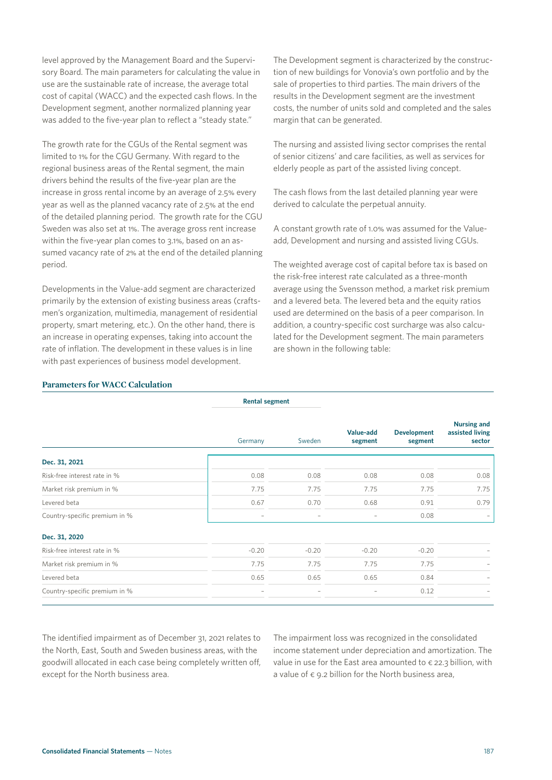level approved by the Management Board and the Supervisory Board. The main parameters for calculating the value in use are the sustainable rate of increase, the average total cost of capital (WACC) and the expected cash flows. In the Development segment, another normalized planning year was added to the five-year plan to reflect a "steady state."

The growth rate for the CGUs of the Rental segment was limited to 1% for the CGU Germany. With regard to the regional business areas of the Rental segment, the main drivers behind the results of the five-year plan are the increase in gross rental income by an average of 2.5% every year as well as the planned vacancy rate of 2.5% at the end of the detailed planning period. The growth rate for the CGU Sweden was also set at 1%. The average gross rent increase within the five-year plan comes to 3.1%, based on an assumed vacancy rate of 2% at the end of the detailed planning period.

Developments in the Value-add segment are characterized primarily by the extension of existing business areas (craftsmen's organization, multimedia, management of residential property, smart metering, etc.). On the other hand, there is an increase in operating expenses, taking into account the rate of inflation. The development in these values is in line with past experiences of business model development.

The Development segment is characterized by the construction of new buildings for Vonovia's own portfolio and by the sale of properties to third parties. The main drivers of the results in the Development segment are the investment costs, the number of units sold and completed and the sales margin that can be generated.

The nursing and assisted living sector comprises the rental of senior citizens' and care facilities, as well as services for elderly people as part of the assisted living concept.

The cash flows from the last detailed planning year were derived to calculate the perpetual annuity.

A constant growth rate of 1.0% was assumed for the Valueadd, Development and nursing and assisted living CGUs.

The weighted average cost of capital before tax is based on the risk-free interest rate calculated as a three-month average using the Svensson method, a market risk premium and a levered beta. The levered beta and the equity ratios used are determined on the basis of a peer comparison. In addition, a country-specific cost surcharge was also calculated for the Development segment. The main parameters are shown in the following table:

## **Parameters for WACC Calculation**

|                               | Germany                  | Sweden                   | Value-add<br>segment     | <b>Development</b><br>segment | <b>Nursing and</b><br>assisted living<br>sector |
|-------------------------------|--------------------------|--------------------------|--------------------------|-------------------------------|-------------------------------------------------|
| Dec. 31, 2021                 |                          |                          |                          |                               |                                                 |
| Risk-free interest rate in %  | 0.08                     | 0.08                     | 0.08                     | 0.08                          | 0.08                                            |
| Market risk premium in %      | 7.75                     | 7.75                     | 7.75                     | 7.75                          | 7.75                                            |
| Levered beta                  | 0.67                     | 0.70                     | 0.68                     | 0.91                          | 0.79                                            |
| Country-specific premium in % | $\overline{\phantom{m}}$ | $\overline{\phantom{0}}$ | $\overline{\phantom{0}}$ | 0.08                          |                                                 |
| Dec. 31, 2020                 |                          |                          |                          |                               |                                                 |
| Risk-free interest rate in %  | $-0.20$                  | $-0.20$                  | $-0.20$                  | $-0.20$                       |                                                 |
| Market risk premium in %      | 7.75                     | 7.75                     | 7.75                     | 7.75                          |                                                 |
| Levered beta                  | 0.65                     | 0.65                     | 0.65                     | 0.84                          |                                                 |
| Country-specific premium in % |                          |                          | $\qquad \qquad -$        | 0.12                          |                                                 |

**Rental segment**

The identified impairment as of December 31, 2021 relates to the North, East, South and Sweden business areas, with the goodwill allocated in each case being completely written off, except for the North business area.

The impairment loss was recognized in the consolidated income statement under depreciation and amortization. The value in use for the East area amounted to  $\epsilon$  22.3 billion, with a value of  $\epsilon$  9.2 billion for the North business area,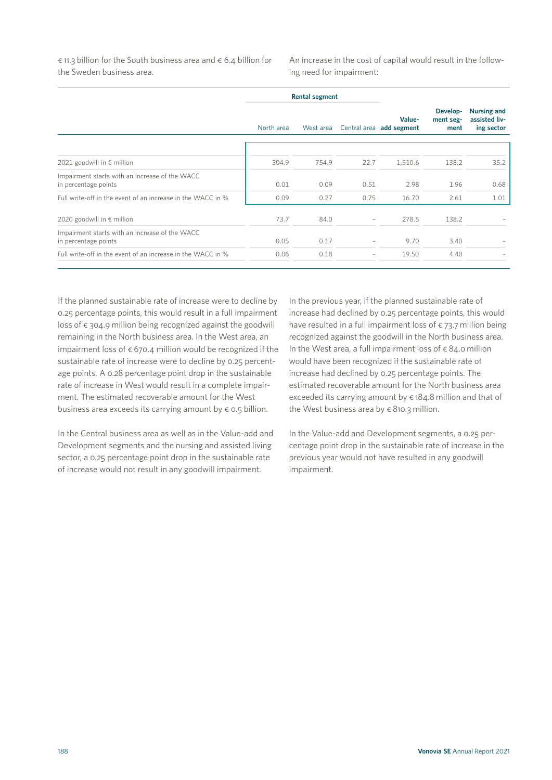$\epsilon$  11.3 billion for the South business area and  $\epsilon$  6.4 billion for the Sweden business area.

An increase in the cost of capital would result in the following need for impairment:

|                                                                        |            | <b>Rental segment</b> |                          |                                    |                               |                                                   |
|------------------------------------------------------------------------|------------|-----------------------|--------------------------|------------------------------------|-------------------------------|---------------------------------------------------|
|                                                                        | North area | West area             |                          | Value-<br>Central area add segment | Develop-<br>ment seg-<br>ment | <b>Nursing and</b><br>assisted liv-<br>ing sector |
|                                                                        |            |                       |                          |                                    |                               |                                                   |
| 2021 goodwill in € million                                             | 304.9      | 754.9                 | 22.7                     | 1,510.6                            | 138.2                         | 35.2                                              |
| Impairment starts with an increase of the WACC<br>in percentage points | 0.01       | 0.09                  | 0.51                     | 2.98                               | 1.96                          | 0.68                                              |
| Full write-off in the event of an increase in the WACC in %            | 0.09       | 0.27                  | 0.75                     | 16.70                              | 2.61                          | 1.01                                              |
| 2020 goodwill in € million                                             | 73.7       | 84.0                  |                          | 278.5                              | 138.2                         |                                                   |
| Impairment starts with an increase of the WACC<br>in percentage points | 0.05       | 0.17                  | $\overline{\phantom{0}}$ | 9.70                               | 3.40                          |                                                   |
| Full write-off in the event of an increase in the WACC in %            | 0.06       | 0.18                  | $\overline{\phantom{0}}$ | 19.50                              | 4.40                          |                                                   |

If the planned sustainable rate of increase were to decline by 0.25 percentage points, this would result in a full impairment loss of  $\epsilon$  304.9 million being recognized against the goodwill remaining in the North business area. In the West area, an impairment loss of  $\epsilon$  670.4 million would be recognized if the sustainable rate of increase were to decline by 0.25 percentage points. A 0.28 percentage point drop in the sustainable rate of increase in West would result in a complete impairment. The estimated recoverable amount for the West business area exceeds its carrying amount by  $\epsilon$  0.5 billion.

In the Central business area as well as in the Value-add and Development segments and the nursing and assisted living sector, a 0.25 percentage point drop in the sustainable rate of increase would not result in any goodwill impairment.

In the previous year, if the planned sustainable rate of increase had declined by 0.25 percentage points, this would have resulted in a full impairment loss of  $\epsilon$  73.7 million being recognized against the goodwill in the North business area. In the West area, a full impairment loss of  $\epsilon$  84.0 million would have been recognized if the sustainable rate of increase had declined by 0.25 percentage points. The estimated recoverable amount for the North business area exceeded its carrying amount by  $\epsilon$  184.8 million and that of the West business area by  $\epsilon$  810.3 million.

In the Value-add and Development segments, a 0.25 percentage point drop in the sustainable rate of increase in the previous year would not have resulted in any goodwill impairment.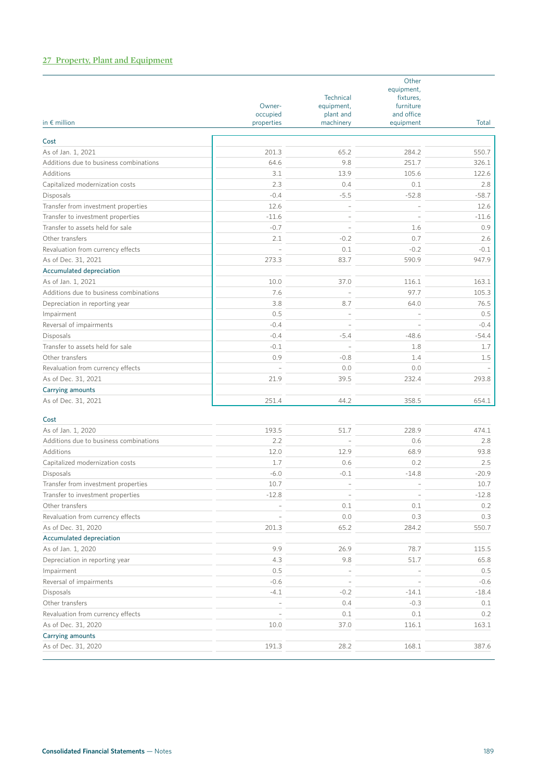# **27 Property, Plant and Equipment**

| in $\epsilon$ million                  | Owner-<br>occupied<br>properties | <b>Technical</b><br>equipment,<br>plant and<br>machinery | Other<br>equipment,<br>fixtures,<br>furniture<br>and office<br>equipment | Total   |
|----------------------------------------|----------------------------------|----------------------------------------------------------|--------------------------------------------------------------------------|---------|
|                                        |                                  |                                                          |                                                                          |         |
| Cost<br>As of Jan. 1, 2021             | 201.3                            | 65.2                                                     | 284.2                                                                    | 550.7   |
| Additions due to business combinations | 64.6                             | 9.8                                                      | 251.7                                                                    | 326.1   |
|                                        | 3.1                              |                                                          | 105.6                                                                    |         |
| Additions                              |                                  | 13.9                                                     |                                                                          | 122.6   |
| Capitalized modernization costs        | 2.3<br>$-0.4$                    | 0.4                                                      | 0.1                                                                      | 2.8     |
| Disposals                              |                                  | $-5.5$                                                   | $-52.8$                                                                  | $-58.7$ |
| Transfer from investment properties    | 12.6                             | L,                                                       |                                                                          | 12.6    |
| Transfer to investment properties      | $-11.6$                          |                                                          |                                                                          | $-11.6$ |
| Transfer to assets held for sale       | $-0.7$                           | $\overline{\phantom{a}}$                                 | 1.6                                                                      | 0.9     |
| Other transfers                        | 2.1                              | $-0.2$                                                   | 0.7                                                                      | 2.6     |
| Revaluation from currency effects      |                                  | 0.1                                                      | $-0.2$                                                                   | $-0.1$  |
| As of Dec. 31, 2021                    | 273.3                            | 83.7                                                     | 590.9                                                                    | 947.9   |
| Accumulated depreciation               |                                  |                                                          |                                                                          |         |
| As of Jan. 1, 2021                     | 10.0                             | 37.0                                                     | 116.1                                                                    | 163.1   |
| Additions due to business combinations | 7.6                              |                                                          | 97.7                                                                     | 105.3   |
| Depreciation in reporting year         | 3.8                              | 8.7                                                      | 64.0                                                                     | 76.5    |
| Impairment                             | 0.5                              | L.                                                       |                                                                          | 0.5     |
| Reversal of impairments                | $-0.4$                           |                                                          |                                                                          | $-0.4$  |
| Disposals                              | $-0.4$                           | $-5.4$                                                   | $-48.6$                                                                  | $-54.4$ |
| Transfer to assets held for sale       | $-0.1$                           | $\overline{a}$                                           | 1.8                                                                      | 1.7     |
| Other transfers                        | 0.9                              | $-0.8$                                                   | 1.4                                                                      | 1.5     |
| Revaluation from currency effects      |                                  | 0.0                                                      | 0.0                                                                      |         |
| As of Dec. 31, 2021                    | 21.9                             | 39.5                                                     | 232.4                                                                    | 293.8   |
| <b>Carrying amounts</b>                |                                  |                                                          |                                                                          |         |
| As of Dec. 31, 2021                    | 251.4                            | 44.2                                                     | 358.5                                                                    | 654.1   |
| Cost                                   |                                  |                                                          |                                                                          |         |
| As of Jan. 1, 2020                     | 193.5                            | 51.7                                                     | 228.9                                                                    | 474.1   |
| Additions due to business combinations | 2.2                              |                                                          | 0.6                                                                      | 2.8     |

| Additions due to business combinations | 2.2                      |        | 0.6     | 2.8     |
|----------------------------------------|--------------------------|--------|---------|---------|
| Additions                              | 12.0                     | 12.9   | 68.9    | 93.8    |
| Capitalized modernization costs        | 1.7                      | 0.6    | 0.2     | 2.5     |
| Disposals                              | $-6.0$                   | $-0.1$ | $-14.8$ | $-20.9$ |
| Transfer from investment properties    | 10.7                     |        |         | 10.7    |
| Transfer to investment properties      | $-12.8$                  |        |         | $-12.8$ |
| Other transfers                        |                          | 0.1    | 0.1     | 0.2     |
| Revaluation from currency effects      |                          | 0.0    | 0.3     | 0.3     |
| As of Dec. 31, 2020                    | 201.3                    | 65.2   | 284.2   | 550.7   |
| Accumulated depreciation               |                          |        |         |         |
| As of Jan. 1, 2020                     | 9.9                      | 26.9   | 78.7    | 115.5   |
| Depreciation in reporting year         | 4.3                      | 9.8    | 51.7    | 65.8    |
| Impairment                             | 0.5                      |        |         | 0.5     |
| Reversal of impairments                | $-0.6$                   |        |         | $-0.6$  |
| Disposals                              | $-4.1$                   | $-0.2$ | $-14.1$ | $-18.4$ |
| Other transfers                        | $\overline{\phantom{a}}$ | 0.4    | $-0.3$  | 0.1     |
| Revaluation from currency effects      |                          | 0.1    | 0.1     | 0.2     |
| As of Dec. 31, 2020                    | 10.0                     | 37.0   | 116.1   | 163.1   |
| Carrying amounts                       |                          |        |         |         |
| As of Dec. 31, 2020                    | 191.3                    | 28.2   | 168.1   | 387.6   |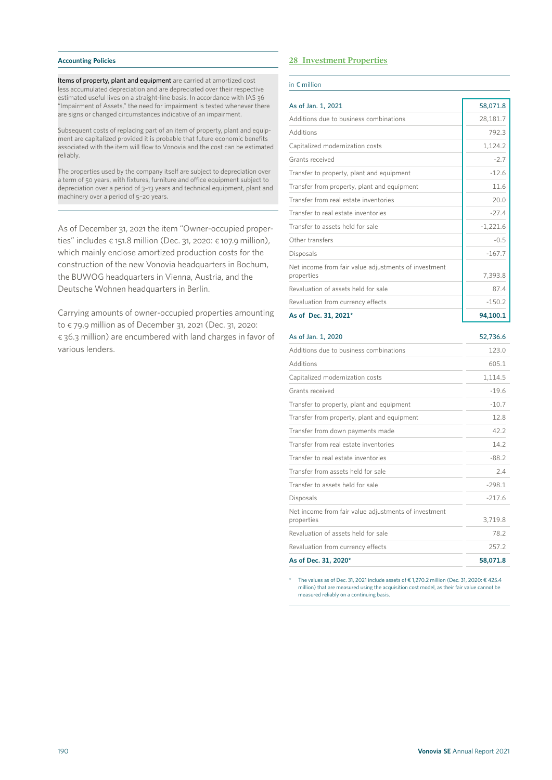#### **Accounting Policies**

Items of property, plant and equipment are carried at amortized cost less accumulated depreciation and are depreciated over their respective estimated useful lives on a straight-line basis. In accordance with IAS 36 "Impairment of Assets," the need for impairment is tested whenever there are signs or changed circumstances indicative of an impairment.

Subsequent costs of replacing part of an item of property, plant and equipment are capitalized provided it is probable that future economic benefits associated with the item will flow to Vonovia and the cost can be estimated reliably.

The properties used by the company itself are subject to depreciation over a term of 50 years, with fixtures, furniture and office equipment subject to depreciation over a period of 3–13 years and technical equipment, plant and machinery over a period of 5–20 years.

As of December 31, 2021 the item "Owner-occupied properties" includes € 151.8 million (Dec. 31, 2020: € 107.9 million), which mainly enclose amortized production costs for the construction of the new Vonovia headquarters in Bochum, the BUWOG headquarters in Vienna, Austria, and the Deutsche Wohnen headquarters in Berlin.

Carrying amounts of owner-occupied properties amounting to € 79.9 million as of December 31, 2021 (Dec. 31, 2020: € 36.3 million) are encumbered with land charges in favor of various lenders.

# **28 Investment Properties**

#### in € million

| As of Jan. 1, 2021                                                 | 58,071.8   |
|--------------------------------------------------------------------|------------|
| Additions due to business combinations                             | 28,181.7   |
| Additions                                                          | 792.3      |
| Capitalized modernization costs                                    | 1,124.2    |
| Grants received                                                    | $-2.7$     |
| Transfer to property, plant and equipment                          | $-12.6$    |
| Transfer from property, plant and equipment                        | 11.6       |
| Transfer from real estate inventories                              | 20.0       |
| Transfer to real estate inventories                                | $-27.4$    |
| Transfer to assets held for sale                                   | $-1,221.6$ |
| Other transfers                                                    | $-0.5$     |
| Disposals                                                          | $-167.7$   |
| Net income from fair value adjustments of investment<br>properties | 7,393.8    |
| Revaluation of assets held for sale                                | 87.4       |
| Revaluation from currency effects                                  | $-150.2$   |
| As of Dec. 31, 2021*                                               | 94,100.1   |

| As of Jan. 1, 2020                                                 | 52,736.6 |
|--------------------------------------------------------------------|----------|
| Additions due to business combinations                             | 123.0    |
| Additions                                                          | 605.1    |
| Capitalized modernization costs                                    | 1,114.5  |
| Grants received                                                    | $-19.6$  |
| Transfer to property, plant and equipment                          | $-10.7$  |
| Transfer from property, plant and equipment                        | 12.8     |
| Transfer from down payments made                                   | 42.2     |
| Transfer from real estate inventories                              | 14.2     |
| Transfer to real estate inventories                                | $-88.2$  |
| Transfer from assets held for sale                                 | 2.4      |
| Transfer to assets held for sale                                   | $-298.1$ |
| Disposals                                                          | $-217.6$ |
| Net income from fair value adjustments of investment<br>properties | 3,719.8  |
| Revaluation of assets held for sale                                | 78.2     |
| Revaluation from currency effects                                  | 257.2    |
| As of Dec. 31, 2020*                                               | 58,071.8 |

The values as of Dec. 31, 2021 include assets of € 1,270.2 million (Dec. 31, 2020: € 425.4 million) that are measured using the acquisition cost model, as their fair value cannot be measured reliably on a continuing basis.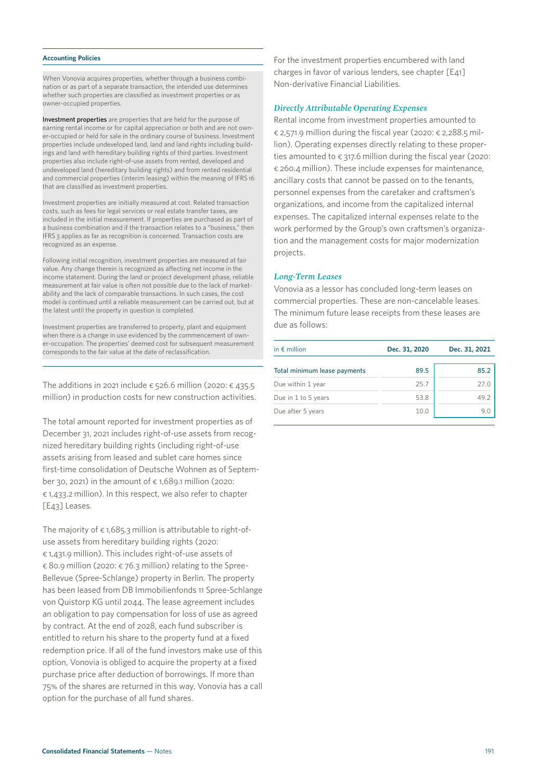#### **Accounting Policies**

When Vonovia acquires properties, whether through a business combination or as part of a separate transaction, the intended use determines whether such properties are classified as investment properties or as owner-occupied properties.

Investment properties are properties that are held for the purpose of earning rental income or for capital appreciation or both and are not owner-occupied or held for sale in the ordinary course of business. Investment properties include undeveloped land, land and land rights including buildings and land with hereditary building rights of third parties. Investment properties also include right-of-use assets from rented, developed and undeveloped land (hereditary building rights) and from rented residential and commercial properties (interim leasing) within the meaning of IFRS 16 that are classified as investment properties.

Investment properties are initially measured at cost. Related transaction costs, such as fees for legal services or real estate transfer taxes, are included in the initial measurement. If properties are purchased as part of a business combination and if the transaction relates to a "business," then IFRS 3 applies as far as recognition is concerned. Transaction costs are recognized as an expense.

Following initial recognition, investment properties are measured at fair value. Any change therein is recognized as affecting net income in the income statement. During the land or project development phase, reliable measurement at fair value is often not possible due to the lack of marketability and the lack of comparable transactions. In such cases, the cost model is continued until a reliable measurement can be carried out, but at the latest until the property in question is completed.

Investment properties are transferred to property, plant and equipment when there is a change in use evidenced by the commencement of owner-occupation. The properties' deemed cost for subsequent measurement corresponds to the fair value at the date of reclassification.

The additions in 2021 include  $\epsilon$  526.6 million (2020:  $\epsilon$  435.5 million) in production costs for new construction activities.

The total amount reported for investment properties as of December 31, 2021 includes right-of-use assets from recognized hereditary building rights (including right-of-use assets arising from leased and sublet care homes since first-time consolidation of Deutsche Wohnen as of September 30, 2021) in the amount of  $\epsilon$  1,689.1 million (2020: € 1,433.2 million). In this respect, we also refer to chapter [E43] Leases.

The majority of  $\epsilon$  1,685.3 million is attributable to right-ofuse assets from hereditary building rights (2020: € 1,431.9 million). This includes right-of-use assets of  $\epsilon$  80.9 million (2020:  $\epsilon$  76.3 million) relating to the Spree-Bellevue (Spree-Schlange) property in Berlin. The property has been leased from DB Immobilienfonds 11 Spree-Schlange von Quistorp KG until 2044. The lease agreement includes an obligation to pay compensation for loss of use as agreed by contract. At the end of 2028, each fund subscriber is entitled to return his share to the property fund at a fixed redemption price. If all of the fund investors make use of this option, Vonovia is obliged to acquire the property at a fixed purchase price after deduction of borrowings. If more than 75% of the shares are returned in this way, Vonovia has a call option for the purchase of all fund shares.

For the investment properties encumbered with land charges in favor of various lenders, see chapter [E41] Non-derivative Financial Liabilities.

# *Directly Attributable Operating Expenses*

Rental income from investment properties amounted to  $\epsilon$  2,571.9 million during the fiscal year (2020:  $\epsilon$  2,288.5 million). Operating expenses directly relating to these properties amounted to  $\epsilon$  317.6 million during the fiscal year (2020: € 260.4 million). These include expenses for maintenance, ancillary costs that cannot be passed on to the tenants, personnel expenses from the caretaker and craftsmen's organizations, and income from the capitalized internal expenses. The capitalized internal expenses relate to the work performed by the Group's own craftsmen's organization and the management costs for major modernization projects.

### *Long-Term Leases*

Vonovia as a lessor has concluded long-term leases on commercial properties. These are non-cancelable leases. The minimum future lease receipts from these leases are due as follows:

| in $\epsilon$ million        | Dec. 31, 2020 | Dec. 31, 2021 |
|------------------------------|---------------|---------------|
| Total minimum lease payments | 89.5          | 85.2          |
| Due within 1 year            | 25.7          | 27.0          |
| Due in 1 to 5 years          | 53.8          | 49.2          |
| Due after 5 years            | 10.0          | 9 N           |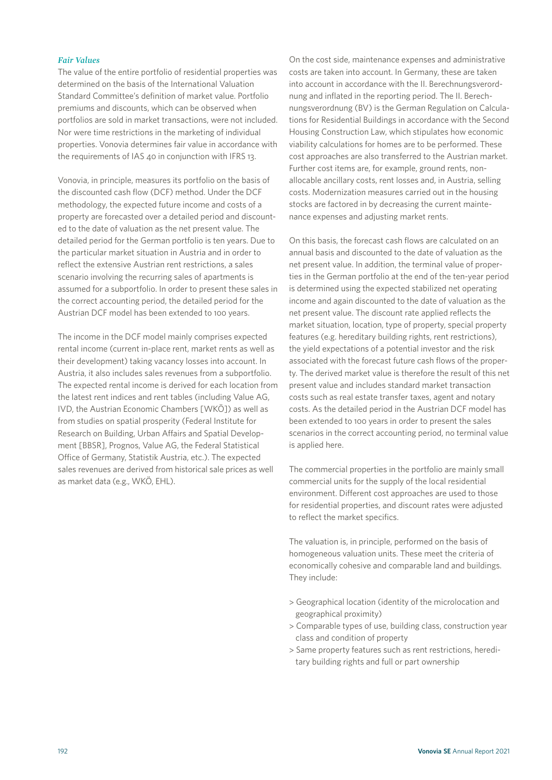# *Fair Values*

The value of the entire portfolio of residential properties was determined on the basis of the International Valuation Standard Committee's definition of market value. Portfolio premiums and discounts, which can be observed when portfolios are sold in market transactions, were not included. Nor were time restrictions in the marketing of individual properties. Vonovia determines fair value in accordance with the requirements of IAS 40 in conjunction with IFRS 13.

Vonovia, in principle, measures its portfolio on the basis of the discounted cash flow (DCF) method. Under the DCF methodology, the expected future income and costs of a property are forecasted over a detailed period and discounted to the date of valuation as the net present value. The detailed period for the German portfolio is ten years. Due to the particular market situation in Austria and in order to reflect the extensive Austrian rent restrictions, a sales scenario involving the recurring sales of apartments is assumed for a subportfolio. In order to present these sales in the correct accounting period, the detailed period for the Austrian DCF model has been extended to 100 years.

The income in the DCF model mainly comprises expected rental income (current in-place rent, market rents as well as their development) taking vacancy losses into account. In Austria, it also includes sales revenues from a subportfolio. The expected rental income is derived for each location from the latest rent indices and rent tables (including Value AG, IVD, the Austrian Economic Chambers [WKÖ]) as well as from studies on spatial prosperity (Federal Institute for Research on Building, Urban Affairs and Spatial Development [BBSR], Prognos, Value AG, the Federal Statistical Office of Germany, Statistik Austria, etc.). The expected sales revenues are derived from historical sale prices as well as market data (e.g., WKÖ, EHL).

On the cost side, maintenance expenses and administrative costs are taken into account. In Germany, these are taken into account in accordance with the II. Berechnungsverordnung and inflated in the reporting period. The II. Berechnungsverordnung (BV) is the German Regulation on Calculations for Residential Buildings in accordance with the Second Housing Construction Law, which stipulates how economic viability calculations for homes are to be performed. These cost approaches are also transferred to the Austrian market. Further cost items are, for example, ground rents, nonallocable ancillary costs, rent losses and, in Austria, selling costs. Modernization measures carried out in the housing stocks are factored in by decreasing the current maintenance expenses and adjusting market rents.

On this basis, the forecast cash flows are calculated on an annual basis and discounted to the date of valuation as the net present value. In addition, the terminal value of properties in the German portfolio at the end of the ten-year period is determined using the expected stabilized net operating income and again discounted to the date of valuation as the net present value. The discount rate applied reflects the market situation, location, type of property, special property features (e.g. hereditary building rights, rent restrictions), the yield expectations of a potential investor and the risk associated with the forecast future cash flows of the property. The derived market value is therefore the result of this net present value and includes standard market transaction costs such as real estate transfer taxes, agent and notary costs. As the detailed period in the Austrian DCF model has been extended to 100 years in order to present the sales scenarios in the correct accounting period, no terminal value is applied here.

The commercial properties in the portfolio are mainly small commercial units for the supply of the local residential environment. Different cost approaches are used to those for residential properties, and discount rates were adjusted to reflect the market specifics.

The valuation is, in principle, performed on the basis of homogeneous valuation units. These meet the criteria of economically cohesive and comparable land and buildings. They include:

- > Geographical location (identity of the microlocation and geographical proximity)
- > Comparable types of use, building class, construction year class and condition of property
- > Same property features such as rent restrictions, hereditary building rights and full or part ownership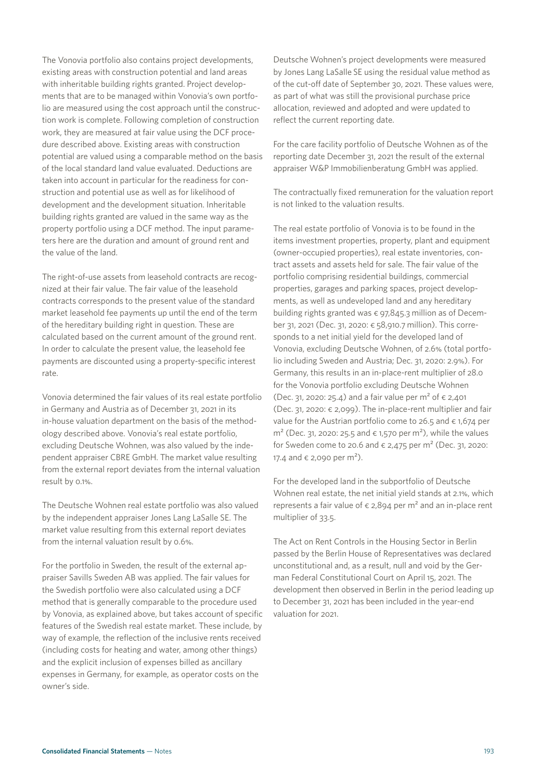The Vonovia portfolio also contains project developments, existing areas with construction potential and land areas with inheritable building rights granted. Project developments that are to be managed within Vonovia's own portfolio are measured using the cost approach until the construction work is complete. Following completion of construction work, they are measured at fair value using the DCF procedure described above. Existing areas with construction potential are valued using a comparable method on the basis of the local standard land value evaluated. Deductions are taken into account in particular for the readiness for construction and potential use as well as for likelihood of development and the development situation. Inheritable building rights granted are valued in the same way as the property portfolio using a DCF method. The input parameters here are the duration and amount of ground rent and the value of the land.

The right-of-use assets from leasehold contracts are recognized at their fair value. The fair value of the leasehold contracts corresponds to the present value of the standard market leasehold fee payments up until the end of the term of the hereditary building right in question. These are calculated based on the current amount of the ground rent. In order to calculate the present value, the leasehold fee payments are discounted using a property-specific interest rate.

Vonovia determined the fair values of its real estate portfolio in Germany and Austria as of December 31, 2021 in its in-house valuation department on the basis of the methodology described above. Vonovia's real estate portfolio, excluding Deutsche Wohnen, was also valued by the independent appraiser CBRE GmbH. The market value resulting from the external report deviates from the internal valuation result by 0.1%.

The Deutsche Wohnen real estate portfolio was also valued by the independent appraiser Jones Lang LaSalle SE. The market value resulting from this external report deviates from the internal valuation result by 0.6%.

For the portfolio in Sweden, the result of the external appraiser Savills Sweden AB was applied. The fair values for the Swedish portfolio were also calculated using a DCF method that is generally comparable to the procedure used by Vonovia, as explained above, but takes account of specific features of the Swedish real estate market. These include, by way of example, the reflection of the inclusive rents received (including costs for heating and water, among other things) and the explicit inclusion of expenses billed as ancillary expenses in Germany, for example, as operator costs on the owner's side.

Deutsche Wohnen's project developments were measured by Jones Lang LaSalle SE using the residual value method as of the cut-off date of September 30, 2021. These values were, as part of what was still the provisional purchase price allocation, reviewed and adopted and were updated to reflect the current reporting date.

For the care facility portfolio of Deutsche Wohnen as of the reporting date December 31, 2021 the result of the external appraiser W&P Immobilienberatung GmbH was applied.

The contractually fixed remuneration for the valuation report is not linked to the valuation results.

The real estate portfolio of Vonovia is to be found in the items investment properties, property, plant and equipment (owner-occupied properties), real estate inventories, contract assets and assets held for sale. The fair value of the portfolio comprising residential buildings, commercial properties, garages and parking spaces, project developments, as well as undeveloped land and any hereditary building rights granted was  $\epsilon$  97,845.3 million as of December 31, 2021 (Dec. 31, 2020: € 58,910.7 million). This corresponds to a net initial yield for the developed land of Vonovia, excluding Deutsche Wohnen, of 2.6% (total portfolio including Sweden and Austria; Dec. 31, 2020: 2.9%). For Germany, this results in an in-place-rent multiplier of 28.0 for the Vonovia portfolio excluding Deutsche Wohnen (Dec. 31, 2020: 25.4) and a fair value per m<sup>2</sup> of  $∈$  2,401 (Dec. 31, 2020: € 2,099). The in-place-rent multiplier and fair value for the Austrian portfolio come to 26.5 and  $\epsilon$  1,674 per m<sup>2</sup> (Dec. 31, 2020: 25.5 and  $\epsilon$  1,570 per m<sup>2</sup>), while the values for Sweden come to 20.6 and  $\epsilon$  2,475 per m<sup>2</sup> (Dec. 31, 2020: 17.4 and  $\epsilon$  2,090 per m<sup>2</sup>).

For the developed land in the subportfolio of Deutsche Wohnen real estate, the net initial yield stands at 2.1%, which represents a fair value of  $\epsilon$  2,894 per m<sup>2</sup> and an in-place rent multiplier of 33.5.

The Act on Rent Controls in the Housing Sector in Berlin passed by the Berlin House of Representatives was declared unconstitutional and, as a result, null and void by the German Federal Constitutional Court on April 15, 2021. The development then observed in Berlin in the period leading up to December 31, 2021 has been included in the year-end valuation for 2021.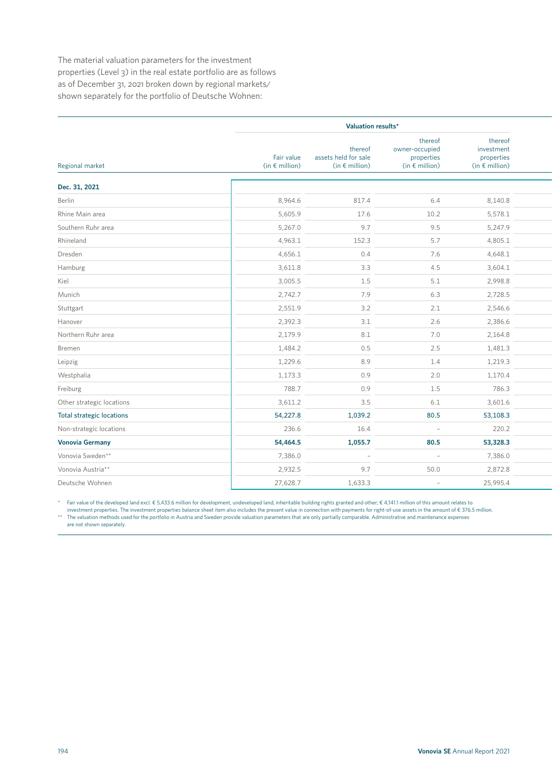The material valuation parameters for the investment properties (Level 3) in the real estate portfolio are as follows as of December 31, 2021 broken down by regional markets/ shown separately for the portfolio of Deutsche Wohnen:

|                                  | Valuation results*                    |                                                            |                                                                    |                                                                |  |
|----------------------------------|---------------------------------------|------------------------------------------------------------|--------------------------------------------------------------------|----------------------------------------------------------------|--|
| Regional market                  | Fair value<br>(in $\epsilon$ million) | thereof<br>assets held for sale<br>(in $\epsilon$ million) | thereof<br>owner-occupied<br>properties<br>(in $\epsilon$ million) | thereof<br>investment<br>properties<br>(in $\epsilon$ million) |  |
| Dec. 31, 2021                    |                                       |                                                            |                                                                    |                                                                |  |
| Berlin                           | 8,964.6                               | 817.4                                                      | 6.4                                                                | 8,140.8                                                        |  |
| Rhine Main area                  | 5,605.9                               | 17.6                                                       | 10.2                                                               | 5,578.1                                                        |  |
| Southern Ruhr area               | 5,267.0                               | 9.7                                                        | 9.5                                                                | 5,247.9                                                        |  |
| Rhineland                        | 4,963.1                               | 152.3                                                      | 5.7                                                                | 4,805.1                                                        |  |
| Dresden                          | 4,656.1                               | 0.4                                                        | 7.6                                                                | 4,648.1                                                        |  |
| Hamburg                          | 3,611.8                               | 3.3                                                        | 4.5                                                                | 3,604.1                                                        |  |
| Kiel                             | 3,005.5                               | 1.5                                                        | 5.1                                                                | 2,998.8                                                        |  |
| Munich                           | 2,742.7                               | 7.9                                                        | 6.3                                                                | 2,728.5                                                        |  |
| Stuttgart                        | 2,551.9                               | 3.2                                                        | 2.1                                                                | 2,546.6                                                        |  |
| Hanover                          | 2,392.3                               | $3.1\,$                                                    | 2.6                                                                | 2,386.6                                                        |  |
| Northern Ruhr area               | 2,179.9                               | $8.1\,$                                                    | 7.0                                                                | 2,164.8                                                        |  |
| Bremen                           | 1,484.2                               | 0.5                                                        | 2.5                                                                | 1,481.3                                                        |  |
| Leipzig                          | 1,229.6                               | 8.9                                                        | 1.4                                                                | 1,219.3                                                        |  |
| Westphalia                       | 1,173.3                               | 0.9                                                        | 2.0                                                                | 1,170.4                                                        |  |
| Freiburg                         | 788.7                                 | 0.9                                                        | 1.5                                                                | 786.3                                                          |  |
| Other strategic locations        | 3,611.2                               | 3.5                                                        | 6.1                                                                | 3,601.6                                                        |  |
| <b>Total strategic locations</b> | 54,227.8                              | 1,039.2                                                    | 80.5                                                               | 53,108.3                                                       |  |
| Non-strategic locations          | 236.6                                 | 16.4                                                       | $\sim$                                                             | 220.2                                                          |  |
| <b>Vonovia Germany</b>           | 54,464.5                              | 1,055.7                                                    | 80.5                                                               | 53,328.3                                                       |  |
| Vonovia Sweden**                 | 7,386.0                               | $\overline{\phantom{a}}$                                   | $\sim$                                                             | 7,386.0                                                        |  |
| Vonovia Austria**                | 2,932.5                               | 9.7                                                        | 50.0                                                               | 2,872.8                                                        |  |
| Deutsche Wohnen                  | 27,628.7                              | 1,633.3                                                    | $\sim$                                                             | 25,995.4                                                       |  |

\* Fair value of the developed land excl. € 5,433.6 million for development, undeveloped land, inheritable building rights granted and other; € 4,141.1 million of this amount relates to

investment properties. The investment properties balance sheet item also includes the present value in connection with payments for right-of-use assets in the amount of € 376.5 million. \*\* The valuation methods used for the portfolio in Austria and Sweden provide valuation parameters that are only partially comparable. Administrative and maintenance expenses

are not shown separately.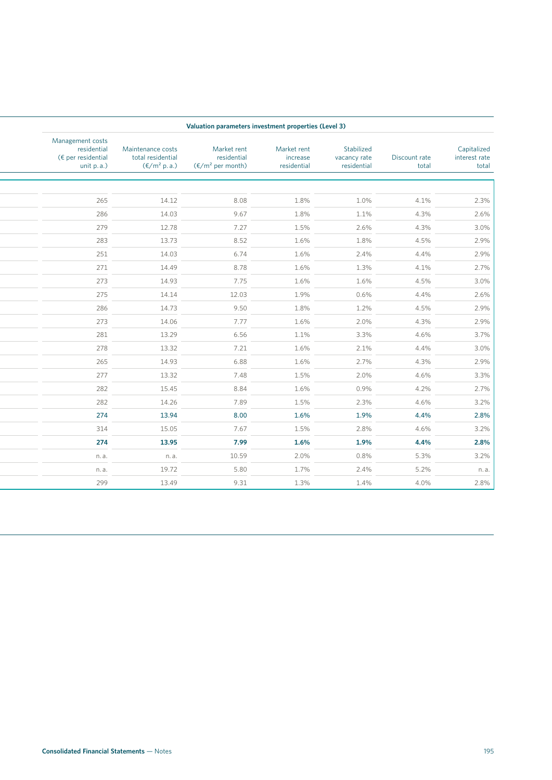|                                       |                        |                                           |                                        | Valuation parameters investment properties (Level 3)     |                                                                 |                                                                           |
|---------------------------------------|------------------------|-------------------------------------------|----------------------------------------|----------------------------------------------------------|-----------------------------------------------------------------|---------------------------------------------------------------------------|
| Capitalized<br>interest rate<br>total | Discount rate<br>total | Stabilized<br>vacancy rate<br>residential | Market rent<br>increase<br>residential | Market rent<br>residential<br>$(\epsilon/m^2$ per month) | Maintenance costs<br>total residential<br>$(\epsilon/m^2 p.a.)$ | Management costs<br>residential<br>$\xi$ per residential<br>unit $p.a.$ ) |
|                                       |                        |                                           |                                        |                                                          |                                                                 |                                                                           |
| $2.3\%$                               | 4.1%                   | 1.0%                                      | 1.8%                                   | 8.08                                                     | 14.12                                                           | 265                                                                       |
| 2.6%                                  | 4.3%                   | 1.1%                                      | 1.8%                                   | 9.67                                                     | 14.03                                                           | 286                                                                       |
| $3.0\%$                               | 4.3%                   | 2.6%                                      | 1.5%                                   | 7.27                                                     | 12.78                                                           | 279                                                                       |
| 2.9%                                  | 4.5%                   | 1.8%                                      | 1.6%                                   | 8.52                                                     | 13.73                                                           | 283                                                                       |
| 2.9%                                  | 4.4%                   | 2.4%                                      | 1.6%                                   | 6.74                                                     | 14.03                                                           | 251                                                                       |
| 2.7%                                  | 4.1%                   | 1.3%                                      | 1.6%                                   | 8.78                                                     | 14.49                                                           | 271                                                                       |
| $3.0\%$                               | 4.5%                   | 1.6%                                      | 1.6%                                   | 7.75                                                     | 14.93                                                           | 273                                                                       |
| 2.6%                                  | 4.4%                   | 0.6%                                      | 1.9%                                   | 12.03                                                    | 14.14                                                           | 275                                                                       |
| 2.9%                                  | 4.5%                   | 1.2%                                      | 1.8%                                   | 9.50                                                     | 14.73                                                           | 286                                                                       |
| 2.9%                                  | 4.3%                   | 2.0%                                      | 1.6%                                   | 7.77                                                     | 14.06                                                           | 273                                                                       |
| $3.7\%$                               | 4.6%                   | 3.3%                                      | 1.1%                                   | 6.56                                                     | 13.29                                                           | 281                                                                       |
| $3.0\%$                               | 4.4%                   | 2.1%                                      | 1.6%                                   | 7.21                                                     | 13.32                                                           | 278                                                                       |
| 2.9%                                  | 4.3%                   | 2.7%                                      | 1.6%                                   | 6.88                                                     | 14.93                                                           | 265                                                                       |
| $3.3\%$                               | 4.6%                   | 2.0%                                      | 1.5%                                   | 7.48                                                     | 13.32                                                           | 277                                                                       |
| $2.7\%$                               | 4.2%                   | 0.9%                                      | 1.6%                                   | 8.84                                                     | 15.45                                                           | 282                                                                       |
| $3.2\%$                               | 4.6%                   | 2.3%                                      | 1.5%                                   | 7.89                                                     | 14.26                                                           | 282                                                                       |
| 2.8%                                  | 4.4%                   | 1.9%                                      | 1.6%                                   | 8.00                                                     | 13.94                                                           | 274                                                                       |
| $3.2\%$                               | 4.6%                   | 2.8%                                      | 1.5%                                   | 7.67                                                     | 15.05                                                           | 314                                                                       |
| 2.8%                                  | 4.4%                   | 1.9%                                      | 1.6%                                   | 7.99                                                     | 13.95                                                           | 274                                                                       |
| $3.2\%$                               | 5.3%                   | 0.8%                                      | 2.0%                                   | 10.59                                                    | n.a.                                                            | n. a.                                                                     |
| n.a.                                  | 5.2%                   | 2.4%                                      | 1.7%                                   | 5.80                                                     | 19.72                                                           | n. a.                                                                     |
| $2.8\%$                               | 4.0%                   | 1.4%                                      | 1.3%                                   | 9.31                                                     | 13.49                                                           | 299                                                                       |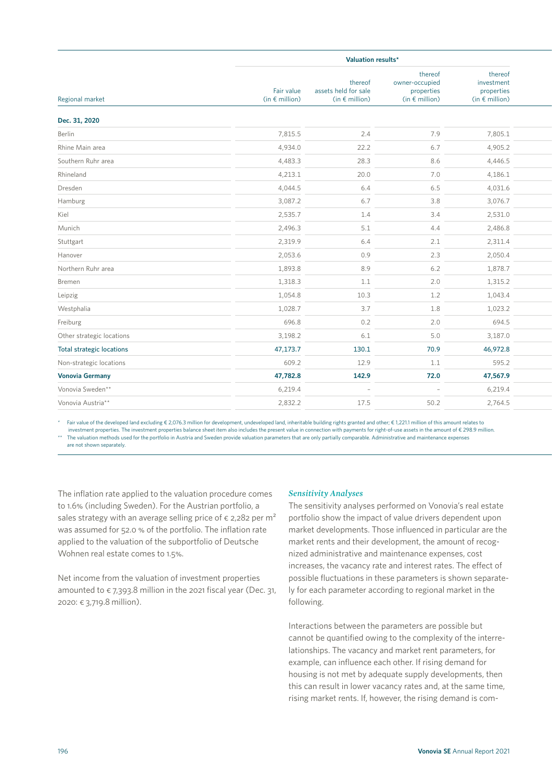|                                  |                                       | Valuation results*                                         |                                                                    |                                                                |  |  |
|----------------------------------|---------------------------------------|------------------------------------------------------------|--------------------------------------------------------------------|----------------------------------------------------------------|--|--|
| Regional market                  | Fair value<br>(in $\epsilon$ million) | thereof<br>assets held for sale<br>(in $\epsilon$ million) | thereof<br>owner-occupied<br>properties<br>(in $\epsilon$ million) | thereof<br>investment<br>properties<br>(in $\epsilon$ million) |  |  |
| Dec. 31, 2020                    |                                       |                                                            |                                                                    |                                                                |  |  |
| Berlin                           | 7,815.5                               | 2.4                                                        | 7.9                                                                | 7,805.1                                                        |  |  |
| Rhine Main area                  | 4,934.0                               | 22.2                                                       | 6.7                                                                | 4,905.2                                                        |  |  |
| Southern Ruhr area               | 4,483.3                               | 28.3                                                       | 8.6                                                                | 4,446.5                                                        |  |  |
| Rhineland                        | 4,213.1                               | 20.0                                                       | 7.0                                                                | 4,186.1                                                        |  |  |
| Dresden                          | 4,044.5                               | $6.4\,$                                                    | 6.5                                                                | 4,031.6                                                        |  |  |
| Hamburg                          | 3,087.2                               | 6.7                                                        | 3.8                                                                | 3,076.7                                                        |  |  |
| Kiel                             | 2,535.7                               | 1.4                                                        | 3.4                                                                | 2,531.0                                                        |  |  |
| Munich                           | 2,496.3                               | 5.1                                                        | 4.4                                                                | 2,486.8                                                        |  |  |
| Stuttgart                        | 2,319.9                               | 6.4                                                        | 2.1                                                                | 2,311.4                                                        |  |  |
| Hanover                          | 2,053.6                               | 0.9                                                        | 2.3                                                                | 2,050.4                                                        |  |  |
| Northern Ruhr area               | 1,893.8                               | 8.9                                                        | 6.2                                                                | 1,878.7                                                        |  |  |
| Bremen                           | 1,318.3                               | $1.1\,$                                                    | 2.0                                                                | 1,315.2                                                        |  |  |
| Leipzig                          | 1,054.8                               | 10.3                                                       | 1.2                                                                | 1,043.4                                                        |  |  |
| Westphalia                       | 1,028.7                               | 3.7                                                        | 1.8                                                                | 1,023.2                                                        |  |  |
| Freiburg                         | 696.8                                 | $0.2\,$                                                    | 2.0                                                                | 694.5                                                          |  |  |
| Other strategic locations        | 3,198.2                               | $6.1$                                                      | 5.0                                                                | 3,187.0                                                        |  |  |
| <b>Total strategic locations</b> | 47,173.7                              | 130.1                                                      | 70.9                                                               | 46,972.8                                                       |  |  |
| Non-strategic locations          | 609.2                                 | 12.9                                                       | 1.1                                                                | 595.2                                                          |  |  |
| <b>Vonovia Germany</b>           | 47,782.8                              | 142.9                                                      | 72.0                                                               | 47,567.9                                                       |  |  |
| Vonovia Sweden**                 | 6,219.4                               | $\sim$ $-$                                                 | $\overline{a}$                                                     | 6,219.4                                                        |  |  |
| Vonovia Austria**                | 2,832.2                               | 17.5                                                       | 50.2                                                               | 2,764.5                                                        |  |  |
|                                  |                                       |                                                            |                                                                    |                                                                |  |  |

\* Fair value of the developed land excluding € 2,076.3 million for development, undeveloped land, inheritable building rights granted and other; € 1,221.1 million of this amount relates to investment properties. The investment properties balance sheet item also includes the present value in connection with payments for right-of-use assets in the amount of € 298.9 million. The valuation methods used for the portfolio in Austria and Sweden provide valuation parameters that are only partially comparable. Administrative and maintenance expenses

are not shown separately.

The inflation rate applied to the valuation procedure comes to 1.6% (including Sweden). For the Austrian portfolio, a sales strategy with an average selling price of  $\epsilon$  2,282 per m<sup>2</sup> was assumed for 52.0 % of the portfolio. The inflation rate applied to the valuation of the subportfolio of Deutsche Wohnen real estate comes to 1.5%.

Net income from the valuation of investment properties amounted to  $\epsilon$  7,393.8 million in the 2021 fiscal year (Dec. 31, 2020: € 3,719.8 million).

# *Sensitivity Analyses*

The sensitivity analyses performed on Vonovia's real estate portfolio show the impact of value drivers dependent upon market developments. Those influenced in particular are the market rents and their development, the amount of recognized administrative and maintenance expenses, cost increases, the vacancy rate and interest rates. The effect of possible fluctuations in these parameters is shown separately for each parameter according to regional market in the following.

Interactions between the parameters are possible but cannot be quantified owing to the complexity of the interrelationships. The vacancy and market rent parameters, for example, can influence each other. If rising demand for housing is not met by adequate supply developments, then this can result in lower vacancy rates and, at the same time, rising market rents. If, however, the rising demand is com-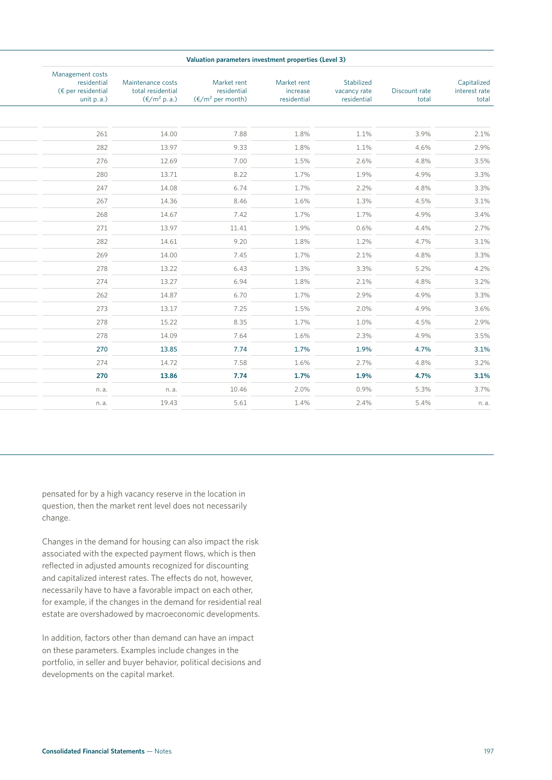| Valuation parameters investment properties (Level 3) |                                                                 |                                                  |  |                                                          |                                        |                                           |                        |                                       |
|------------------------------------------------------|-----------------------------------------------------------------|--------------------------------------------------|--|----------------------------------------------------------|----------------------------------------|-------------------------------------------|------------------------|---------------------------------------|
|                                                      | Maintenance costs<br>total residential<br>$(\epsilon/m^2 p.a.)$ | Management costs<br>residential<br>unit $p.a.$ ) |  | Market rent<br>residential<br>$(\epsilon/m^2$ per month) | Market rent<br>increase<br>residential | Stabilized<br>vacancy rate<br>residential | Discount rate<br>total | Capitalized<br>interest rate<br>total |
|                                                      |                                                                 |                                                  |  |                                                          |                                        |                                           |                        |                                       |
|                                                      | 14.00                                                           | 261                                              |  | 7.88                                                     | 1.8%                                   | 1.1%                                      | 3.9%                   | 2.1%                                  |
|                                                      | 13.97                                                           | 282                                              |  | 9.33                                                     | 1.8%                                   | 1.1%                                      | 4.6%                   | 2.9%                                  |
|                                                      | 12.69                                                           | 276                                              |  | 7.00                                                     | 1.5%                                   | 2.6%                                      | 4.8%                   | 3.5%                                  |
|                                                      | 13.71                                                           | 280                                              |  | 8.22                                                     | 1.7%                                   | 1.9%                                      | 4.9%                   | 3.3%                                  |
|                                                      | 14.08                                                           | 247                                              |  | 6.74                                                     | 1.7%                                   | 2.2%                                      | 4.8%                   | 3.3%                                  |
|                                                      | 14.36                                                           | 267                                              |  | 8.46                                                     | 1.6%                                   | 1.3%                                      | 4.5%                   | 3.1%                                  |
|                                                      | 14.67                                                           | 268                                              |  | 7.42                                                     | 1.7%                                   | 1.7%                                      | 4.9%                   | 3.4%                                  |
|                                                      | 13.97                                                           | 271                                              |  | 11.41                                                    | 1.9%                                   | 0.6%                                      | 4.4%                   | 2.7%                                  |
|                                                      | 14.61                                                           | 282                                              |  | 9.20                                                     | 1.8%                                   | 1.2%                                      | 4.7%                   | 3.1%                                  |
|                                                      | 14.00                                                           | 269                                              |  | 7.45                                                     | 1.7%                                   | 2.1%                                      | 4.8%                   | 3.3%                                  |
|                                                      | 13.22                                                           | 278                                              |  | 6.43                                                     | 1.3%                                   | 3.3%                                      | 5.2%                   | 4.2%                                  |
|                                                      | 13.27                                                           | 274                                              |  | 6.94                                                     | 1.8%                                   | 2.1%                                      | 4.8%                   | 3.2%                                  |
|                                                      | 14.87                                                           | 262                                              |  | 6.70                                                     | 1.7%                                   | 2.9%                                      | 4.9%                   | 3.3%                                  |
|                                                      | 13.17                                                           | 273                                              |  | 7.25                                                     | 1.5%                                   | 2.0%                                      | 4.9%                   | 3.6%                                  |
|                                                      | 15.22                                                           | 278                                              |  | 8.35                                                     | 1.7%                                   | 1.0%                                      | 4.5%                   | 2.9%                                  |
|                                                      | 14.09                                                           | 278                                              |  | 7.64                                                     | 1.6%                                   | 2.3%                                      | 4.9%                   |                                       |
|                                                      | 13.85                                                           | 270                                              |  | 7.74                                                     | 1.7%                                   | 1.9%                                      | 4.7%                   | 3.5%<br>3.1%                          |
|                                                      | 14.72                                                           | 274                                              |  | 7.58                                                     | 1.6%                                   | 2.7%                                      | 4.8%                   |                                       |
|                                                      | 13.86                                                           | 270                                              |  | 7.74                                                     | 1.7%                                   | 1.9%                                      | 4.7%                   | 3.2%<br>3.1%                          |
|                                                      | n.a.                                                            | n.a.                                             |  | 10.46                                                    | 2.0%                                   | 0.9%                                      | 5.3%                   |                                       |
|                                                      | 19.43                                                           | n.a.                                             |  | 5.61                                                     | 1.4%                                   | 2.4%                                      | 5.4%                   |                                       |
|                                                      |                                                                 |                                                  |  |                                                          |                                        |                                           |                        |                                       |

pensated for by a high vacancy reserve in the location in question, then the market rent level does not necessarily change.

Changes in the demand for housing can also impact the risk associated with the expected payment flows, which is then reflected in adjusted amounts recognized for discounting and capitalized interest rates. The effects do not, however, necessarily have to have a favorable impact on each other, for example, if the changes in the demand for residential real estate are overshadowed by macroeconomic developments.

In addition, factors other than demand can have an impact on these parameters. Examples include changes in the portfolio, in seller and buyer behavior, political decisions and developments on the capital market.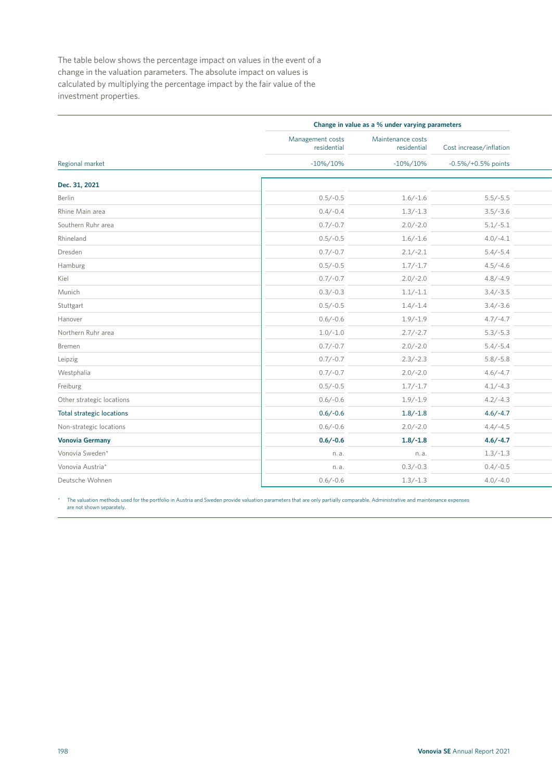The table below shows the percentage impact on values in the event of a change in the valuation parameters. The absolute impact on values is calculated by multiplying the percentage impact by the fair value of the investment properties.

|                                  |                                 | Change in value as a % under varying parameters |                         |
|----------------------------------|---------------------------------|-------------------------------------------------|-------------------------|
|                                  | Management costs<br>residential | Maintenance costs<br>residential                | Cost increase/inflation |
| Regional market                  | $-10\%/10\%$                    | $-10\%/10\%$                                    | $-0.5\%/+0.5\%$ points  |
| Dec. 31, 2021                    |                                 |                                                 |                         |
| Berlin                           | $0.5/-0.5$                      | $1.6/-1.6$                                      | $5.5/-5.5$              |
| Rhine Main area                  | $0.4/-0.4$                      | $1.3/-1.3$                                      | $3.5/-3.6$              |
| Southern Ruhr area               | $0.7/-0.7$                      | $2.0/-2.0$                                      | $5.1/-5.1$              |
| Rhineland                        | $0.5/-0.5$                      | $1.6/-1.6$                                      | $4.0/-4.1$              |
| Dresden                          | $0.7/-0.7$                      | $2.1/-2.1$                                      | $5.4/-5.4$              |
| Hamburg                          | $0.5/-0.5$                      | $1.7/-1.7$                                      | $4.5/-4.6$              |
| Kiel                             | $0.7/-0.7$                      | $2.0/-2.0$                                      | $4.8/-4.9$              |
| Munich                           | $0.3/-0.3$                      | $1.1/-1.1$                                      | $3.4/-3.5$              |
| Stuttgart                        | $0.5/-0.5$                      | $1.4/-1.4$                                      | $3.4/-3.6$              |
| Hanover                          | $0.6/-0.6$                      | $1.9/-1.9$                                      | $4.7/-4.7$              |
| Northern Ruhr area               | $1.0/-1.0$                      | $2.7/-2.7$                                      | $5.3/-5.3$              |
| Bremen                           | $0.7/-0.7$                      | $2.0/-2.0$                                      | $5.4/-5.4$              |
| Leipzig                          | $0.7/-0.7$                      | $2.3/-2.3$                                      | $5.8/-5.8$              |
| Westphalia                       | $0.7/-0.7$                      | $2.0/-2.0$                                      | $4.6/-4.7$              |
| Freiburg                         | $0.5/-0.5$                      | $1.7/-1.7$                                      | $4.1/-4.3$              |
| Other strategic locations        | $0.6/-0.6$                      | $1.9/-1.9$                                      | $4.2/-4.3$              |
| <b>Total strategic locations</b> | $0.6/-0.6$                      | $1.8/-1.8$                                      | $4.6/-4.7$              |
| Non-strategic locations          | $0.6/-0.6$                      | $2.0/-2.0$                                      | $4.4/-4.5$              |
| <b>Vonovia Germany</b>           | $0.6/-0.6$                      | $1.8/-1.8$                                      | $4.6/-4.7$              |
| Vonovia Sweden*                  | n.a.                            | n.a.                                            | $1.3/-1.3$              |
| Vonovia Austria*                 | n.a.                            | $0.3/-0.3$                                      | $0.4/-0.5$              |
| Deutsche Wohnen                  | $0.6/-0.6$                      | $1.3/-1.3$                                      | $4.0/-4.0$              |
|                                  |                                 |                                                 |                         |

\* The valuation methods used for the portfolio in Austria and Sweden provide valuation parameters that are only partially comparable. Administrative and maintenance expenses are not shown separately.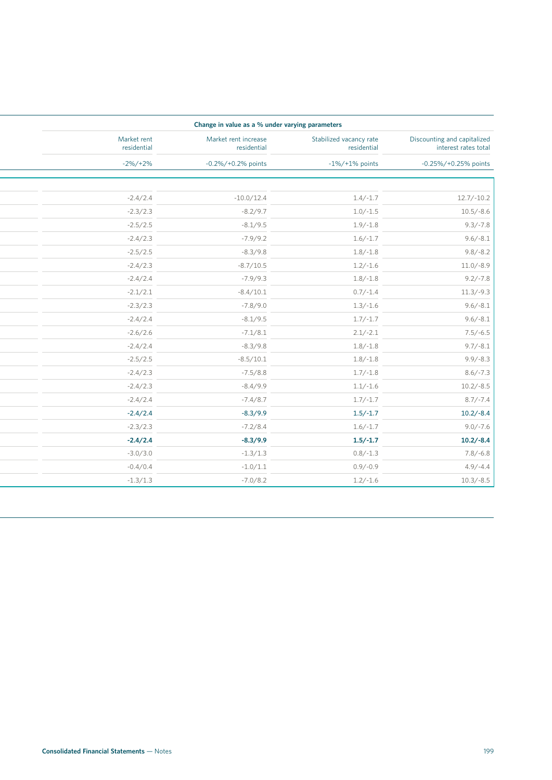| Change in value as a % under varying parameters     |                                        |                                     |                            |  |
|-----------------------------------------------------|----------------------------------------|-------------------------------------|----------------------------|--|
| Discounting and capitalized<br>interest rates total | Stabilized vacancy rate<br>residential | Market rent increase<br>residential | Market rent<br>residential |  |
| -0.25%/+0.25% points                                | $-1\%/+1\%$ points                     | $-0.2\%/+0.2\%$ points              | $-2\%/+2\%$                |  |
|                                                     |                                        |                                     |                            |  |
| $12.7/-10.2$                                        | $1.4/-1.7$                             | $-10.0/12.4$                        | $-2.4/2.4$                 |  |
| $10.5/-8.6$                                         | $1.0/-1.5$                             | $-8.2/9.7$                          | $-2.3/2.3$                 |  |
| $9.3/-7.8$                                          | $1.9/-1.8$                             | $-8.1/9.5$                          | $-2.5/2.5$                 |  |
| $9.6/-8.1$                                          | $1.6/-1.7$                             | $-7.9/9.2$                          | $-2.4/2.3$                 |  |
| $9.8/-8.2$                                          | $1.8/-1.8$                             | $-8.3/9.8$                          | $-2.5/2.5$                 |  |
| $11.0/-8.9$                                         | $1.2/-1.6$                             | $-8.7/10.5$                         | $-2.4/2.3$                 |  |
| $9.2/-7.8$                                          | $1.8/-1.8$                             | $-7.9/9.3$                          | $-2.4/2.4$                 |  |
| $11.3/-9.3$                                         | $0.7/-1.4$                             | $-8.4/10.1$                         | $-2.1/2.1$                 |  |
| $9.6/-8.1$                                          | $1.3/-1.6$                             | $-7.8/9.0$                          | $-2.3/2.3$                 |  |
| $9.6/-8.1$                                          | $1.7/-1.7$                             | $-8.1/9.5$                          | $-2.4/2.4$                 |  |
| $7.5/-6.5$                                          | $2.1/-2.1$                             | $-7.1/8.1$                          | $-2.6/2.6$                 |  |
| $9.7/-8.1$                                          | $1.8/-1.8$                             | $-8.3/9.8$                          | $-2.4/2.4$                 |  |
| $9.9/-8.3$                                          | $1.8/-1.8$                             | $-8.5/10.1$                         | $-2.5/2.5$                 |  |
| $8.6/-7.3$                                          | $1.7/-1.8$                             | $-7.5/8.8$                          | $-2.4/2.3$                 |  |
| $10.2/-8.5$                                         | $1.1/-1.6$                             | $-8.4/9.9$                          | $-2.4/2.3$                 |  |
|                                                     | $1.7/-1.7$                             | $-7.4/8.7$                          | $-2.4/2.4$                 |  |
| $10.2/-8.4$                                         | $1.5/-1.7$                             | $-8.3/9.9$                          | $-2.4/2.4$                 |  |
| $9.0/-7.6$                                          | $1.6/-1.7$                             | $-7.2/8.4$                          | $-2.3/2.3$                 |  |
| $10.2/-8.4$                                         | $1.5/-1.7$                             | $-8.3/9.9$                          | $-2.4/2.4$                 |  |
| $7.8/-6.8$                                          | $0.8/-1.3$                             | $-1.3/1.3$                          | $-3.0/3.0$                 |  |
|                                                     | $0.9/-0.9$                             | $-1.0/1.1$                          | $-0.4/0.4$                 |  |
| $10.3/-8.5$                                         | $1.2/-1.6$                             | $-7.0/8.2$                          | $-1.3/1.3$                 |  |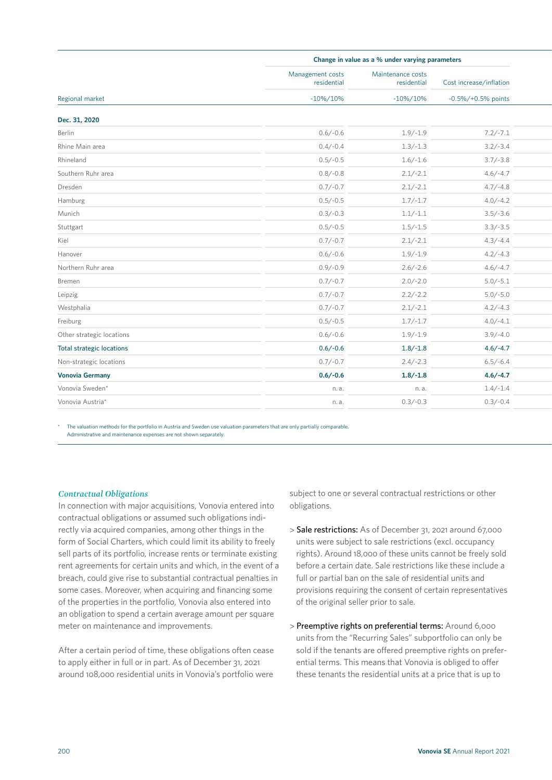|                                  |                                 | Change in value as a % under varying parameters |                         |  |  |
|----------------------------------|---------------------------------|-------------------------------------------------|-------------------------|--|--|
|                                  | Management costs<br>residential | Maintenance costs<br>residential                | Cost increase/inflation |  |  |
| Regional market                  | $-10\%/10\%$                    | $-10\%/10\%$                                    | $-0.5\%/+0.5\%$ points  |  |  |
| Dec. 31, 2020                    |                                 |                                                 |                         |  |  |
| Berlin                           | $0.6/-0.6$                      | $1.9/-1.9$                                      | $7.2/-7.1$              |  |  |
| Rhine Main area                  | $0.4/-0.4$                      | $1.3/-1.3$                                      | $3.2/-3.4$              |  |  |
| Rhineland                        | $0.5/-0.5$                      | $1.6/-1.6$                                      | $3.7/-3.8$              |  |  |
| Southern Ruhr area               | $0.8/-0.8$                      | $2.1/-2.1$                                      | $4.6/-4.7$              |  |  |
| Dresden                          | $0.7/-0.7$                      | $2.1/-2.1$                                      | $4.7/-4.8$              |  |  |
| Hamburg                          | $0.5/-0.5$                      | $1.7/-1.7$                                      | $4.0/-4.2$              |  |  |
| Munich                           | $0.3/-0.3$                      | $1.1/-1.1$                                      | $3.5/-3.6$              |  |  |
| Stuttgart                        | $0.5/-0.5$                      | $1.5/-1.5$                                      | $3.3/-3.5$              |  |  |
| Kiel                             | $0.7/-0.7$                      | $2.1/-2.1$                                      | $4.3/-4.4$              |  |  |
| Hanover                          | $0.6/-0.6$                      | $1.9/-1.9$                                      | $4.2/-4.3$              |  |  |
| Northern Ruhr area               | $0.9/-0.9$                      | $2.6/-2.6$                                      | $4.6/-4.7$              |  |  |
| Bremen                           | $0.7/-0.7$                      | $2.0/-2.0$                                      | $5.0/-5.1$              |  |  |
| Leipzig                          | $0.7/-0.7$                      | $2.2/-2.2$                                      | $5.0/-5.0$              |  |  |
| Westphalia                       | $0.7/-0.7$                      | $2.1/-2.1$                                      | $4.2/-4.3$              |  |  |
| Freiburg                         | $0.5/-0.5$                      | $1.7/-1.7$                                      | $4.0/-4.1$              |  |  |
| Other strategic locations        | $0.6/-0.6$                      | $1.9/-1.9$                                      | $3.9/-4.0$              |  |  |
| <b>Total strategic locations</b> | $0.6/-0.6$                      | $1.8/-1.8$                                      | $4.6/-4.7$              |  |  |
| Non-strategic locations          | $0.7/-0.7$                      | $2.4/-2.3$                                      | $6.5/-6.4$              |  |  |
| <b>Vonovia Germany</b>           | $0.6/-0.6$                      | $1.8/-1.8$                                      | $4.6/-4.7$              |  |  |
| Vonovia Sweden*                  | n.a.                            | n.a.                                            | $1.4/-1.4$              |  |  |
| Vonovia Austria*                 | n.a.                            | $0.3/-0.3$                                      | $0.3/-0.4$              |  |  |
|                                  |                                 |                                                 |                         |  |  |

The valuation methods for the portfolio in Austria and Sweden use valuation parameters that are only partially comparable. Administrative and maintenance expenses are not shown separately.

# *Contractual Obligations*

In connection with major acquisitions, Vonovia entered into contractual obligations or assumed such obligations indirectly via acquired companies, among other things in the form of Social Charters, which could limit its ability to freely sell parts of its portfolio, increase rents or terminate existing rent agreements for certain units and which, in the event of a breach, could give rise to substantial contractual penalties in some cases. Moreover, when acquiring and financing some of the properties in the portfolio, Vonovia also entered into an obligation to spend a certain average amount per square meter on maintenance and improvements.

After a certain period of time, these obligations often cease to apply either in full or in part. As of December 31, 2021 around 108,000 residential units in Vonovia's portfolio were subject to one or several contractual restrictions or other obligations.

- > Sale restrictions: As of December 31, 2021 around 67,000 units were subject to sale restrictions (excl. occupancy rights). Around 18,000 of these units cannot be freely sold before a certain date. Sale restrictions like these include a full or partial ban on the sale of residential units and provisions requiring the consent of certain representatives of the original seller prior to sale.
- > Preemptive rights on preferential terms: Around 6,000 units from the "Recurring Sales" subportfolio can only be sold if the tenants are offered preemptive rights on preferential terms. This means that Vonovia is obliged to offer these tenants the residential units at a price that is up to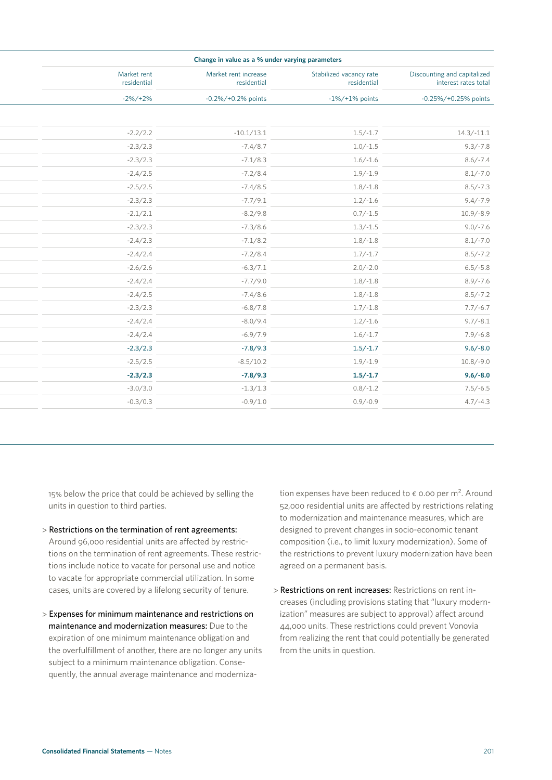| Change in value as a % under varying parameters     |                                        |                                     |                            |  |
|-----------------------------------------------------|----------------------------------------|-------------------------------------|----------------------------|--|
| Discounting and capitalized<br>interest rates total | Stabilized vacancy rate<br>residential | Market rent increase<br>residential | Market rent<br>residential |  |
| -0.25%/+0.25% points                                | $-1\%/+1\%$ points                     | -0.2%/+0.2% points                  | $-2\%/+2\%$                |  |
|                                                     |                                        |                                     |                            |  |
| $14.3/-11.1$                                        | $1.5/-1.7$                             | $-10.1/13.1$                        | $-2.2/2.2$                 |  |
| $9.3/-7.8$                                          | $1.0/-1.5$                             | $-7.4/8.7$                          | $-2.3/2.3$                 |  |
| $8.6/-7.4$                                          | $1.6/-1.6$                             | $-7.1/8.3$                          | $-2.3/2.3$                 |  |
| $8.1/-7.0$                                          | $1.9/-1.9$                             | $-7.2/8.4$                          | $-2.4/2.5$                 |  |
| $8.5/-7.3$                                          | $1.8/-1.8$                             | $-7.4/8.5$                          | $-2.5/2.5$                 |  |
| $9.4/-7.9$                                          | $1.2/-1.6$                             | $-7.7/9.1$                          | $-2.3/2.3$                 |  |
| $10.9/-8.9$                                         | $0.7/-1.5$                             | $-8.2/9.8$                          | $-2.1/2.1$                 |  |
| $9.0/-7.6$                                          | $1.3/-1.5$                             | $-7.3/8.6$                          | $-2.3/2.3$                 |  |
| $8.1/-7.0$                                          | $1.8/-1.8$                             | $-7.1/8.2$                          | $-2.4/2.3$                 |  |
| $8.5/-7.2$                                          | $1.7/-1.7$                             | $-7.2/8.4$                          | $-2.4/2.4$                 |  |
| $6.5/-5.8$                                          | $2.0/-2.0$                             | $-6.3/7.1$                          | $-2.6/2.6$                 |  |
| $8.9/-7.6$                                          | $1.8/-1.8$                             | $-7.7/9.0$                          | $-2.4/2.4$                 |  |
| $8.5/-7.2$                                          | $1.8/-1.8$                             | $-7.4/8.6$                          | $-2.4/2.5$                 |  |
| $7.7/-6.7$                                          | $1.7/-1.8$                             | $-6.8/7.8$                          | $-2.3/2.3$                 |  |
| $9.7/-8.1$                                          | $1.2/-1.6$                             | $-8.0/9.4$                          | $-2.4/2.4$                 |  |
| $7.9/-6.8$                                          | $1.6/-1.7$                             | $-6.9/7.9$                          | $-2.4/2.4$                 |  |
| $9.6/-8.0$                                          | $1.5/-1.7$                             | $-7.8/9.3$                          | $-2.3/2.3$                 |  |
| $10.8/-9.0$                                         | $1.9/-1.9$                             | $-8.5/10.2$                         | $-2.5/2.5$                 |  |
| $9.6/-8.0$                                          | $1.5/-1.7$                             | $-7.8/9.3$                          | $-2.3/2.3$                 |  |
| $7.5/-6.5$                                          | $0.8/-1.2$                             | $-1.3/1.3$                          | $-3.0/3.0$                 |  |
| $4.7/-4.3$                                          | $0.9/-0.9$                             | $-0.9/1.0$                          | $-0.3/0.3$                 |  |

15% below the price that could be achieved by selling the units in question to third parties.

- > Restrictions on the termination of rent agreements: Around 96,000 residential units are affected by restrictions on the termination of rent agreements. These restrictions include notice to vacate for personal use and notice to vacate for appropriate commercial utilization. In some cases, units are covered by a lifelong security of tenure.
- > Expenses for minimum maintenance and restrictions on maintenance and modernization measures: Due to the expiration of one minimum maintenance obligation and the overfulfillment of another, there are no longer any units subject to a minimum maintenance obligation. Consequently, the annual average maintenance and moderniza-

tion expenses have been reduced to  $\epsilon$  0.00 per m<sup>2</sup>. Around 52,000 residential units are affected by restrictions relating to modernization and maintenance measures, which are designed to prevent changes in socio-economic tenant composition (i.e., to limit luxury modernization). Some of the restrictions to prevent luxury modernization have been agreed on a permanent basis.

> Restrictions on rent increases: Restrictions on rent increases (including provisions stating that "luxury modernization" measures are subject to approval) affect around 44,000 units. These restrictions could prevent Vonovia from realizing the rent that could potentially be generated from the units in question.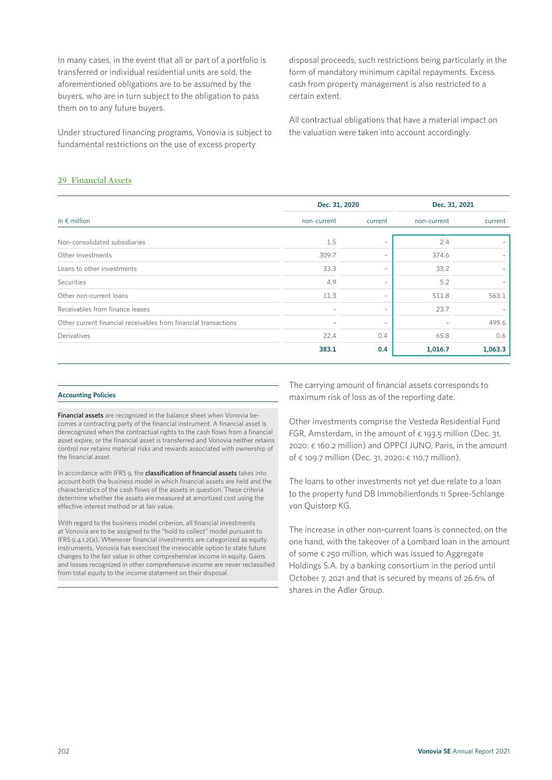In many cases, in the event that all or part of a portfolio is transferred or individual residential units are sold, the aforementioned obligations are to be assumed by the buyers, who are in turn subject to the obligation to pass them on to any future buyers.

Under structured financing programs, Vonovia is subject to fundamental restrictions on the use of excess property

disposal proceeds, such restrictions being particularly in the form of mandatory minimum capital repayments. Excess cash from property management is also restricted to a certain extent.

All contractual obligations that have a material impact on the valuation were taken into account accordingly.

# **29 Financial Assets**

|                                                                 | Dec. 31, 2020 |                          | Dec. 31, 2021 |         |  |
|-----------------------------------------------------------------|---------------|--------------------------|---------------|---------|--|
| in $\epsilon$ million                                           | non-current   | current                  | non-current   | current |  |
| Non-consolidated subsidiaries                                   | 1.5           | $\overline{\phantom{0}}$ | 2.4           |         |  |
| Other investments                                               | 309.7         | $\overline{\phantom{0}}$ | 374.6         |         |  |
| Loans to other investments                                      | 33.3          | $\overline{\phantom{0}}$ | 33.2          |         |  |
| Securities                                                      | 4.9           | $\overline{\phantom{0}}$ | 5.2           |         |  |
| Other non-current loans                                         | 11.3          | $\overline{\phantom{0}}$ | 511.8         | 563.1   |  |
| Receivables from finance leases                                 |               | $\overline{\phantom{0}}$ | 23.7          |         |  |
| Other current financial receivables from financial transactions |               | $\overline{\phantom{0}}$ |               | 499.6   |  |
| Derivatives                                                     | 22.4          | 0.4                      | 65.8          | 0.6     |  |
|                                                                 | 383.1         | 0.4                      | 1,016.7       | 1,063.3 |  |

#### **Accounting Policies**

Financial assets are recognized in the balance sheet when Vonovia becomes a contracting party of the financial instrument. A financial asset is derecognized when the contractual rights to the cash flows from a financial asset expire, or the financial asset is transferred and Vonovia neither retains control nor retains material risks and rewards associated with ownership of the financial asset.

In accordance with IFRS 9, the classification of financial assets takes into account both the business model in which financial assets are held and the characteristics of the cash flows of the assets in question. These criteria determine whether the assets are measured at amortized cost using the effective interest method or at fair value.

With regard to the business model criterion, all financial investments at Vonovia are to be assigned to the "hold to collect" model pursuant to IFRS 9.4.1.2(a). Whenever financial investments are categorized as equity instruments, Vonovia has exercised the irrevocable option to state future changes to the fair value in other comprehensive income in equity. Gains and losses recognized in other comprehensive income are never reclassified from total equity to the income statement on their disposal.

The carrying amount of financial assets corresponds to maximum risk of loss as of the reporting date.

Other investments comprise the Vesteda Residential Fund FGR, Amsterdam, in the amount of  $\epsilon$  193.5 million (Dec. 31, 2020: € 160.2 million) and OPPCI JUNO, Paris, in the amount of € 109.7 million (Dec. 31, 2020: € 110.7 million).

The loans to other investments not yet due relate to a loan to the property fund DB Immobilienfonds 11 Spree-Schlange von Quistorp KG.

The increase in other non-current loans is connected, on the one hand, with the takeover of a Lombard loan in the amount of some € 250 million, which was issued to Aggregate Holdings S.A. by a banking consortium in the period until October 7, 2021 and that is secured by means of 26.6% of shares in the Adler Group.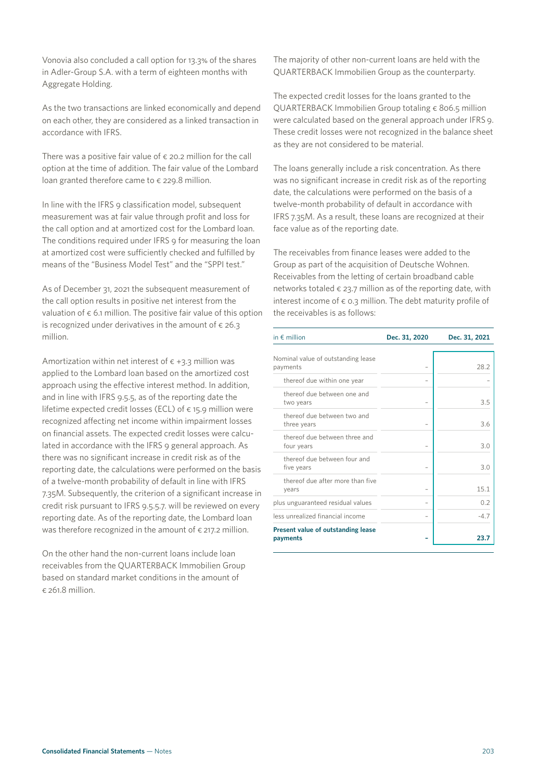As the two transactions are linked economically and depend on each other, they are considered as a linked transaction in accordance with IFRS.

Vonovia also concluded a call option for 13.3% of the shares in Adler-Group S.A. with a term of eighteen months with

There was a positive fair value of  $\epsilon$  20.2 million for the call option at the time of addition. The fair value of the Lombard loan granted therefore came to  $\epsilon$  229.8 million.

In line with the IFRS 9 classification model, subsequent measurement was at fair value through profit and loss for the call option and at amortized cost for the Lombard loan. The conditions required under IFRS 9 for measuring the loan at amortized cost were sufficiently checked and fulfilled by means of the "Business Model Test" and the "SPPI test."

As of December 31, 2021 the subsequent measurement of the call option results in positive net interest from the valuation of  $\epsilon$  6.1 million. The positive fair value of this option is recognized under derivatives in the amount of  $\epsilon$  26.3 million.

Amortization within net interest of  $\epsilon$  +3.3 million was applied to the Lombard loan based on the amortized cost approach using the effective interest method. In addition, and in line with IFRS 9.5.5, as of the reporting date the lifetime expected credit losses (ECL) of  $\epsilon$  15.9 million were recognized affecting net income within impairment losses on financial assets. The expected credit losses were calculated in accordance with the IFRS 9 general approach. As there was no significant increase in credit risk as of the reporting date, the calculations were performed on the basis of a twelve-month probability of default in line with IFRS 7.35M. Subsequently, the criterion of a significant increase in credit risk pursuant to IFRS 9.5.5.7. will be reviewed on every reporting date. As of the reporting date, the Lombard loan was therefore recognized in the amount of  $\epsilon$  217.2 million.

On the other hand the non-current loans include loan receivables from the QUARTERBACK Immobilien Group based on standard market conditions in the amount of  $\epsilon$  261.8 million.

The majority of other non-current loans are held with the QUARTERBACK Immobilien Group as the counterparty.

The expected credit losses for the loans granted to the QUARTERBACK Immobilien Group totaling € 806.5 million were calculated based on the general approach under IFRS 9. These credit losses were not recognized in the balance sheet as they are not considered to be material.

The loans generally include a risk concentration. As there was no significant increase in credit risk as of the reporting date, the calculations were performed on the basis of a twelve-month probability of default in accordance with IFRS 7.35M. As a result, these loans are recognized at their face value as of the reporting date.

The receivables from finance leases were added to the Group as part of the acquisition of Deutsche Wohnen. Receivables from the letting of certain broadband cable networks totaled  $\epsilon$  23.7 million as of the reporting date, with interest income of  $\epsilon$  0.3 million. The debt maturity profile of the receivables is as follows:

| in $\notin$ million                            | Dec. 31, 2020 | Dec. 31, 2021 |
|------------------------------------------------|---------------|---------------|
| Nominal value of outstanding lease<br>payments |               | 28.2          |
| thereof due within one year                    |               |               |
| thereof due between one and<br>two years       |               | 3.5           |
| thereof due between two and<br>three years     |               | 36            |
| thereof due between three and<br>four years    |               | 3.0           |
| thereof due between four and<br>five years     |               | 3.0           |
| thereof due after more than five<br>years      |               | 15.1          |
| plus unguaranteed residual values              |               | 0.2           |
| less unrealized financial income               |               | $-4.7$        |
| Present value of outstanding lease<br>payments |               | 23.7          |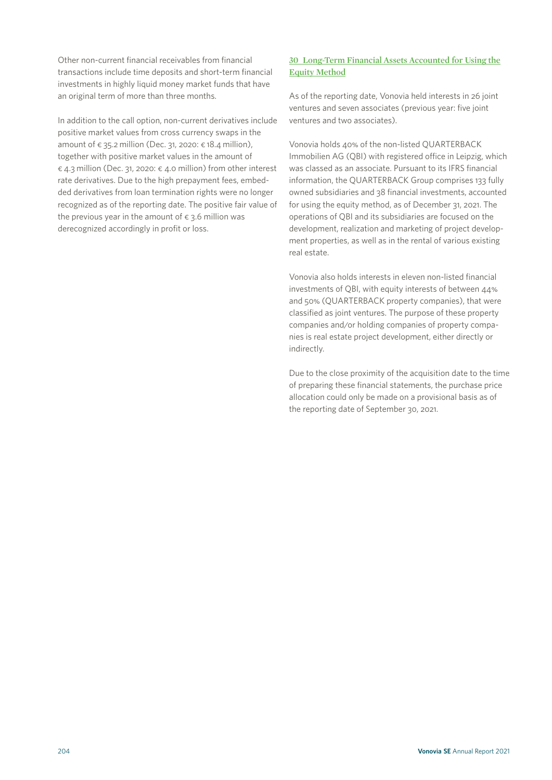Other non-current financial receivables from financial transactions include time deposits and short-term financial investments in highly liquid money market funds that have an original term of more than three months.

In addition to the call option, non-current derivatives include positive market values from cross currency swaps in the amount of  $\epsilon$  35.2 million (Dec. 31, 2020:  $\epsilon$  18.4 million), together with positive market values in the amount of € 4.3 million (Dec. 31, 2020: € 4.0 million) from other interest rate derivatives. Due to the high prepayment fees, embedded derivatives from loan termination rights were no longer recognized as of the reporting date. The positive fair value of the previous year in the amount of  $\epsilon$  3.6 million was derecognized accordingly in profit or loss.

# **30 Long-Term Financial Assets Accounted for Using the Equity Method**

As of the reporting date, Vonovia held interests in 26 joint ventures and seven associates (previous year: five joint ventures and two associates).

Vonovia holds 40% of the non-listed QUARTERBACK Immobilien AG (QBI) with registered office in Leipzig, which was classed as an associate. Pursuant to its IFRS financial information, the QUARTERBACK Group comprises 133 fully owned subsidiaries and 38 financial investments, accounted for using the equity method, as of December 31, 2021. The operations of QBI and its subsidiaries are focused on the development, realization and marketing of project development properties, as well as in the rental of various existing real estate.

Vonovia also holds interests in eleven non-listed financial investments of QBI, with equity interests of between 44% and 50% (QUARTERBACK property companies), that were classified as joint ventures. The purpose of these property companies and/or holding companies of property companies is real estate project development, either directly or indirectly.

Due to the close proximity of the acquisition date to the time of preparing these financial statements, the purchase price allocation could only be made on a provisional basis as of the reporting date of September 30, 2021.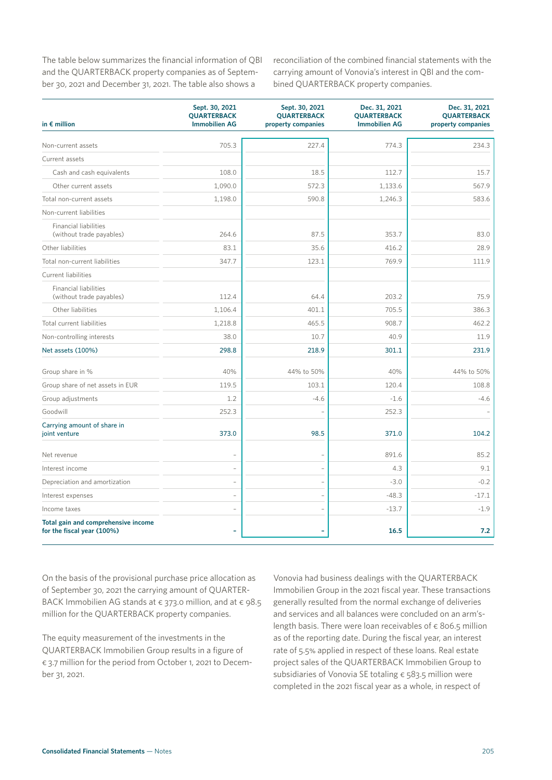The table below summarizes the financial information of QBI and the QUARTERBACK property companies as of September 30, 2021 and December 31, 2021. The table also shows a

reconciliation of the combined financial statements with the carrying amount of Vonovia's interest in QBI and the combined QUARTERBACK property companies.

| in $\epsilon$ million                                             | Sept. 30, 2021<br><b>QUARTERBACK</b><br><b>Immobilien AG</b> | Sept. 30, 2021<br><b>QUARTERBACK</b><br>property companies | Dec. 31, 2021<br><b>QUARTERBACK</b><br><b>Immobilien AG</b> | Dec. 31, 2021<br><b>QUARTERBACK</b><br>property companies |
|-------------------------------------------------------------------|--------------------------------------------------------------|------------------------------------------------------------|-------------------------------------------------------------|-----------------------------------------------------------|
|                                                                   |                                                              |                                                            |                                                             |                                                           |
| Non-current assets                                                | 705.3                                                        | 227.4                                                      | 774.3                                                       | 234.3                                                     |
| Current assets                                                    |                                                              |                                                            |                                                             |                                                           |
| Cash and cash equivalents                                         | 108.0                                                        | 18.5                                                       | 112.7                                                       | 15.7                                                      |
| Other current assets                                              | 1,090.0                                                      | 572.3                                                      | 1,133.6                                                     | 567.9                                                     |
| Total non-current assets                                          | 1,198.0                                                      | 590.8                                                      | 1,246.3                                                     | 583.6                                                     |
| Non-current liabilities                                           |                                                              |                                                            |                                                             |                                                           |
| <b>Financial liabilities</b><br>(without trade payables)          | 264.6                                                        | 87.5                                                       | 353.7                                                       | 83.0                                                      |
| Other liabilities                                                 | 83.1                                                         | 35.6                                                       | 416.2                                                       | 28.9                                                      |
| Total non-current liabilities                                     | 347.7                                                        | 123.1                                                      | 769.9                                                       | 111.9                                                     |
| Current liabilities                                               |                                                              |                                                            |                                                             |                                                           |
| <b>Financial liabilities</b><br>(without trade payables)          | 112.4                                                        | 64.4                                                       | 203.2                                                       | 75.9                                                      |
| Other liabilities                                                 | 1,106.4                                                      | 401.1                                                      | 705.5                                                       | 386.3                                                     |
| Total current liabilities                                         | 1,218.8                                                      | 465.5                                                      | 908.7                                                       | 462.2                                                     |
| Non-controlling interests                                         | 38.0                                                         | 10.7                                                       | 40.9                                                        | 11.9                                                      |
| Net assets (100%)                                                 | 298.8                                                        | 218.9                                                      | 301.1                                                       | 231.9                                                     |
| Group share in %                                                  | 40%                                                          | 44% to 50%                                                 | 40%                                                         | 44% to 50%                                                |
| Group share of net assets in EUR                                  | 119.5                                                        | 103.1                                                      | 120.4                                                       | 108.8                                                     |
| Group adjustments                                                 | 1.2                                                          | $-4.6$                                                     | $-1.6$                                                      | $-4.6$                                                    |
| Goodwill                                                          | 252.3                                                        |                                                            | 252.3                                                       |                                                           |
| Carrying amount of share in<br>joint venture                      | 373.0                                                        | 98.5                                                       | 371.0                                                       | 104.2                                                     |
| Net revenue                                                       |                                                              | $\overline{a}$                                             | 891.6                                                       | 85.2                                                      |
| Interest income                                                   |                                                              |                                                            | 4.3                                                         | 9.1                                                       |
| Depreciation and amortization                                     | $\overline{\phantom{0}}$                                     | $\overline{a}$                                             | $-3.0$                                                      | $-0.2$                                                    |
| Interest expenses                                                 | $\overline{a}$                                               | $\overline{a}$                                             | $-48.3$                                                     | $-17.1$                                                   |
| Income taxes                                                      |                                                              |                                                            | $-13.7$                                                     | $-1.9$                                                    |
| Total gain and comprehensive income<br>for the fiscal year (100%) |                                                              |                                                            | 16.5                                                        | 7.2                                                       |

On the basis of the provisional purchase price allocation as of September 30, 2021 the carrying amount of QUARTER-BACK Immobilien AG stands at  $\epsilon$  373.0 million, and at  $\epsilon$  98.5 million for the QUARTERBACK property companies.

The equity measurement of the investments in the QUARTERBACK Immobilien Group results in a figure of € 3.7 million for the period from October 1, 2021 to December 31, 2021.

Vonovia had business dealings with the QUARTERBACK Immobilien Group in the 2021 fiscal year. These transactions generally resulted from the normal exchange of deliveries and services and all balances were concluded on an arm'slength basis. There were loan receivables of  $\epsilon$  806.5 million as of the reporting date. During the fiscal year, an interest rate of 5.5% applied in respect of these loans. Real estate project sales of the QUARTERBACK Immobilien Group to subsidiaries of Vonovia SE totaling € 583.5 million were completed in the 2021 fiscal year as a whole, in respect of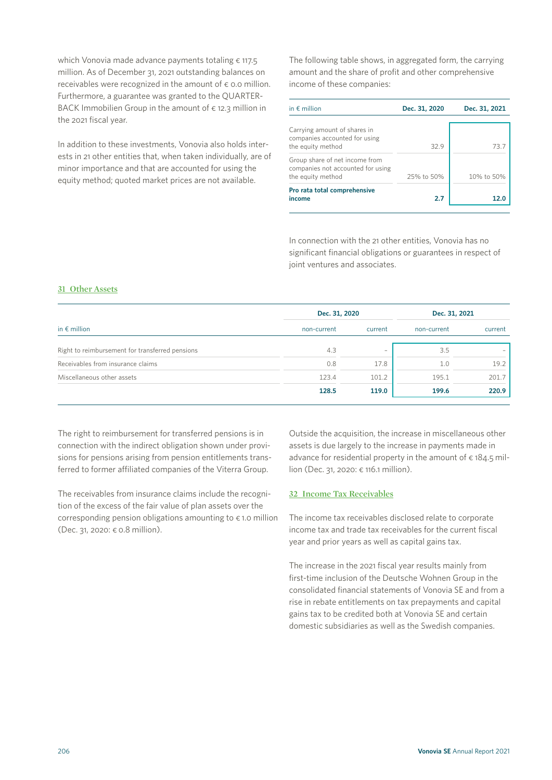which Vonovia made advance payments totaling  $\epsilon$  117.5 million. As of December 31, 2021 outstanding balances on receivables were recognized in the amount of  $\epsilon$  0.0 million. Furthermore, a guarantee was granted to the QUARTER-BACK Immobilien Group in the amount of  $\epsilon$  12.3 million in the 2021 fiscal year.

In addition to these investments, Vonovia also holds interests in 21 other entities that, when taken individually, are of minor importance and that are accounted for using the equity method; quoted market prices are not available.

The following table shows, in aggregated form, the carrying amount and the share of profit and other comprehensive income of these companies:

| in $\epsilon$ million                                                                    | Dec. 31, 2020 | Dec. 31, 2021 |
|------------------------------------------------------------------------------------------|---------------|---------------|
| Carrying amount of shares in<br>companies accounted for using<br>the equity method       | 329           | 73.7          |
| Group share of net income from<br>companies not accounted for using<br>the equity method | 25% to 50%    | 10% to 50%    |
| Pro rata total comprehensive<br>income                                                   | 2.7           | 12.0          |

In connection with the 21 other entities, Vonovia has no significant financial obligations or guarantees in respect of joint ventures and associates.

# **31 Other Assets**

|                                                 | Dec. 31, 2020 | Dec. 31, 2021            |             |         |
|-------------------------------------------------|---------------|--------------------------|-------------|---------|
| in $\epsilon$ million                           | non-current   | current                  | non-current | current |
| Right to reimbursement for transferred pensions | 4.3           | $\overline{\phantom{a}}$ | 3.5         |         |
| Receivables from insurance claims               | 0.8           | 17.8                     | 1.0         | 19.2    |
| Miscellaneous other assets                      | 123.4         | 101.2                    | 195.1       | 201.7   |
|                                                 | 128.5         | 119.0                    | 199.6       | 220.9   |

The right to reimbursement for transferred pensions is in connection with the indirect obligation shown under provisions for pensions arising from pension entitlements transferred to former affiliated companies of the Viterra Group.

The receivables from insurance claims include the recognition of the excess of the fair value of plan assets over the corresponding pension obligations amounting to  $\epsilon$  1.0 million (Dec. 31, 2020: € 0.8 million).

Outside the acquisition, the increase in miscellaneous other assets is due largely to the increase in payments made in advance for residential property in the amount of  $\epsilon$  184.5 million (Dec. 31, 2020: € 116.1 million).

## **32 Income Tax Receivables**

The income tax receivables disclosed relate to corporate income tax and trade tax receivables for the current fiscal year and prior years as well as capital gains tax.

The increase in the 2021 fiscal year results mainly from first-time inclusion of the Deutsche Wohnen Group in the consolidated financial statements of Vonovia SE and from a rise in rebate entitlements on tax prepayments and capital gains tax to be credited both at Vonovia SE and certain domestic subsidiaries as well as the Swedish companies.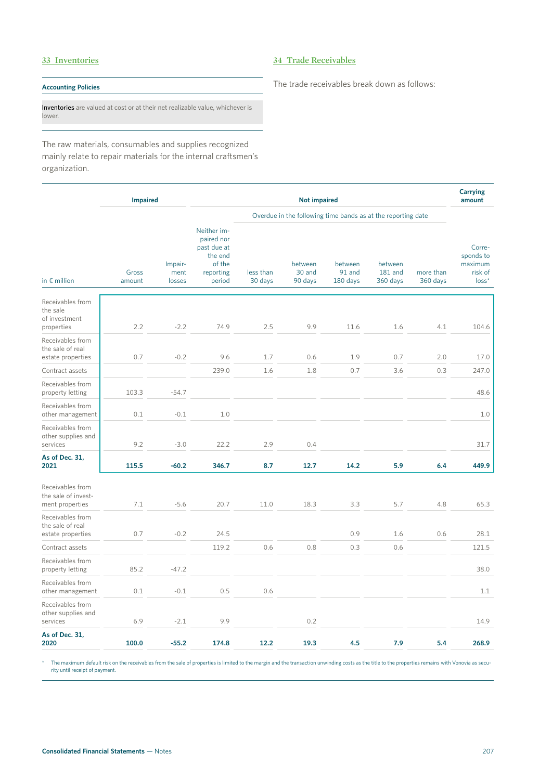# **33 Inventories**

# **34 Trade Receivables**

# **Accounting Policies**

Inventories are valued at cost or at their net realizable value, whichever is lower.

The raw materials, consumables and supplies recognized mainly relate to repair materials for the internal craftsmen's organization.

|                                                             | <b>Impaired</b> |                           |                                                                                      |                                                              | <b>Not impaired</b>          |                               |                                |                       | <b>Carrying</b><br>amount                            |
|-------------------------------------------------------------|-----------------|---------------------------|--------------------------------------------------------------------------------------|--------------------------------------------------------------|------------------------------|-------------------------------|--------------------------------|-----------------------|------------------------------------------------------|
|                                                             |                 |                           |                                                                                      | Overdue in the following time bands as at the reporting date |                              |                               |                                |                       |                                                      |
| in $\epsilon$ million                                       | Gross<br>amount | Impair-<br>ment<br>losses | Neither im-<br>paired nor<br>past due at<br>the end<br>of the<br>reporting<br>period | less than<br>30 days                                         | between<br>30 and<br>90 days | between<br>91 and<br>180 days | between<br>181 and<br>360 days | more than<br>360 days | Corre-<br>sponds to<br>maximum<br>risk of<br>$loss*$ |
| Receivables from<br>the sale<br>of investment<br>properties | 2.2             | $-2.2$                    | 74.9                                                                                 | 2.5                                                          | 9.9                          | 11.6                          | 1.6                            | 4.1                   | 104.6                                                |
| Receivables from<br>the sale of real<br>estate properties   | 0.7             | $-0.2$                    | 9.6                                                                                  | 1.7                                                          | 0.6                          | 1.9                           | 0.7                            | 2.0                   | 17.0                                                 |
| Contract assets                                             |                 |                           | 239.0                                                                                | 1.6                                                          | 1.8                          | 0.7                           | 3.6                            | 0.3                   | 247.0                                                |
| Receivables from<br>property letting                        | 103.3           | $-54.7$                   |                                                                                      |                                                              |                              |                               |                                |                       | 48.6                                                 |
| Receivables from<br>other management                        | 0.1             | $-0.1$                    | 1.0                                                                                  |                                                              |                              |                               |                                |                       | 1.0                                                  |
| Receivables from<br>other supplies and<br>services          | 9.2             | $-3.0$                    | 22.2                                                                                 | 2.9                                                          | 0.4                          |                               |                                |                       | 31.7                                                 |
| As of Dec. 31,<br>2021                                      | 115.5           | $-60.2$                   | 346.7                                                                                | 8.7                                                          | 12.7                         | 14.2                          | 5.9                            | 6.4                   | 449.9                                                |
| Receivables from<br>the sale of invest-<br>ment properties  | 7.1             | $-5.6$                    | 20.7                                                                                 | 11.0                                                         | 18.3                         | 3.3                           | 5.7                            | 4.8                   | 65.3                                                 |
| Receivables from<br>the sale of real<br>estate properties   | 0.7             | $-0.2$                    | 24.5                                                                                 |                                                              |                              | 0.9                           | 1.6                            | 0.6                   | 28.1                                                 |
| Contract assets                                             |                 |                           | 119.2                                                                                | 0.6                                                          | 0.8                          | 0.3                           | 0.6                            |                       | 121.5                                                |
| Receivables from<br>property letting                        | 85.2            | $-47.2$                   |                                                                                      |                                                              |                              |                               |                                |                       | 38.0                                                 |
| Receivables from<br>other management                        | 0.1             | $-0.1$                    | 0.5                                                                                  | 0.6                                                          |                              |                               |                                |                       | 1.1                                                  |
| Receivables from<br>other supplies and<br>services          | 6.9             | $-2.1$                    | 9.9                                                                                  |                                                              | 0.2                          |                               |                                |                       | 14.9                                                 |
| As of Dec. 31,<br>2020                                      | 100.0           | $-55.2$                   | 174.8                                                                                | 12.2                                                         | 19.3                         | 4.5                           | 7.9                            | 5.4                   | 268.9                                                |

The maximum default risk on the receivables from the sale of properties is limited to the margin and the transaction unwinding costs as the title to the properties remains with Vonovia as security until receipt of payment.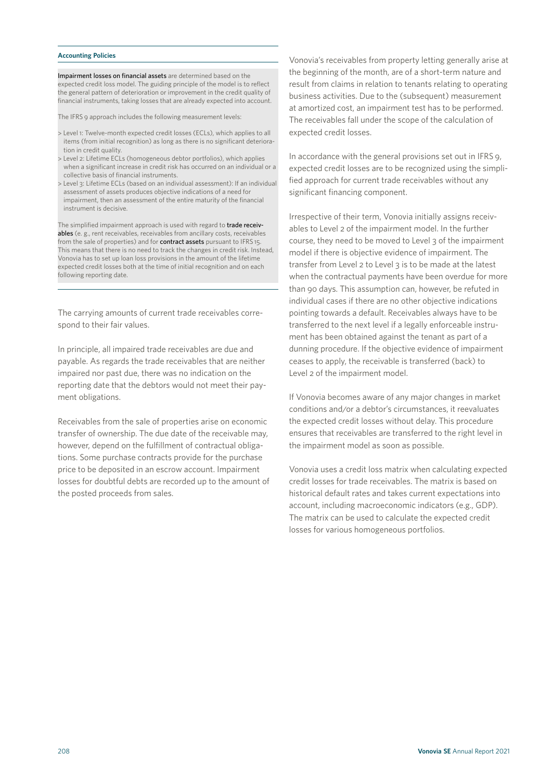### **Accounting Policies**

Impairment losses on financial assets are determined based on the expected credit loss model. The guiding principle of the model is to reflect the general pattern of deterioration or improvement in the credit quality of financial instruments, taking losses that are already expected into account.

The IFRS 9 approach includes the following measurement levels:

- > Level 1: Twelve-month expected credit losses (ECLs), which applies to all items (from initial recognition) as long as there is no significant deterioration in credit quality.
- > Level 2: Lifetime ECLs (homogeneous debtor portfolios), which applies when a significant increase in credit risk has occurred on an individual or a collective basis of financial instruments.
- > Level 3: Lifetime ECLs (based on an individual assessment): If an individual assessment of assets produces objective indications of a need for impairment, then an assessment of the entire maturity of the financial instrument is decisive.

The simplified impairment approach is used with regard to trade receivables (e. g., rent receivables, receivables from ancillary costs, receivables from the sale of properties) and for contract assets pursuant to IFRS 15. This means that there is no need to track the changes in credit risk. Instead, Vonovia has to set up loan loss provisions in the amount of the lifetime expected credit losses both at the time of initial recognition and on each following reporting date.

The carrying amounts of current trade receivables correspond to their fair values.

In principle, all impaired trade receivables are due and payable. As regards the trade receivables that are neither impaired nor past due, there was no indication on the reporting date that the debtors would not meet their payment obligations.

Receivables from the sale of properties arise on economic transfer of ownership. The due date of the receivable may, however, depend on the fulfillment of contractual obligations. Some purchase contracts provide for the purchase price to be deposited in an escrow account. Impairment losses for doubtful debts are recorded up to the amount of the posted proceeds from sales.

Vonovia's receivables from property letting generally arise at the beginning of the month, are of a short-term nature and result from claims in relation to tenants relating to operating business activities. Due to the (subsequent) measurement at amortized cost, an impairment test has to be performed. The receivables fall under the scope of the calculation of expected credit losses.

In accordance with the general provisions set out in IFRS 9, expected credit losses are to be recognized using the simplified approach for current trade receivables without any significant financing component.

Irrespective of their term, Vonovia initially assigns receivables to Level 2 of the impairment model. In the further course, they need to be moved to Level 3 of the impairment model if there is objective evidence of impairment. The transfer from Level 2 to Level 3 is to be made at the latest when the contractual payments have been overdue for more than 90 days. This assumption can, however, be refuted in individual cases if there are no other objective indications pointing towards a default. Receivables always have to be transferred to the next level if a legally enforceable instrument has been obtained against the tenant as part of a dunning procedure. If the objective evidence of impairment ceases to apply, the receivable is transferred (back) to Level 2 of the impairment model.

If Vonovia becomes aware of any major changes in market conditions and/or a debtor's circumstances, it reevaluates the expected credit losses without delay. This procedure ensures that receivables are transferred to the right level in the impairment model as soon as possible.

Vonovia uses a credit loss matrix when calculating expected credit losses for trade receivables. The matrix is based on historical default rates and takes current expectations into account, including macroeconomic indicators (e.g., GDP). The matrix can be used to calculate the expected credit losses for various homogeneous portfolios.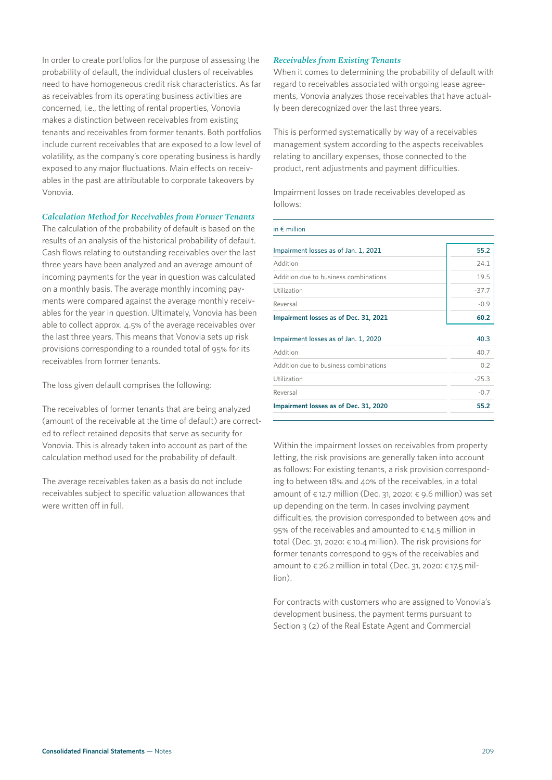In order to create portfolios for the purpose of assessing the probability of default, the individual clusters of receivables need to have homogeneous credit risk characteristics. As far as receivables from its operating business activities are concerned, i.e., the letting of rental properties, Vonovia makes a distinction between receivables from existing tenants and receivables from former tenants. Both portfolios include current receivables that are exposed to a low level of volatility, as the company's core operating business is hardly exposed to any major fluctuations. Main effects on receivables in the past are attributable to corporate takeovers by Vonovia.

### *Calculation Method for Receivables from Former Tenants*

The calculation of the probability of default is based on the results of an analysis of the historical probability of default. Cash flows relating to outstanding receivables over the last three years have been analyzed and an average amount of incoming payments for the year in question was calculated on a monthly basis. The average monthly incoming payments were compared against the average monthly receivables for the year in question. Ultimately, Vonovia has been able to collect approx. 4.5% of the average receivables over the last three years. This means that Vonovia sets up risk provisions corresponding to a rounded total of 95% for its receivables from former tenants.

The loss given default comprises the following:

The receivables of former tenants that are being analyzed (amount of the receivable at the time of default) are corrected to reflect retained deposits that serve as security for Vonovia. This is already taken into account as part of the calculation method used for the probability of default.

The average receivables taken as a basis do not include receivables subject to specific valuation allowances that were written off in full.

### *Receivables from Existing Tenants*

When it comes to determining the probability of default with regard to receivables associated with ongoing lease agreements, Vonovia analyzes those receivables that have actually been derecognized over the last three years.

This is performed systematically by way of a receivables management system according to the aspects receivables relating to ancillary expenses, those connected to the product, rent adjustments and payment difficulties.

Impairment losses on trade receivables developed as follows:

| in $\notin$ million                   |         |
|---------------------------------------|---------|
| Impairment losses as of Jan. 1, 2021  | 55.2    |
| Addition                              | 24.1    |
| Addition due to business combinations | 19.5    |
| Utilization                           | $-37.7$ |
| Reversal                              | $-0.9$  |
| Impairment losses as of Dec. 31, 2021 | 60.2    |
| Impairment losses as of Jan. 1, 2020  | 40.3    |
| Addition                              | 40.7    |
| Addition due to business combinations | 0.2     |
| Utilization                           | $-25.3$ |
| Reversal                              | $-0.7$  |
| Impairment losses as of Dec. 31, 2020 | 55.2    |

Within the impairment losses on receivables from property letting, the risk provisions are generally taken into account as follows: For existing tenants, a risk provision corresponding to between 18% and 40% of the receivables, in a total amount of  $\epsilon$  12.7 million (Dec. 31, 2020:  $\epsilon$  9.6 million) was set up depending on the term. In cases involving payment difficulties, the provision corresponded to between 40% and 95% of the receivables and amounted to  $\epsilon$  14.5 million in total (Dec. 31, 2020: € 10.4 million). The risk provisions for former tenants correspond to 95% of the receivables and amount to  $\epsilon$  26.2 million in total (Dec. 31, 2020:  $\epsilon$  17.5 million).

For contracts with customers who are assigned to Vonovia's development business, the payment terms pursuant to Section 3 (2) of the Real Estate Agent and Commercial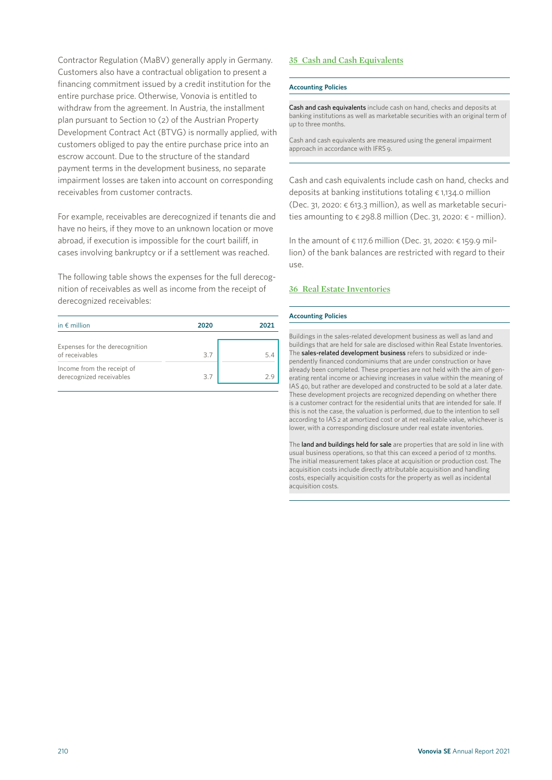Contractor Regulation (MaBV) generally apply in Germany. Customers also have a contractual obligation to present a financing commitment issued by a credit institution for the entire purchase price. Otherwise, Vonovia is entitled to withdraw from the agreement. In Austria, the installment plan pursuant to Section 10 (2) of the Austrian Property Development Contract Act (BTVG) is normally applied, with customers obliged to pay the entire purchase price into an escrow account. Due to the structure of the standard payment terms in the development business, no separate impairment losses are taken into account on corresponding receivables from customer contracts.

For example, receivables are derecognized if tenants die and have no heirs, if they move to an unknown location or move abroad, if execution is impossible for the court bailiff, in cases involving bankruptcy or if a settlement was reached.

The following table shows the expenses for the full derecognition of receivables as well as income from the receipt of derecognized receivables:

| in $\notin$ million                                    | 2020 | 2021 |
|--------------------------------------------------------|------|------|
| Expenses for the derecognition<br>of receivables       | 37   | 5.4  |
| Income from the receipt of<br>derecognized receivables | 3.7  | つ9   |

# **35 Cash and Cash Equivalents**

### **Accounting Policies**

Cash and cash equivalents include cash on hand, checks and deposits at banking institutions as well as marketable securities with an original term of up to three months.

Cash and cash equivalents are measured using the general impairment approach in accordance with IFRS 9.

Cash and cash equivalents include cash on hand, checks and deposits at banking institutions totaling € 1,134.0 million (Dec. 31, 2020: € 613.3 million), as well as marketable securities amounting to  $\epsilon$  298.8 million (Dec. 31, 2020:  $\epsilon$  - million).

In the amount of  $\epsilon$  117.6 million (Dec. 31, 2020:  $\epsilon$  159.9 million) of the bank balances are restricted with regard to their use.

# **36 Real Estate Inventories**

### **Accounting Policies**

Buildings in the sales-related development business as well as land and buildings that are held for sale are disclosed within Real Estate Inventories. The sales-related development business refers to subsidized or independently financed condominiums that are under construction or have already been completed. These properties are not held with the aim of generating rental income or achieving increases in value within the meaning of IAS 40, but rather are developed and constructed to be sold at a later date. These development projects are recognized depending on whether there is a customer contract for the residential units that are intended for sale. If this is not the case, the valuation is performed, due to the intention to sell according to IAS 2 at amortized cost or at net realizable value, whichever is lower, with a corresponding disclosure under real estate inventories.

The land and buildings held for sale are properties that are sold in line with usual business operations, so that this can exceed a period of 12 months. The initial measurement takes place at acquisition or production cost. The acquisition costs include directly attributable acquisition and handling costs, especially acquisition costs for the property as well as incidental acquisition costs.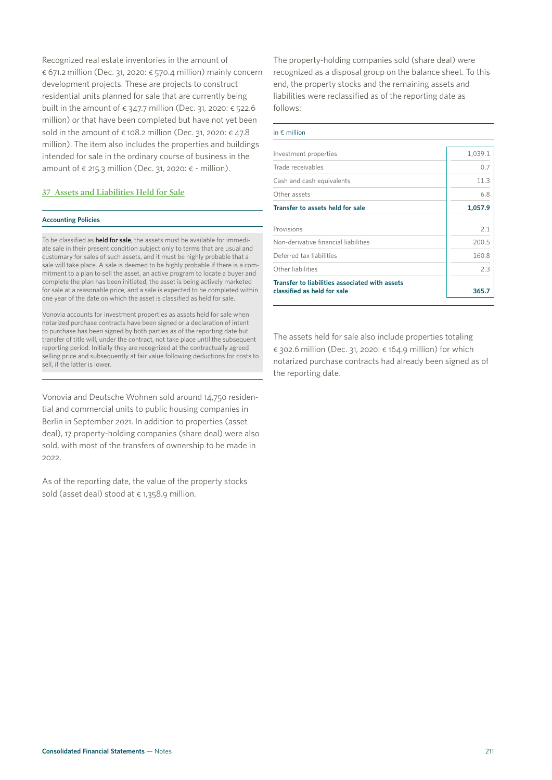Recognized real estate inventories in the amount of € 671.2 million (Dec. 31, 2020: € 570.4 million) mainly concern development projects. These are projects to construct residential units planned for sale that are currently being built in the amount of  $\epsilon$  347.7 million (Dec. 31, 2020:  $\epsilon$  522.6 million) or that have been completed but have not yet been sold in the amount of  $\epsilon$  108.2 million (Dec. 31, 2020:  $\epsilon$  47.8 million). The item also includes the properties and buildings intended for sale in the ordinary course of business in the amount of  $\epsilon$  215.3 million (Dec. 31, 2020:  $\epsilon$  - million).

### **37 Assets and Liabilities Held for Sale**

### **Accounting Policies**

To be classified as **held for sale**, the assets must be available for immediate sale in their present condition subject only to terms that are usual and customary for sales of such assets, and it must be highly probable that a sale will take place. A sale is deemed to be highly probable if there is a commitment to a plan to sell the asset, an active program to locate a buyer and complete the plan has been initiated, the asset is being actively marketed for sale at a reasonable price, and a sale is expected to be completed within one year of the date on which the asset is classified as held for sale.

Vonovia accounts for investment properties as assets held for sale when notarized purchase contracts have been signed or a declaration of intent to purchase has been signed by both parties as of the reporting date but transfer of title will, under the contract, not take place until the subsequent reporting period. Initially they are recognized at the contractually agreed selling price and subsequently at fair value following deductions for costs to sell, if the latter is lower.

Vonovia and Deutsche Wohnen sold around 14,750 residential and commercial units to public housing companies in Berlin in September 2021. In addition to properties (asset deal), 17 property-holding companies (share deal) were also sold, with most of the transfers of ownership to be made in 2022.

As of the reporting date, the value of the property stocks sold (asset deal) stood at € 1,358.9 million.

The property-holding companies sold (share deal) were recognized as a disposal group on the balance sheet. To this end, the property stocks and the remaining assets and liabilities were reclassified as of the reporting date as follows:

#### in € million

| Investment properties                                                         | 1,039.1      |
|-------------------------------------------------------------------------------|--------------|
| Trade receivables                                                             | 0.7          |
| Cash and cash equivalents                                                     | 113          |
| Other assets                                                                  | 6.8          |
| Transfer to assets held for sale                                              | 1,057.9      |
| Provisions<br>Non-derivative financial liabilities                            | 2.1<br>200.5 |
| Deferred tax liabilities                                                      | 160.8        |
| Other liabilities                                                             | 23           |
| Transfer to liabilities associated with assets<br>classified as held for sale | 365.7        |

The assets held for sale also include properties totaling € 302.6 million (Dec. 31, 2020: € 164.9 million) for which notarized purchase contracts had already been signed as of the reporting date.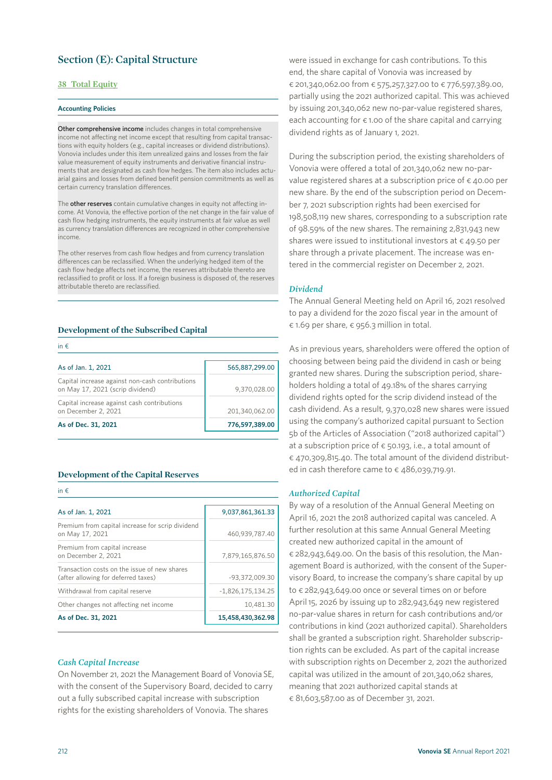# **Section (E): Capital Structure**

# **38 Total Equity**

#### **Accounting Policies**

Other comprehensive income includes changes in total comprehensive income not affecting net income except that resulting from capital transactions with equity holders (e.g., capital increases or dividend distributions). Vonovia includes under this item unrealized gains and losses from the fair value measurement of equity instruments and derivative financial instruments that are designated as cash flow hedges. The item also includes actuarial gains and losses from defined benefit pension commitments as well as certain currency translation differences.

The other reserves contain cumulative changes in equity not affecting income. At Vonovia, the effective portion of the net change in the fair value of cash flow hedging instruments, the equity instruments at fair value as well as currency translation differences are recognized in other comprehensive income.

The other reserves from cash flow hedges and from currency translation differences can be reclassified. When the underlying hedged item of the cash flow hedge affects net income, the reserves attributable thereto are reclassified to profit or loss. If a foreign business is disposed of, the reserves attributable thereto are reclassified.

## **Development of the Subscribed Capital**

| in $f$ .                                                                            |                |
|-------------------------------------------------------------------------------------|----------------|
| As of Jan. 1, 2021                                                                  | 565,887,299.00 |
| Capital increase against non-cash contributions<br>on May 17, 2021 (scrip dividend) | 9,370,028.00   |
| Capital increase against cash contributions<br>on December 2, 2021                  | 201,340,062.00 |
| As of Dec. 31, 2021                                                                 | 776,597,389.00 |

### **Development of the Capital Reserves**

in € As of Jan. 1, 2021 9,037,861,361.33 Premium from capital increase for scrip dividend on May 17, 2021 460,939,787.40 Premium from capital increase on December 2, 2021 7,879,165,876.50 Transaction costs on the issue of new shares  $(after allowing for deferred taxes)$   $-93,372,009.30$ Withdrawal from capital reserve  $\vert$  -1,826,175,134.25 Other changes not affecting net income 10,481.30 **As of Dec. 31, 2021 15,458,430,362.98**

## *Cash Capital Increase*

On November 21, 2021 the Management Board of Vonovia SE, with the consent of the Supervisory Board, decided to carry out a fully subscribed capital increase with subscription rights for the existing shareholders of Vonovia. The shares

were issued in exchange for cash contributions. To this end, the share capital of Vonovia was increased by € 201,340,062.00 from € 575,257,327.00 to € 776,597,389.00, partially using the 2021 authorized capital. This was achieved by issuing 201,340,062 new no-par-value registered shares, each accounting for  $\epsilon$  1.00 of the share capital and carrying dividend rights as of January 1, 2021.

During the subscription period, the existing shareholders of Vonovia were offered a total of 201,340,062 new no-parvalue registered shares at a subscription price of  $\epsilon$  40.00 per new share. By the end of the subscription period on December 7, 2021 subscription rights had been exercised for 198,508,119 new shares, corresponding to a subscription rate of 98.59% of the new shares. The remaining 2,831,943 new shares were issued to institutional investors at € 49.50 per share through a private placement. The increase was entered in the commercial register on December 2, 2021.

### *Dividend*

The Annual General Meeting held on April 16, 2021 resolved to pay a dividend for the 2020 fiscal year in the amount of € 1.69 per share, € 956.3 million in total.

As in previous years, shareholders were offered the option of choosing between being paid the dividend in cash or being granted new shares. During the subscription period, shareholders holding a total of 49.18% of the shares carrying dividend rights opted for the scrip dividend instead of the cash dividend. As a result, 9,370,028 new shares were issued using the company's authorized capital pursuant to Section 5b of the Articles of Association ("2018 authorized capital") at a subscription price of  $\epsilon$  50.193, i.e., a total amount of € 470,309,815.40. The total amount of the dividend distributed in cash therefore came to  $\epsilon$  486,039,719.91.

### *Authorized Capital*

By way of a resolution of the Annual General Meeting on April 16, 2021 the 2018 authorized capital was canceled. A further resolution at this same Annual General Meeting created new authorized capital in the amount of € 282,943,649.00. On the basis of this resolution, the Management Board is authorized, with the consent of the Supervisory Board, to increase the company's share capital by up to € 282,943,649.00 once or several times on or before April 15, 2026 by issuing up to 282,943,649 new registered no-par-value shares in return for cash contributions and/or contributions in kind (2021 authorized capital). Shareholders shall be granted a subscription right. Shareholder subscription rights can be excluded. As part of the capital increase with subscription rights on December 2, 2021 the authorized capital was utilized in the amount of 201,340,062 shares, meaning that 2021 authorized capital stands at € 81,603,587.00 as of December 31, 2021.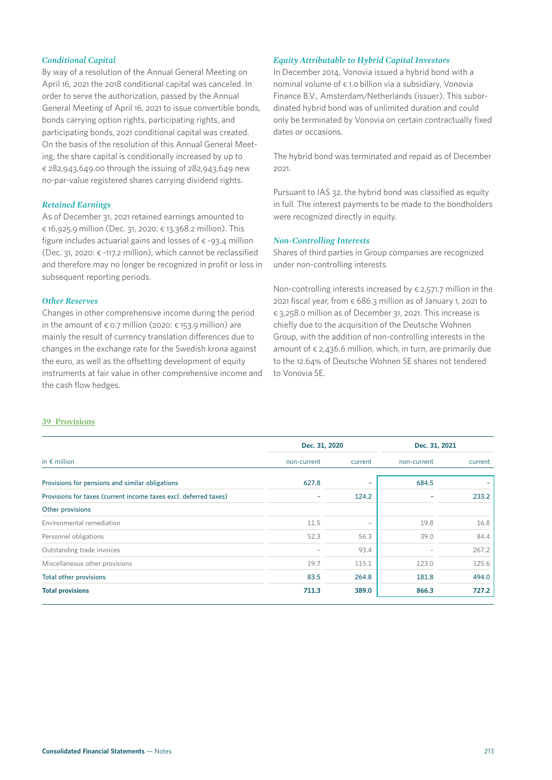# *Conditional Capital*

By way of a resolution of the Annual General Meeting on April 16, 2021 the 2018 conditional capital was canceled. In order to serve the authorization, passed by the Annual General Meeting of April 16, 2021 to issue convertible bonds, bonds carrying option rights, participating rights, and participating bonds, 2021 conditional capital was created. On the basis of the resolution of this Annual General Meeting, the share capital is conditionally increased by up to € 282,943,649.00 through the issuing of 282,943,649 new no-par-value registered shares carrying dividend rights.

### *Retained Earnings*

As of December 31, 2021 retained earnings amounted to € 16,925.9 million (Dec. 31, 2020: € 13,368.2 million). This figure includes actuarial gains and losses of  $\epsilon$  -93.4 million (Dec. 31, 2020: € -117.2 million), which cannot be reclassified and therefore may no longer be recognized in profit or loss in subsequent reporting periods.

# *Other Reserves*

Changes in other comprehensive income during the period in the amount of  $\epsilon$  0.7 million (2020:  $\epsilon$  153.9 million) are mainly the result of currency translation differences due to changes in the exchange rate for the Swedish krona against the euro, as well as the offsetting development of equity instruments at fair value in other comprehensive income and the cash flow hedges.

# *Equity Attributable to Hybrid Capital Investors*

In December 2014, Vonovia issued a hybrid bond with a nominal volume of € 1.0 billion via a subsidiary, Vonovia Finance B.V., Amsterdam/Netherlands (issuer). This subordinated hybrid bond was of unlimited duration and could only be terminated by Vonovia on certain contractually fixed dates or occasions.

The hybrid bond was terminated and repaid as of December 2021.

Pursuant to IAS 32, the hybrid bond was classified as equity in full. The interest payments to be made to the bondholders were recognized directly in equity.

# *Non-Controlling Interests*

Shares of third parties in Group companies are recognized under non-controlling interests.

Non-controlling interests increased by  $\epsilon$  2,571.7 million in the 2021 fiscal year, from  $\epsilon$  686.3 million as of January 1, 2021 to € 3,258.0 million as of December 31, 2021. This increase is chiefly due to the acquisition of the Deutsche Wohnen Group, with the addition of non-controlling interests in the amount of  $\epsilon$  2,436.6 million, which, in turn, are primarily due to the 12.64% of Deutsche Wohnen SE shares not tendered to Vonovia SE.

# **39 Provisions**

|                                                                  | Dec. 31, 2020 |                          | Dec. 31, 2021 |         |
|------------------------------------------------------------------|---------------|--------------------------|---------------|---------|
| in $\epsilon$ million                                            | non-current   | current                  | non-current   | current |
| Provisions for pensions and similar obligations                  | 627.8         | $\overline{\phantom{0}}$ | 684.5         |         |
| Provisions for taxes (current income taxes excl. deferred taxes) |               | 124.2                    |               | 233.2   |
| Other provisions                                                 |               |                          |               |         |
| Environmental remediation                                        | 11.5          | $\overline{\phantom{0}}$ | 19.8          | 16.8    |
| Personnel obligations                                            | 52.3          | 56.3                     | 39.0          | 84.4    |
| Outstanding trade invoices                                       |               | 93.4                     |               | 267.2   |
| Miscellaneous other provisions                                   | 19.7          | 115.1                    | 123.0         | 125.6   |
| Total other provisions                                           | 83.5          | 264.8                    | 181.8         | 494.0   |
| <b>Total provisions</b>                                          | 711.3         | 389.0                    | 866.3         | 727.2   |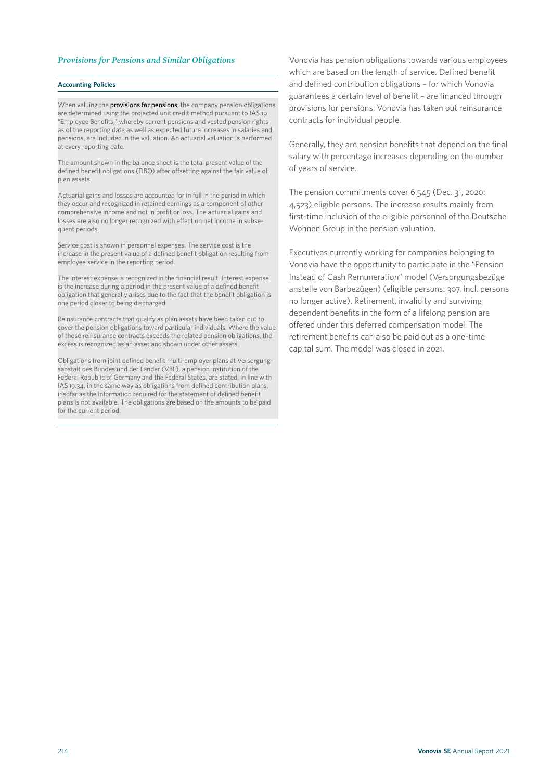### *Provisions for Pensions and Similar Obligations*

#### **Accounting Policies**

When valuing the **provisions for pensions**, the company pension obligations are determined using the projected unit credit method pursuant to IAS 19 "Employee Benefits," whereby current pensions and vested pension rights as of the reporting date as well as expected future increases in salaries and pensions, are included in the valuation. An actuarial valuation is performed .<br>at every reporting date.

The amount shown in the balance sheet is the total present value of the defined benefit obligations (DBO) after offsetting against the fair value of plan assets.

Actuarial gains and losses are accounted for in full in the period in which they occur and recognized in retained earnings as a component of other comprehensive income and not in profit or loss. The actuarial gains and losses are also no longer recognized with effect on net income in subsequent periods.

Service cost is shown in personnel expenses. The service cost is the increase in the present value of a defined benefit obligation resulting from employee service in the reporting period.

The interest expense is recognized in the financial result. Interest expense is the increase during a period in the present value of a defined benefit obligation that generally arises due to the fact that the benefit obligation is one period closer to being discharged.

Reinsurance contracts that qualify as plan assets have been taken out to cover the pension obligations toward particular individuals. Where the value of those reinsurance contracts exceeds the related pension obligations, the excess is recognized as an asset and shown under other assets.

Obligations from joint defined benefit multi-employer plans at Versorgungsanstalt des Bundes und der Länder (VBL), a pension institution of the Federal Republic of Germany and the Federal States, are stated, in line with IAS 19.34, in the same way as obligations from defined contribution plans, insofar as the information required for the statement of defined benefit plans is not available. The obligations are based on the amounts to be paid for the current period.

Vonovia has pension obligations towards various employees which are based on the length of service. Defined benefit and defined contribution obligations – for which Vonovia guarantees a certain level of benefit – are financed through provisions for pensions. Vonovia has taken out reinsurance contracts for individual people.

Generally, they are pension benefits that depend on the final salary with percentage increases depending on the number of years of service.

The pension commitments cover 6,545 (Dec. 31, 2020: 4,523) eligible persons. The increase results mainly from first-time inclusion of the eligible personnel of the Deutsche Wohnen Group in the pension valuation.

Executives currently working for companies belonging to Vonovia have the opportunity to participate in the "Pension Instead of Cash Remuneration" model (Versorgungsbezüge anstelle von Barbezügen) (eligible persons: 307, incl. persons no longer active). Retirement, invalidity and surviving dependent benefits in the form of a lifelong pension are offered under this deferred compensation model. The retirement benefits can also be paid out as a one-time capital sum. The model was closed in 2021.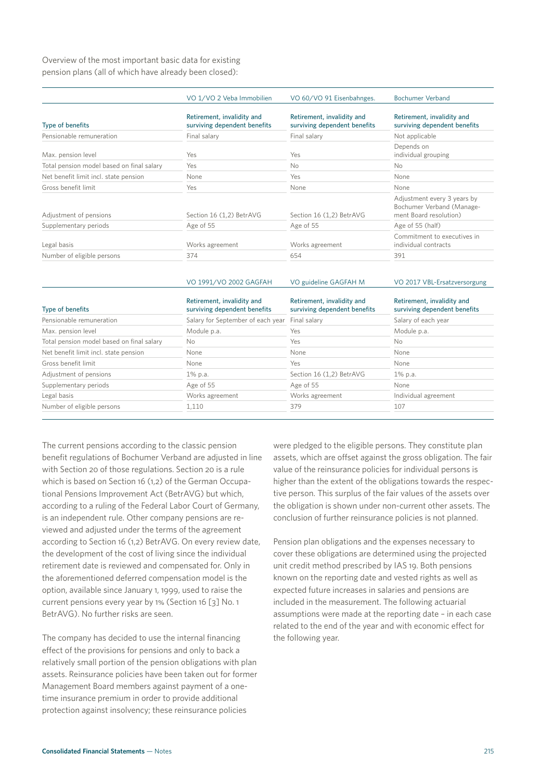Overview of the most important basic data for existing pension plans (all of which have already been closed):

|                                           | VO 1/VO 2 Veba Immobilien                                  | VO 60/VO 91 Eisenbahnges.                                  | <b>Bochumer Verband</b>                                                            |
|-------------------------------------------|------------------------------------------------------------|------------------------------------------------------------|------------------------------------------------------------------------------------|
| Type of benefits                          | Retirement, invalidity and<br>surviving dependent benefits | Retirement, invalidity and<br>surviving dependent benefits | Retirement, invalidity and<br>surviving dependent benefits                         |
| Pensionable remuneration                  | Final salary                                               | Final salary                                               | Not applicable                                                                     |
| Max. pension level                        | Yes                                                        | Yes                                                        | Depends on<br>individual grouping                                                  |
| Total pension model based on final salary | Yes                                                        | No.                                                        | <b>No</b>                                                                          |
| Net benefit limit incl. state pension     | None                                                       | Yes                                                        | None                                                                               |
| Gross benefit limit                       | Yes                                                        | None                                                       | None                                                                               |
| Adjustment of pensions                    | Section 16 (1,2) BetrAVG                                   | Section 16 (1,2) BetrAVG                                   | Adjustment every 3 years by<br>Bochumer Verband (Manage-<br>ment Board resolution) |
| Supplementary periods                     | Age of 55                                                  | Age of 55                                                  | Age of 55 (half)                                                                   |
| Legal basis                               | Works agreement                                            | Works agreement                                            | Commitment to executives in<br>individual contracts                                |
| Number of eligible persons                | 374                                                        | 654                                                        | 391                                                                                |

|                                           | VO 1991/VO 2002 GAGFAH                                     | VO guideline GAGFAH M                                      | VO 2017 VBL-Ersatzversorgung                               |
|-------------------------------------------|------------------------------------------------------------|------------------------------------------------------------|------------------------------------------------------------|
| Type of benefits                          | Retirement, invalidity and<br>surviving dependent benefits | Retirement, invalidity and<br>surviving dependent benefits | Retirement, invalidity and<br>surviving dependent benefits |
| Pensionable remuneration                  | Salary for September of each year                          | Final salary                                               | Salary of each year                                        |
| Max. pension level                        | Module p.a.                                                | Yes                                                        | Module p.a.                                                |
| Total pension model based on final salary | No.                                                        | Yes                                                        | N <sub>o</sub>                                             |
| Net benefit limit incl. state pension     | None                                                       | None                                                       | None                                                       |
| Gross benefit limit                       | None                                                       | Yes                                                        | None                                                       |
| Adjustment of pensions                    | 1% p.a.                                                    | Section 16 (1,2) BetrAVG                                   | 1% p.a.                                                    |
| Supplementary periods                     | Age of 55                                                  | Age of 55                                                  | None                                                       |
| Legal basis                               | Works agreement                                            | Works agreement                                            | Individual agreement                                       |
| Number of eligible persons                | 1,110                                                      | 379                                                        | 107                                                        |

The current pensions according to the classic pension benefit regulations of Bochumer Verband are adjusted in line with Section 20 of those regulations. Section 20 is a rule which is based on Section 16 (1,2) of the German Occupational Pensions Improvement Act (BetrAVG) but which, according to a ruling of the Federal Labor Court of Germany, is an independent rule. Other company pensions are reviewed and adjusted under the terms of the agreement according to Section 16 (1,2) BetrAVG. On every review date, the development of the cost of living since the individual retirement date is reviewed and compensated for. Only in the aforementioned deferred compensation model is the option, available since January 1, 1999, used to raise the current pensions every year by 1% (Section 16 [3] No. 1 BetrAVG). No further risks are seen.

The company has decided to use the internal financing effect of the provisions for pensions and only to back a relatively small portion of the pension obligations with plan assets. Reinsurance policies have been taken out for former Management Board members against payment of a onetime insurance premium in order to provide additional protection against insolvency; these reinsurance policies

were pledged to the eligible persons. They constitute plan assets, which are offset against the gross obligation. The fair value of the reinsurance policies for individual persons is higher than the extent of the obligations towards the respective person. This surplus of the fair values of the assets over the obligation is shown under non-current other assets. The conclusion of further reinsurance policies is not planned.

Pension plan obligations and the expenses necessary to cover these obligations are determined using the projected unit credit method prescribed by IAS 19. Both pensions known on the reporting date and vested rights as well as expected future increases in salaries and pensions are included in the measurement. The following actuarial assumptions were made at the reporting date – in each case related to the end of the year and with economic effect for the following year.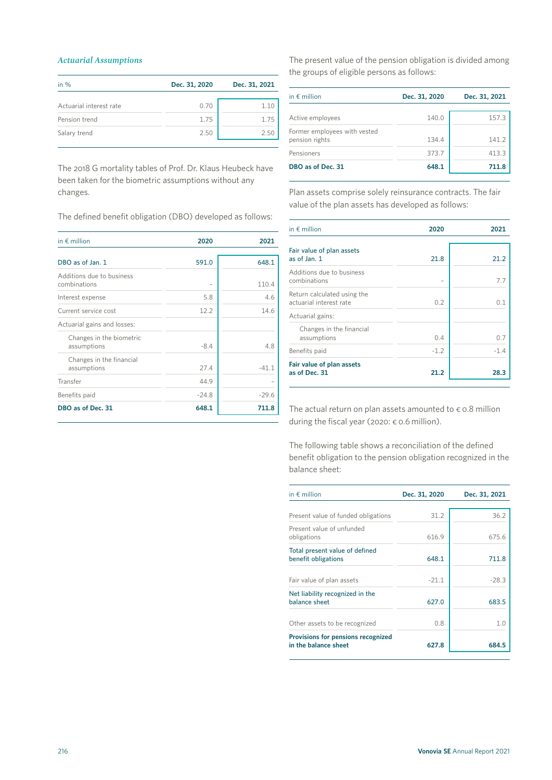# *Actuarial Assumptions*

| in $%$                  | Dec. 31, 2020 | Dec. 31, 2021 |
|-------------------------|---------------|---------------|
|                         |               |               |
| Actuarial interest rate | 0.70          | 1.10          |
| Pension trend           | 1.75          | 1.75          |
| Salary trend            | 2.50          | 2.50          |
|                         |               |               |

The 2018 G mortality tables of Prof. Dr. Klaus Heubeck have been taken for the biometric assumptions without any changes.

The defined benefit obligation (DBO) developed as follows:

| in $\epsilon$ million                     | 2020    | 2021    |
|-------------------------------------------|---------|---------|
| DBO as of Jan. 1                          | 591.0   | 648.1   |
| Additions due to business<br>combinations |         | 110.4   |
| Interest expense                          | 5.8     | 4.6     |
| Current service cost                      | 12.2    | 14.6    |
| Actuarial gains and losses:               |         |         |
| Changes in the biometric<br>assumptions   | $-8.4$  | 4.8     |
| Changes in the financial<br>assumptions   | 27.4    | $-41.1$ |
| Transfer                                  | 44.9    |         |
| Benefits paid                             | $-24.8$ | $-29.6$ |
| DBO as of Dec. 31                         | 648.1   | 711.8   |

The present value of the pension obligation is divided among the groups of eligible persons as follows:

| in $\epsilon$ million                          | Dec. 31, 2020 | Dec. 31, 2021 |
|------------------------------------------------|---------------|---------------|
| Active employees                               | 140.0         | 157.3         |
| Former employees with vested<br>pension rights | 134.4         | 141.2         |
| Pensioners                                     | 373.7         | 413.3         |
| DBO as of Dec. 31                              | 648.1         | 711.8         |

Plan assets comprise solely reinsurance contracts. The fair value of the plan assets has developed as follows:

| in $\notin$ million                                    | 2020   | 2021           |
|--------------------------------------------------------|--------|----------------|
| Fair value of plan assets<br>as of Jan. 1              | 21.8   | 21.2           |
| Additions due to business<br>combinations              |        | 7.7            |
| Return calculated using the<br>actuarial interest rate | 0.2    | 0 <sub>1</sub> |
| Actuarial gains:                                       |        |                |
| Changes in the financial<br>assumptions                | 0.4    | 0.7            |
| Benefits paid                                          | $-1.2$ | $-1.4$         |
| Fair value of plan assets<br>as of Dec. 31             | 21.2   | 28.3           |

The actual return on plan assets amounted to  $\epsilon$  o.8 million during the fiscal year (2020: € 0.6 million).

The following table shows a reconciliation of the defined benefit obligation to the pension obligation recognized in the balance sheet:

| in $\notin$ million                                        | Dec. 31, 2020 | Dec. 31, 2021 |
|------------------------------------------------------------|---------------|---------------|
|                                                            | 31.2          | 36.2          |
| Present value of funded obligations                        |               |               |
| Present value of unfunded<br>obligations                   | 616.9         | 675.6         |
| Total present value of defined<br>benefit obligations      | 648.1         | 711.8         |
| Fair value of plan assets                                  | $-21.1$       | $-28.3$       |
| Net liability recognized in the<br>balance sheet           | 627.0         | 683.5         |
| Other assets to be recognized                              | 0.8           | 1.0           |
| Provisions for pensions recognized<br>in the balance sheet | 627.8         | 684.5         |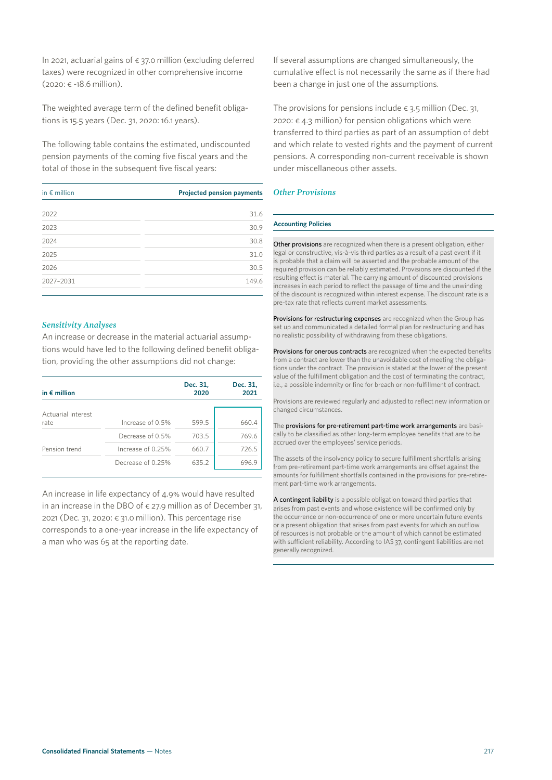In 2021, actuarial gains of  $\epsilon$  37.0 million (excluding deferred taxes) were recognized in other comprehensive income (2020: € -18.6 million).

The weighted average term of the defined benefit obligations is 15.5 years (Dec. 31, 2020: 16.1 years).

The following table contains the estimated, undiscounted pension payments of the coming five fiscal years and the total of those in the subsequent five fiscal years:

| in $\epsilon$ million | Projected pension payments |
|-----------------------|----------------------------|
| 2022                  | 31.6                       |
| 2023                  | 30.9                       |
| 2024                  | 30.8                       |
| 2025                  | 31.0                       |
| 2026                  | 30.5                       |
| 2027-2031             | 149.6                      |

## *Sensitivity Analyses*

An increase or decrease in the material actuarial assumptions would have led to the following defined benefit obligation, providing the other assumptions did not change:

| in $\epsilon$ million      |                   | Dec. 31,<br>2020 | Dec. 31,<br>2021 |
|----------------------------|-------------------|------------------|------------------|
| Actuarial interest<br>rate | Increase of 0.5%  | 599.5            | 660.4            |
|                            | Decrease of 0.5%  | 703.5            | 769.6            |
| Pension trend              | Increase of 0.25% | 660.7            | 726.5            |
|                            | Decrease of 0.25% | 635.2            | 6969             |

An increase in life expectancy of 4.9% would have resulted in an increase in the DBO of  $\epsilon$  27.9 million as of December 31, 2021 (Dec. 31, 2020:  $\epsilon$  31.0 million). This percentage rise corresponds to a one-year increase in the life expectancy of a man who was 65 at the reporting date.

If several assumptions are changed simultaneously, the cumulative effect is not necessarily the same as if there had been a change in just one of the assumptions.

The provisions for pensions include  $\epsilon$  3.5 million (Dec. 31, 2020:  $\epsilon$  4.3 million) for pension obligations which were transferred to third parties as part of an assumption of debt and which relate to vested rights and the payment of current pensions. A corresponding non-current receivable is shown under miscellaneous other assets.

## *Other Provisions*

#### **Accounting Policies**

Other provisions are recognized when there is a present obligation, either legal or constructive, vis-à-vis third parties as a result of a past event if it is probable that a claim will be asserted and the probable amount of the required provision can be reliably estimated. Provisions are discounted if the resulting effect is material. The carrying amount of discounted provisions increases in each period to reflect the passage of time and the unwinding of the discount is recognized within interest expense. The discount rate is a pre-tax rate that reflects current market assessments.

Provisions for restructuring expenses are recognized when the Group has set up and communicated a detailed formal plan for restructuring and has no realistic possibility of withdrawing from these obligations.

Provisions for onerous contracts are recognized when the expected benefits from a contract are lower than the unavoidable cost of meeting the obligations under the contract. The provision is stated at the lower of the present value of the fulfillment obligation and the cost of terminating the contract, i.e., a possible indemnity or fine for breach or non-fulfillment of contract.

Provisions are reviewed regularly and adjusted to reflect new information or changed circumstances.

The provisions for pre-retirement part-time work arrangements are basically to be classified as other long-term employee benefits that are to be accrued over the employees' service periods.

The assets of the insolvency policy to secure fulfillment shortfalls arising from pre-retirement part-time work arrangements are offset against the amounts for fulfillment shortfalls contained in the provisions for pre-retirement part-time work arrangements.

A contingent liability is a possible obligation toward third parties that arises from past events and whose existence will be confirmed only by the occurrence or non-occurrence of one or more uncertain future events or a present obligation that arises from past events for which an outflow of resources is not probable or the amount of which cannot be estimated with sufficient reliability. According to IAS 37, contingent liabilities are not generally recognized.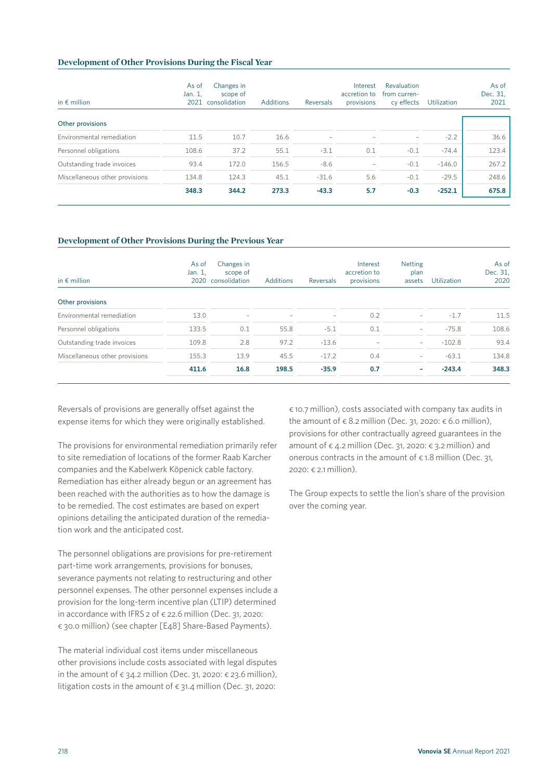## **Development of Other Provisions During the Fiscal Year**

| in $\epsilon$ million          | As of<br>Jan. 1,<br>2021 | Changes in<br>scope of<br>consolidation | Additions | Reversals                | Interest<br>accretion to<br>provisions | Revaluation<br>from curren-<br>cy effects | <b>Utilization</b> | As of<br>Dec. 31,<br>2021 |
|--------------------------------|--------------------------|-----------------------------------------|-----------|--------------------------|----------------------------------------|-------------------------------------------|--------------------|---------------------------|
| Other provisions               |                          |                                         |           |                          |                                        |                                           |                    |                           |
| Environmental remediation      | 11.5                     | 10.7                                    | 16.6      | $\overline{\phantom{0}}$ |                                        | $\overline{\phantom{0}}$                  | $-2.2$             | 36.6                      |
| Personnel obligations          | 108.6                    | 37.2                                    | 55.1      | $-3.1$                   | 0.1                                    | $-0.1$                                    | $-74.4$            | 123.4                     |
| Outstanding trade invoices     | 93.4                     | 172.0                                   | 156.5     | $-8.6$                   | $\overline{\phantom{m}}$               | $-0.1$                                    | $-146.0$           | 267.2                     |
| Miscellaneous other provisions | 134.8                    | 124.3                                   | 45.1      | $-31.6$                  | 5.6                                    | $-0.1$                                    | $-29.5$            | 248.6                     |
|                                | 348.3                    | 344.2                                   | 273.3     | $-43.3$                  | 5.7                                    | $-0.3$                                    | $-252.1$           | 675.8                     |

## **Development of Other Provisions During the Previous Year**

| in $\epsilon$ million          | As of<br>Jan. 1, | Changes in<br>scope of<br>2020 consolidation | <b>Additions</b>         | Reversals | Interest<br>accretion to<br>provisions | <b>Netting</b><br>plan<br>assets | <b>Utilization</b> | As of<br>Dec. 31,<br>2020 |
|--------------------------------|------------------|----------------------------------------------|--------------------------|-----------|----------------------------------------|----------------------------------|--------------------|---------------------------|
| Other provisions               |                  |                                              |                          |           |                                        |                                  |                    |                           |
| Environmental remediation      | 13.0             | $\overline{\phantom{0}}$                     | $\overline{\phantom{a}}$ | -         | 0.2                                    | $\overline{\phantom{0}}$         | $-1.7$             | 11.5                      |
| Personnel obligations          | 133.5            | 0.1                                          | 55.8                     | $-5.1$    | 0.1                                    | $\overline{\phantom{0}}$         | $-75.8$            | 108.6                     |
| Outstanding trade invoices     | 109.8            | 2.8                                          | 97.2                     | $-13.6$   |                                        | $\overline{\phantom{0}}$         | $-102.8$           | 93.4                      |
| Miscellaneous other provisions | 155.3            | 13.9                                         | 45.5                     | $-17.2$   | 0.4                                    | -                                | $-63.1$            | 134.8                     |
|                                | 411.6            | 16.8                                         | 198.5                    | $-35.9$   | 0.7                                    | -                                | $-243.4$           | 348.3                     |

Reversals of provisions are generally offset against the expense items for which they were originally established.

The provisions for environmental remediation primarily refer to site remediation of locations of the former Raab Karcher companies and the Kabelwerk Köpenick cable factory. Remediation has either already begun or an agreement has been reached with the authorities as to how the damage is to be remedied. The cost estimates are based on expert opinions detailing the anticipated duration of the remediation work and the anticipated cost.

The personnel obligations are provisions for pre-retirement part-time work arrangements, provisions for bonuses, severance payments not relating to restructuring and other personnel expenses. The other personnel expenses include a provision for the long-term incentive plan (LTIP) determined in accordance with IFRS 2 of € 22.6 million (Dec. 31, 2020: € 30.0 million) (see chapter [E48] Share-Based Payments).

The material individual cost items under miscellaneous other provisions include costs associated with legal disputes in the amount of  $\epsilon$  34.2 million (Dec. 31, 2020:  $\epsilon$  23.6 million), litigation costs in the amount of  $\epsilon$  31.4 million (Dec. 31, 2020:

€ 10.7 million), costs associated with company tax audits in the amount of  $\epsilon$  8.2 million (Dec. 31, 2020:  $\epsilon$  6.0 million), provisions for other contractually agreed guarantees in the amount of  $\epsilon$  4.2 million (Dec. 31, 2020:  $\epsilon$  3.2 million) and onerous contracts in the amount of  $\epsilon$  1.8 million (Dec. 31, 2020: € 2.1 million).

The Group expects to settle the lion's share of the provision over the coming year.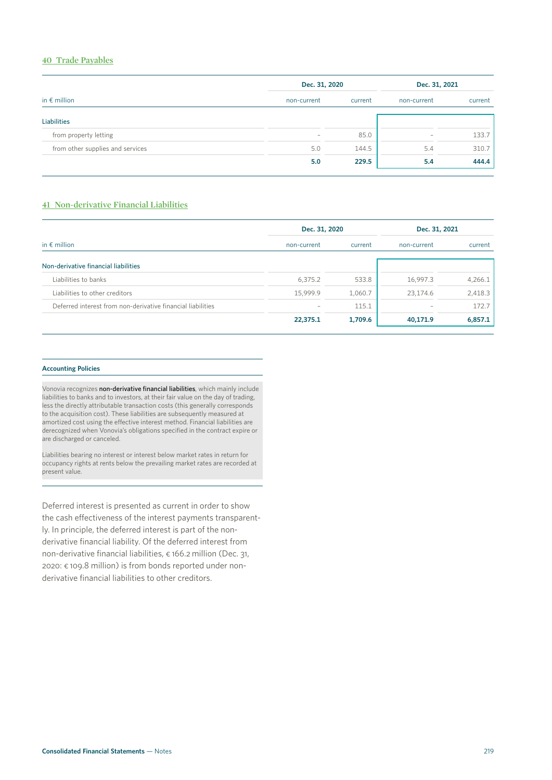# **40 Trade Payables**

|                                  | Dec. 31, 2020            |       | Dec. 31, 2021     |         |  |
|----------------------------------|--------------------------|-------|-------------------|---------|--|
| in $\epsilon$ million            | non-current              |       | non-current       | current |  |
| <b>Liabilities</b>               |                          |       |                   |         |  |
| from property letting            | $\overline{\phantom{a}}$ | 85.0  | $\qquad \qquad -$ | 133.7   |  |
| from other supplies and services | 5.0                      | 144.5 | 5.4               | 310.7   |  |
|                                  | 5.0                      | 229.5 | 5.4               | 444.4   |  |

# **41 Non-derivative Financial Liabilities**

|                                                             | Dec. 31, 2020 |         | Dec. 31, 2021            |         |  |
|-------------------------------------------------------------|---------------|---------|--------------------------|---------|--|
| in $\epsilon$ million                                       | non-current   | current | non-current              | current |  |
| Non-derivative financial liabilities                        |               |         |                          |         |  |
| Liabilities to banks                                        | 6,375.2       | 533.8   | 16,997.3                 | 4,266.1 |  |
| Liabilities to other creditors                              | 15.999.9      | 1,060.7 | 23,174.6                 | 2,418.3 |  |
| Deferred interest from non-derivative financial liabilities |               | 115.1   | $\overline{\phantom{a}}$ | 172.7   |  |
|                                                             | 22,375.1      | 1,709.6 | 40,171.9                 | 6,857.1 |  |

#### **Accounting Policies**

Vonovia recognizes non-derivative financial liabilities, which mainly include liabilities to banks and to investors, at their fair value on the day of trading, less the directly attributable transaction costs (this generally corresponds to the acquisition cost). These liabilities are subsequently measured at amortized cost using the effective interest method. Financial liabilities are derecognized when Vonovia's obligations specified in the contract expire or are discharged or canceled.

Liabilities bearing no interest or interest below market rates in return for occupancy rights at rents below the prevailing market rates are recorded at present value.

Deferred interest is presented as current in order to show the cash effectiveness of the interest payments transparently. In principle, the deferred interest is part of the nonderivative financial liability. Of the deferred interest from non-derivative financial liabilities, € 166.2 million (Dec. 31, 2020: € 109.8 million) is from bonds reported under nonderivative financial liabilities to other creditors.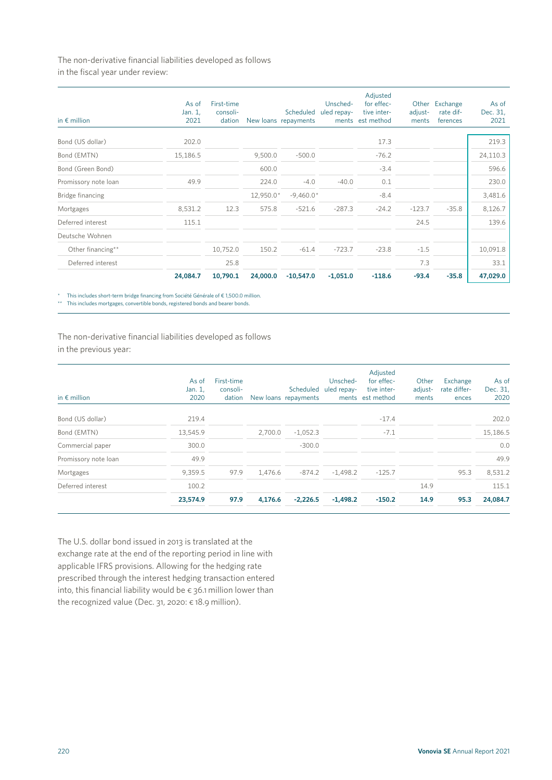The non-derivative financial liabilities developed as follows in the fiscal year under review:

| in $\epsilon$ million | As of<br>Jan. 1,<br>2021 | First-time<br>consoli-<br>dation |           | Scheduled<br>New loans repayments | Unsched-<br>uled repay-<br>ments | Adjusted<br>for effec-<br>tive inter-<br>est method | Other<br>adjust-<br>ments | Exchange<br>rate dif-<br>ferences | As of<br>Dec. 31,<br>2021 |
|-----------------------|--------------------------|----------------------------------|-----------|-----------------------------------|----------------------------------|-----------------------------------------------------|---------------------------|-----------------------------------|---------------------------|
| Bond (US dollar)      | 202.0                    |                                  |           |                                   |                                  | 17.3                                                |                           |                                   | 219.3                     |
| Bond (EMTN)           | 15,186.5                 |                                  | 9,500.0   | $-500.0$                          |                                  | $-76.2$                                             |                           |                                   | 24,110.3                  |
| Bond (Green Bond)     |                          |                                  | 600.0     |                                   |                                  | $-3.4$                                              |                           |                                   | 596.6                     |
| Promissory note loan  | 49.9                     |                                  | 224.0     | $-4.0$                            | $-40.0$                          | 0.1                                                 |                           |                                   | 230.0                     |
| Bridge financing      |                          |                                  | 12,950.0* | $-9,460.0*$                       |                                  | $-8.4$                                              |                           |                                   | 3,481.6                   |
| Mortgages             | 8,531.2                  | 12.3                             | 575.8     | $-521.6$                          | $-287.3$                         | $-24.2$                                             | $-123.7$                  | $-35.8$                           | 8,126.7                   |
| Deferred interest     | 115.1                    |                                  |           |                                   |                                  |                                                     | 24.5                      |                                   | 139.6                     |
| Deutsche Wohnen       |                          |                                  |           |                                   |                                  |                                                     |                           |                                   |                           |
| Other financing**     |                          | 10,752.0                         | 150.2     | $-61.4$                           | $-723.7$                         | $-23.8$                                             | $-1.5$                    |                                   | 10,091.8                  |
| Deferred interest     |                          | 25.8                             |           |                                   |                                  |                                                     | 7.3                       |                                   | 33.1                      |
|                       | 24,084.7                 | 10,790.1                         | 24,000.0  | $-10,547.0$                       | $-1,051.0$                       | $-118.6$                                            | $-93.4$                   | $-35.8$                           | 47,029.0                  |

\* This includes short-term bridge financing from Société Générale of € 1,500.0 million.

\*\* This includes mortgages, convertible bonds, registered bonds and bearer bonds.

The non-derivative financial liabilities developed as follows in the previous year:

| in $\epsilon$ million | As of<br>Jan. 1,<br>2020 | First-time<br>consoli-<br>dation |         | New loans repayments | Unsched-<br>Scheduled uled repay-<br>ments | Adjusted<br>for effec-<br>tive inter-<br>est method | Other<br>adjust-<br>ments | Exchange<br>rate differ-<br>ences | As of<br>Dec. 31,<br>2020 |
|-----------------------|--------------------------|----------------------------------|---------|----------------------|--------------------------------------------|-----------------------------------------------------|---------------------------|-----------------------------------|---------------------------|
| Bond (US dollar)      | 219.4                    |                                  |         |                      |                                            | $-17.4$                                             |                           |                                   | 202.0                     |
| Bond (EMTN)           | 13,545.9                 |                                  | 2,700.0 | $-1,052.3$           |                                            | $-7.1$                                              |                           |                                   | 15,186.5                  |
| Commercial paper      | 300.0                    |                                  |         | $-300.0$             |                                            |                                                     |                           |                                   | 0.0                       |
| Promissory note loan  | 49.9                     |                                  |         |                      |                                            |                                                     |                           |                                   | 49.9                      |
| Mortgages             | 9,359.5                  | 97.9                             | 1,476.6 | $-874.2$             | $-1,498.2$                                 | $-125.7$                                            |                           | 95.3                              | 8,531.2                   |
| Deferred interest     | 100.2                    |                                  |         |                      |                                            |                                                     | 14.9                      |                                   | 115.1                     |
|                       | 23,574.9                 | 97.9                             | 4,176.6 | $-2,226.5$           | $-1,498.2$                                 | $-150.2$                                            | 14.9                      | 95.3                              | 24,084.7                  |

The U.S. dollar bond issued in 2013 is translated at the exchange rate at the end of the reporting period in line with applicable IFRS provisions. Allowing for the hedging rate prescribed through the interest hedging transaction entered into, this financial liability would be  $\epsilon$  36.1 million lower than the recognized value (Dec. 31, 2020: € 18.9 million).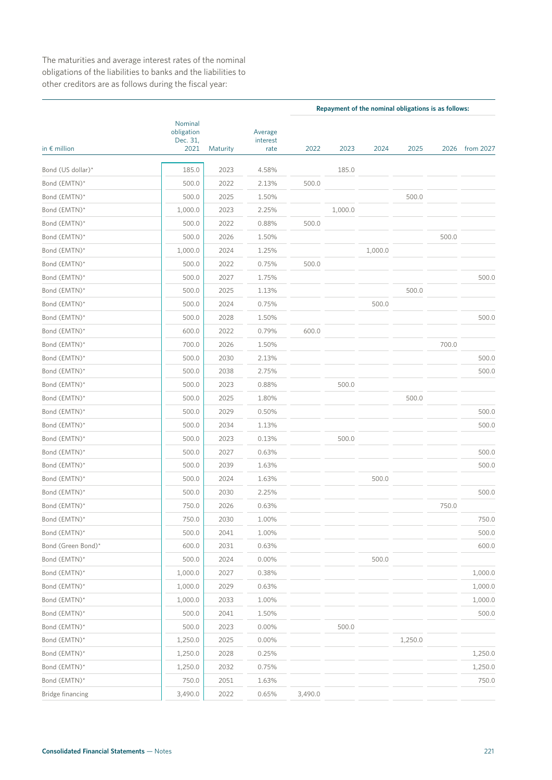The maturities and average interest rates of the nominal obligations of the liabilities to banks and the liabilities to other creditors are as follows during the fiscal year:

|                       |                                           |          | Repayment of the nominal obligations is as follows: |         |         |         |         |       |           |  |
|-----------------------|-------------------------------------------|----------|-----------------------------------------------------|---------|---------|---------|---------|-------|-----------|--|
| in $\epsilon$ million | Nominal<br>obligation<br>Dec. 31,<br>2021 | Maturity | Average<br>interest<br>rate                         | 2022    | 2023    | 2024    | 2025    | 2026  | from 2027 |  |
| Bond (US dollar)*     | 185.0                                     | 2023     | 4.58%                                               |         | 185.0   |         |         |       |           |  |
| Bond (EMTN)*          | 500.0                                     | 2022     | 2.13%                                               | 500.0   |         |         |         |       |           |  |
| Bond (EMTN)*          | 500.0                                     | 2025     | 1.50%                                               |         |         |         | 500.0   |       |           |  |
| Bond (EMTN)*          | 1,000.0                                   | 2023     | 2.25%                                               |         | 1,000.0 |         |         |       |           |  |
| Bond (EMTN)*          | 500.0                                     | 2022     | 0.88%                                               | 500.0   |         |         |         |       |           |  |
| Bond (EMTN)*          | 500.0                                     | 2026     | 1.50%                                               |         |         |         |         | 500.0 |           |  |
| Bond (EMTN)*          | 1,000.0                                   | 2024     | 1.25%                                               |         |         | 1,000.0 |         |       |           |  |
| Bond (EMTN)*          | 500.0                                     | 2022     | 0.75%                                               | 500.0   |         |         |         |       |           |  |
| Bond (EMTN)*          | 500.0                                     | 2027     | 1.75%                                               |         |         |         |         |       | 500.0     |  |
| Bond (EMTN)*          | 500.0                                     | 2025     | 1.13%                                               |         |         |         | 500.0   |       |           |  |
| Bond (EMTN)*          | 500.0                                     | 2024     | 0.75%                                               |         |         | 500.0   |         |       |           |  |
| Bond (EMTN)*          | 500.0                                     | 2028     | 1.50%                                               |         |         |         |         |       | 500.0     |  |
| Bond (EMTN)*          | 600.0                                     | 2022     | 0.79%                                               | 600.0   |         |         |         |       |           |  |
| Bond (EMTN)*          | 700.0                                     | 2026     | 1.50%                                               |         |         |         |         | 700.0 |           |  |
| Bond (EMTN)*          | 500.0                                     | 2030     | 2.13%                                               |         |         |         |         |       | 500.0     |  |
| Bond (EMTN)*          | 500.0                                     | 2038     | 2.75%                                               |         |         |         |         |       | 500.0     |  |
| Bond (EMTN)*          | 500.0                                     | 2023     | 0.88%                                               |         | 500.0   |         |         |       |           |  |
| Bond (EMTN)*          | 500.0                                     | 2025     | 1.80%                                               |         |         |         | 500.0   |       |           |  |
| Bond (EMTN)*          | 500.0                                     | 2029     | 0.50%                                               |         |         |         |         |       | 500.0     |  |
| Bond (EMTN)*          | 500.0                                     | 2034     | 1.13%                                               |         |         |         |         |       | 500.0     |  |
| Bond (EMTN)*          | 500.0                                     | 2023     | 0.13%                                               |         | 500.0   |         |         |       |           |  |
| Bond (EMTN)*          | 500.0                                     | 2027     | 0.63%                                               |         |         |         |         |       | 500.0     |  |
| Bond (EMTN)*          | 500.0                                     | 2039     | 1.63%                                               |         |         |         |         |       | 500.0     |  |
| Bond (EMTN)*          | 500.0                                     | 2024     | 1.63%                                               |         |         | 500.0   |         |       |           |  |
| Bond (EMTN)*          | 500.0                                     | 2030     | 2.25%                                               |         |         |         |         |       | 500.0     |  |
| Bond (EMTN)*          | 750.0                                     | 2026     | 0.63%                                               |         |         |         |         | 750.0 |           |  |
| Bond (EMTN)'          | 750.0                                     | 2030     | 1.00%                                               |         |         |         |         |       | 750.0     |  |
| Bond (EMTN)*          | 500.0                                     | 2041     | 1.00%                                               |         |         |         |         |       | 500.0     |  |
| Bond (Green Bond)*    | 600.0                                     | 2031     | 0.63%                                               |         |         |         |         |       | 600.0     |  |
| Bond (EMTN)*          | 500.0                                     | 2024     | 0.00%                                               |         |         | 500.0   |         |       |           |  |
| Bond (EMTN)*          | 1,000.0                                   | 2027     | 0.38%                                               |         |         |         |         |       | 1,000.0   |  |
| Bond (EMTN)*          | 1,000.0                                   | 2029     | 0.63%                                               |         |         |         |         |       | 1,000.0   |  |
| Bond (EMTN)*          | 1,000.0                                   | 2033     | 1.00%                                               |         |         |         |         |       | 1,000.0   |  |
| Bond (EMTN)*          | 500.0                                     | 2041     | 1.50%                                               |         |         |         |         |       | 500.0     |  |
| Bond (EMTN)*          | 500.0                                     | 2023     | 0.00%                                               |         | 500.0   |         |         |       |           |  |
| Bond (EMTN)*          | 1,250.0                                   | 2025     | 0.00%                                               |         |         |         | 1,250.0 |       |           |  |
| Bond (EMTN)*          | 1,250.0                                   | 2028     | 0.25%                                               |         |         |         |         |       | 1,250.0   |  |
| Bond (EMTN)*          | 1,250.0                                   | 2032     | 0.75%                                               |         |         |         |         |       | 1,250.0   |  |
| Bond (EMTN)*          | 750.0                                     | 2051     | 1.63%                                               |         |         |         |         |       | 750.0     |  |
| Bridge financing      | 3,490.0                                   | 2022     | 0.65%                                               | 3,490.0 |         |         |         |       |           |  |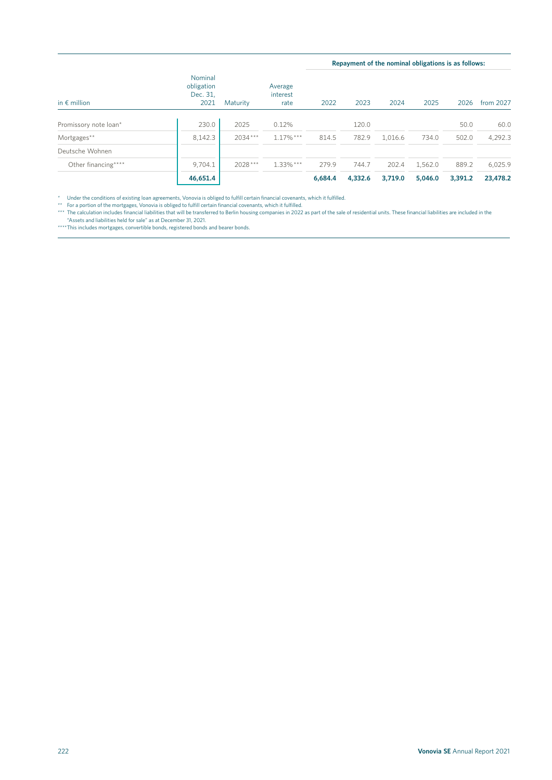|                       |                                           |           |                             |         |         |         | Repayment of the nominal obligations is as follows: |         |           |
|-----------------------|-------------------------------------------|-----------|-----------------------------|---------|---------|---------|-----------------------------------------------------|---------|-----------|
| in $\epsilon$ million | Nominal<br>obligation<br>Dec. 31,<br>2021 | Maturity  | Average<br>interest<br>rate | 2022    | 2023    | 2024    | 2025                                                | 2026    | from 2027 |
| Promissory note loan* | 230.0                                     | 2025      | 0.12%                       |         | 120.0   |         |                                                     | 50.0    | 60.0      |
| Mortgages**           | 8,142.3                                   | $2034***$ | $1.17\%$ ***                | 814.5   | 782.9   | 1.016.6 | 734.0                                               | 502.0   | 4,292.3   |
| Deutsche Wohnen       |                                           |           |                             |         |         |         |                                                     |         |           |
| Other financing****   | 9,704.1                                   | $2028***$ | $1.33\%$ ***                | 279.9   | 744.7   | 202.4   | 1,562.0                                             | 889.2   | 6,025.9   |
|                       | 46,651.4                                  |           |                             | 6.684.4 | 4,332.6 | 3,719.0 | 5,046.0                                             | 3.391.2 | 23,478.2  |

\* Under the conditions of existing loan agreements, Vonovia is obliged to fulfill certain financial covenants, which it fulfilled.<br>\*\* For a portion of the mortgages, Vonovia is obliged to fulfill certain financial covenant

"Assets and liabilities held for sale" as at December 31, 2021. \*\*\*\* This includes mortgages, convertible bonds, registered bonds and bearer bonds.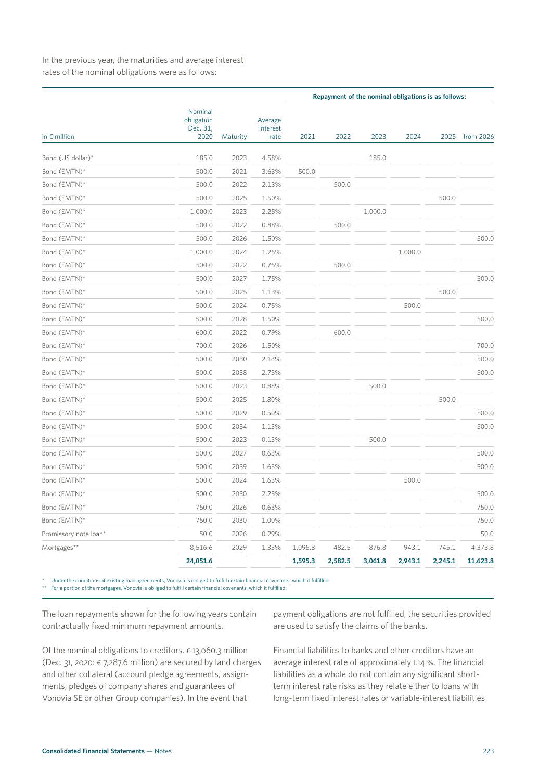In the previous year, the maturities and average interest rates of the nominal obligations were as follows:

|                       |                                           |          |                             |         |         | Repayment of the nominal obligations is as follows: |         |         |           |
|-----------------------|-------------------------------------------|----------|-----------------------------|---------|---------|-----------------------------------------------------|---------|---------|-----------|
| in $\epsilon$ million | Nominal<br>obligation<br>Dec. 31,<br>2020 | Maturity | Average<br>interest<br>rate | 2021    | 2022    | 2023                                                | 2024    | 2025    | from 2026 |
|                       | 185.0                                     | 2023     | 4.58%                       |         |         | 185.0                                               |         |         |           |
| Bond (US dollar)*     |                                           |          |                             | 500.0   |         |                                                     |         |         |           |
| Bond (EMTN)*          | 500.0                                     | 2021     | 3.63%                       |         |         |                                                     |         |         |           |
| Bond (EMTN)*          | 500.0                                     | 2022     | 2.13%                       |         | 500.0   |                                                     |         |         |           |
| Bond (EMTN)*          | 500.0                                     | 2025     | 1.50%                       |         |         |                                                     |         | 500.0   |           |
| Bond (EMTN)*          | 1,000.0                                   | 2023     | 2.25%                       |         |         | 1,000.0                                             |         |         |           |
| Bond (EMTN)*          | 500.0                                     | 2022     | 0.88%                       |         | 500.0   |                                                     |         |         |           |
| Bond (EMTN)*          | 500.0                                     | 2026     | 1.50%                       |         |         |                                                     |         |         | 500.0     |
| Bond (EMTN)*          | 1,000.0                                   | 2024     | 1.25%                       |         |         |                                                     | 1,000.0 |         |           |
| Bond (EMTN)*          | 500.0                                     | 2022     | 0.75%                       |         | 500.0   |                                                     |         |         |           |
| Bond (EMTN)*          | 500.0                                     | 2027     | 1.75%                       |         |         |                                                     |         |         | 500.0     |
| Bond (EMTN)*          | 500.0                                     | 2025     | 1.13%                       |         |         |                                                     |         | 500.0   |           |
| Bond (EMTN)*          | 500.0                                     | 2024     | 0.75%                       |         |         |                                                     | 500.0   |         |           |
| Bond (EMTN)*          | 500.0                                     | 2028     | 1.50%                       |         |         |                                                     |         |         | 500.0     |
| Bond (EMTN)*          | 600.0                                     | 2022     | 0.79%                       |         | 600.0   |                                                     |         |         |           |
| Bond (EMTN)*          | 700.0                                     | 2026     | 1.50%                       |         |         |                                                     |         |         | 700.0     |
| Bond (EMTN)*          | 500.0                                     | 2030     | 2.13%                       |         |         |                                                     |         |         | 500.0     |
| Bond (EMTN)*          | 500.0                                     | 2038     | 2.75%                       |         |         |                                                     |         |         | 500.0     |
| Bond (EMTN)*          | 500.0                                     | 2023     | 0.88%                       |         |         | 500.0                                               |         |         |           |
| Bond (EMTN)*          | 500.0                                     | 2025     | 1.80%                       |         |         |                                                     |         | 500.0   |           |
| Bond (EMTN)*          | 500.0                                     | 2029     | 0.50%                       |         |         |                                                     |         |         | 500.0     |
| Bond (EMTN)*          | 500.0                                     | 2034     | 1.13%                       |         |         |                                                     |         |         | 500.0     |
| Bond (EMTN)*          | 500.0                                     | 2023     | 0.13%                       |         |         | 500.0                                               |         |         |           |
| Bond (EMTN)*          | 500.0                                     | 2027     | 0.63%                       |         |         |                                                     |         |         | 500.0     |
| Bond (EMTN)*          | 500.0                                     | 2039     | 1.63%                       |         |         |                                                     |         |         | 500.0     |
| Bond (EMTN)*          | 500.0                                     | 2024     | 1.63%                       |         |         |                                                     | 500.0   |         |           |
| Bond (EMTN)*          | 500.0                                     | 2030     | 2.25%                       |         |         |                                                     |         |         | 500.0     |
| Bond (EMTN)*          | 750.0                                     | 2026     | 0.63%                       |         |         |                                                     |         |         | 750.0     |
| Bond (EMTN)*          | 750.0                                     | 2030     | 1.00%                       |         |         |                                                     |         |         | 750.0     |
| Promissory note loan* | 50.0                                      | 2026     | 0.29%                       |         |         |                                                     |         |         | 50.0      |
| Mortgages**           | 8,516.6                                   | 2029     | 1.33%                       | 1,095.3 | 482.5   | 876.8                                               | 943.1   | 745.1   | 4,373.8   |
|                       | 24,051.6                                  |          |                             | 1,595.3 | 2,582.5 | 3,061.8                                             | 2,943.1 | 2,245.1 | 11,623.8  |

\* Under the conditions of existing loan agreements, Vonovia is obliged to fulfill certain financial covenants, which it fulfilled.

\*\*\*\*\* For a portion of the mortgages, Vonovia is obliged to fulfill certain financial covenants, which it fulfilled.

The loan repayments shown for the following years contain contractually fixed minimum repayment amounts.

Of the nominal obligations to creditors,  $\epsilon$  13,060.3 million (Dec. 31, 2020:  $\epsilon$  7,287.6 million) are secured by land charges and other collateral (account pledge agreements, assignments, pledges of company shares and guarantees of Vonovia SE or other Group companies). In the event that

payment obligations are not fulfilled, the securities provided are used to satisfy the claims of the banks.

Financial liabilities to banks and other creditors have an average interest rate of approximately 1.14 %. The financial liabilities as a whole do not contain any significant shortterm interest rate risks as they relate either to loans with long-term fixed interest rates or variable-interest liabilities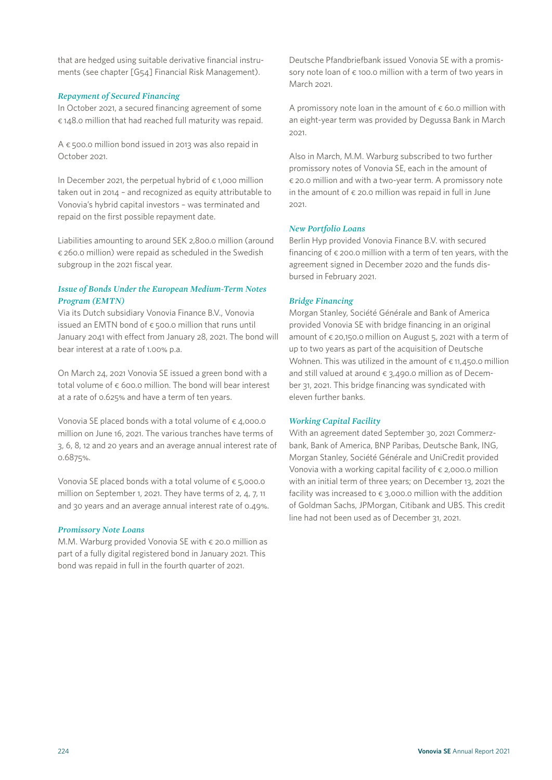that are hedged using suitable derivative financial instruments (see chapter [G54] Financial Risk Management).

## *Repayment of Secured Financing*

In October 2021, a secured financing agreement of some € 148.0 million that had reached full maturity was repaid.

A  $\epsilon$  500.0 million bond issued in 2013 was also repaid in October 2021.

In December 2021, the perpetual hybrid of  $\epsilon$  1,000 million taken out in 2014 – and recognized as equity attributable to Vonovia's hybrid capital investors – was terminated and repaid on the first possible repayment date.

Liabilities amounting to around SEK 2,800.0 million (around  $\epsilon$  260.0 million) were repaid as scheduled in the Swedish subgroup in the 2021 fiscal year.

## *Issue of Bonds Under the European Medium-Term Notes Program (EMTN)*

Via its Dutch subsidiary Vonovia Finance B.V., Vonovia issued an EMTN bond of  $\epsilon$  500.0 million that runs until January 2041 with effect from January 28, 2021. The bond will bear interest at a rate of 1.00% p.a.

On March 24, 2021 Vonovia SE issued a green bond with a total volume of  $\epsilon$  600.0 million. The bond will bear interest at a rate of 0.625% and have a term of ten years.

Vonovia SE placed bonds with a total volume of  $\epsilon$  4,000.0 million on June 16, 2021. The various tranches have terms of 3, 6, 8, 12 and 20 years and an average annual interest rate of 0.6875%.

Vonovia SE placed bonds with a total volume of  $\epsilon$  5,000.0 million on September 1, 2021. They have terms of 2, 4, 7, 11 and 30 years and an average annual interest rate of 0.49%.

### *Promissory Note Loans*

M.M. Warburg provided Vonovia SE with  $\epsilon$  20.0 million as part of a fully digital registered bond in January 2021. This bond was repaid in full in the fourth quarter of 2021.

Deutsche Pfandbriefbank issued Vonovia SE with a promissory note loan of  $\epsilon$  100.0 million with a term of two years in March 2021.

A promissory note loan in the amount of  $\epsilon$  60.0 million with an eight-year term was provided by Degussa Bank in March 2021.

Also in March, M.M. Warburg subscribed to two further promissory notes of Vonovia SE, each in the amount of € 20.0 million and with a two-year term. A promissory note in the amount of  $\epsilon$  20.0 million was repaid in full in June 2021.

## *New Portfolio Loans*

Berlin Hyp provided Vonovia Finance B.V. with secured financing of  $\epsilon$  200.0 million with a term of ten years, with the agreement signed in December 2020 and the funds disbursed in February 2021.

### *Bridge Financing*

Morgan Stanley, Société Générale and Bank of America provided Vonovia SE with bridge financing in an original amount of  $\epsilon$  20,150.0 million on August 5, 2021 with a term of up to two years as part of the acquisition of Deutsche Wohnen. This was utilized in the amount of  $\epsilon$  11,450.0 million and still valued at around  $\epsilon$  3,490.0 million as of December 31, 2021. This bridge financing was syndicated with eleven further banks.

## *Working Capital Facility*

With an agreement dated September 30, 2021 Commerzbank, Bank of America, BNP Paribas, Deutsche Bank, ING, Morgan Stanley, Société Générale and UniCredit provided Vonovia with a working capital facility of  $\epsilon$  2,000.0 million with an initial term of three years; on December 13, 2021 the facility was increased to  $\epsilon$  3,000.0 million with the addition of Goldman Sachs, JPMorgan, Citibank and UBS. This credit line had not been used as of December 31, 2021.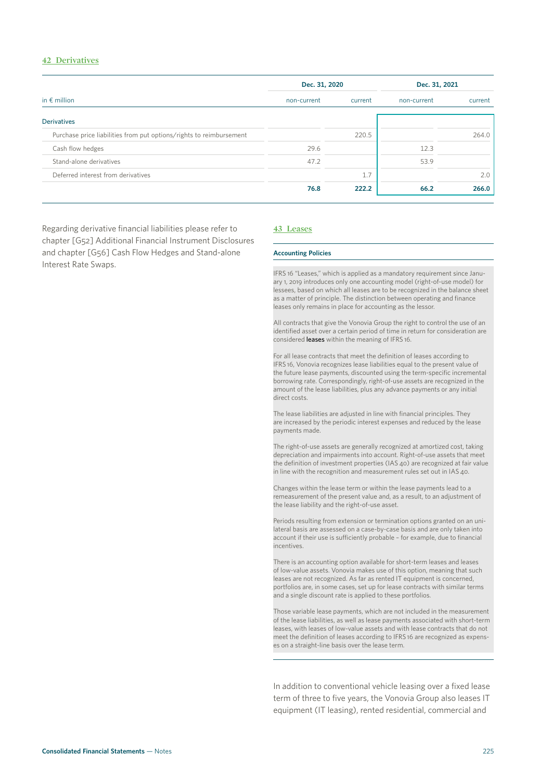## **42 Derivatives**

|                                                                     | Dec. 31, 2020          |       | Dec. 31, 2021 |         |  |
|---------------------------------------------------------------------|------------------------|-------|---------------|---------|--|
| in $\epsilon$ million                                               | non-current<br>current |       | non-current   | current |  |
| <b>Derivatives</b>                                                  |                        |       |               |         |  |
| Purchase price liabilities from put options/rights to reimbursement |                        | 220.5 |               | 264.0   |  |
| Cash flow hedges                                                    | 29.6                   |       | 12.3          |         |  |
| Stand-alone derivatives                                             | 47.2                   |       | 53.9          |         |  |
| Deferred interest from derivatives                                  |                        | 1.7   |               | 2.0     |  |
|                                                                     | 76.8                   | 222.2 | 66.2          | 266.0   |  |

Regarding derivative financial liabilities please refer to chapter [G52] Additional Financial Instrument Disclosures and chapter [G56] Cash Flow Hedges and Stand-alone Interest Rate Swaps.

#### **43 Leases**

#### **Accounting Policies**

IFRS 16 "Leases," which is applied as a mandatory requirement since January 1, 2019 introduces only one accounting model (right-of-use model) for lessees, based on which all leases are to be recognized in the balance sheet as a matter of principle. The distinction between operating and finance leases only remains in place for accounting as the lessor.

All contracts that give the Vonovia Group the right to control the use of an identified asset over a certain period of time in return for consideration are considered leases within the meaning of IFRS 16.

For all lease contracts that meet the definition of leases according to IFRS 16, Vonovia recognizes lease liabilities equal to the present value of the future lease payments, discounted using the term-specific incremental borrowing rate. Correspondingly, right-of-use assets are recognized in the amount of the lease liabilities, plus any advance payments or any initial direct costs.

The lease liabilities are adjusted in line with financial principles. They are increased by the periodic interest expenses and reduced by the lease payments made.

The right-of-use assets are generally recognized at amortized cost, taking depreciation and impairments into account. Right-of-use assets that meet the definition of investment properties (IAS 40) are recognized at fair value in line with the recognition and measurement rules set out in IAS 40.

Changes within the lease term or within the lease payments lead to a remeasurement of the present value and, as a result, to an adjustment of the lease liability and the right-of-use asset.

Periods resulting from extension or termination options granted on an unilateral basis are assessed on a case-by-case basis and are only taken into account if their use is sufficiently probable – for example, due to financial incentives.

There is an accounting option available for short-term leases and leases of low-value assets. Vonovia makes use of this option, meaning that such leases are not recognized. As far as rented IT equipment is concerned, portfolios are, in some cases, set up for lease contracts with similar terms and a single discount rate is applied to these portfolios.

Those variable lease payments, which are not included in the measurement of the lease liabilities, as well as lease payments associated with short-term leases, with leases of low-value assets and with lease contracts that do not meet the definition of leases according to IFRS 16 are recognized as expenses on a straight-line basis over the lease term.

In addition to conventional vehicle leasing over a fixed lease term of three to five years, the Vonovia Group also leases IT equipment (IT leasing), rented residential, commercial and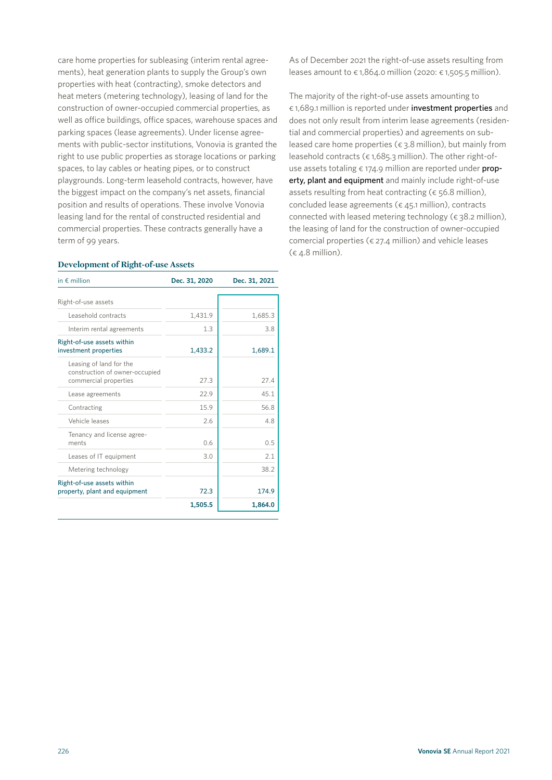care home properties for subleasing (interim rental agreements), heat generation plants to supply the Group's own properties with heat (contracting), smoke detectors and heat meters (metering technology), leasing of land for the construction of owner-occupied commercial properties, as well as office buildings, office spaces, warehouse spaces and parking spaces (lease agreements). Under license agreements with public-sector institutions, Vonovia is granted the right to use public properties as storage locations or parking spaces, to lay cables or heating pipes, or to construct playgrounds. Long-term leasehold contracts, however, have the biggest impact on the company's net assets, financial position and results of operations. These involve Vonovia leasing land for the rental of constructed residential and commercial properties. These contracts generally have a term of 99 years.

### **Development of Right-of-use Assets**

| in $\notin$ million                                                                | Dec. 31, 2020 | Dec. 31, 2021 |
|------------------------------------------------------------------------------------|---------------|---------------|
| Right-of-use assets                                                                |               |               |
| Leasehold contracts                                                                | 1.431.9       | 1,685.3       |
| Interim rental agreements                                                          | 1.3           | 3.8           |
| Right-of-use assets within<br>investment properties                                | 1.433.2       | 1,689.1       |
| Leasing of land for the<br>construction of owner-occupied<br>commercial properties | 27.3          | 27.4          |
| Lease agreements                                                                   | 22.9          | 45.1          |
| Contracting                                                                        | 15.9          | 56.8          |
| Vehicle leases                                                                     | 2.6           | 4.8           |
| Tenancy and license agree-<br>ments                                                | 0.6           | 0.5           |
| Leases of IT equipment                                                             | 3.0           | 2.1           |
| Metering technology                                                                |               | 38.2          |
| Right-of-use assets within<br>property, plant and equipment                        | 72.3          | 174.9         |
|                                                                                    | 1,505.5       | 1,864.0       |

As of December 2021 the right-of-use assets resulting from leases amount to  $\epsilon$  1,864.0 million (2020:  $\epsilon$  1,505.5 million).

The majority of the right-of-use assets amounting to € 1,689.1 million is reported under investment properties and does not only result from interim lease agreements (residential and commercial properties) and agreements on subleased care home properties ( $\epsilon$  3.8 million), but mainly from leasehold contracts ( $\epsilon$  1,685.3 million). The other right-ofuse assets totaling  $\epsilon$  174.9 million are reported under property, plant and equipment and mainly include right-of-use assets resulting from heat contracting ( $\epsilon$  56.8 million), concluded lease agreements ( $\epsilon$  45.1 million), contracts connected with leased metering technology ( $\epsilon$  38.2 million), the leasing of land for the construction of owner-occupied comercial properties ( $\epsilon$  27.4 million) and vehicle leases  $(6.4.8 \text{ million}).$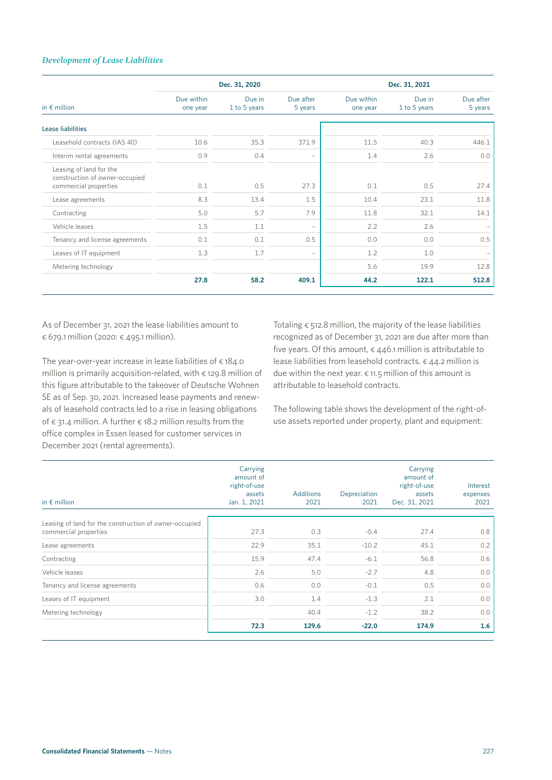## *Development of Lease Liabilities*

|                                                                                    |                        | Dec. 31, 2020          |                          | Dec. 31, 2021          |                        |                      |  |  |
|------------------------------------------------------------------------------------|------------------------|------------------------|--------------------------|------------------------|------------------------|----------------------|--|--|
| in $\epsilon$ million                                                              | Due within<br>one year | Due in<br>1 to 5 years | Due after<br>5 years     | Due within<br>one year | Due in<br>1 to 5 years | Due after<br>5 years |  |  |
| <b>Lease liabilities</b>                                                           |                        |                        |                          |                        |                        |                      |  |  |
| Leasehold contracts (IAS 40)                                                       | 10.6                   | 35.3                   | 371.9                    | 11.5                   | 40.3                   | 446.1                |  |  |
| Interim rental agreements                                                          | 0.9                    | 0.4                    |                          | 1.4                    | 2.6                    | 0.0                  |  |  |
| Leasing of land for the<br>construction of owner-occupied<br>commercial properties | 0.1                    | 0.5                    | 27.3                     | 0.1                    | 0.5                    | 27.4                 |  |  |
| Lease agreements                                                                   | 8.3                    | 13.4                   | 1.5                      | 10.4                   | 23.1                   | 11.8                 |  |  |
| Contracting                                                                        | 5.0                    | 5.7                    | 7.9                      | 11.8                   | 32.1                   | 14.1                 |  |  |
| Vehicle leases                                                                     | 1.5                    | 1.1                    | $\overline{\phantom{0}}$ | 2.2                    | 2.6                    |                      |  |  |
| Tenancy and license agreements                                                     | 0.1                    | 0.1                    | 0.5                      | 0.0                    | 0.0                    | 0.5                  |  |  |
| Leases of IT equipment                                                             | 1.3                    | 1.7                    | $\overline{\phantom{0}}$ | 1.2                    | 1.0                    |                      |  |  |
| Metering technology                                                                |                        |                        |                          | 5.6                    | 19.9                   | 12.8                 |  |  |
|                                                                                    | 27.8                   | 58.2                   | 409.1                    | 44.2                   | 122.1                  | 512.8                |  |  |

As of December 31, 2021 the lease liabilities amount to € 679.1 million (2020: € 495.1 million).

The year-over-year increase in lease liabilities of  $\epsilon$  184.0 million is primarily acquisition-related, with  $\epsilon$  129.8 million of this figure attributable to the takeover of Deutsche Wohnen SE as of Sep. 30, 2021. Increased lease payments and renewals of leasehold contracts led to a rise in leasing obligations of  $\epsilon$  31.4 million. A further  $\epsilon$  18.2 million results from the office complex in Essen leased for customer services in December 2021 (rental agreements).

Totaling  $\epsilon$  512.8 million, the majority of the lease liabilities recognized as of December 31, 2021 are due after more than five years. Of this amount,  $\epsilon$  446.1 million is attributable to lease liabilities from leasehold contracts. € 44.2 million is due within the next year.  $\epsilon$  11.5 million of this amount is attributable to leasehold contracts.

The following table shows the development of the right-ofuse assets reported under property, plant and equipment:

| in $\epsilon$ million                                                           | Carrying<br>amount of<br>right-of-use<br>assets<br>Jan. 1, 2021 | <b>Additions</b><br>2021 | Depreciation<br>2021 | Carrying<br>amount of<br>right-of-use<br>assets<br>Dec. 31, 2021 | Interest<br>expenses<br>2021 |
|---------------------------------------------------------------------------------|-----------------------------------------------------------------|--------------------------|----------------------|------------------------------------------------------------------|------------------------------|
| Leasing of land for the construction of owner-occupied<br>commercial properties | 27.3                                                            | 0.3                      | $-0.4$               | 27.4                                                             | 0.8                          |
| Lease agreements                                                                | 22.9                                                            | 35.1                     | $-10.2$              | 45.1                                                             | 0.2                          |
| Contracting                                                                     | 15.9                                                            | 47.4                     | $-6.1$               | 56.8                                                             | 0.6                          |
| Vehicle leases                                                                  | 2.6                                                             | 5.0                      | $-2.7$               | 4.8                                                              | 0.0                          |
| Tenancy and license agreements                                                  | 0.6                                                             | 0.0                      | $-0.1$               | 0.5                                                              | 0.0                          |
| Leases of IT equipment                                                          | 3.0                                                             | 1.4                      | $-1.3$               | 2.1                                                              | 0.0                          |
| Metering technology                                                             |                                                                 | 40.4                     | $-1.2$               | 38.2                                                             | 0.0                          |
|                                                                                 | 72.3                                                            | 129.6                    | $-22.0$              | 174.9                                                            | 1.6                          |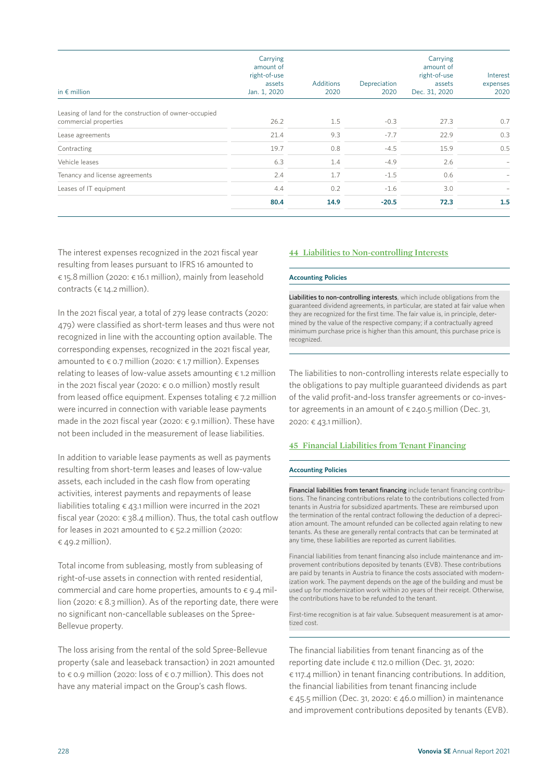| in $\epsilon$ million                                  | Carrying<br>amount of<br>right-of-use<br>assets<br>Jan. 1, 2020 | Additions<br>2020 | Depreciation<br>2020 | Carrying<br>amount of<br>right-of-use<br>assets<br>Dec. 31, 2020 | Interest<br>expenses<br>2020 |
|--------------------------------------------------------|-----------------------------------------------------------------|-------------------|----------------------|------------------------------------------------------------------|------------------------------|
| Leasing of land for the construction of owner-occupied |                                                                 |                   |                      |                                                                  |                              |
| commercial properties                                  | 26.2                                                            | 1.5               | $-0.3$               | 27.3                                                             | 0.7                          |
| Lease agreements                                       | 21.4                                                            | 9.3               | $-7.7$               | 22.9                                                             | 0.3                          |
| Contracting                                            | 19.7                                                            | 0.8               | $-4.5$               | 15.9                                                             | 0.5                          |
| Vehicle leases                                         | 6.3                                                             | 1.4               | $-4.9$               | 2.6                                                              | $\overline{\phantom{0}}$     |
| Tenancy and license agreements                         | 2.4                                                             | 1.7               | $-1.5$               | 0.6                                                              |                              |
| Leases of IT equipment                                 | 4.4                                                             | 0.2               | $-1.6$               | 3.0                                                              |                              |
|                                                        | 80.4                                                            | 14.9              | $-20.5$              | 72.3                                                             | 1.5                          |

The interest expenses recognized in the 2021 fiscal year resulting from leases pursuant to IFRS 16 amounted to € 15.8 million (2020: € 16.1 million), mainly from leasehold contracts ( $\epsilon$  14.2 million).

In the 2021 fiscal year, a total of 279 lease contracts (2020: 479) were classified as short-term leases and thus were not recognized in line with the accounting option available. The corresponding expenses, recognized in the 2021 fiscal year, amounted to  $\epsilon$  0.7 million (2020:  $\epsilon$  1.7 million). Expenses relating to leases of low-value assets amounting  $\epsilon$  1.2 million in the 2021 fiscal year (2020:  $\epsilon$  0.0 million) mostly result from leased office equipment. Expenses totaling  $\epsilon$  7.2 million were incurred in connection with variable lease payments made in the 2021 fiscal year (2020: € 9.1 million). These have not been included in the measurement of lease liabilities.

In addition to variable lease payments as well as payments resulting from short-term leases and leases of low-value assets, each included in the cash flow from operating activities, interest payments and repayments of lease liabilities totaling  $\epsilon$  43.1 million were incurred in the 2021 fiscal year (2020:  $\epsilon$  38.4 million). Thus, the total cash outflow for leases in 2021 amounted to  $\epsilon$  52.2 million (2020:  $\epsilon$  49.2 million).

Total income from subleasing, mostly from subleasing of right-of-use assets in connection with rented residential, commercial and care home properties, amounts to  $\epsilon$  9.4 million (2020:  $\epsilon$  8.3 million). As of the reporting date, there were no significant non-cancellable subleases on the Spree-Bellevue property.

The loss arising from the rental of the sold Spree-Bellevue property (sale and leaseback transaction) in 2021 amounted to € 0.9 million (2020: loss of € 0.7 million). This does not have any material impact on the Group's cash flows.

## **44 Liabilities to Non-controlling Interests**

#### **Accounting Policies**

Liabilities to non-controlling interests, which include obligations from the guaranteed dividend agreements, in particular, are stated at fair value when they are recognized for the first time. The fair value is, in principle, determined by the value of the respective company; if a contractually agreed minimum purchase price is higher than this amount, this purchase price is recognized.

The liabilities to non-controlling interests relate especially to the obligations to pay multiple guaranteed dividends as part of the valid profit-and-loss transfer agreements or co-investor agreements in an amount of  $\epsilon$  240.5 million (Dec. 31, 2020: € 43.1 million).

## **45 Financial Liabilities from Tenant Financing**

#### **Accounting Policies**

Financial liabilities from tenant financing include tenant financing contributions. The financing contributions relate to the contributions collected from tenants in Austria for subsidized apartments. These are reimbursed upon the termination of the rental contract following the deduction of a depreciation amount. The amount refunded can be collected again relating to new tenants. As these are generally rental contracts that can be terminated at any time, these liabilities are reported as current liabilities.

Financial liabilities from tenant financing also include maintenance and improvement contributions deposited by tenants (EVB). These contributions are paid by tenants in Austria to finance the costs associated with modernization work. The payment depends on the age of the building and must be used up for modernization work within 20 years of their receipt. Otherwise, the contributions have to be refunded to the tenant.

First-time recognition is at fair value. Subsequent measurement is at amortized cost.

The financial liabilities from tenant financing as of the reporting date include € 112.0 million (Dec. 31, 2020: € 117.4 million) in tenant financing contributions. In addition, the financial liabilities from tenant financing include  $\epsilon$  45.5 million (Dec. 31, 2020:  $\epsilon$  46.0 million) in maintenance and improvement contributions deposited by tenants (EVB).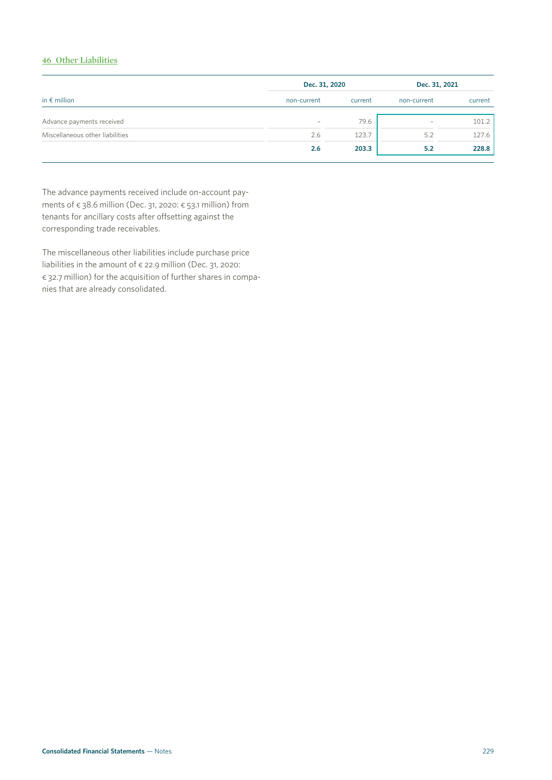## **46 Other Liabilities**

|                                 | Dec. 31, 2020                   |         | Dec. 31, 2021            |         |
|---------------------------------|---------------------------------|---------|--------------------------|---------|
| in $\epsilon$ million           | non-current                     | current | non-current              | current |
| Advance payments received       | $\hspace{0.1mm}-\hspace{0.1mm}$ | 79.6    | $\overline{\phantom{0}}$ | 101.2   |
| Miscellaneous other liabilities | 2.6                             | 123.7   | 5.2                      | 127.6   |
|                                 | 2.6                             | 203.3   | 5.2                      | 228.8   |

The advance payments received include on-account payments of  $\epsilon$  38.6 million (Dec. 31, 2020:  $\epsilon$  53.1 million) from tenants for ancillary costs after offsetting against the corresponding trade receivables.

The miscellaneous other liabilities include purchase price liabilities in the amount of  $\epsilon$  22.9 million (Dec. 31, 2020: € 32.7 million) for the acquisition of further shares in companies that are already consolidated.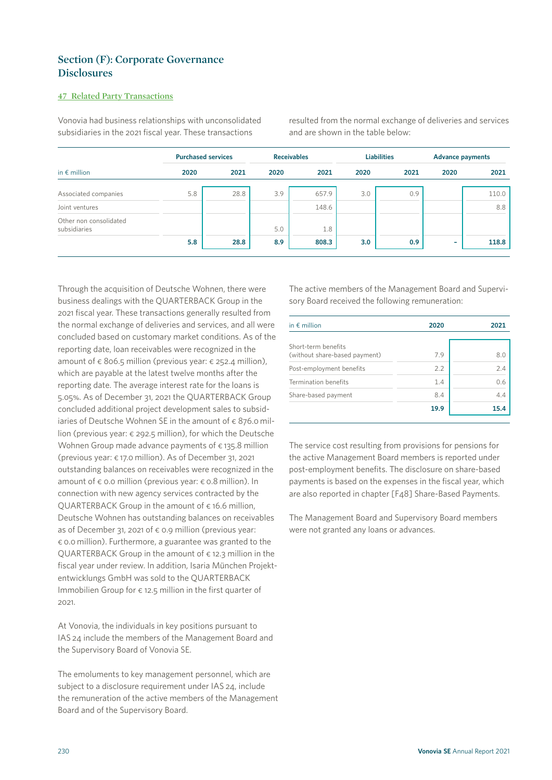# **Section (F): Corporate Governance Disclosures**

## **47 Related Party Transactions**

Vonovia had business relationships with unconsolidated subsidiaries in the 2021 fiscal year. These transactions

resulted from the normal exchange of deliveries and services and are shown in the table below:

| in $\epsilon$ million                  | <b>Purchased services</b> |      | <b>Receivables</b> |       | <b>Liabilities</b> |      | <b>Advance payments</b> |       |
|----------------------------------------|---------------------------|------|--------------------|-------|--------------------|------|-------------------------|-------|
|                                        | 2020                      | 2021 | 2020               | 2021  | 2020               | 2021 | 2020                    | 2021  |
| Associated companies                   | 5.8                       | 28.8 | 3.9                | 657.9 | 3.0                | 0.9  |                         | 110.0 |
| Joint ventures                         |                           |      |                    | 148.6 |                    |      |                         | 8.8   |
| Other non consolidated<br>subsidiaries |                           |      | 5.0                | 1.8   |                    |      |                         |       |
|                                        | 5.8                       | 28.8 | 8.9                | 808.3 | 3.0                | 0.9  | ۰                       | 118.8 |

Through the acquisition of Deutsche Wohnen, there were business dealings with the QUARTERBACK Group in the 2021 fiscal year. These transactions generally resulted from the normal exchange of deliveries and services, and all were concluded based on customary market conditions. As of the reporting date, loan receivables were recognized in the amount of  $\epsilon$  806.5 million (previous year:  $\epsilon$  252.4 million), which are payable at the latest twelve months after the reporting date. The average interest rate for the loans is 5.05%. As of December 31, 2021 the QUARTERBACK Group concluded additional project development sales to subsidiaries of Deutsche Wohnen SE in the amount of  $\epsilon$  876.0 million (previous year: € 292.5 million), for which the Deutsche Wohnen Group made advance payments of € 135.8 million (previous year: € 17.0 million). As of December 31, 2021 outstanding balances on receivables were recognized in the amount of  $\epsilon$  0.0 million (previous year:  $\epsilon$  0.8 million). In connection with new agency services contracted by the QUARTERBACK Group in the amount of  $\epsilon$  16.6 million, Deutsche Wohnen has outstanding balances on receivables as of December 31, 2021 of  $\epsilon$  0.9 million (previous year: € 0.0 million). Furthermore, a guarantee was granted to the OUARTERBACK Group in the amount of  $\epsilon$  12.3 million in the fiscal year under review. In addition, Isaria München Projektentwicklungs GmbH was sold to the QUARTERBACK Immobilien Group for  $\epsilon$  12.5 million in the first quarter of 2021.

At Vonovia, the individuals in key positions pursuant to IAS 24 include the members of the Management Board and the Supervisory Board of Vonovia SE.

The emoluments to key management personnel, which are subject to a disclosure requirement under IAS 24, include the remuneration of the active members of the Management Board and of the Supervisory Board.

The active members of the Management Board and Supervisory Board received the following remuneration:

| in $\epsilon$ million                                | 2020 | 2021 |
|------------------------------------------------------|------|------|
| Short-term benefits<br>(without share-based payment) | 7.9  | 8.0  |
| Post-employment benefits                             | 2.2  | 2.4  |
| Termination benefits                                 | 1.4  | 0.6  |
| Share-based payment                                  | 8.4  | 4.4  |
|                                                      | 19.9 | 15.4 |

The service cost resulting from provisions for pensions for the active Management Board members is reported under post-employment benefits. The disclosure on share-based payments is based on the expenses in the fiscal year, which are also reported in chapter [F48] Share-Based Payments.

The Management Board and Supervisory Board members were not granted any loans or advances.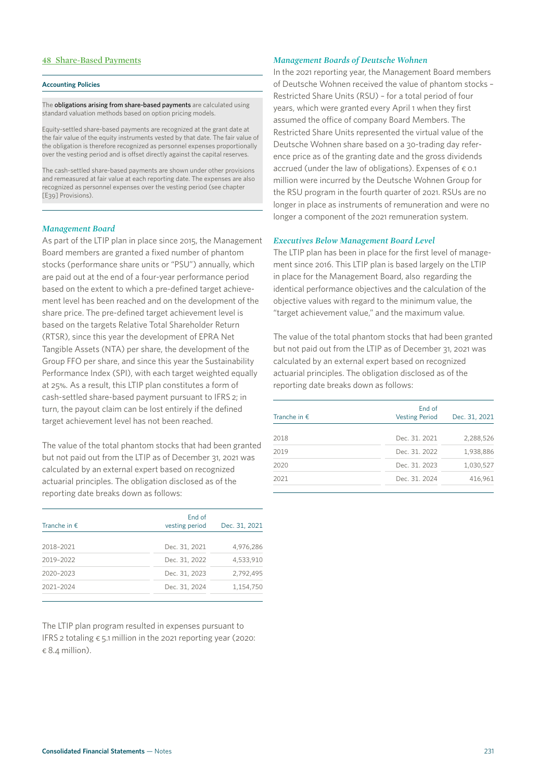### **48 Share-Based Payments**

#### **Accounting Policies**

The obligations arising from share-based payments are calculated using standard valuation methods based on option pricing models.

Equity-settled share-based payments are recognized at the grant date at the fair value of the equity instruments vested by that date. The fair value of the obligation is therefore recognized as personnel expenses proportionally over the vesting period and is offset directly against the capital reserves.

The cash-settled share-based payments are shown under other provisions and remeasured at fair value at each reporting date. The expenses are also recognized as personnel expenses over the vesting period (see chapter [E39] Provisions).

### *Management Board*

As part of the LTIP plan in place since 2015, the Management Board members are granted a fixed number of phantom stocks (performance share units or "PSU") annually, which are paid out at the end of a four-year performance period based on the extent to which a pre-defined target achievement level has been reached and on the development of the share price. The pre-defined target achievement level is based on the targets Relative Total Shareholder Return (RTSR), since this year the development of EPRA Net Tangible Assets (NTA) per share, the development of the Group FFO per share, and since this year the Sustainability Performance Index (SPI), with each target weighted equally at 25%. As a result, this LTIP plan constitutes a form of cash-settled share-based payment pursuant to IFRS 2; in turn, the payout claim can be lost entirely if the defined target achievement level has not been reached.

The value of the total phantom stocks that had been granted but not paid out from the LTIP as of December 31, 2021 was calculated by an external expert based on recognized actuarial principles. The obligation disclosed as of the reporting date breaks down as follows:

| End of<br>vesting period | Dec. 31, 2021 |
|--------------------------|---------------|
| Dec. 31, 2021            | 4,976,286     |
| Dec. 31, 2022            | 4.533.910     |
| Dec. 31, 2023            | 2.792.495     |
| Dec. 31, 2024            | 1,154,750     |
|                          |               |

The LTIP plan program resulted in expenses pursuant to IFRS 2 totaling  $\epsilon$  5.1 million in the 2021 reporting year (2020:  $\in$  8.4 million).

## *Management Boards of Deutsche Wohnen*

In the 2021 reporting year, the Management Board members of Deutsche Wohnen received the value of phantom stocks – Restricted Share Units (RSU) – for a total period of four years, which were granted every April 1 when they first assumed the office of company Board Members. The Restricted Share Units represented the virtual value of the Deutsche Wohnen share based on a 30-trading day reference price as of the granting date and the gross dividends accrued (under the law of obligations). Expenses of  $\epsilon$  0.1 million were incurred by the Deutsche Wohnen Group for the RSU program in the fourth quarter of 2021. RSUs are no longer in place as instruments of remuneration and were no longer a component of the 2021 remuneration system.

### *Executives Below Management Board Level*

The LTIP plan has been in place for the first level of management since 2016. This LTIP plan is based largely on the LTIP in place for the Management Board, also  regarding the identical performance objectives and the calculation of the objective values with regard to the minimum value, the "target achievement value," and the maximum value.

The value of the total phantom stocks that had been granted but not paid out from the LTIP as of December 31, 2021 was calculated by an external expert based on recognized actuarial principles. The obligation disclosed as of the reporting date breaks down as follows:

| Tranche in $f$ . | End of<br><b>Vesting Period</b> | Dec. 31, 2021 |
|------------------|---------------------------------|---------------|
| 2018             | Dec. 31, 2021                   | 2,288,526     |
| 2019             | Dec. 31, 2022                   | 1,938,886     |
| 2020             | Dec. 31, 2023                   | 1,030,527     |
| 2021             | Dec. 31, 2024                   | 416,961       |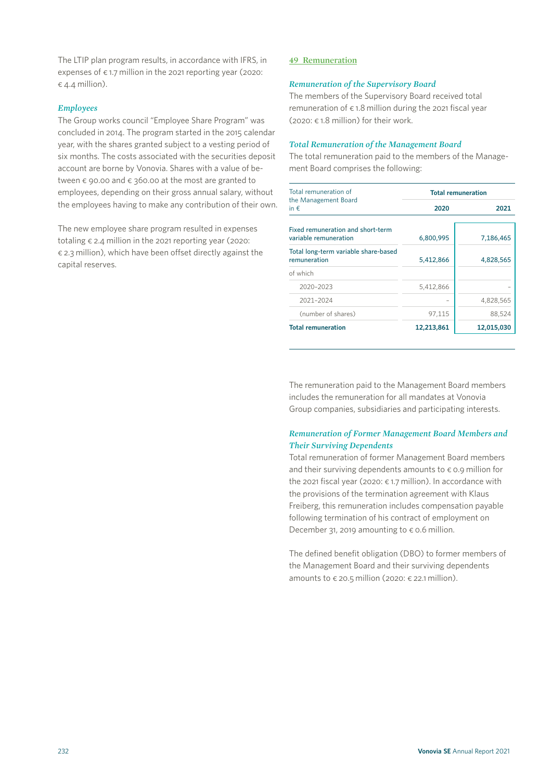The LTIP plan program results, in accordance with IFRS, in expenses of  $\epsilon$  1.7 million in the 2021 reporting year (2020:  $\epsilon$  4.4 million).

## *Employees*

The Group works council "Employee Share Program" was concluded in 2014. The program started in the 2015 calendar year, with the shares granted subject to a vesting period of six months. The costs associated with the securities deposit account are borne by Vonovia. Shares with a value of between  $\epsilon$  90.00 and  $\epsilon$  360.00 at the most are granted to employees, depending on their gross annual salary, without the employees having to make any contribution of their own.

The new employee share program resulted in expenses totaling € 2.4 million in the 2021 reporting year (2020:  $\epsilon$  2.3 million), which have been offset directly against the capital reserves.

## **49 Remuneration**

## *Remuneration of the Supervisory Board*

The members of the Supervisory Board received total remuneration of  $\epsilon$  1.8 million during the 2021 fiscal year (2020:  $\epsilon$  1.8 million) for their work.

## *Total Remuneration of the Management Board*

The total remuneration paid to the members of the Management Board comprises the following:

| Total remuneration of                                      | <b>Total remuneration</b> |            |  |  |  |  |  |
|------------------------------------------------------------|---------------------------|------------|--|--|--|--|--|
| the Management Board<br>in $\epsilon$                      | 2020                      | 2021       |  |  |  |  |  |
| Fixed remuneration and short-term<br>variable remuneration | 6,800,995                 | 7,186,465  |  |  |  |  |  |
| Total long-term variable share-based<br>remuneration       | 5,412,866                 | 4,828,565  |  |  |  |  |  |
| of which                                                   |                           |            |  |  |  |  |  |
| 2020-2023                                                  | 5,412,866                 |            |  |  |  |  |  |
| 2021-2024                                                  |                           | 4,828,565  |  |  |  |  |  |
| (number of shares)                                         | 97,115                    | 88,524     |  |  |  |  |  |
| <b>Total remuneration</b>                                  | 12,213,861                | 12,015,030 |  |  |  |  |  |

The remuneration paid to the Management Board members includes the remuneration for all mandates at Vonovia Group companies, subsidiaries and participating interests.

## *Remuneration of Former Management Board Members and Their Surviving Dependents*

Total remuneration of former Management Board members and their surviving dependents amounts to  $\epsilon$  0.9 million for the 2021 fiscal year (2020: € 1.7 million). In accordance with the provisions of the termination agreement with Klaus Freiberg, this remuneration includes compensation payable following termination of his contract of employment on December 31, 2019 amounting to  $\epsilon$  0.6 million.

The defined benefit obligation (DBO) to former members of the Management Board and their surviving dependents amounts to  $\epsilon$  20.5 million (2020:  $\epsilon$  22.1 million).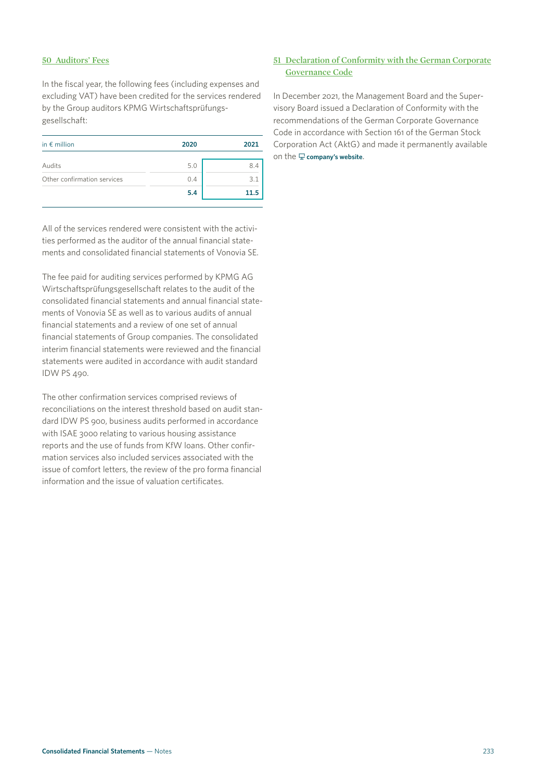## **50 Auditors' Fees**

In the fiscal year, the following fees (including expenses and excluding VAT) have been credited for the services rendered by the Group auditors KPMG Wirtschaftsprüfungsgesellschaft:

| in $\epsilon$ million       | 2020 | 2021 |
|-----------------------------|------|------|
| Audits                      | 5.0  | 8.4  |
| Other confirmation services | 0.4  | 3.   |
|                             | 5.4  | 11.5 |

All of the services rendered were consistent with the activities performed as the auditor of the annual financial statements and consolidated financial statements of Vonovia SE.

The fee paid for auditing services performed by KPMG AG Wirtschaftsprüfungsgesellschaft relates to the audit of the consolidated financial statements and annual financial statements of Vonovia SE as well as to various audits of annual financial statements and a review of one set of annual financial statements of Group companies. The consolidated interim financial statements were reviewed and the financial statements were audited in accordance with audit standard IDW PS 490.

The other confirmation services comprised reviews of reconciliations on the interest threshold based on audit standard IDW PS 900, business audits performed in accordance with ISAE 3000 relating to various housing assistance reports and the use of funds from KfW loans. Other confirmation services also included services associated with the issue of comfort letters, the review of the pro forma financial information and the issue of valuation certificates.

## **51 Declaration of Conformity with the German Corporate Governance Code**

In December 2021, the Management Board and the Supervisory Board issued a Declaration of Conformity with the recommendations of the German Corporate Governance Code in accordance with Section 161 of the German Stock Corporation Act (AktG) and made it permanently available on the **[company's website](https://www.vonovia.de/en)**.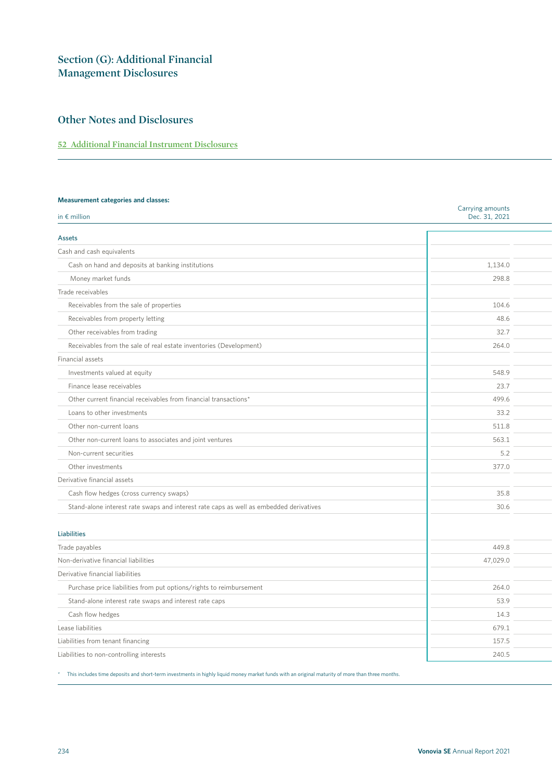# **Section (G): Additional Financial Management Disclosures**

# **Other Notes and Disclosures**

## **52 Additional Financial Instrument Disclosures**

#### **Measurement categories and classes:**

| in $\epsilon$ million                                                                  | Carrying amounts<br>Dec. 31, 2021 |
|----------------------------------------------------------------------------------------|-----------------------------------|
|                                                                                        |                                   |
| Assets                                                                                 |                                   |
| Cash and cash equivalents                                                              |                                   |
| Cash on hand and deposits at banking institutions                                      | 1,134.0                           |
| Money market funds                                                                     | 298.8                             |
| Trade receivables                                                                      |                                   |
| Receivables from the sale of properties                                                | 104.6                             |
| Receivables from property letting                                                      | 48.6                              |
| Other receivables from trading                                                         | 32.7                              |
| Receivables from the sale of real estate inventories (Development)                     | 264.0                             |
| Financial assets                                                                       |                                   |
| Investments valued at equity                                                           | 548.9                             |
| Finance lease receivables                                                              | 23.7                              |
| Other current financial receivables from financial transactions*                       | 499.6                             |
| Loans to other investments                                                             | 33.2                              |
| Other non-current loans                                                                | 511.8                             |
| Other non-current loans to associates and joint ventures                               | 563.1                             |
| Non-current securities                                                                 | 5.2                               |
| Other investments                                                                      | 377.0                             |
| Derivative financial assets                                                            |                                   |
| Cash flow hedges (cross currency swaps)                                                | 35.8                              |
| Stand-alone interest rate swaps and interest rate caps as well as embedded derivatives | 30.6                              |
|                                                                                        |                                   |
| <b>Liabilities</b>                                                                     |                                   |
| Trade payables                                                                         | 449.8                             |
| Non-derivative financial liabilities                                                   | 47,029.0                          |
| Derivative financial liabilities                                                       |                                   |
| Purchase price liabilities from put options/rights to reimbursement                    | 264.0                             |
| Stand-alone interest rate swaps and interest rate caps                                 | 53.9                              |
| Cash flow hedges                                                                       | 14.3                              |
| Lease liabilities                                                                      | 679.1                             |
| Liabilities from tenant financing                                                      | 157.5                             |
| Liabilities to non-controlling interests                                               | 240.5                             |

\* This includes time deposits and short-term investments in highly liquid money market funds with an original maturity of more than three months.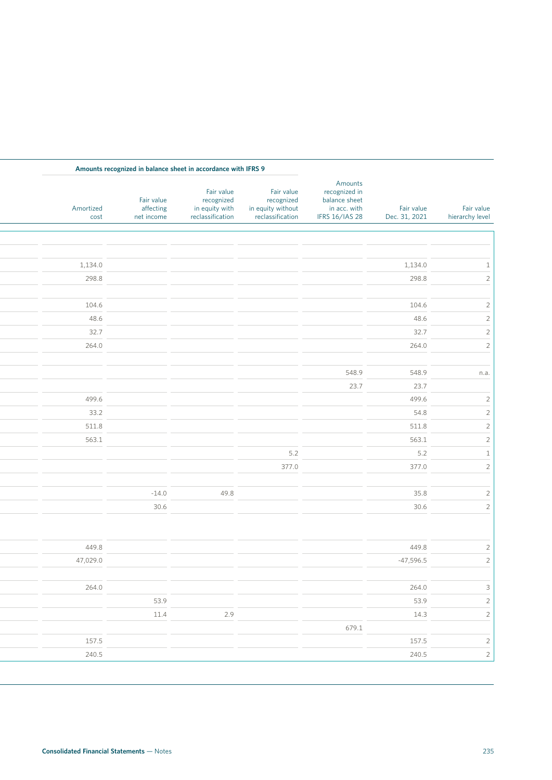|                               |                             |                                                                             |                                                                   | Amounts recognized in balance sheet in accordance with IFRS 9  |                                       |                   |
|-------------------------------|-----------------------------|-----------------------------------------------------------------------------|-------------------------------------------------------------------|----------------------------------------------------------------|---------------------------------------|-------------------|
| Fair value<br>hierarchy level | Fair value<br>Dec. 31, 2021 | Amounts<br>recognized in<br>balance sheet<br>in acc. with<br>IFRS 16/IAS 28 | Fair value<br>recognized<br>in equity without<br>reclassification | Fair value<br>recognized<br>in equity with<br>reclassification | Fair value<br>affecting<br>net income | Amortized<br>cost |
|                               |                             |                                                                             |                                                                   |                                                                |                                       |                   |
|                               |                             |                                                                             |                                                                   |                                                                |                                       |                   |
|                               | 1,134.0                     |                                                                             |                                                                   |                                                                |                                       | 1,134.0           |
|                               | 298.8                       |                                                                             |                                                                   |                                                                |                                       | 298.8             |
|                               |                             |                                                                             |                                                                   |                                                                |                                       |                   |
|                               | 104.6                       |                                                                             |                                                                   |                                                                |                                       | 104.6             |
|                               | 48.6                        |                                                                             |                                                                   |                                                                |                                       | 48.6              |
|                               | 32.7                        |                                                                             |                                                                   |                                                                |                                       | 32.7              |
|                               | 264.0                       |                                                                             |                                                                   |                                                                |                                       | 264.0             |
|                               |                             |                                                                             |                                                                   |                                                                |                                       |                   |
| n.a.                          | 548.9                       | 548.9                                                                       |                                                                   |                                                                |                                       |                   |
|                               | 23.7                        | 23.7                                                                        |                                                                   |                                                                |                                       |                   |
|                               | 499.6                       |                                                                             |                                                                   |                                                                |                                       | 499.6             |
|                               | 54.8                        |                                                                             |                                                                   |                                                                |                                       | 33.2              |
|                               | 511.8                       |                                                                             |                                                                   |                                                                |                                       | 511.8             |
|                               | 563.1                       |                                                                             |                                                                   |                                                                |                                       | 563.1             |
|                               | 5.2                         |                                                                             | 5.2                                                               |                                                                |                                       |                   |
|                               | 377.0                       |                                                                             | 377.0                                                             |                                                                |                                       |                   |
|                               | 35.8                        |                                                                             |                                                                   | 49.8                                                           | $-14.0$                               |                   |
|                               | 30.6                        |                                                                             |                                                                   |                                                                | 30.6                                  |                   |
|                               |                             |                                                                             |                                                                   |                                                                |                                       |                   |
|                               |                             |                                                                             |                                                                   |                                                                |                                       |                   |
|                               | 449.8                       |                                                                             |                                                                   |                                                                |                                       | 449.8             |
|                               | $-47,596.5$                 |                                                                             |                                                                   |                                                                |                                       | 47,029.0          |
|                               |                             |                                                                             |                                                                   |                                                                |                                       |                   |
|                               | 264.0                       |                                                                             |                                                                   |                                                                |                                       | 264.0             |
|                               | 53.9                        |                                                                             |                                                                   |                                                                | 53.9                                  |                   |
|                               | 14.3                        |                                                                             |                                                                   | 2.9                                                            | 11.4                                  |                   |
|                               | 157.5                       | 679.1                                                                       |                                                                   |                                                                |                                       | 157.5             |
|                               |                             |                                                                             |                                                                   |                                                                |                                       |                   |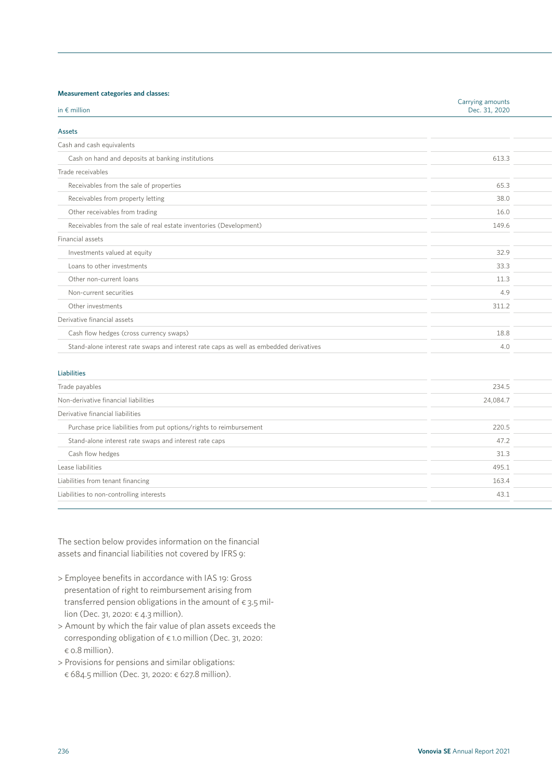## **Measurement categories and classes:**

| measarement eategories and elasses.                                                    | Carrying amounts |  |
|----------------------------------------------------------------------------------------|------------------|--|
| in $\epsilon$ million                                                                  | Dec. 31, 2020    |  |
| Assets                                                                                 |                  |  |
| Cash and cash equivalents                                                              |                  |  |
| Cash on hand and deposits at banking institutions                                      | 613.3            |  |
| Trade receivables                                                                      |                  |  |
| Receivables from the sale of properties                                                | 65.3             |  |
| Receivables from property letting                                                      | 38.0             |  |
| Other receivables from trading                                                         | 16.0             |  |
| Receivables from the sale of real estate inventories (Development)                     | 149.6            |  |
| Financial assets                                                                       |                  |  |
| Investments valued at equity                                                           | 32.9             |  |
| Loans to other investments                                                             | 33.3             |  |
| Other non-current loans                                                                | 11.3             |  |
| Non-current securities                                                                 | 4.9              |  |
| Other investments                                                                      | 311.2            |  |
| Derivative financial assets                                                            |                  |  |
| Cash flow hedges (cross currency swaps)                                                | 18.8             |  |
| Stand-alone interest rate swaps and interest rate caps as well as embedded derivatives | 4.0              |  |

### Liabilities

| Trade payables                                                      | 234.5    |
|---------------------------------------------------------------------|----------|
| Non-derivative financial liabilities                                | 24,084.7 |
| Derivative financial liabilities                                    |          |
| Purchase price liabilities from put options/rights to reimbursement | 220.5    |
| Stand-alone interest rate swaps and interest rate caps              | 47.2     |
| Cash flow hedges                                                    | 31.3     |
| Lease liabilities                                                   | 495.1    |
| Liabilities from tenant financing                                   | 163.4    |
| Liabilities to non-controlling interests                            | 43.1     |
|                                                                     |          |

The section below provides information on the financial assets and financial liabilities not covered by IFRS 9:

- > Employee benefits in accordance with IAS 19: Gross presentation of right to reimbursement arising from transferred pension obligations in the amount of  $\epsilon$  3.5 million (Dec. 31, 2020: € 4.3 million).
- > Amount by which the fair value of plan assets exceeds the corresponding obligation of € 1.0 million (Dec. 31, 2020: € 0.8 million).
- > Provisions for pensions and similar obligations: € 684.5 million (Dec. 31, 2020: € 627.8 million).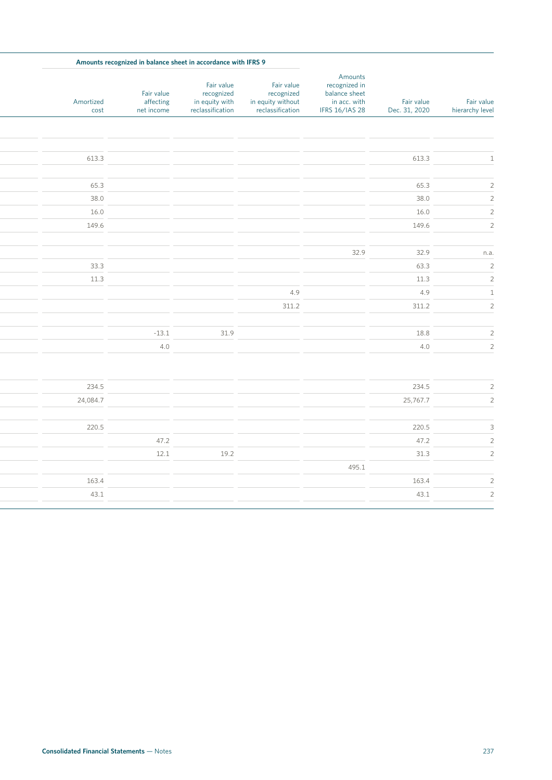|                               |                             |                                                                             | Amounts recognized in balance sheet in accordance with IFRS 9     |                                                                |                                       |                   |
|-------------------------------|-----------------------------|-----------------------------------------------------------------------------|-------------------------------------------------------------------|----------------------------------------------------------------|---------------------------------------|-------------------|
| Fair value<br>hierarchy level | Fair value<br>Dec. 31, 2020 | Amounts<br>recognized in<br>balance sheet<br>in acc. with<br>IFRS 16/IAS 28 | Fair value<br>recognized<br>in equity without<br>reclassification | Fair value<br>recognized<br>in equity with<br>reclassification | Fair value<br>affecting<br>net income | Amortized<br>cost |
|                               |                             |                                                                             |                                                                   |                                                                |                                       |                   |
|                               | 613.3                       |                                                                             |                                                                   |                                                                |                                       | 613.3             |
|                               |                             |                                                                             |                                                                   |                                                                |                                       |                   |
|                               | 65.3                        |                                                                             |                                                                   |                                                                |                                       | 65.3              |
|                               | 38.0                        |                                                                             |                                                                   |                                                                |                                       | 38.0              |
|                               | 16.0                        |                                                                             |                                                                   |                                                                |                                       | 16.0              |
|                               | 149.6                       |                                                                             |                                                                   |                                                                |                                       | 149.6             |
|                               | 32.9                        | 32.9                                                                        |                                                                   |                                                                |                                       |                   |
|                               | 63.3                        |                                                                             |                                                                   |                                                                |                                       | 33.3              |
|                               | 11.3                        |                                                                             |                                                                   |                                                                |                                       | 11.3              |
|                               | 4.9                         |                                                                             | 4.9                                                               |                                                                |                                       |                   |
|                               | 311.2                       |                                                                             | 311.2                                                             |                                                                |                                       |                   |
|                               |                             |                                                                             |                                                                   |                                                                |                                       |                   |
|                               | 18.8                        |                                                                             |                                                                   | 31.9                                                           | $-13.1$                               |                   |
|                               | 4.0                         |                                                                             |                                                                   |                                                                | 4.0                                   |                   |
|                               | 234.5                       |                                                                             |                                                                   |                                                                |                                       | 234.5             |
|                               | 25,767.7                    |                                                                             |                                                                   |                                                                |                                       | 24,084.7          |
|                               |                             |                                                                             |                                                                   |                                                                |                                       |                   |
|                               | 220.5                       |                                                                             |                                                                   |                                                                |                                       | 220.5             |
|                               | 47.2                        |                                                                             |                                                                   |                                                                | 47.2                                  |                   |
|                               | 31.3                        |                                                                             |                                                                   | 19.2                                                           | 12.1                                  |                   |
|                               |                             | 495.1                                                                       |                                                                   |                                                                |                                       |                   |
|                               | 163.4                       |                                                                             |                                                                   |                                                                |                                       | 163.4             |
|                               | 43.1                        |                                                                             |                                                                   |                                                                |                                       | 43.1              |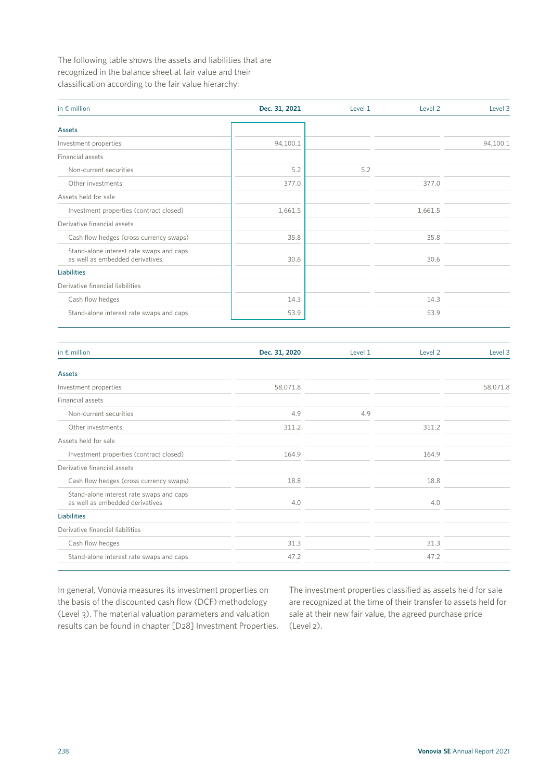The following table shows the assets and liabilities that are recognized in the balance sheet at fair value and their classification according to the fair value hierarchy:

| in $\epsilon$ million                                                       | Dec. 31, 2021 | Level 1 | Level 2 | Level 3  |
|-----------------------------------------------------------------------------|---------------|---------|---------|----------|
| <b>Assets</b>                                                               |               |         |         |          |
| Investment properties                                                       | 94,100.1      |         |         | 94,100.1 |
| Financial assets                                                            |               |         |         |          |
| Non-current securities                                                      | 5.2           | 5.2     |         |          |
| Other investments                                                           | 377.0         |         | 377.0   |          |
| Assets held for sale                                                        |               |         |         |          |
| Investment properties (contract closed)                                     | 1,661.5       |         | 1,661.5 |          |
| Derivative financial assets                                                 |               |         |         |          |
| Cash flow hedges (cross currency swaps)                                     | 35.8          |         | 35.8    |          |
| Stand-alone interest rate swaps and caps<br>as well as embedded derivatives | 30.6          |         | 30.6    |          |
| <b>Liabilities</b>                                                          |               |         |         |          |
| Derivative financial liabilities                                            |               |         |         |          |
| Cash flow hedges                                                            | 14.3          |         | 14.3    |          |
| Stand-alone interest rate swaps and caps                                    | 53.9          |         | 53.9    |          |

| in $\epsilon$ million                                                       | Dec. 31, 2020 | Level 1 | Level 2 | Level 3  |
|-----------------------------------------------------------------------------|---------------|---------|---------|----------|
| Assets                                                                      |               |         |         |          |
| Investment properties                                                       | 58,071.8      |         |         | 58,071.8 |
| Financial assets                                                            |               |         |         |          |
| Non-current securities                                                      | 4.9           | 4.9     |         |          |
| Other investments                                                           | 311.2         |         | 311.2   |          |
| Assets held for sale                                                        |               |         |         |          |
| Investment properties (contract closed)                                     | 164.9         |         | 164.9   |          |
| Derivative financial assets                                                 |               |         |         |          |
| Cash flow hedges (cross currency swaps)                                     | 18.8          |         | 18.8    |          |
| Stand-alone interest rate swaps and caps<br>as well as embedded derivatives | 4.0           |         | 4.0     |          |
| <b>Liabilities</b>                                                          |               |         |         |          |
| Derivative financial liabilities                                            |               |         |         |          |
| Cash flow hedges                                                            | 31.3          |         | 31.3    |          |
| Stand-alone interest rate swaps and caps                                    | 47.2          |         | 47.2    |          |

In general, Vonovia measures its investment properties on the basis of the discounted cash flow (DCF) methodology (Level 3). The material valuation parameters and valuation results can be found in chapter [D28] Investment Properties. The investment properties classified as assets held for sale are recognized at the time of their transfer to assets held for sale at their new fair value, the agreed purchase price (Level 2).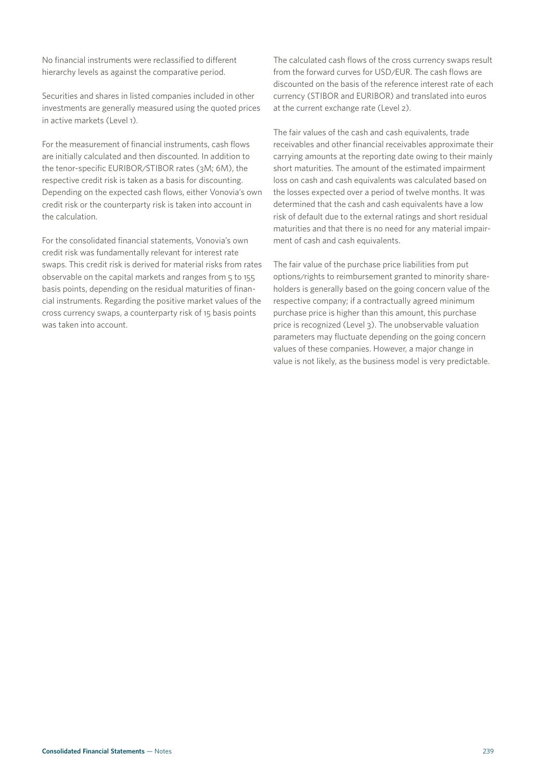No financial instruments were reclassified to different hierarchy levels as against the comparative period.

Securities and shares in listed companies included in other investments are generally measured using the quoted prices in active markets (Level 1).

For the measurement of financial instruments, cash flows are initially calculated and then discounted. In addition to the tenor-specific EURIBOR/STIBOR rates (3M; 6M), the respective credit risk is taken as a basis for discounting. Depending on the expected cash flows, either Vonovia's own credit risk or the counterparty risk is taken into account in the calculation.

For the consolidated financial statements, Vonovia's own credit risk was fundamentally relevant for interest rate swaps. This credit risk is derived for material risks from rates observable on the capital markets and ranges from 5 to 155 basis points, depending on the residual maturities of financial instruments. Regarding the positive market values of the cross currency swaps, a counterparty risk of 15 basis points was taken into account.

The calculated cash flows of the cross currency swaps result from the forward curves for USD/EUR. The cash flows are discounted on the basis of the reference interest rate of each currency (STIBOR and EURIBOR) and translated into euros at the current exchange rate (Level 2).

The fair values of the cash and cash equivalents, trade receivables and other financial receivables approximate their carrying amounts at the reporting date owing to their mainly short maturities. The amount of the estimated impairment loss on cash and cash equivalents was calculated based on the losses expected over a period of twelve months. It was determined that the cash and cash equivalents have a low risk of default due to the external ratings and short residual maturities and that there is no need for any material impairment of cash and cash equivalents.

The fair value of the purchase price liabilities from put options/rights to reimbursement granted to minority shareholders is generally based on the going concern value of the respective company; if a contractually agreed minimum purchase price is higher than this amount, this purchase price is recognized (Level 3). The unobservable valuation parameters may fluctuate depending on the going concern values of these companies. However, a major change in value is not likely, as the business model is very predictable.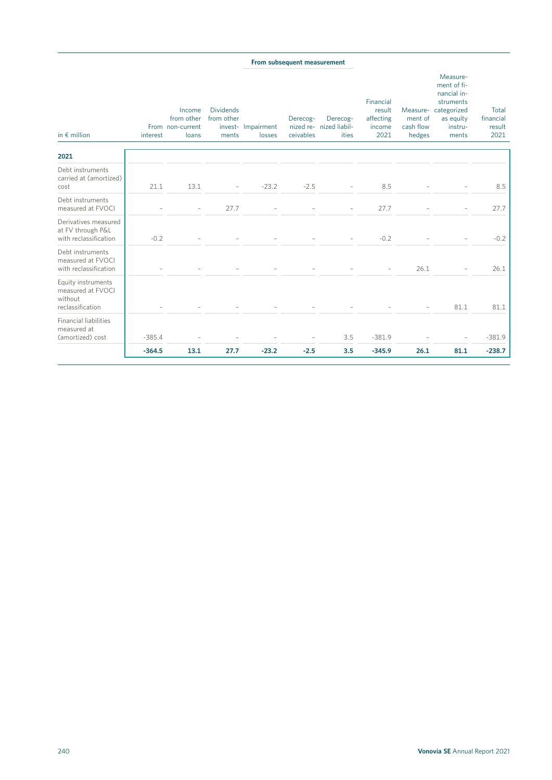### **From subsequent measurement**

| in $\epsilon$ million<br>2021                                          | interest | Income<br>from other<br>From non-current<br>loans | <b>Dividends</b><br>from other<br>ments | invest- Impairment<br>losses | Derecog-<br>ceivables | Derecog-<br>nized re- nized liabil-<br>ities | Financial<br>result<br>affecting<br>income<br>2021 | ment of<br>cash flow<br>hedges | Measure-<br>ment of fi-<br>nancial in-<br>struments<br>Measure-categorized<br>as equity<br>instru-<br>ments | Total<br>financial<br>result<br>2021 |
|------------------------------------------------------------------------|----------|---------------------------------------------------|-----------------------------------------|------------------------------|-----------------------|----------------------------------------------|----------------------------------------------------|--------------------------------|-------------------------------------------------------------------------------------------------------------|--------------------------------------|
|                                                                        |          |                                                   |                                         |                              |                       |                                              |                                                    |                                |                                                                                                             |                                      |
| Debt instruments<br>carried at (amortized)<br>cost                     | 21.1     | 13.1                                              |                                         | $-23.2$                      | $-2.5$                |                                              | 8.5                                                |                                |                                                                                                             | 8.5                                  |
| Debt instruments<br>measured at FVOCI                                  |          |                                                   | 27.7                                    |                              |                       |                                              | 27.7                                               |                                |                                                                                                             | 27.7                                 |
| Derivatives measured<br>at FV through P&L<br>with reclassification     | $-0.2$   |                                                   |                                         |                              |                       |                                              | $-0.2$                                             |                                |                                                                                                             | $-0.2$                               |
| Debt instruments<br>measured at FVOCI<br>with reclassification         |          |                                                   |                                         |                              |                       |                                              |                                                    | 26.1                           |                                                                                                             | 26.1                                 |
| Equity instruments<br>measured at FVOCI<br>without<br>reclassification |          |                                                   |                                         |                              |                       |                                              |                                                    |                                | 81.1                                                                                                        | 81.1                                 |
| <b>Financial liabilities</b><br>measured at<br>(amortized) cost        | $-385.4$ |                                                   |                                         |                              |                       | 3.5                                          | $-381.9$                                           |                                |                                                                                                             | $-381.9$                             |
|                                                                        | $-364.5$ | 13.1                                              | 27.7                                    | $-23.2$                      | $-2.5$                | 3.5                                          | $-345.9$                                           | 26.1                           | 81.1                                                                                                        | $-238.7$                             |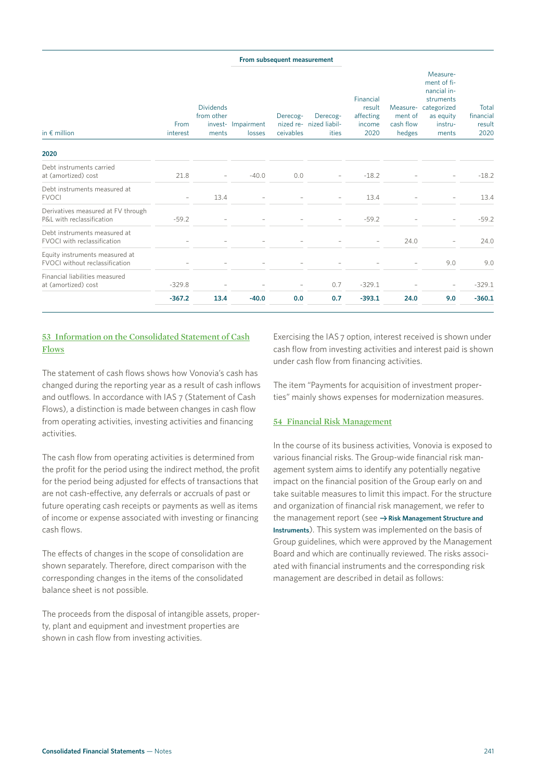### **From subsequent measurement**

| in $\epsilon$ million                                                   | From<br>interest         | <b>Dividends</b><br>from other<br>ments | invest- Impairment<br>losses | Derecog-<br>ceivables | Derecog-<br>nized re- nized liabil-<br>ities | Financial<br>result<br>affecting<br>income<br>2020 | Measure-<br>ment of<br>cash flow<br>hedges | Measure-<br>ment of fi-<br>nancial in-<br>struments<br>categorized<br>as equity<br>instru-<br>ments | Total<br>financial<br>result<br>2020 |
|-------------------------------------------------------------------------|--------------------------|-----------------------------------------|------------------------------|-----------------------|----------------------------------------------|----------------------------------------------------|--------------------------------------------|-----------------------------------------------------------------------------------------------------|--------------------------------------|
| 2020                                                                    |                          |                                         |                              |                       |                                              |                                                    |                                            |                                                                                                     |                                      |
| Debt instruments carried<br>at (amortized) cost                         | 21.8                     | $\overline{\phantom{0}}$                | $-40.0$                      | 0.0                   |                                              | $-18.2$                                            |                                            |                                                                                                     | $-18.2$                              |
| Debt instruments measured at<br><b>FVOCI</b>                            | $\overline{\phantom{0}}$ | 13.4                                    |                              |                       |                                              | 13.4                                               |                                            |                                                                                                     | 13.4                                 |
| Derivatives measured at FV through<br>P&L with reclassification         | $-59.2$                  |                                         |                              |                       |                                              | $-59.2$                                            |                                            |                                                                                                     | $-59.2$                              |
| Debt instruments measured at<br>FVOCI with reclassification             |                          |                                         |                              |                       |                                              |                                                    | 24.0                                       |                                                                                                     | 24.0                                 |
| Equity instruments measured at<br><b>FVOCI</b> without reclassification |                          |                                         |                              |                       |                                              |                                                    |                                            | 9.0                                                                                                 | 9.0                                  |
| Financial liabilities measured<br>at (amortized) cost                   | $-329.8$                 |                                         |                              |                       | 0.7                                          | $-329.1$                                           |                                            | $\overline{\phantom{0}}$                                                                            | $-329.1$                             |
|                                                                         | $-367.2$                 | 13.4                                    | $-40.0$                      | 0.0                   | 0.7                                          | $-393.1$                                           | 24.0                                       | 9.0                                                                                                 | $-360.1$                             |
|                                                                         |                          |                                         |                              |                       |                                              |                                                    |                                            |                                                                                                     |                                      |

## **53 Information on the Consolidated Statement of Cash Flows**

The statement of cash flows shows how Vonovia's cash has changed during the reporting year as a result of cash inflows and outflows. In accordance with IAS 7 (Statement of Cash Flows), a distinction is made between changes in cash flow from operating activities, investing activities and financing activities.

The cash flow from operating activities is determined from the profit for the period using the indirect method, the profit for the period being adjusted for effects of transactions that are not cash-effective, any deferrals or accruals of past or future operating cash receipts or payments as well as items of income or expense associated with investing or financing cash flows.

The effects of changes in the scope of consolidation are shown separately. Therefore, direct comparison with the corresponding changes in the items of the consolidated balance sheet is not possible.

The proceeds from the disposal of intangible assets, property, plant and equipment and investment properties are shown in cash flow from investing activities.

Exercising the IAS 7 option, interest received is shown under cash flow from investing activities and interest paid is shown under cash flow from financing activities.

The item "Payments for acquisition of investment properties" mainly shows expenses for modernization measures.

## **54 Financial Risk Management**

In the course of its business activities, Vonovia is exposed to various financial risks. The Group-wide financial risk management system aims to identify any potentially negative impact on the financial position of the Group early on and take suitable measures to limit this impact. For the structure and organization of financial risk management, we refer to the management report (see  $\rightarrow$  Risk Management Structure and **Instruments**). This system was implemented on the basis of Group guidelines, which were approved by the Management Board and which are continually reviewed. The risks associated with financial instruments and the corresponding risk management are described in detail as follows: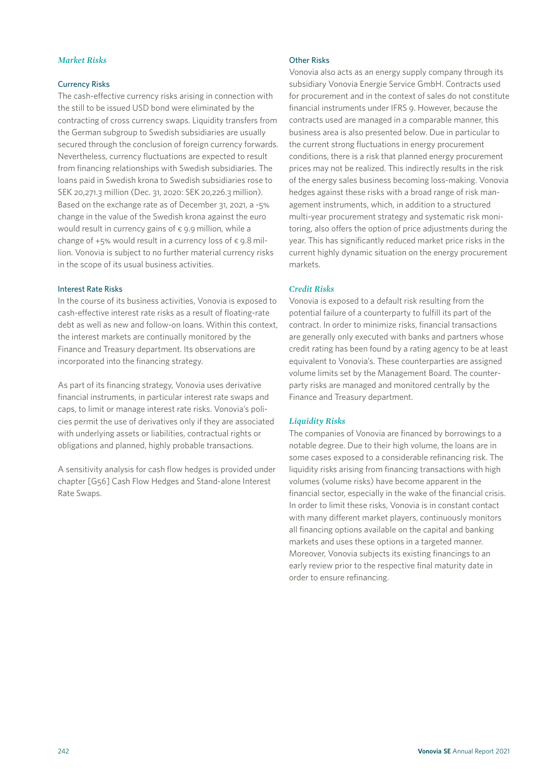## *Market Risks*

## Currency Risks

The cash-effective currency risks arising in connection with the still to be issued USD bond were eliminated by the contracting of cross currency swaps. Liquidity transfers from the German subgroup to Swedish subsidiaries are usually secured through the conclusion of foreign currency forwards. Nevertheless, currency fluctuations are expected to result from financing relationships with Swedish subsidiaries. The loans paid in Swedish krona to Swedish subsidiaries rose to SEK 20,271.3 million (Dec. 31, 2020: SEK 20,226.3 million). Based on the exchange rate as of December 31, 2021, a -5% change in the value of the Swedish krona against the euro would result in currency gains of  $\epsilon$  9.9 million, while a change of +5% would result in a currency loss of  $\epsilon$  9.8 million. Vonovia is subject to no further material currency risks in the scope of its usual business activities.

## Interest Rate Risks

In the course of its business activities, Vonovia is exposed to cash-effective interest rate risks as a result of floating-rate debt as well as new and follow-on loans. Within this context, the interest markets are continually monitored by the Finance and Treasury department. Its observations are incorporated into the financing strategy.

As part of its financing strategy, Vonovia uses derivative financial instruments, in particular interest rate swaps and caps, to limit or manage interest rate risks. Vonovia's policies permit the use of derivatives only if they are associated with underlying assets or liabilities, contractual rights or obligations and planned, highly probable transactions.

A sensitivity analysis for cash flow hedges is provided under chapter [G56] Cash Flow Hedges and Stand-alone Interest Rate Swaps.

### Other Risks

Vonovia also acts as an energy supply company through its subsidiary Vonovia Energie Service GmbH. Contracts used for procurement and in the context of sales do not constitute financial instruments under IFRS 9. However, because the contracts used are managed in a comparable manner, this business area is also presented below. Due in particular to the current strong fluctuations in energy procurement conditions, there is a risk that planned energy procurement prices may not be realized. This indirectly results in the risk of the energy sales business becoming loss-making. Vonovia hedges against these risks with a broad range of risk management instruments, which, in addition to a structured multi-year procurement strategy and systematic risk monitoring, also offers the option of price adjustments during the year. This has significantly reduced market price risks in the current highly dynamic situation on the energy procurement markets.

## *Credit Risks*

Vonovia is exposed to a default risk resulting from the potential failure of a counterparty to fulfill its part of the contract. In order to minimize risks, financial transactions are generally only executed with banks and partners whose credit rating has been found by a rating agency to be at least equivalent to Vonovia's. These counterparties are assigned volume limits set by the Management Board. The counterparty risks are managed and monitored centrally by the Finance and Treasury department.

## *Liquidity Risks*

The companies of Vonovia are financed by borrowings to a notable degree. Due to their high volume, the loans are in some cases exposed to a considerable refinancing risk. The liquidity risks arising from financing transactions with high volumes (volume risks) have become apparent in the financial sector, especially in the wake of the financial crisis. In order to limit these risks, Vonovia is in constant contact with many different market players, continuously monitors all financing options available on the capital and banking markets and uses these options in a targeted manner. Moreover, Vonovia subjects its existing financings to an early review prior to the respective final maturity date in order to ensure refinancing.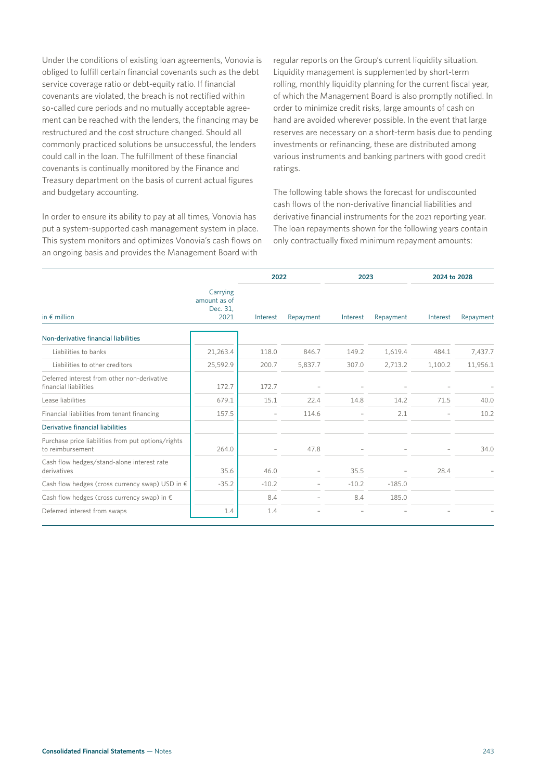Under the conditions of existing loan agreements, Vonovia is obliged to fulfill certain financial covenants such as the debt service coverage ratio or debt-equity ratio. If financial covenants are violated, the breach is not rectified within so-called cure periods and no mutually acceptable agreement can be reached with the lenders, the financing may be restructured and the cost structure changed. Should all commonly practiced solutions be unsuccessful, the lenders could call in the loan. The fulfillment of these financial covenants is continually monitored by the Finance and Treasury department on the basis of current actual figures and budgetary accounting.

In order to ensure its ability to pay at all times, Vonovia has put a system-supported cash management system in place. This system monitors and optimizes Vonovia's cash flows on an ongoing basis and provides the Management Board with

regular reports on the Group's current liquidity situation. Liquidity management is supplemented by short-term rolling, monthly liquidity planning for the current fiscal year, of which the Management Board is also promptly notified. In order to minimize credit risks, large amounts of cash on hand are avoided wherever possible. In the event that large reserves are necessary on a short-term basis due to pending investments or refinancing, these are distributed among various instruments and banking partners with good credit ratings.

The following table shows the forecast for undiscounted cash flows of the non-derivative financial liabilities and derivative financial instruments for the 2021 reporting year. The loan repayments shown for the following years contain only contractually fixed minimum repayment amounts:

|                                                                        |                                              | 2022     |           | 2023     |           | 2024 to 2028 |           |
|------------------------------------------------------------------------|----------------------------------------------|----------|-----------|----------|-----------|--------------|-----------|
| in $\epsilon$ million                                                  | Carrying<br>amount as of<br>Dec. 31,<br>2021 | Interest | Repayment | Interest | Repayment | Interest     | Repayment |
| Non-derivative financial liabilities                                   |                                              |          |           |          |           |              |           |
| Liabilities to banks                                                   | 21,263.4                                     | 118.0    | 846.7     | 149.2    | 1,619.4   | 484.1        | 7,437.7   |
| Liabilities to other creditors                                         | 25,592.9                                     | 200.7    | 5,837.7   | 307.0    | 2,713.2   | 1,100.2      | 11,956.1  |
| Deferred interest from other non-derivative<br>financial liabilities   | 172.7                                        | 172.7    |           |          |           |              |           |
| Lease liabilities                                                      | 679.1                                        | 15.1     | 22.4      | 14.8     | 14.2      | 71.5         | 40.0      |
| Financial liabilities from tenant financing                            | 157.5                                        |          | 114.6     |          | 2.1       |              | 10.2      |
| Derivative financial liabilities                                       |                                              |          |           |          |           |              |           |
| Purchase price liabilities from put options/rights<br>to reimbursement | 264.0                                        |          | 47.8      |          |           |              | 34.0      |
| Cash flow hedges/stand-alone interest rate<br>derivatives              | 35.6                                         | 46.0     |           | 35.5     |           | 28.4         |           |
| Cash flow hedges (cross currency swap) USD in $\epsilon$               | $-35.2$                                      | $-10.2$  |           | $-10.2$  | $-185.0$  |              |           |
| Cash flow hedges (cross currency swap) in $\epsilon$                   |                                              | 8.4      |           | 8.4      | 185.0     |              |           |
| Deferred interest from swaps                                           | 1.4                                          | 1.4      |           |          |           |              |           |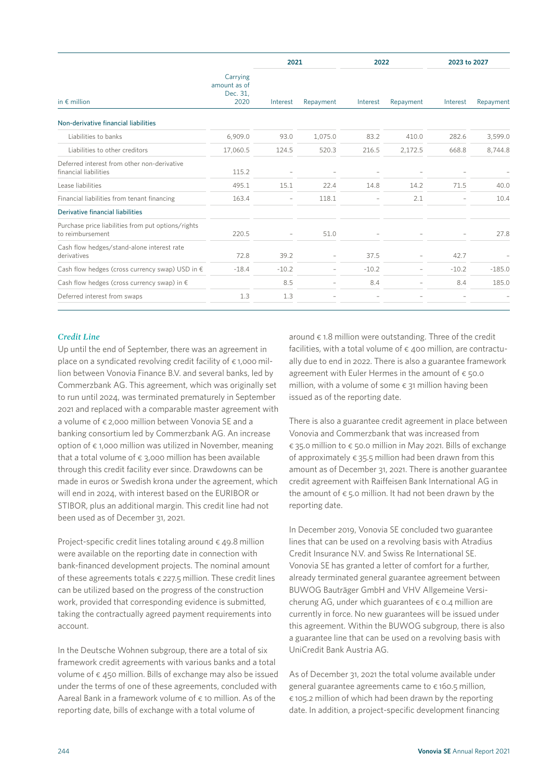|                                                                        |                                              | 2021     |           | 2022     |           | 2023 to 2027 |           |
|------------------------------------------------------------------------|----------------------------------------------|----------|-----------|----------|-----------|--------------|-----------|
| in $\notin$ million                                                    | Carrying<br>amount as of<br>Dec. 31,<br>2020 | Interest | Repayment | Interest | Repayment | Interest     | Repayment |
| Non-derivative financial liabilities                                   |                                              |          |           |          |           |              |           |
| Liabilities to banks                                                   | 6,909.0                                      | 93.0     | 1,075.0   | 83.2     | 410.0     | 282.6        | 3,599.0   |
| Liabilities to other creditors                                         | 17,060.5                                     | 124.5    | 520.3     | 216.5    | 2,172.5   | 668.8        | 8,744.8   |
| Deferred interest from other non-derivative<br>financial liabilities   | 115.2                                        |          |           |          |           |              |           |
| Lease liabilities                                                      | 495.1                                        | 15.1     | 22.4      | 14.8     | 14.2      | 71.5         | 40.0      |
| Financial liabilities from tenant financing                            | 163.4                                        |          | 118.1     |          | 2.1       |              | 10.4      |
| Derivative financial liabilities                                       |                                              |          |           |          |           |              |           |
| Purchase price liabilities from put options/rights<br>to reimbursement | 220.5                                        |          | 51.0      |          |           |              | 27.8      |
| Cash flow hedges/stand-alone interest rate<br>derivatives              | 72.8                                         | 39.2     |           | 37.5     |           | 42.7         |           |
| Cash flow hedges (cross currency swap) USD in $\epsilon$               | $-18.4$                                      | $-10.2$  |           | $-10.2$  |           | $-10.2$      | $-185.0$  |
| Cash flow hedges (cross currency swap) in $\epsilon$                   |                                              | 8.5      |           | 8.4      |           | 8.4          | 185.0     |
| Deferred interest from swaps                                           | 1.3                                          | 1.3      |           |          |           |              |           |

### *Credit Line*

Up until the end of September, there was an agreement in place on a syndicated revolving credit facility of  $\epsilon$  1,000 million between Vonovia Finance B.V. and several banks, led by Commerzbank AG. This agreement, which was originally set to run until 2024, was terminated prematurely in September 2021 and replaced with a comparable master agreement with a volume of € 2,000 million between Vonovia SE and a banking consortium led by Commerzbank AG. An increase option of  $\epsilon$  1,000 million was utilized in November, meaning that a total volume of  $\epsilon$  3,000 million has been available through this credit facility ever since. Drawdowns can be made in euros or Swedish krona under the agreement, which will end in 2024, with interest based on the EURIBOR or STIBOR, plus an additional margin. This credit line had not been used as of December 31, 2021.

Project-specific credit lines totaling around  $\epsilon$  49.8 million were available on the reporting date in connection with bank-financed development projects. The nominal amount of these agreements totals  $\epsilon$  227.5 million. These credit lines can be utilized based on the progress of the construction work, provided that corresponding evidence is submitted, taking the contractually agreed payment requirements into account.

In the Deutsche Wohnen subgroup, there are a total of six framework credit agreements with various banks and a total volume of  $\epsilon$  450 million. Bills of exchange may also be issued under the terms of one of these agreements, concluded with Aareal Bank in a framework volume of  $\epsilon$  10 million. As of the reporting date, bills of exchange with a total volume of

around  $\epsilon$  1.8 million were outstanding. Three of the credit facilities, with a total volume of  $\epsilon$  400 million, are contractually due to end in 2022. There is also a guarantee framework agreement with Euler Hermes in the amount of  $\epsilon$  50.0 million, with a volume of some  $\epsilon$  31 million having been issued as of the reporting date.

There is also a guarantee credit agreement in place between Vonovia and Commerzbank that was increased from € 35.0 million to € 50.0 million in May 2021. Bills of exchange of approximately  $\epsilon$  35.5 million had been drawn from this amount as of December 31, 2021. There is another guarantee credit agreement with Raiffeisen Bank International AG in the amount of  $\epsilon$  5.0 million. It had not been drawn by the reporting date.

In December 2019, Vonovia SE concluded two guarantee lines that can be used on a revolving basis with Atradius Credit Insurance N.V. and Swiss Re International SE. Vonovia SE has granted a letter of comfort for a further, already terminated general guarantee agreement between BUWOG Bauträger GmbH and VHV Allgemeine Versicherung AG, under which guarantees of  $\epsilon$  0.4 million are currently in force. No new guarantees will be issued under this agreement. Within the BUWOG subgroup, there is also a guarantee line that can be used on a revolving basis with UniCredit Bank Austria AG.

As of December 31, 2021 the total volume available under general guarantee agreements came to € 160.5 million,  $\epsilon$  105.2 million of which had been drawn by the reporting date. In addition, a project-specific development financing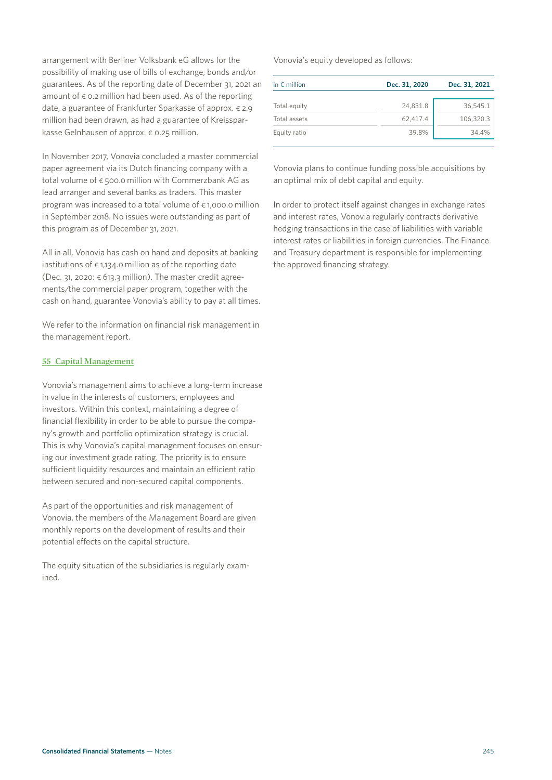arrangement with Berliner Volksbank eG allows for the possibility of making use of bills of exchange, bonds and/or guarantees. As of the reporting date of December 31, 2021 an amount of  $\epsilon$  0.2 million had been used. As of the reporting date, a guarantee of Frankfurter Sparkasse of approx. € 2.9 million had been drawn, as had a guarantee of Kreissparkasse Gelnhausen of approx. € 0.25 million.

In November 2017, Vonovia concluded a master commercial paper agreement via its Dutch financing company with a total volume of € 500.0 million with Commerzbank AG as lead arranger and several banks as traders. This master program was increased to a total volume of  $\epsilon$  1,000.0 million in September 2018. No issues were outstanding as part of this program as of December 31, 2021.

All in all, Vonovia has cash on hand and deposits at banking institutions of  $\epsilon$  1,134.0 million as of the reporting date (Dec. 31, 2020:  $\epsilon$  613.3 million). The master credit agreements/the commercial paper program, together with the cash on hand, guarantee Vonovia's ability to pay at all times.

We refer to the information on financial risk management in the management report.

## **55 Capital Management**

Vonovia's management aims to achieve a long-term increase in value in the interests of customers, employees and investors. Within this context, maintaining a degree of financial flexibility in order to be able to pursue the company's growth and portfolio optimization strategy is crucial. This is why Vonovia's capital management focuses on ensuring our investment grade rating. The priority is to ensure sufficient liquidity resources and maintain an efficient ratio between secured and non-secured capital components.

As part of the opportunities and risk management of Vonovia, the members of the Management Board are given monthly reports on the development of results and their potential effects on the capital structure.

The equity situation of the subsidiaries is regularly examined.

Vonovia's equity developed as follows:

| in $\epsilon$ million | Dec. 31, 2020 | Dec. 31, 2021 |  |
|-----------------------|---------------|---------------|--|
| Total equity          | 24,831.8      | 36,545.1      |  |
| Total assets          | 62,417.4      | 106,320.3     |  |
| Equity ratio          | 39.8%         | 34.4%         |  |

Vonovia plans to continue funding possible acquisitions by an optimal mix of debt capital and equity.

In order to protect itself against changes in exchange rates and interest rates, Vonovia regularly contracts derivative hedging transactions in the case of liabilities with variable interest rates or liabilities in foreign currencies. The Finance and Treasury department is responsible for implementing the approved financing strategy.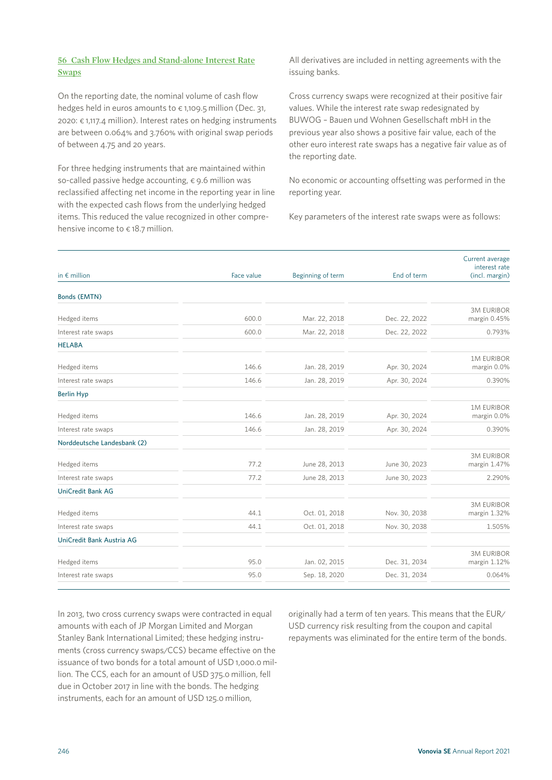On the reporting date, the nominal volume of cash flow hedges held in euros amounts to  $\epsilon$  1,109.5 million (Dec. 31, 2020: € 1,117.4 million). Interest rates on hedging instruments are between 0.064% and 3.760% with original swap periods of between 4.75 and 20 years.

For three hedging instruments that are maintained within so-called passive hedge accounting,  $\epsilon$  9.6 million was reclassified affecting net income in the reporting year in line with the expected cash flows from the underlying hedged items. This reduced the value recognized in other comprehensive income to  $\epsilon$  18.7 million.

All derivatives are included in netting agreements with the issuing banks.

Cross currency swaps were recognized at their positive fair values. While the interest rate swap redesignated by BUWOG – Bauen und Wohnen Gesellschaft mbH in the previous year also shows a positive fair value, each of the other euro interest rate swaps has a negative fair value as of the reporting date.

No economic or accounting offsetting was performed in the reporting year.

Key parameters of the interest rate swaps were as follows:

|                             |            |                   |               | Current average                   |
|-----------------------------|------------|-------------------|---------------|-----------------------------------|
| in $\epsilon$ million       | Face value | Beginning of term | End of term   | interest rate<br>(incl. margin)   |
| <b>Bonds (EMTN)</b>         |            |                   |               |                                   |
| Hedged items                | 600.0      | Mar. 22, 2018     | Dec. 22, 2022 | <b>3M EURIBOR</b><br>margin 0.45% |
| Interest rate swaps         | 600.0      | Mar. 22, 2018     | Dec. 22, 2022 | 0.793%                            |
| <b>HELABA</b>               |            |                   |               |                                   |
| Hedged items                | 146.6      | Jan. 28, 2019     | Apr. 30, 2024 | <b>1M EURIBOR</b><br>margin 0.0%  |
| Interest rate swaps         | 146.6      | Jan. 28, 2019     | Apr. 30, 2024 | 0.390%                            |
| <b>Berlin Hyp</b>           |            |                   |               |                                   |
| Hedged items                | 146.6      | Jan. 28, 2019     | Apr. 30, 2024 | <b>1M EURIBOR</b><br>margin 0.0%  |
| Interest rate swaps         | 146.6      | Jan. 28, 2019     | Apr. 30, 2024 | 0.390%                            |
| Norddeutsche Landesbank (2) |            |                   |               |                                   |
| Hedged items                | 77.2       | June 28, 2013     | June 30, 2023 | <b>3M EURIBOR</b><br>margin 1.47% |
| Interest rate swaps         | 77.2       | June 28, 2013     | June 30, 2023 | 2.290%                            |
| <b>UniCredit Bank AG</b>    |            |                   |               |                                   |
| Hedged items                | 44.1       | Oct. 01, 2018     | Nov. 30, 2038 | <b>3M EURIBOR</b><br>margin 1.32% |
| Interest rate swaps         | 44.1       | Oct. 01, 2018     | Nov. 30, 2038 | 1.505%                            |
| UniCredit Bank Austria AG   |            |                   |               |                                   |
| Hedged items                | 95.0       | Jan. 02, 2015     | Dec. 31, 2034 | <b>3M EURIBOR</b><br>margin 1.12% |
| Interest rate swaps         | 95.0       | Sep. 18, 2020     | Dec. 31, 2034 | 0.064%                            |

In 2013, two cross currency swaps were contracted in equal amounts with each of JP Morgan Limited and Morgan Stanley Bank International Limited; these hedging instruments (cross currency swaps/CCS) became effective on the issuance of two bonds for a total amount of USD 1,000.0 million. The CCS, each for an amount of USD 375.0 million, fell due in October 2017 in line with the bonds. The hedging instruments, each for an amount of USD 125.0 million,

originally had a term of ten years. This means that the EUR/ USD currency risk resulting from the coupon and capital repayments was eliminated for the entire term of the bonds.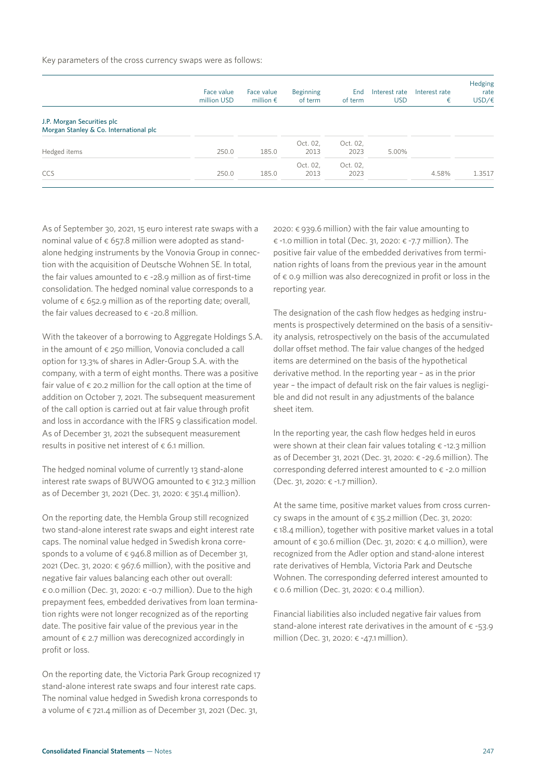Key parameters of the cross currency swaps were as follows:

|                                                                      | Face value<br>million USD | Face value<br>million $\epsilon$ | <b>Beginning</b><br>of term | End<br>of term   | Interest rate<br>USD | Interest rate<br>€ | Hedging<br>rate<br>USD/E |
|----------------------------------------------------------------------|---------------------------|----------------------------------|-----------------------------|------------------|----------------------|--------------------|--------------------------|
| J.P. Morgan Securities plc<br>Morgan Stanley & Co. International plc |                           |                                  |                             |                  |                      |                    |                          |
| Hedged items                                                         | 250.0                     | 185.0                            | Oct. 02,<br>2013            | Oct. 02,<br>2023 | 5.00%                |                    |                          |
| CCS                                                                  | 250.0                     | 185.0                            | Oct. 02,<br>2013            | Oct. 02,<br>2023 |                      | 4.58%              | 1.3517                   |

As of September 30, 2021, 15 euro interest rate swaps with a nominal value of  $\epsilon$  657.8 million were adopted as standalone hedging instruments by the Vonovia Group in connection with the acquisition of Deutsche Wohnen SE. In total, the fair values amounted to  $\epsilon$  -28.9 million as of first-time consolidation. The hedged nominal value corresponds to a volume of  $\epsilon$  652.9 million as of the reporting date; overall, the fair values decreased to  $\epsilon$  -20.8 million.

With the takeover of a borrowing to Aggregate Holdings S.A. in the amount of  $\epsilon$  250 million, Vonovia concluded a call option for 13.3% of shares in Adler-Group S.A. with the company, with a term of eight months. There was a positive fair value of  $\epsilon$  20.2 million for the call option at the time of addition on October 7, 2021. The subsequent measurement of the call option is carried out at fair value through profit and loss in accordance with the IFRS 9 classification model. As of December 31, 2021 the subsequent measurement results in positive net interest of  $\epsilon$  6.1 million.

The hedged nominal volume of currently 13 stand-alone interest rate swaps of BUWOG amounted to  $\epsilon$  312.3 million as of December 31, 2021 (Dec. 31, 2020: € 351.4 million).

On the reporting date, the Hembla Group still recognized two stand-alone interest rate swaps and eight interest rate caps. The nominal value hedged in Swedish krona corresponds to a volume of  $\epsilon$  946.8 million as of December 31, 2021 (Dec. 31, 2020:  $\epsilon$  967.6 million), with the positive and negative fair values balancing each other out overall:  $\epsilon$  0.0 million (Dec. 31, 2020:  $\epsilon$  -0.7 million). Due to the high prepayment fees, embedded derivatives from loan termination rights were not longer recognized as of the reporting date. The positive fair value of the previous year in the amount of  $\epsilon$  2.7 million was derecognized accordingly in profit or loss.

On the reporting date, the Victoria Park Group recognized 17 stand-alone interest rate swaps and four interest rate caps. The nominal value hedged in Swedish krona corresponds to a volume of  $\epsilon$  721.4 million as of December 31, 2021 (Dec. 31,

2020: € 939.6 million) with the fair value amounting to € -1.0 million in total (Dec. 31, 2020: € -7.7 million). The positive fair value of the embedded derivatives from termination rights of loans from the previous year in the amount of  $\epsilon$  0.9 million was also derecognized in profit or loss in the reporting year.

The designation of the cash flow hedges as hedging instruments is prospectively determined on the basis of a sensitivity analysis, retrospectively on the basis of the accumulated dollar offset method. The fair value changes of the hedged items are determined on the basis of the hypothetical derivative method. In the reporting year – as in the prior year – the impact of default risk on the fair values is negligible and did not result in any adjustments of the balance sheet item.

In the reporting year, the cash flow hedges held in euros were shown at their clean fair values totaling  $\epsilon$  -12.3 million as of December 31, 2021 (Dec. 31, 2020: € -29.6 million). The corresponding deferred interest amounted to  $\epsilon$  -2.0 million (Dec. 31, 2020: € -1.7 million).

At the same time, positive market values from cross currency swaps in the amount of  $\epsilon$  35.2 million (Dec. 31, 2020: € 18.4 million), together with positive market values in a total amount of  $\epsilon$  30.6 million (Dec. 31, 2020:  $\epsilon$  4.0 million), were recognized from the Adler option and stand-alone interest rate derivatives of Hembla, Victoria Park and Deutsche Wohnen. The corresponding deferred interest amounted to € 0.6 million (Dec. 31, 2020: € 0.4 million).

Financial liabilities also included negative fair values from stand-alone interest rate derivatives in the amount of  $\epsilon$  -53.9 million (Dec. 31, 2020: € -47.1 million).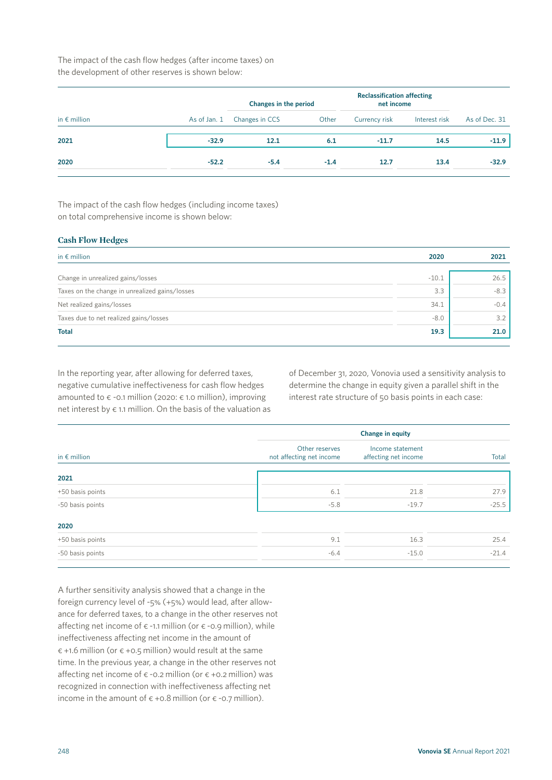The impact of the cash flow hedges (after income taxes) on the development of other reserves is shown below:

|                       |              | Changes in the period |        | <b>Reclassification affecting</b><br>net income |               |               |
|-----------------------|--------------|-----------------------|--------|-------------------------------------------------|---------------|---------------|
| in $\epsilon$ million | As of Jan. 1 | Changes in CCS        | Other  | Currency risk                                   | Interest risk | As of Dec. 31 |
| 2021                  | $-32.9$      | 12.1                  | 6.1    | $-11.7$                                         | 14.5          | $-11.9$       |
| 2020                  | $-52.2$      | $-5.4$                | $-1.4$ | 12.7                                            | 13.4          | $-32.9$       |

The impact of the cash flow hedges (including income taxes) on total comprehensive income is shown below:

## **Cash Flow Hedges**

| 2020    | 2021   |
|---------|--------|
| $-10.1$ | 26.5   |
| 3.3     | $-8.3$ |
| 34.1    | $-0.4$ |
| $-8.0$  | 3.2    |
| 19.3    | 21.0   |
|         |        |

In the reporting year, after allowing for deferred taxes, negative cumulative ineffectiveness for cash flow hedges amounted to  $\epsilon$  -0.1 million (2020:  $\epsilon$  1.0 million), improving net interest by  $\epsilon$  1.1 million. On the basis of the valuation as of December 31, 2020, Vonovia used a sensitivity analysis to determine the change in equity given a parallel shift in the interest rate structure of 50 basis points in each case:

|                       |                                            | <b>Change in equity</b>                  |         |  |  |  |
|-----------------------|--------------------------------------------|------------------------------------------|---------|--|--|--|
| in $\epsilon$ million | Other reserves<br>not affecting net income | Income statement<br>affecting net income | Total   |  |  |  |
| 2021                  |                                            |                                          |         |  |  |  |
| +50 basis points      | 6.1                                        | 21.8                                     | 27.9    |  |  |  |
| -50 basis points      | $-5.8$                                     | $-19.7$                                  | $-25.5$ |  |  |  |
| 2020                  |                                            |                                          |         |  |  |  |
| +50 basis points      | 9.1                                        | 16.3                                     | 25.4    |  |  |  |
| -50 basis points      | $-6.4$                                     | $-15.0$                                  | $-21.4$ |  |  |  |

A further sensitivity analysis showed that a change in the foreign currency level of -5% (+5%) would lead, after allowance for deferred taxes, to a change in the other reserves not affecting net income of  $\epsilon$  -1.1 million (or  $\epsilon$  -0.9 million), while ineffectiveness affecting net income in the amount of  $\epsilon$  +1.6 million (or  $\epsilon$  +0.5 million) would result at the same time. In the previous year, a change in the other reserves not affecting net income of  $\epsilon$  -0.2 million (or  $\epsilon$  +0.2 million) was recognized in connection with ineffectiveness affecting net income in the amount of  $\epsilon$  +0.8 million (or  $\epsilon$  -0.7 million).